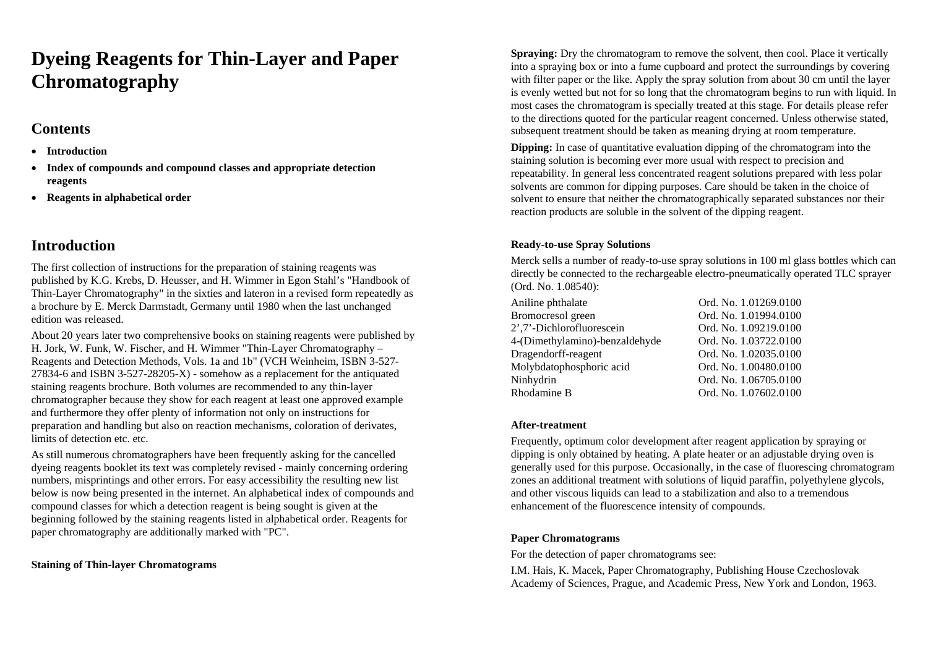# **Dyeing Reagents for Thin-Layer and Paper Chromatography**

# **Contents**

- •**Introduction**
- • **Index of compounds and compound classes and appropriate detection reagents**
- **Reagents in alphabetical order**

# **Introduction**

The first collection of instructions for the preparation of staining reagents was published by K.G. Krebs, D. Heusser, and H. Wimmer in Egon Stahl's "Handbook of Thin-Layer Chromatography" in the sixties and lateron in a revised form repeatedly as a brochure by E. Merck Darmstadt, Germany until 1980 when the last unchanged edition was released.

About 20 years later two comprehensive books on staining reagents were published by H. Jork, W. Funk, W. Fischer, and H. Wimmer "Thin-Layer Chromatography – Reagents and Detection Methods, Vols. 1a and 1b" (VCH Weinheim, ISBN 3-527- 27834-6 and ISBN 3-527-28205-X) - somehow as a replacement for the antiquated staining reagents brochure. Both volumes are recommended to any thin-layer chromatographer because they show for each reagent at least one approved example and furthermore they offer plenty of information not only on instructions for preparation and handling but also on reaction mechanisms, coloration of derivates, limits of detection etc. etc.

As still numerous chromatographers have been frequently asking for the cancelled dyeing reagents booklet its text was completely revised - mainly concerning ordering numbers, misprintings and other errors. For easy accessibility the resulting new list below is now being presented in the internet. An alphabetical index of compounds and compound classes for which a detection reagent is being sought is given at the beginning followed by the staining reagents listed in alphabetical order. Reagents for paper chromatography are additionally marked with "PC".

## **Staining of Thin-layer Chromatograms**

**Spraying:** Dry the chromatogram to remove the solvent, then cool. Place it vertically into a spraying box or into a fume cupboard and protect the surroundings by covering with filter paper or the like. Apply the spray solution from about 30 cm until the layer is evenly wetted but not for so long that the chromatogram begins to run with liquid. In most cases the chromatogram is specially treated at this stage. For details please refer to the directions quoted for the particular reagent concerned. Unless otherwise stated, subsequent treatment should be taken as meaning drying at room temperature.

**Dipping:** In case of quantitative evaluation dipping of the chromatogram into the staining solution is becoming ever more usual with respect to precision and repeatability. In general less concentrated reagent solutions prepared with less polar solvents are common for dipping purposes. Care should be taken in the choice of solvent to ensure that neither the chromatographically separated substances nor their reaction products are soluble in the solvent of the dipping reagent.

## **Ready-to-use Spray Solutions**

Merck sells a number of ready-to-use spray solutions in 100 ml glass bottles which can directly be connected to the rechargeable electro-pneumatically operated TLC sprayer (Ord. No. 1.08540):

| Aniline phthalate              | Ord. No. 1.01269.0100 |
|--------------------------------|-----------------------|
| Bromocresol green              | Ord. No. 1.01994.0100 |
| 2',7'-Dichlorofluorescein      | Ord. No. 1.09219.0100 |
| 4-(Dimethylamino)-benzaldehyde | Ord. No. 1.03722.0100 |
| Dragendorff-reagent            | Ord. No. 1.02035.0100 |
| Molybdatophosphoric acid       | Ord. No. 1.00480.0100 |
| Ninhydrin                      | Ord. No. 1.06705.0100 |
| Rhodamine B                    | Ord. No. 1.07602.0100 |

## **After-treatment**

Frequently, optimum color development after reagent application by spraying or dipping is only obtained by heating. A plate heater or an adjustable drying oven is generally used for this purpose. Occasionally, in the case of fluorescing chromatogram zones an additional treatment with solutions of liquid paraffin, polyethylene glycols, and other viscous liquids can lead to a stabilization and also to a tremendous enhancement of the fluorescence intensity of compounds.

## **Paper Chromatograms**

For the detection of paper chromatograms see:

I.M. Hais, K. Macek, Paper Chromatography, Publishing House Czechoslovak Academy of Sciences, Prague, and Academic Press, New York and London, 1963.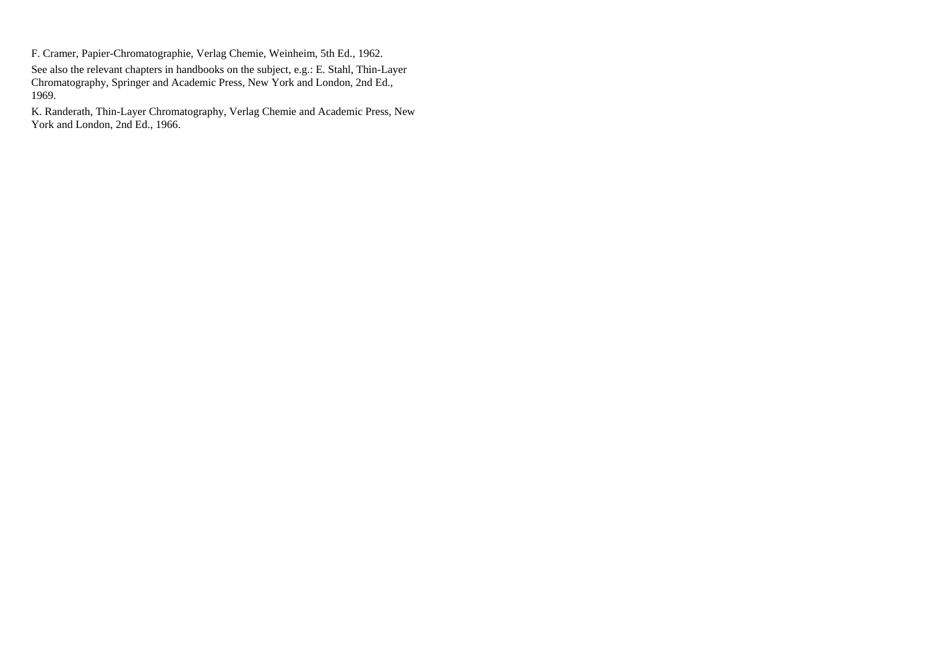F. Cramer, Papier-Chromatographie, Verlag Chemie, Weinheim, 5th Ed., 1962.

See also the relevant chapters in handbooks on the subject, e.g.: E. Stahl, Thin-Layer Chromatography, Springer and Academic Press, New York and London, 2nd Ed., 1969.

K. Randerath, Thin-Layer Chromatography, Verlag Chemie and Academic Press, New York and London, 2nd Ed., 1966.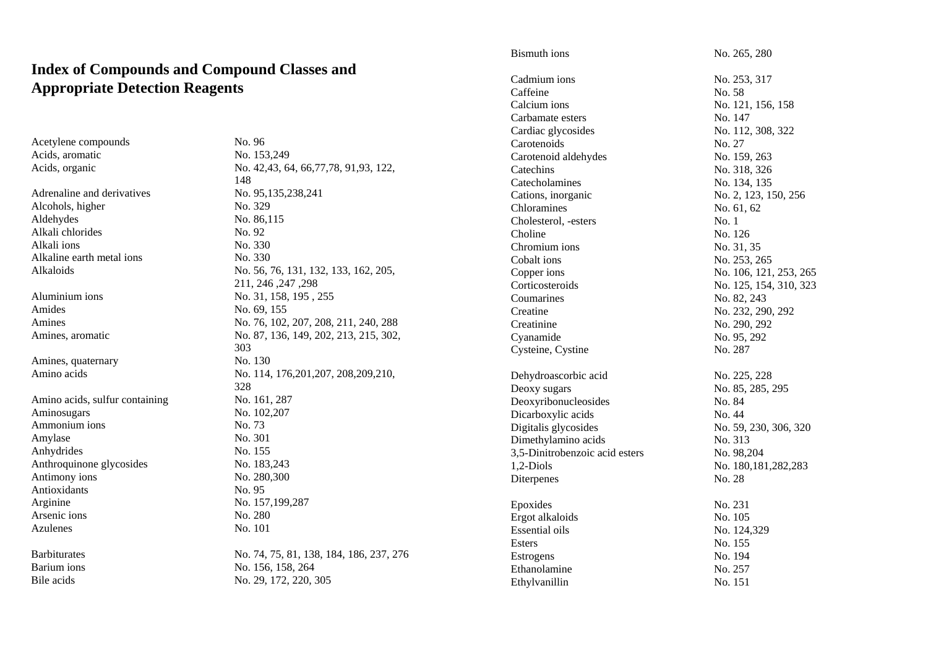# **Index of Compounds and Compound Classes and Appropriate Detection Reagents**

**Barbiturates** Barium ions No. 156, 158, 264 Bile acids No. 29, 172, 220, 305

| Acetylene compounds            | No. 96                                   |
|--------------------------------|------------------------------------------|
| Acids, aromatic                | No. 153,249                              |
| Acids, organic                 | No. 42, 43, 64, 66, 77, 78, 91, 93, 122, |
|                                | 148                                      |
| Adrenaline and derivatives     | No. 95,135,238,241                       |
| Alcohols, higher               | No. 329                                  |
| Aldehydes                      | No. 86,115                               |
| Alkali chlorides               | No. 92                                   |
| Alkali ions                    | No. 330                                  |
| Alkaline earth metal ions      | No. 330                                  |
| Alkaloids                      | No. 56, 76, 131, 132, 133, 162, 205,     |
|                                | 298, 247, 246, 211                       |
| Aluminium ions                 | No. 31, 158, 195, 255                    |
| Amides                         | No. 69, 155                              |
| Amines                         | No. 76, 102, 207, 208, 211, 240, 288     |
| Amines, aromatic               | No. 87, 136, 149, 202, 213, 215, 302,    |
|                                | 303                                      |
| Amines, quaternary             | No. 130                                  |
| Amino acids                    | No. 114, 176, 201, 207, 208, 209, 210,   |
|                                | 328                                      |
| Amino acids, sulfur containing | No. 161, 287                             |
| Aminosugars                    | No. 102,207                              |
| Ammonium ions                  | No. 73                                   |
| Amylase                        | No. 301                                  |
| Anhydrides                     | No. 155                                  |
| Anthroquinone glycosides       | No. 183,243                              |
| Antimony ions                  | No. 280,300                              |
| Antioxidants                   | No. 95                                   |
| Arginine                       | No. 157,199,287                          |
| Arsenic ions                   | No. 280                                  |
| Azulenes                       | No. 101                                  |
| Barbiturates                   | No. 74, 75, 81, 138, 184, 186, 237, 276  |
| n. <b>.</b> .                  | $M = 1.57 - 1.50 - 0.01$                 |

| Bismuth ions                   | No. 265, 280           |
|--------------------------------|------------------------|
| Cadmium ions                   | No. 253, 317           |
| Caffeine                       | No. 58                 |
| Calcium ions                   | No. 121, 156, 158      |
| Carbamate esters               | No. 147                |
| Cardiac glycosides             | No. 112, 308, 322      |
| Carotenoids                    | No. 27                 |
| Carotenoid aldehydes           | No. 159, 263           |
| Catechins                      | No. 318, 326           |
| Catecholamines                 | No. 134, 135           |
| Cations, inorganic             | No. 2, 123, 150, 256   |
| Chloramines                    | No. 61, 62             |
| Cholesterol, -esters           | No. 1                  |
| Choline                        | No. 126                |
| Chromium ions                  | No. 31, 35             |
| Cobalt ions                    | No. 253, 265           |
| Copper ions                    | No. 106, 121, 253, 265 |
| Corticosteroids                | No. 125, 154, 310, 323 |
| Coumarines                     | No. 82, 243            |
| Creatine                       | No. 232, 290, 292      |
| Creatinine                     | No. 290, 292           |
| Cyanamide                      | No. 95, 292            |
| Cysteine, Cystine              | No. 287                |
| Dehydroascorbic acid           | No. 225, 228           |
| Deoxy sugars                   | No. 85, 285, 295       |
| Deoxyribonucleosides           | No. 84                 |
| Dicarboxylic acids             | No. 44                 |
| Digitalis glycosides           | No. 59, 230, 306, 320  |
| Dimethylamino acids            | No. 313                |
| 3,5-Dinitrobenzoic acid esters | No. 98,204             |
| 1,2-Diols                      | No. 180, 181, 282, 283 |
| Diterpenes                     | No. 28                 |
| Epoxides                       | No. 231                |
| Ergot alkaloids                | No. 105                |
| <b>Essential oils</b>          | No. 124,329            |
| Esters                         | No. 155                |
| Estrogens                      | No. 194                |
| Ethanolamine                   | No. 257                |
| Ethylvanillin                  | No. 151                |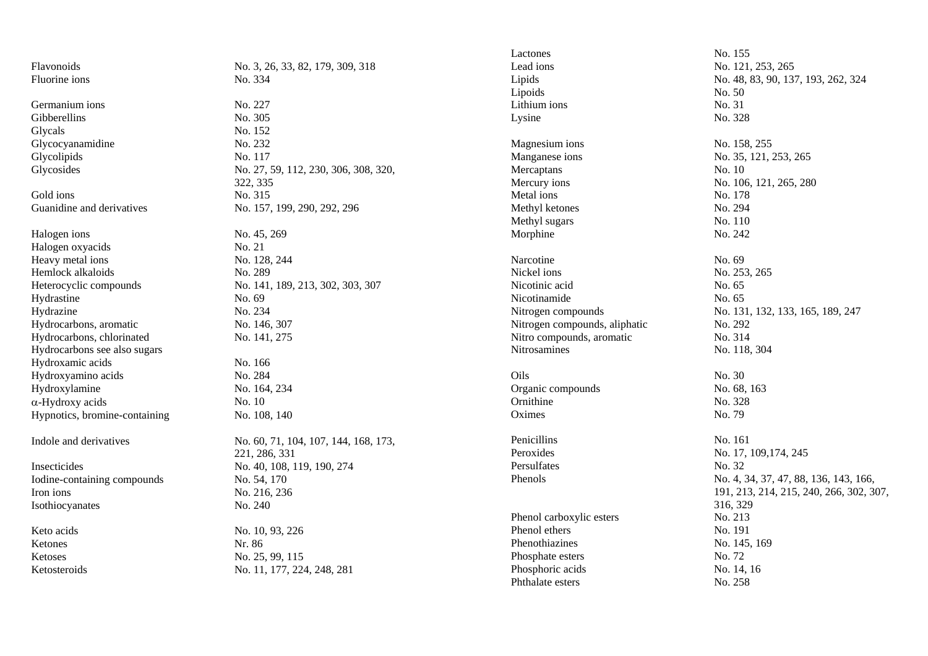| Flavonoids<br>Lead ions<br>No. 121, 253, 265<br>No. 3, 26, 33, 82, 179, 309, 318<br>Fluorine ions<br>No. 334<br>Lipids<br>No. 48, 83, 90, 137, 193, 262, 324<br>Lipoids<br>No. 50<br>Germanium ions<br>No. 227<br>No. 31<br>Lithium ions<br>Gibberellins<br>No. 305<br>No. 328<br>Lysine<br>Glycals<br>No. 152<br>Glycocyanamidine<br>No. 232<br>Magnesium ions<br>No. 158, 255<br>Glycolipids<br>No. 117<br>Manganese ions<br>No. 35, 121, 253, 265<br>Glycosides<br>No. 27, 59, 112, 230, 306, 308, 320,<br>Mercaptans<br>No. 10<br>322, 335<br>Mercury ions<br>No. 106, 121, 265, 280<br>No. 315<br>Gold ions<br>Metal ions<br>No. 178<br>Guanidine and derivatives<br>No. 157, 199, 290, 292, 296<br>No. 294<br>Methyl ketones<br>No. 110<br>Methyl sugars<br>Halogen ions<br>No. 45, 269<br>No. 242<br>Morphine<br>Halogen oxyacids<br>No. 21<br>Heavy metal ions<br>No. 128, 244<br>Narcotine<br>No. 69<br>Nickel ions<br>No. 253, 265<br>Hemlock alkaloids<br>No. 289<br>Heterocyclic compounds<br>No. 141, 189, 213, 302, 303, 307<br>Nicotinic acid<br>No. 65<br>Nicotinamide<br>Hydrastine<br>No. 69<br>No. 65<br>Hydrazine<br>No. 234<br>Nitrogen compounds<br>No. 131, 132, 133, 165, 189, 247<br>Hydrocarbons, aromatic<br>No. 146, 307<br>Nitrogen compounds, aliphatic<br>No. 292<br>Hydrocarbons, chlorinated<br>Nitro compounds, aromatic<br>No. 314<br>No. 141, 275<br>Hydrocarbons see also sugars<br>Nitrosamines<br>No. 118, 304<br>Hydroxamic acids<br>No. 166<br>No. 284<br>Hydroxyamino acids<br>Oils<br>No. 30<br>Hydroxylamine<br>No. 68, 163<br>No. 164, 234<br>Organic compounds<br>No. 10<br>Ornithine<br>α-Hydroxy acids<br>No. 328<br>No. 79<br>Hypnotics, bromine-containing<br>No. 108, 140<br>Oximes<br>Penicillins<br>No. 161<br>Indole and derivatives<br>No. 60, 71, 104, 107, 144, 168, 173,<br>Peroxides<br>No. 17, 109, 174, 245<br>221, 286, 331<br>Persulfates<br>No. 32<br>Insecticides<br>No. 40, 108, 119, 190, 274<br>Phenols<br>No. 4, 34, 37, 47, 88, 136, 143, 166,<br>Iodine-containing compounds<br>No. 54, 170<br>191, 213, 214, 215, 240, 266, 302, 307,<br>Iron ions<br>No. 216, 236<br>316, 329<br>No. 240<br>Isothiocyanates<br>Phenol carboxylic esters<br>No. 213<br>Phenol ethers<br>No. 191<br>Keto acids<br>No. 10, 93, 226<br>Phenothiazines<br>No. 145, 169<br>Ketones<br>Nr. 86<br>No. 72<br>No. 25, 99, 115<br>Phosphate esters<br>Ketoses<br>Phosphoric acids<br>No. 14, 16<br>No. 11, 177, 224, 248, 281<br>Ketosteroids |  | Lactones | No. 155 |
|---------------------------------------------------------------------------------------------------------------------------------------------------------------------------------------------------------------------------------------------------------------------------------------------------------------------------------------------------------------------------------------------------------------------------------------------------------------------------------------------------------------------------------------------------------------------------------------------------------------------------------------------------------------------------------------------------------------------------------------------------------------------------------------------------------------------------------------------------------------------------------------------------------------------------------------------------------------------------------------------------------------------------------------------------------------------------------------------------------------------------------------------------------------------------------------------------------------------------------------------------------------------------------------------------------------------------------------------------------------------------------------------------------------------------------------------------------------------------------------------------------------------------------------------------------------------------------------------------------------------------------------------------------------------------------------------------------------------------------------------------------------------------------------------------------------------------------------------------------------------------------------------------------------------------------------------------------------------------------------------------------------------------------------------------------------------------------------------------------------------------------------------------------------------------------------------------------------------------------------------------------------------------------------------------------------------------------------------------------------------------------------------------------------------------------------------------------------------------------------------|--|----------|---------|
|                                                                                                                                                                                                                                                                                                                                                                                                                                                                                                                                                                                                                                                                                                                                                                                                                                                                                                                                                                                                                                                                                                                                                                                                                                                                                                                                                                                                                                                                                                                                                                                                                                                                                                                                                                                                                                                                                                                                                                                                                                                                                                                                                                                                                                                                                                                                                                                                                                                                                             |  |          |         |
|                                                                                                                                                                                                                                                                                                                                                                                                                                                                                                                                                                                                                                                                                                                                                                                                                                                                                                                                                                                                                                                                                                                                                                                                                                                                                                                                                                                                                                                                                                                                                                                                                                                                                                                                                                                                                                                                                                                                                                                                                                                                                                                                                                                                                                                                                                                                                                                                                                                                                             |  |          |         |
|                                                                                                                                                                                                                                                                                                                                                                                                                                                                                                                                                                                                                                                                                                                                                                                                                                                                                                                                                                                                                                                                                                                                                                                                                                                                                                                                                                                                                                                                                                                                                                                                                                                                                                                                                                                                                                                                                                                                                                                                                                                                                                                                                                                                                                                                                                                                                                                                                                                                                             |  |          |         |
|                                                                                                                                                                                                                                                                                                                                                                                                                                                                                                                                                                                                                                                                                                                                                                                                                                                                                                                                                                                                                                                                                                                                                                                                                                                                                                                                                                                                                                                                                                                                                                                                                                                                                                                                                                                                                                                                                                                                                                                                                                                                                                                                                                                                                                                                                                                                                                                                                                                                                             |  |          |         |
|                                                                                                                                                                                                                                                                                                                                                                                                                                                                                                                                                                                                                                                                                                                                                                                                                                                                                                                                                                                                                                                                                                                                                                                                                                                                                                                                                                                                                                                                                                                                                                                                                                                                                                                                                                                                                                                                                                                                                                                                                                                                                                                                                                                                                                                                                                                                                                                                                                                                                             |  |          |         |
|                                                                                                                                                                                                                                                                                                                                                                                                                                                                                                                                                                                                                                                                                                                                                                                                                                                                                                                                                                                                                                                                                                                                                                                                                                                                                                                                                                                                                                                                                                                                                                                                                                                                                                                                                                                                                                                                                                                                                                                                                                                                                                                                                                                                                                                                                                                                                                                                                                                                                             |  |          |         |
|                                                                                                                                                                                                                                                                                                                                                                                                                                                                                                                                                                                                                                                                                                                                                                                                                                                                                                                                                                                                                                                                                                                                                                                                                                                                                                                                                                                                                                                                                                                                                                                                                                                                                                                                                                                                                                                                                                                                                                                                                                                                                                                                                                                                                                                                                                                                                                                                                                                                                             |  |          |         |
|                                                                                                                                                                                                                                                                                                                                                                                                                                                                                                                                                                                                                                                                                                                                                                                                                                                                                                                                                                                                                                                                                                                                                                                                                                                                                                                                                                                                                                                                                                                                                                                                                                                                                                                                                                                                                                                                                                                                                                                                                                                                                                                                                                                                                                                                                                                                                                                                                                                                                             |  |          |         |
|                                                                                                                                                                                                                                                                                                                                                                                                                                                                                                                                                                                                                                                                                                                                                                                                                                                                                                                                                                                                                                                                                                                                                                                                                                                                                                                                                                                                                                                                                                                                                                                                                                                                                                                                                                                                                                                                                                                                                                                                                                                                                                                                                                                                                                                                                                                                                                                                                                                                                             |  |          |         |
|                                                                                                                                                                                                                                                                                                                                                                                                                                                                                                                                                                                                                                                                                                                                                                                                                                                                                                                                                                                                                                                                                                                                                                                                                                                                                                                                                                                                                                                                                                                                                                                                                                                                                                                                                                                                                                                                                                                                                                                                                                                                                                                                                                                                                                                                                                                                                                                                                                                                                             |  |          |         |
|                                                                                                                                                                                                                                                                                                                                                                                                                                                                                                                                                                                                                                                                                                                                                                                                                                                                                                                                                                                                                                                                                                                                                                                                                                                                                                                                                                                                                                                                                                                                                                                                                                                                                                                                                                                                                                                                                                                                                                                                                                                                                                                                                                                                                                                                                                                                                                                                                                                                                             |  |          |         |
|                                                                                                                                                                                                                                                                                                                                                                                                                                                                                                                                                                                                                                                                                                                                                                                                                                                                                                                                                                                                                                                                                                                                                                                                                                                                                                                                                                                                                                                                                                                                                                                                                                                                                                                                                                                                                                                                                                                                                                                                                                                                                                                                                                                                                                                                                                                                                                                                                                                                                             |  |          |         |
|                                                                                                                                                                                                                                                                                                                                                                                                                                                                                                                                                                                                                                                                                                                                                                                                                                                                                                                                                                                                                                                                                                                                                                                                                                                                                                                                                                                                                                                                                                                                                                                                                                                                                                                                                                                                                                                                                                                                                                                                                                                                                                                                                                                                                                                                                                                                                                                                                                                                                             |  |          |         |
|                                                                                                                                                                                                                                                                                                                                                                                                                                                                                                                                                                                                                                                                                                                                                                                                                                                                                                                                                                                                                                                                                                                                                                                                                                                                                                                                                                                                                                                                                                                                                                                                                                                                                                                                                                                                                                                                                                                                                                                                                                                                                                                                                                                                                                                                                                                                                                                                                                                                                             |  |          |         |
|                                                                                                                                                                                                                                                                                                                                                                                                                                                                                                                                                                                                                                                                                                                                                                                                                                                                                                                                                                                                                                                                                                                                                                                                                                                                                                                                                                                                                                                                                                                                                                                                                                                                                                                                                                                                                                                                                                                                                                                                                                                                                                                                                                                                                                                                                                                                                                                                                                                                                             |  |          |         |
|                                                                                                                                                                                                                                                                                                                                                                                                                                                                                                                                                                                                                                                                                                                                                                                                                                                                                                                                                                                                                                                                                                                                                                                                                                                                                                                                                                                                                                                                                                                                                                                                                                                                                                                                                                                                                                                                                                                                                                                                                                                                                                                                                                                                                                                                                                                                                                                                                                                                                             |  |          |         |
|                                                                                                                                                                                                                                                                                                                                                                                                                                                                                                                                                                                                                                                                                                                                                                                                                                                                                                                                                                                                                                                                                                                                                                                                                                                                                                                                                                                                                                                                                                                                                                                                                                                                                                                                                                                                                                                                                                                                                                                                                                                                                                                                                                                                                                                                                                                                                                                                                                                                                             |  |          |         |
|                                                                                                                                                                                                                                                                                                                                                                                                                                                                                                                                                                                                                                                                                                                                                                                                                                                                                                                                                                                                                                                                                                                                                                                                                                                                                                                                                                                                                                                                                                                                                                                                                                                                                                                                                                                                                                                                                                                                                                                                                                                                                                                                                                                                                                                                                                                                                                                                                                                                                             |  |          |         |
|                                                                                                                                                                                                                                                                                                                                                                                                                                                                                                                                                                                                                                                                                                                                                                                                                                                                                                                                                                                                                                                                                                                                                                                                                                                                                                                                                                                                                                                                                                                                                                                                                                                                                                                                                                                                                                                                                                                                                                                                                                                                                                                                                                                                                                                                                                                                                                                                                                                                                             |  |          |         |
|                                                                                                                                                                                                                                                                                                                                                                                                                                                                                                                                                                                                                                                                                                                                                                                                                                                                                                                                                                                                                                                                                                                                                                                                                                                                                                                                                                                                                                                                                                                                                                                                                                                                                                                                                                                                                                                                                                                                                                                                                                                                                                                                                                                                                                                                                                                                                                                                                                                                                             |  |          |         |
|                                                                                                                                                                                                                                                                                                                                                                                                                                                                                                                                                                                                                                                                                                                                                                                                                                                                                                                                                                                                                                                                                                                                                                                                                                                                                                                                                                                                                                                                                                                                                                                                                                                                                                                                                                                                                                                                                                                                                                                                                                                                                                                                                                                                                                                                                                                                                                                                                                                                                             |  |          |         |
|                                                                                                                                                                                                                                                                                                                                                                                                                                                                                                                                                                                                                                                                                                                                                                                                                                                                                                                                                                                                                                                                                                                                                                                                                                                                                                                                                                                                                                                                                                                                                                                                                                                                                                                                                                                                                                                                                                                                                                                                                                                                                                                                                                                                                                                                                                                                                                                                                                                                                             |  |          |         |
|                                                                                                                                                                                                                                                                                                                                                                                                                                                                                                                                                                                                                                                                                                                                                                                                                                                                                                                                                                                                                                                                                                                                                                                                                                                                                                                                                                                                                                                                                                                                                                                                                                                                                                                                                                                                                                                                                                                                                                                                                                                                                                                                                                                                                                                                                                                                                                                                                                                                                             |  |          |         |
|                                                                                                                                                                                                                                                                                                                                                                                                                                                                                                                                                                                                                                                                                                                                                                                                                                                                                                                                                                                                                                                                                                                                                                                                                                                                                                                                                                                                                                                                                                                                                                                                                                                                                                                                                                                                                                                                                                                                                                                                                                                                                                                                                                                                                                                                                                                                                                                                                                                                                             |  |          |         |
|                                                                                                                                                                                                                                                                                                                                                                                                                                                                                                                                                                                                                                                                                                                                                                                                                                                                                                                                                                                                                                                                                                                                                                                                                                                                                                                                                                                                                                                                                                                                                                                                                                                                                                                                                                                                                                                                                                                                                                                                                                                                                                                                                                                                                                                                                                                                                                                                                                                                                             |  |          |         |
|                                                                                                                                                                                                                                                                                                                                                                                                                                                                                                                                                                                                                                                                                                                                                                                                                                                                                                                                                                                                                                                                                                                                                                                                                                                                                                                                                                                                                                                                                                                                                                                                                                                                                                                                                                                                                                                                                                                                                                                                                                                                                                                                                                                                                                                                                                                                                                                                                                                                                             |  |          |         |
|                                                                                                                                                                                                                                                                                                                                                                                                                                                                                                                                                                                                                                                                                                                                                                                                                                                                                                                                                                                                                                                                                                                                                                                                                                                                                                                                                                                                                                                                                                                                                                                                                                                                                                                                                                                                                                                                                                                                                                                                                                                                                                                                                                                                                                                                                                                                                                                                                                                                                             |  |          |         |
|                                                                                                                                                                                                                                                                                                                                                                                                                                                                                                                                                                                                                                                                                                                                                                                                                                                                                                                                                                                                                                                                                                                                                                                                                                                                                                                                                                                                                                                                                                                                                                                                                                                                                                                                                                                                                                                                                                                                                                                                                                                                                                                                                                                                                                                                                                                                                                                                                                                                                             |  |          |         |
|                                                                                                                                                                                                                                                                                                                                                                                                                                                                                                                                                                                                                                                                                                                                                                                                                                                                                                                                                                                                                                                                                                                                                                                                                                                                                                                                                                                                                                                                                                                                                                                                                                                                                                                                                                                                                                                                                                                                                                                                                                                                                                                                                                                                                                                                                                                                                                                                                                                                                             |  |          |         |
|                                                                                                                                                                                                                                                                                                                                                                                                                                                                                                                                                                                                                                                                                                                                                                                                                                                                                                                                                                                                                                                                                                                                                                                                                                                                                                                                                                                                                                                                                                                                                                                                                                                                                                                                                                                                                                                                                                                                                                                                                                                                                                                                                                                                                                                                                                                                                                                                                                                                                             |  |          |         |
|                                                                                                                                                                                                                                                                                                                                                                                                                                                                                                                                                                                                                                                                                                                                                                                                                                                                                                                                                                                                                                                                                                                                                                                                                                                                                                                                                                                                                                                                                                                                                                                                                                                                                                                                                                                                                                                                                                                                                                                                                                                                                                                                                                                                                                                                                                                                                                                                                                                                                             |  |          |         |
|                                                                                                                                                                                                                                                                                                                                                                                                                                                                                                                                                                                                                                                                                                                                                                                                                                                                                                                                                                                                                                                                                                                                                                                                                                                                                                                                                                                                                                                                                                                                                                                                                                                                                                                                                                                                                                                                                                                                                                                                                                                                                                                                                                                                                                                                                                                                                                                                                                                                                             |  |          |         |
|                                                                                                                                                                                                                                                                                                                                                                                                                                                                                                                                                                                                                                                                                                                                                                                                                                                                                                                                                                                                                                                                                                                                                                                                                                                                                                                                                                                                                                                                                                                                                                                                                                                                                                                                                                                                                                                                                                                                                                                                                                                                                                                                                                                                                                                                                                                                                                                                                                                                                             |  |          |         |
|                                                                                                                                                                                                                                                                                                                                                                                                                                                                                                                                                                                                                                                                                                                                                                                                                                                                                                                                                                                                                                                                                                                                                                                                                                                                                                                                                                                                                                                                                                                                                                                                                                                                                                                                                                                                                                                                                                                                                                                                                                                                                                                                                                                                                                                                                                                                                                                                                                                                                             |  |          |         |
|                                                                                                                                                                                                                                                                                                                                                                                                                                                                                                                                                                                                                                                                                                                                                                                                                                                                                                                                                                                                                                                                                                                                                                                                                                                                                                                                                                                                                                                                                                                                                                                                                                                                                                                                                                                                                                                                                                                                                                                                                                                                                                                                                                                                                                                                                                                                                                                                                                                                                             |  |          |         |
|                                                                                                                                                                                                                                                                                                                                                                                                                                                                                                                                                                                                                                                                                                                                                                                                                                                                                                                                                                                                                                                                                                                                                                                                                                                                                                                                                                                                                                                                                                                                                                                                                                                                                                                                                                                                                                                                                                                                                                                                                                                                                                                                                                                                                                                                                                                                                                                                                                                                                             |  |          |         |
|                                                                                                                                                                                                                                                                                                                                                                                                                                                                                                                                                                                                                                                                                                                                                                                                                                                                                                                                                                                                                                                                                                                                                                                                                                                                                                                                                                                                                                                                                                                                                                                                                                                                                                                                                                                                                                                                                                                                                                                                                                                                                                                                                                                                                                                                                                                                                                                                                                                                                             |  |          |         |
|                                                                                                                                                                                                                                                                                                                                                                                                                                                                                                                                                                                                                                                                                                                                                                                                                                                                                                                                                                                                                                                                                                                                                                                                                                                                                                                                                                                                                                                                                                                                                                                                                                                                                                                                                                                                                                                                                                                                                                                                                                                                                                                                                                                                                                                                                                                                                                                                                                                                                             |  |          |         |
|                                                                                                                                                                                                                                                                                                                                                                                                                                                                                                                                                                                                                                                                                                                                                                                                                                                                                                                                                                                                                                                                                                                                                                                                                                                                                                                                                                                                                                                                                                                                                                                                                                                                                                                                                                                                                                                                                                                                                                                                                                                                                                                                                                                                                                                                                                                                                                                                                                                                                             |  |          |         |
|                                                                                                                                                                                                                                                                                                                                                                                                                                                                                                                                                                                                                                                                                                                                                                                                                                                                                                                                                                                                                                                                                                                                                                                                                                                                                                                                                                                                                                                                                                                                                                                                                                                                                                                                                                                                                                                                                                                                                                                                                                                                                                                                                                                                                                                                                                                                                                                                                                                                                             |  |          |         |
| Phthalate esters<br>No. 258                                                                                                                                                                                                                                                                                                                                                                                                                                                                                                                                                                                                                                                                                                                                                                                                                                                                                                                                                                                                                                                                                                                                                                                                                                                                                                                                                                                                                                                                                                                                                                                                                                                                                                                                                                                                                                                                                                                                                                                                                                                                                                                                                                                                                                                                                                                                                                                                                                                                 |  |          |         |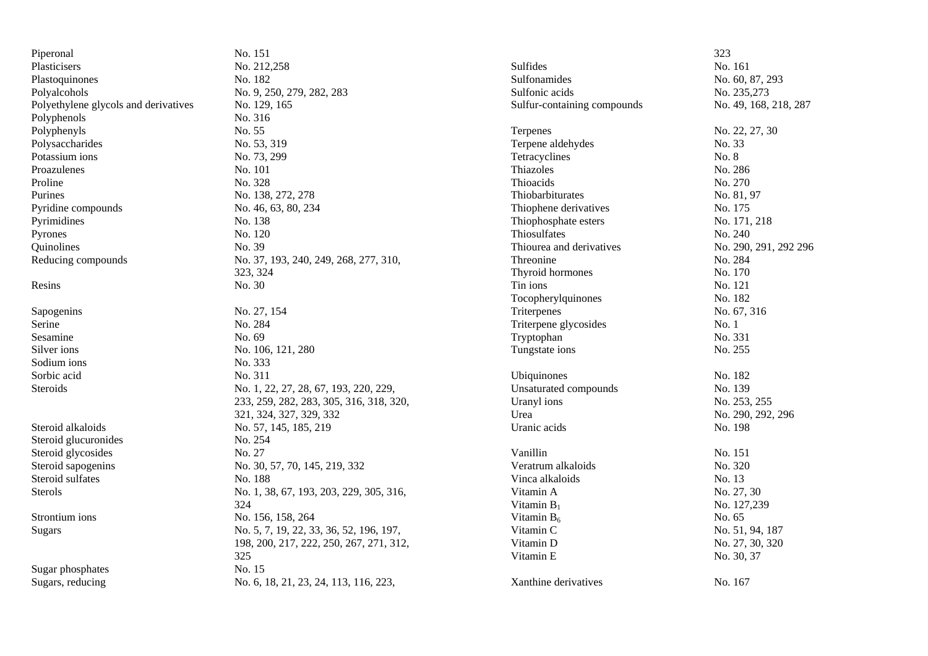| Piperonal                            | No. 151                                 |                             | 323                   |
|--------------------------------------|-----------------------------------------|-----------------------------|-----------------------|
| Plasticisers                         | No. 212,258                             | Sulfides                    | No. 161               |
| Plastoquinones                       | No. 182                                 | Sulfonamides                | No. 60, 87, 293       |
| Polyalcohols                         | No. 9, 250, 279, 282, 283               | Sulfonic acids              | No. 235,273           |
| Polyethylene glycols and derivatives | No. 129, 165                            | Sulfur-containing compounds | No. 49, 168, 218, 287 |
| Polyphenols                          | No. 316                                 |                             |                       |
| Polyphenyls                          | No. 55                                  | Terpenes                    | No. 22, 27, 30        |
| Polysaccharides                      | No. 53, 319                             | Terpene aldehydes           | No. 33                |
| Potassium ions                       | No. 73, 299                             | Tetracyclines               | No. 8                 |
| Proazulenes                          | No. 101                                 | Thiazoles                   | No. 286               |
| Proline                              | No. 328                                 | Thioacids                   | No. 270               |
| Purines                              | No. 138, 272, 278                       | Thiobarbiturates            | No. 81, 97            |
| Pyridine compounds                   | No. 46, 63, 80, 234                     | Thiophene derivatives       | No. 175               |
| Pyrimidines                          | No. 138                                 | Thiophosphate esters        | No. 171, 218          |
| Pyrones                              | No. 120                                 | Thiosulfates                | No. 240               |
| Quinolines                           | No. 39                                  | Thiourea and derivatives    | No. 290, 291, 292 296 |
| Reducing compounds                   | No. 37, 193, 240, 249, 268, 277, 310,   | Threonine                   | No. 284               |
|                                      | 323, 324                                | Thyroid hormones            | No. 170               |
| Resins                               | No. 30                                  | Tin ions                    | No. 121               |
|                                      |                                         | Tocopherylquinones          | No. 182               |
| Sapogenins                           | No. 27, 154                             | Triterpenes                 | No. 67, 316           |
| Serine                               | No. 284                                 | Triterpene glycosides       | No. 1                 |
| Sesamine                             | No. 69                                  | Tryptophan                  | No. 331               |
| Silver ions                          | No. 106, 121, 280                       | Tungstate ions              | No. 255               |
| Sodium ions                          | No. 333                                 |                             |                       |
| Sorbic acid                          | No. 311                                 | Ubiquinones                 | No. 182               |
| Steroids                             | No. 1, 22, 27, 28, 67, 193, 220, 229,   | Unsaturated compounds       | No. 139               |
|                                      | 233, 259, 282, 283, 305, 316, 318, 320, | Uranyl ions                 | No. 253, 255          |
|                                      | 321, 324, 327, 329, 332                 | Urea                        | No. 290, 292, 296     |
| Steroid alkaloids                    | No. 57, 145, 185, 219                   | Uranic acids                | No. 198               |
| Steroid glucuronides                 | No. 254                                 |                             |                       |
| Steroid glycosides                   | No. 27                                  | Vanillin                    | No. 151               |
| Steroid sapogenins                   | No. 30, 57, 70, 145, 219, 332           | Veratrum alkaloids          | No. 320               |
| Steroid sulfates                     | No. 188                                 | Vinca alkaloids             | No. 13                |
| Sterols                              | No. 1, 38, 67, 193, 203, 229, 305, 316, | Vitamin A                   | No. 27, 30            |
|                                      | 324                                     | Vitamin $B_1$               | No. 127,239           |
| Strontium ions                       | No. 156, 158, 264                       | Vitamin $B_6$               | No. 65                |
| Sugars                               | No. 5, 7, 19, 22, 33, 36, 52, 196, 197, | Vitamin C                   | No. 51, 94, 187       |
|                                      | 198, 200, 217, 222, 250, 267, 271, 312, | Vitamin D                   | No. 27, 30, 320       |
|                                      | 325                                     | Vitamin E                   | No. 30, 37            |
| Sugar phosphates                     | No. 15                                  |                             |                       |
| Sugars, reducing                     | No. 6, 18, 21, 23, 24, 113, 116, 223,   | Xanthine derivatives        | No. 167               |
|                                      |                                         |                             |                       |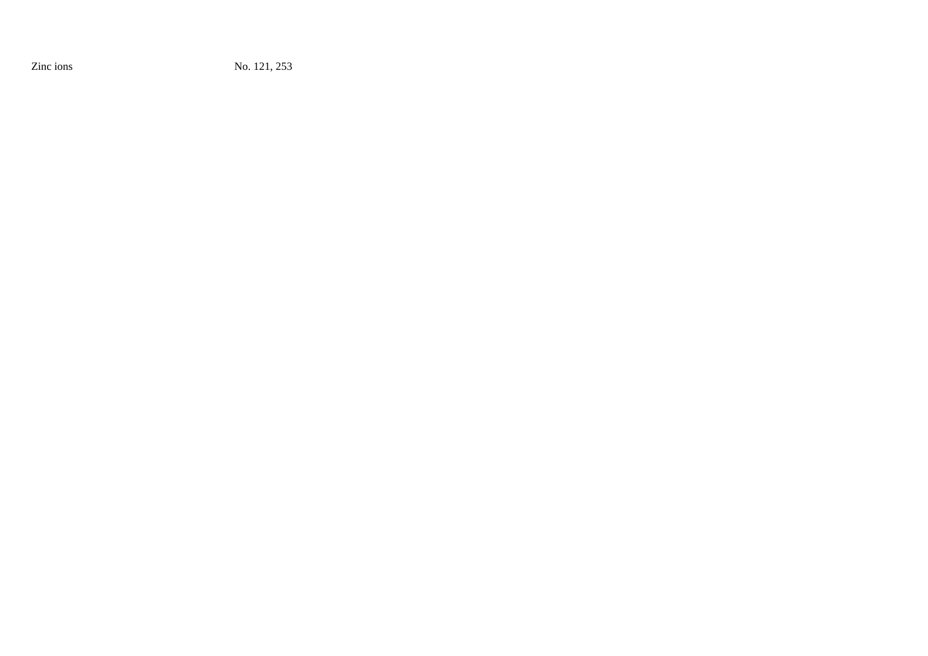Zinc ions No. 121, 253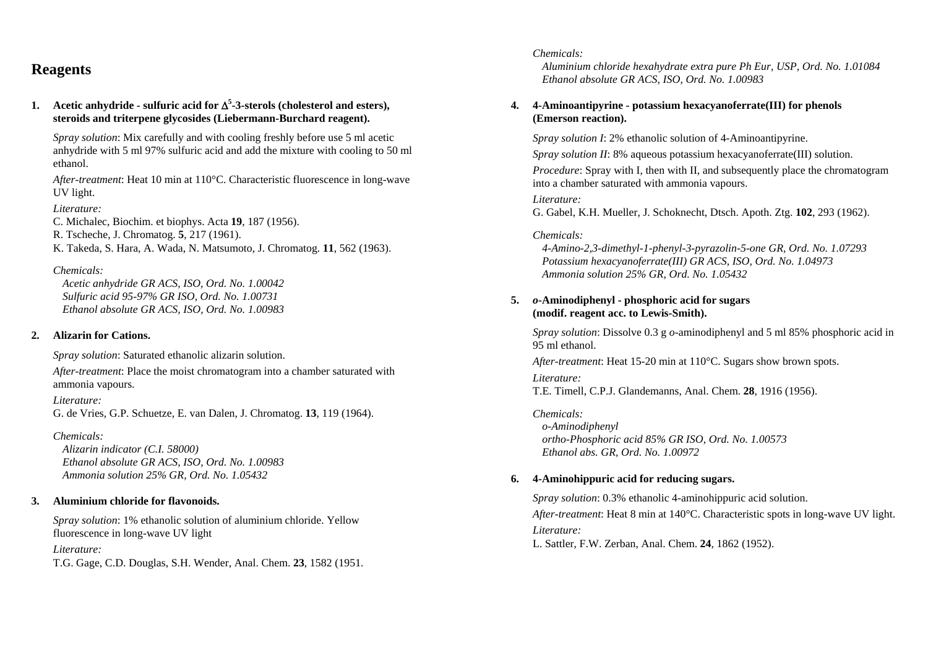## **Reagents**

**1.** Acetic anhydride - sulfuric acid for  $\Delta^5$ -3-sterols (cholesterol and esters), **steroids and triterpene glycosides (Liebermann-Burchard reagent).** 

*Spray solution*: Mix carefully and with cooling freshly before use 5 ml acetic anhydride with 5 ml 97% sulfuric acid and add the mixture with cooling to 50 ml ethanol.

*After-treatment*: Heat 10 min at 110°C. Characteristic fluorescence in long-wave UV light.

*Literature:* C. Michalec, Biochim. et biophys. Acta **19**, 187 (1956). R. Tscheche, J. Chromatog. **5**, 217 (1961). K. Takeda, S. Hara, A. Wada, N. Matsumoto, J. Chromatog. **11**, 562 (1963).

### *Chemicals:*

 *Acetic anhydride GR ACS, ISO, Ord. No. 1.00042 Sulfuric acid 95-97% GR ISO, Ord. No. 1.00731 Ethanol absolute GR ACS, ISO, Ord. No. 1.00983* 

### **2. Alizarin for Cations.**

*Spray solution*: Saturated ethanolic alizarin solution.

*After-treatment*: Place the moist chromatogram into a chamber saturated with ammonia vapours.

*Literature:* G. de Vries, G.P. Schuetze, E. van Dalen, J. Chromatog. **13**, 119 (1964).

### *Chemicals:*

 *Alizarin indicator (C.I. 58000) Ethanol absolute GR ACS, ISO, Ord. No. 1.00983 Ammonia solution 25% GR, Ord. No. 1.05432* 

### **3. Aluminium chloride for flavonoids.**

*Spray solution*: 1% ethanolic solution of aluminium chloride. Yellow fluorescence in long-wave UV light

*Literature:* 

T.G. Gage, C.D. Douglas, S.H. Wender, Anal. Chem. **23**, 1582 (1951.

### *Chemicals:*

 *Aluminium chloride hexahydrate extra pure Ph Eur, USP, Ord. No. 1.01084 Ethanol absolute GR ACS, ISO, Ord. No. 1.00983* 

### **4. 4-Aminoantipyrine - potassium hexacyanoferrate(III) for phenols (Emerson reaction).**

*Spray solution I*: 2% ethanolic solution of 4-Aminoantipyrine.

*Spray solution II*: 8% aqueous potassium hexacyanoferrate(III) solution.

*Procedure:* Spray with I, then with II, and subsequently place the chromatogram into a chamber saturated with ammonia vapours.

### *Literature:*

G. Gabel, K.H. Mueller, J. Schoknecht, Dtsch. Apoth. Ztg. **102**, 293 (1962).

### *Chemicals:*

 *4-Amino-2,3-dimethyl-1-phenyl-3-pyrazolin-5-one GR, Ord. No. 1.07293 Potassium hexacyanoferrate(III) GR ACS, ISO, Ord. No. 1.04973 Ammonia solution 25% GR, Ord. No. 1.05432* 

### **5.** *o***-Aminodiphenyl - phosphoric acid for sugars (modif. reagent acc. to Lewis-Smith).**

*Spray solution*: Dissolve 0.3 g *o*-aminodiphenyl and 5 ml 85% phosphoric acid in 95 ml ethanol.

*After-treatment*: Heat 15-20 min at 110°C. Sugars show brown spots.

#### *Literature:*

T.E. Timell, C.P.J. Glandemanns, Anal. Chem. **28**, 1916 (1956).

*Chemicals: o-Aminodiphenyl ortho-Phosphoric acid 85% GR ISO, Ord. No. 1.00573 Ethanol abs. GR, Ord. No. 1.00972* 

### **6. 4-Aminohippuric acid for reducing sugars.**

*Spray solution*: 0.3% ethanolic 4-aminohippuric acid solution. *After-treatment*: Heat 8 min at 140°C. Characteristic spots in long-wave UV light. *Literature:*  L. Sattler, F.W. Zerban, Anal. Chem. **24**, 1862 (1952).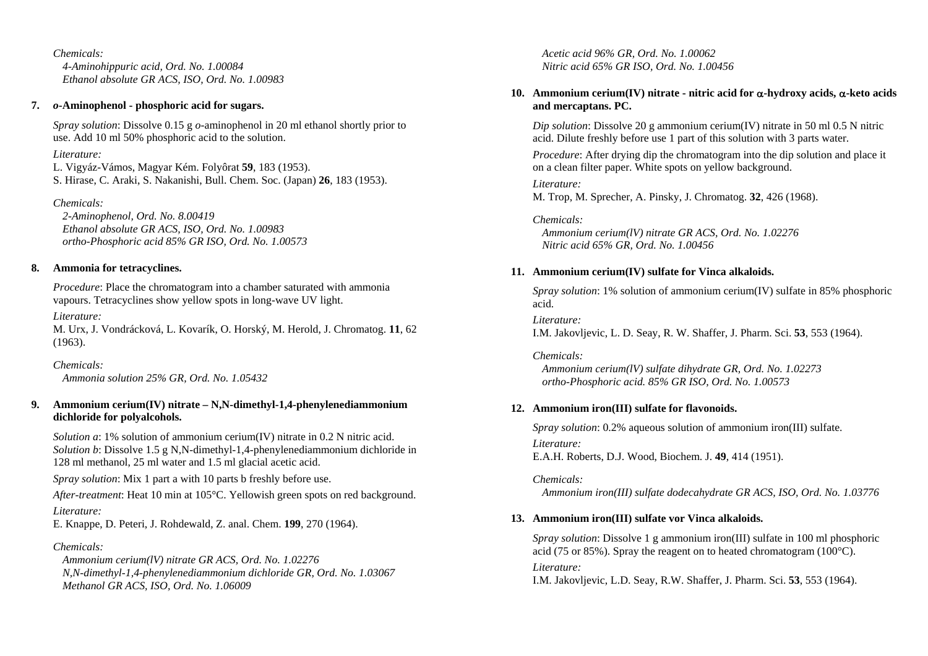*Chemicals: 4-Aminohippuric acid, Ord. No. 1.00084 Ethanol absolute GR ACS, ISO, Ord. No. 1.00983* 

### **7.** *o***-Aminophenol - phosphoric acid for sugars.**

*Spray solution*: Dissolve 0.15 g *o*-aminophenol in 20 ml ethanol shortly prior to use. Add 10 ml 50% phosphoric acid to the solution.

## *Literature:*

L. Vigyáz-Vámos, Magyar Kém. Folyôrat **59**, 183 (1953). S. Hirase, C. Araki, S. Nakanishi, Bull. Chem. Soc. (Japan) **26**, 183 (1953).

## *Chemicals:*

 *2-Aminophenol, Ord. No. 8.00419 Ethanol absolute GR ACS, ISO, Ord. No. 1.00983 ortho-Phosphoric acid 85% GR ISO, Ord. No. 1.00573* 

## **8. Ammonia for tetracyclines.**

*Procedure*: Place the chromatogram into a chamber saturated with ammonia vapours. Tetracyclines show yellow spots in long-wave UV light.

*Literature:* 

M. Urx, J. Vondrácková, L. Kovarík, O. Horský, M. Herold, J. Chromatog. **11**, 62 (1963).

*Chemicals: Ammonia solution 25% GR, Ord. No. 1.05432* 

## **9. Ammonium cerium(IV) nitrate – N,N-dimethyl-1,4-phenylenediammonium dichloride for polyalcohols.**

*Solution a*: 1% solution of ammonium cerium(IV) nitrate in 0.2 N nitric acid. *Solution b*: Dissolve 1.5 g N,N-dimethyl-1,4-phenylenediammonium dichloride in 128 ml methanol, 25 ml water and 1.5 ml glacial acetic acid.

*Spray solution*: Mix 1 part a with 10 parts b freshly before use.

*After-treatment*: Heat 10 min at 105°C. Yellowish green spots on red background. *Literature:* 

E. Knappe, D. Peteri, J. Rohdewald, Z. anal. Chem. **199**, 270 (1964).

## *Chemicals:*

 *Ammonium cerium(lV) nitrate GR ACS, Ord. No. 1.02276 N,N-dimethyl-1,4-phenylenediammonium dichloride GR, Ord. No. 1.03067 Methanol GR ACS, ISO, Ord. No. 1.06009*

 *Acetic acid 96% GR, Ord. No. 1.00062 Nitric acid 65% GR ISO, Ord. No. 1.00456* 

## **10. Ammonium cerium(IV) nitrate - nitric acid for** <sup>α</sup>**-hydroxy acids,** α**-keto acids and mercaptans. PC.**

*Dip solution*: Dissolve 20 g ammonium cerium(IV) nitrate in 50 ml 0.5 N nitric acid. Dilute freshly before use 1 part of this solution with 3 parts water.

*Procedure*: After drying dip the chromatogram into the dip solution and place it on a clean filter paper. White spots on yellow background.

*Literature:* 

M. Trop, M. Sprecher, A. Pinsky, J. Chromatog. **32**, 426 (1968).

## *Chemicals:*

 *Ammonium cerium(lV) nitrate GR ACS, Ord. No. 1.02276 Nitric acid 65% GR, Ord. No. 1.00456* 

## **11. Ammonium cerium(IV) sulfate for Vinca alkaloids.**

*Spray solution*: 1% solution of ammonium cerium(IV) sulfate in 85% phosphoric acid.

*Literature:* 

I.M. Jakovljevic, L. D. Seay, R. W. Shaffer, J. Pharm. Sci. **53**, 553 (1964).

## *Chemicals:*

 *Ammonium cerium(lV) sulfate dihydrate GR, Ord. No. 1.02273 ortho-Phosphoric acid. 85% GR ISO, Ord. No. 1.00573* 

## **12. Ammonium iron(III) sulfate for flavonoids.**

*Spray solution*: 0.2% aqueous solution of ammonium iron(III) sulfate. *Literature:* 

E.A.H. Roberts, D.J. Wood, Biochem. J. **49**, 414 (1951).

*Chemicals: Ammonium iron(III) sulfate dodecahydrate GR ACS, ISO, Ord. No. 1.03776* 

## **13. Ammonium iron(III) sulfate vor Vinca alkaloids.**

*Spray solution*: Dissolve 1 g ammonium iron(III) sulfate in 100 ml phosphoric acid (75 or 85%). Spray the reagent on to heated chromatogram (100°C). *Literature:* 

I.M. Jakovljevic, L.D. Seay, R.W. Shaffer, J. Pharm. Sci. **53**, 553 (1964).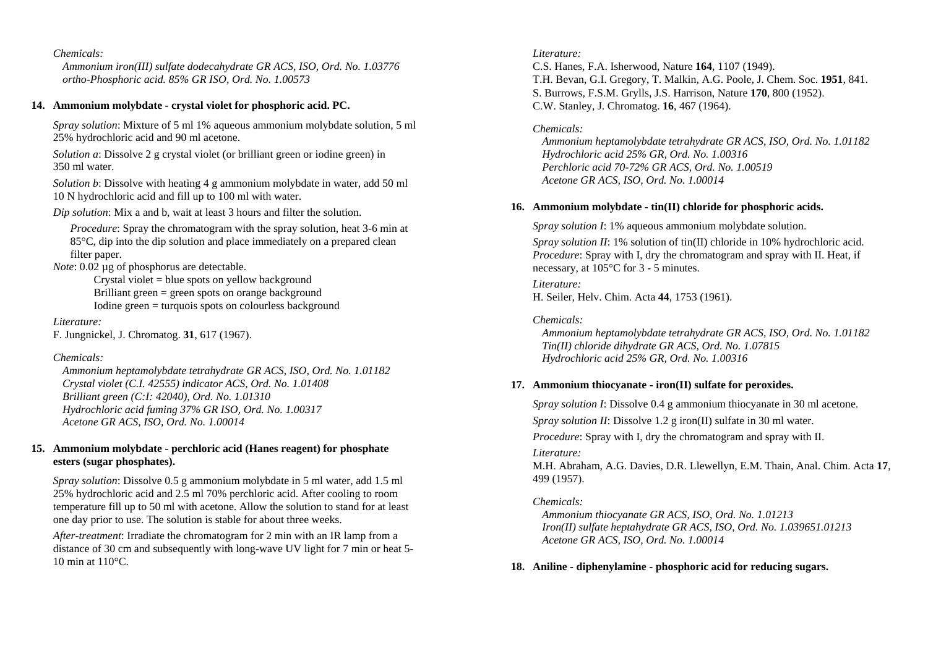*Ammonium iron(III) sulfate dodecahydrate GR ACS, ISO, Ord. No. 1.03776 ortho-Phosphoric acid. 85% GR ISO, Ord. No. 1.00573* 

### **14. Ammonium molybdate - crystal violet for phosphoric acid. PC.**

*Spray solution*: Mixture of 5 ml 1% aqueous ammonium molybdate solution, 5 ml 25% hydrochloric acid and 90 ml acetone.

*Solution a*: Dissolve 2 g crystal violet (or brilliant green or iodine green) in 350 ml water.

*Solution b*: Dissolve with heating 4 g ammonium molybdate in water, add 50 ml 10 N hydrochloric acid and fill up to 100 ml with water.

*Dip solution*: Mix a and b, wait at least 3 hours and filter the solution.

*Procedure*: Spray the chromatogram with the spray solution, heat 3-6 min at 85°C, dip into the dip solution and place immediately on a prepared clean filter paper.

*Note*: 0.02 µg of phosphorus are detectable.

Crystal violet  $=$  blue spots on yellow background Brilliant green = green spots on orange background Iodine green = turquois spots on colourless background

#### *Literature:*

F. Jungnickel, J. Chromatog. **31**, 617 (1967).

#### *Chemicals:*

 *Ammonium heptamolybdate tetrahydrate GR ACS, ISO, Ord. No. 1.01182 Crystal violet (C.I. 42555) indicator ACS, Ord. No. 1.01408 Brilliant green (C:I: 42040), Ord. No. 1.01310 Hydrochloric acid fuming 37% GR ISO, Ord. No. 1.00317 Acetone GR ACS, ISO, Ord. No. 1.00014* 

### **15. Ammonium molybdate - perchloric acid (Hanes reagent) for phosphate esters (sugar phosphates).**

*Spray solution*: Dissolve 0.5 g ammonium molybdate in 5 ml water, add 1.5 ml 25% hydrochloric acid and 2.5 ml 70% perchloric acid. After cooling to room temperature fill up to 50 ml with acetone. Allow the solution to stand for at least one day prior to use. The solution is stable for about three weeks.

*After-treatment*: Irradiate the chromatogram for 2 min with an IR lamp from a distance of 30 cm and subsequently with long-wave UV light for 7 min or heat 5- 10 min at 110°C.

### *Literature:*

C.S. Hanes, F.A. Isherwood, Nature **164**, 1107 (1949). T.H. Bevan, G.I. Gregory, T. Malkin, A.G. Poole, J. Chem. Soc. **1951**, 841. S. Burrows, F.S.M. Grylls, J.S. Harrison, Nature **170**, 800 (1952). C.W. Stanley, J. Chromatog. **16**, 467 (1964).

### *Chemicals:*

 *Ammonium heptamolybdate tetrahydrate GR ACS, ISO, Ord. No. 1.01182 Hydrochloric acid 25% GR, Ord. No. 1.00316 Perchloric acid 70-72% GR ACS, Ord. No. 1.00519 Acetone GR ACS, ISO, Ord. No. 1.00014* 

#### **16. Ammonium molybdate - tin(II) chloride for phosphoric acids.**

*Spray solution I*: 1% aqueous ammonium molybdate solution.

*Spray solution II*: 1% solution of tin(II) chloride in 10% hydrochloric acid. *Procedure*: Spray with I, dry the chromatogram and spray with II. Heat, if necessary, at 105°C for 3 - 5 minutes.

#### *Literature:*

H. Seiler, Helv. Chim. Acta **44**, 1753 (1961).

### *Chemicals:*

 *Ammonium heptamolybdate tetrahydrate GR ACS, ISO, Ord. No. 1.01182 Tin(II) chloride dihydrate GR ACS, Ord. No. 1.07815 Hydrochloric acid 25% GR, Ord. No. 1.00316* 

#### **17. Ammonium thiocyanate - iron(II) sulfate for peroxides.**

*Spray solution I*: Dissolve 0.4 g ammonium thiocyanate in 30 ml acetone.

*Spray solution II*: Dissolve 1.2 g iron(II) sulfate in 30 ml water.

*Procedure*: Spray with I, dry the chromatogram and spray with II.

#### *Literature:*

M.H. Abraham, A.G. Davies, D.R. Llewellyn, E.M. Thain, Anal. Chim. Acta **17**, 499 (1957).

### *Chemicals:*

 *Ammonium thiocyanate GR ACS, ISO, Ord. No. 1.01213 Iron(II) sulfate heptahydrate GR ACS, ISO, Ord. No. 1.039651.01213 Acetone GR ACS, ISO, Ord. No. 1.00014* 

#### **18. Aniline - diphenylamine - phosphoric acid for reducing sugars.**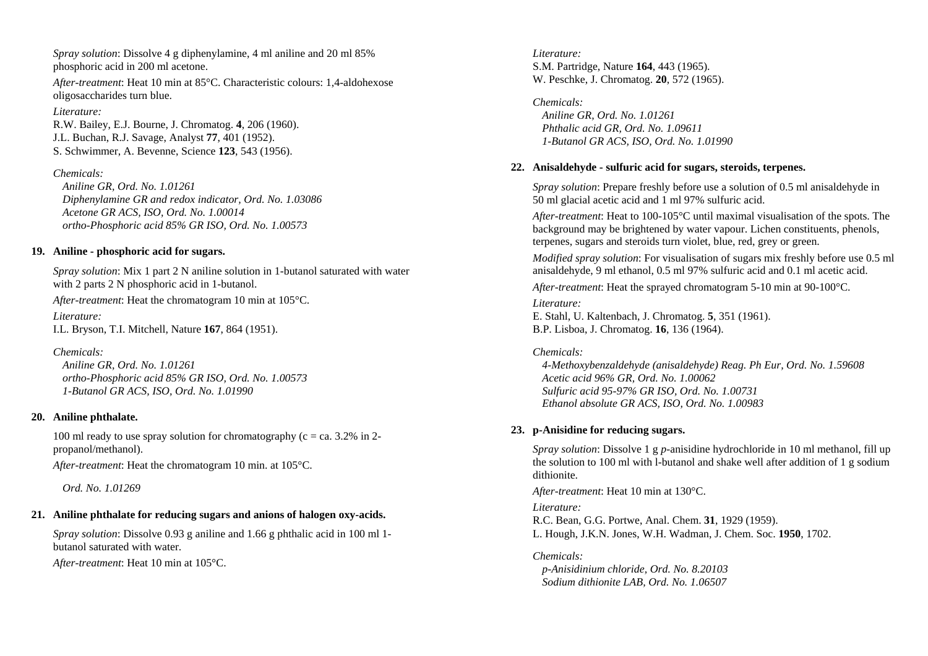*Spray solution*: Dissolve 4 g diphenylamine, 4 ml aniline and 20 ml 85% phosphoric acid in 200 ml acetone.

*After-treatment*: Heat 10 min at 85°C. Characteristic colours: 1,4-aldohexose oligosaccharides turn blue.

### *Literature:*

R.W. Bailey, E.J. Bourne, J. Chromatog. **4**, 206 (1960). J.L. Buchan, R.J. Savage, Analyst **77**, 401 (1952). S. Schwimmer, A. Bevenne, Science **123**, 543 (1956).

## *Chemicals:*

 *Aniline GR, Ord. No. 1.01261 Diphenylamine GR and redox indicator, Ord. No. 1.03086 Acetone GR ACS, ISO, Ord. No. 1.00014 ortho-Phosphoric acid 85% GR ISO, Ord. No. 1.00573* 

### **19. Aniline - phosphoric acid for sugars.**

*Spray solution*: Mix 1 part 2 N aniline solution in 1-butanol saturated with water with 2 parts 2 N phosphoric acid in 1-butanol.

*After-treatment*: Heat the chromatogram 10 min at 105°C.

*Literature:* I.L. Bryson, T.I. Mitchell, Nature **167**, 864 (1951).

*Chemicals:* 

 *Aniline GR, Ord. No. 1.01261 ortho-Phosphoric acid 85% GR ISO, Ord. No. 1.00573 1-Butanol GR ACS, ISO, Ord. No. 1.01990* 

## **20. Aniline phthalate.**

100 ml ready to use spray solution for chromatography ( $c = ca$ . 3.2% in 2propanol/methanol).

*After-treatment*: Heat the chromatogram 10 min. at 105°C.

 *Ord. No. 1.01269* 

## **21. Aniline phthalate for reducing sugars and anions of halogen oxy-acids.**

*Spray solution*: Dissolve 0.93 g aniline and 1.66 g phthalic acid in 100 ml 1 butanol saturated with water.

*After-treatment*: Heat 10 min at 105°C.

*Literature:* S.M. Partridge, Nature **164**, 443 (1965). W. Peschke, J. Chromatog. **20**, 572 (1965).

*Chemicals: Aniline GR, Ord. No. 1.01261 Phthalic acid GR, Ord. No. 1.09611 1-Butanol GR ACS, ISO, Ord. No. 1.01990* 

## **22. Anisaldehyde - sulfuric acid for sugars, steroids, terpenes.**

*Spray solution*: Prepare freshly before use a solution of 0.5 ml anisaldehyde in 50 ml glacial acetic acid and 1 ml 97% sulfuric acid.

*After-treatment*: Heat to 100-105°C until maximal visualisation of the spots. The background may be brightened by water vapour. Lichen constituents, phenols, terpenes, sugars and steroids turn violet, blue, red, grey or green.

*Modified spray solution*: For visualisation of sugars mix freshly before use 0.5 ml anisaldehyde, 9 ml ethanol, 0.5 ml 97% sulfuric acid and 0.1 ml acetic acid.

*After-treatment*: Heat the sprayed chromatogram 5-10 min at 90-100°C.

*Literature:* E. Stahl, U. Kaltenbach, J. Chromatog. **5**, 351 (1961). B.P. Lisboa, J. Chromatog. **16**, 136 (1964).

### *Chemicals:*

 *4-Methoxybenzaldehyde (anisaldehyde) Reag. Ph Eur, Ord. No. 1.59608 Acetic acid 96% GR, Ord. No. 1.00062 Sulfuric acid 95-97% GR ISO, Ord. No. 1.00731 Ethanol absolute GR ACS, ISO, Ord. No. 1.00983* 

## **23. p-Anisidine for reducing sugars.**

*Spray solution*: Dissolve 1 g *p*-anisidine hydrochloride in 10 ml methanol, fill up the solution to 100 ml with l-butanol and shake well after addition of 1 g sodium dithionite.

*After-treatment*: Heat 10 min at 130°C.

*Literature:* 

R.C. Bean, G.G. Portwe, Anal. Chem. **31**, 1929 (1959). L. Hough, J.K.N. Jones, W.H. Wadman, J. Chem. Soc. **1950**, 1702.

*Chemicals:* 

 *p-Anisidinium chloride, Ord. No. 8.20103 Sodium dithionite LAB, Ord. No. 1.06507*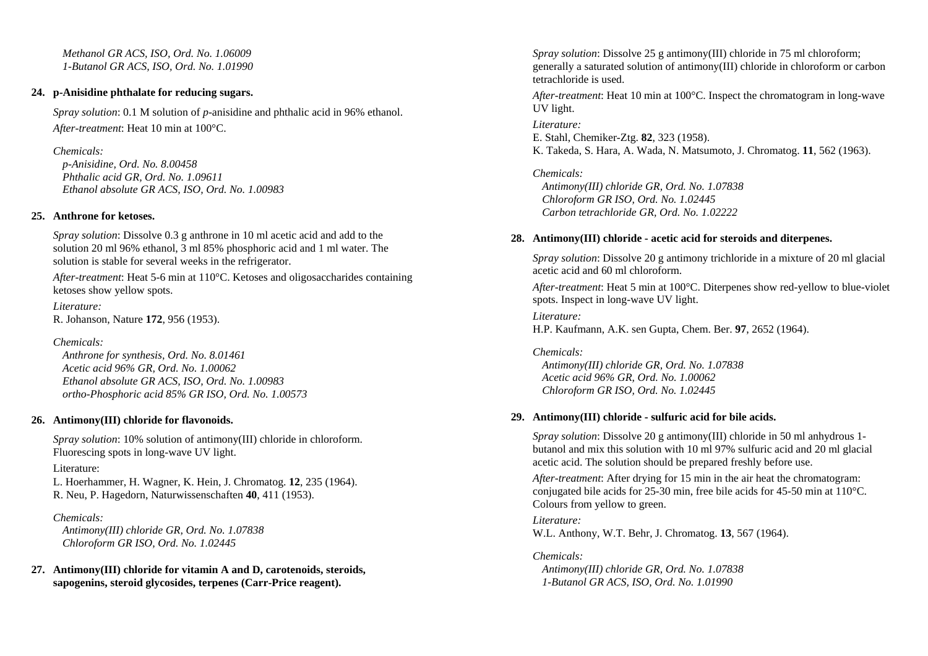*Methanol GR ACS, ISO, Ord. No. 1.06009 1-Butanol GR ACS, ISO, Ord. No. 1.01990* 

### **24. p-Anisidine phthalate for reducing sugars.**

*Spray solution*: 0.1 M solution of *p*-anisidine and phthalic acid in 96% ethanol. *After-treatment*: Heat 10 min at 100°C.

## *Chemicals:*

 *p-Anisidine, Ord. No. 8.00458 Phthalic acid GR, Ord. No. 1.09611 Ethanol absolute GR ACS, ISO, Ord. No. 1.00983* 

## **25. Anthrone for ketoses.**

*Spray solution*: Dissolve 0.3 g anthrone in 10 ml acetic acid and add to the solution 20 ml 96% ethanol, 3 ml 85% phosphoric acid and 1 ml water. The solution is stable for several weeks in the refrigerator.

*After-treatment*: Heat 5-6 min at 110°C. Ketoses and oligosaccharides containing ketoses show yellow spots.

*Literature:*  R. Johanson, Nature **172**, 956 (1953).

*Chemicals:* 

 *Anthrone for synthesis, Ord. No. 8.01461 Acetic acid 96% GR, Ord. No. 1.00062 Ethanol absolute GR ACS, ISO, Ord. No. 1.00983 ortho-Phosphoric acid 85% GR ISO, Ord. No. 1.00573* 

## **26. Antimony(III) chloride for flavonoids.**

*Spray solution*: 10% solution of antimony(III) chloride in chloroform. Fluorescing spots in long-wave UV light.

## Literature:

L. Hoerhammer, H. Wagner, K. Hein, J. Chromatog. **12**, 235 (1964). R. Neu, P. Hagedorn, Naturwissenschaften **40**, 411 (1953).

## *Chemicals:*

 *Antimony(III) chloride GR, Ord. No. 1.07838 Chloroform GR ISO, Ord. No. 1.02445* 

**27. Antimony(III) chloride for vitamin A and D, carotenoids, steroids, sapogenins, steroid glycosides, terpenes (Carr-Price reagent).** 

*Spray solution*: Dissolve 25 g antimony(III) chloride in 75 ml chloroform; generally a saturated solution of antimony(III) chloride in chloroform or carbon tetrachloride is used.

*After-treatment*: Heat 10 min at 100°C. Inspect the chromatogram in long-wave UV light.

### *Literature:* E. Stahl, Chemiker-Ztg. **82**, 323 (1958). K. Takeda, S. Hara, A. Wada, N. Matsumoto, J. Chromatog. **11**, 562 (1963).

*Chemicals: Antimony(III) chloride GR, Ord. No. 1.07838 Chloroform GR ISO, Ord. No. 1.02445 Carbon tetrachloride GR, Ord. No. 1.02222* 

## **28. Antimony(III) chloride - acetic acid for steroids and diterpenes.**

*Spray solution*: Dissolve 20 g antimony trichloride in a mixture of 20 ml glacial acetic acid and 60 ml chloroform.

*After-treatment*: Heat 5 min at 100°C. Diterpenes show red-yellow to blue-violet spots. Inspect in long-wave UV light.

*Literature:* 

H.P. Kaufmann, A.K. sen Gupta, Chem. Ber. **97**, 2652 (1964).

*Chemicals: Antimony(III) chloride GR, Ord. No. 1.07838 Acetic acid 96% GR, Ord. No. 1.00062 Chloroform GR ISO, Ord. No. 1.02445* 

## **29. Antimony(III) chloride - sulfuric acid for bile acids.**

*Spray solution*: Dissolve 20 g antimony(III) chloride in 50 ml anhydrous 1 butanol and mix this solution with 10 ml 97% sulfuric acid and 20 ml glacial acetic acid. The solution should be prepared freshly before use.

*After-treatment*: After drying for 15 min in the air heat the chromatogram: conjugated bile acids for 25-30 min, free bile acids for 45-50 min at 110°C. Colours from yellow to green.

*Literature:* W.L. Anthony, W.T. Behr, J. Chromatog. **13**, 567 (1964).

*Chemicals: Antimony(III) chloride GR, Ord. No. 1.07838 1-Butanol GR ACS, ISO, Ord. No. 1.01990*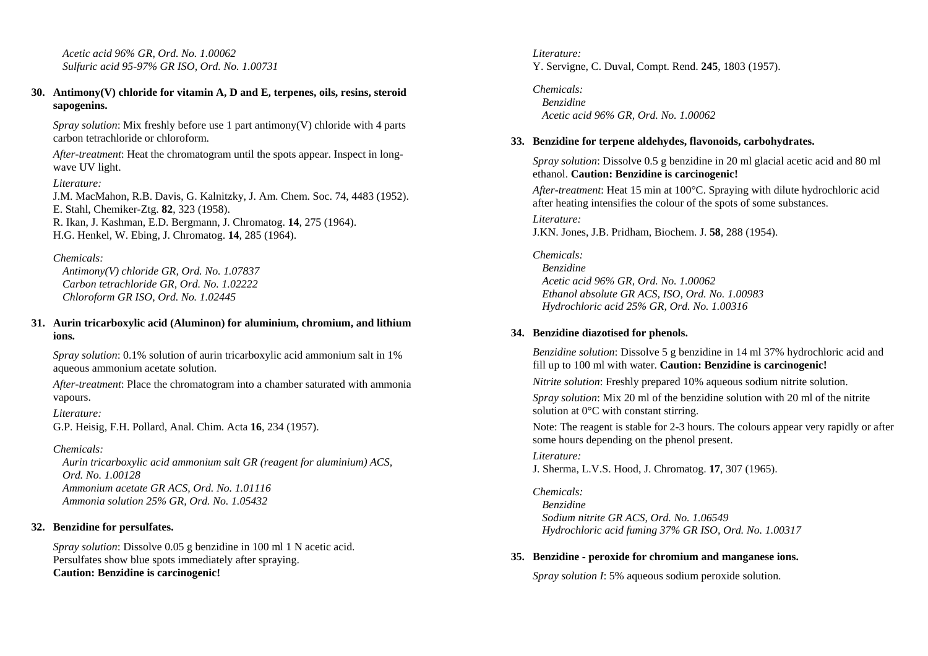*Acetic acid 96% GR, Ord. No. 1.00062 Sulfuric acid 95-97% GR ISO, Ord. No. 1.00731* 

### **30. Antimony(V) chloride for vitamin A, D and E, terpenes, oils, resins, steroid sapogenins.**

*Spray solution*: Mix freshly before use 1 part antimony(V) chloride with 4 parts carbon tetrachloride or chloroform.

*After-treatment*: Heat the chromatogram until the spots appear. Inspect in longwave UV light.

*Literature:* J.M. MacMahon, R.B. Davis, G. Kalnitzky, J. Am. Chem. Soc. 74, 4483 (1952). E. Stahl, Chemiker-Ztg. **82**, 323 (1958). R. Ikan, J. Kashman, E.D. Bergmann, J. Chromatog. **14**, 275 (1964). H.G. Henkel, W. Ebing, J. Chromatog. **14**, 285 (1964).

#### *Chemicals:*

 *Antimony(V) chloride GR, Ord. No. 1.07837 Carbon tetrachloride GR, Ord. No. 1.02222 Chloroform GR ISO, Ord. No. 1.02445* 

### **31. Aurin tricarboxylic acid (Aluminon) for aluminium, chromium, and lithium ions.**

*Spray solution*: 0.1% solution of aurin tricarboxylic acid ammonium salt in 1% aqueous ammonium acetate solution.

*After-treatment*: Place the chromatogram into a chamber saturated with ammonia vapours.

#### *Literature:*

G.P. Heisig, F.H. Pollard, Anal. Chim. Acta **16**, 234 (1957).

### *Chemicals:*

 *Aurin tricarboxylic acid ammonium salt GR (reagent for aluminium) ACS, Ord. No. 1.00128 Ammonium acetate GR ACS, Ord. No. 1.01116 Ammonia solution 25% GR, Ord. No. 1.05432* 

### **32. Benzidine for persulfates.**

*Spray solution*: Dissolve 0.05 g benzidine in 100 ml 1 N acetic acid. Persulfates show blue spots immediately after spraying. **Caution: Benzidine is carcinogenic!**

*Literature:* Y. Servigne, C. Duval, Compt. Rend. **245**, 1803 (1957).

*Chemicals: Benzidine Acetic acid 96% GR, Ord. No. 1.00062* 

## **33. Benzidine for terpene aldehydes, flavonoids, carbohydrates.**

*Spray solution*: Dissolve 0.5 g benzidine in 20 ml glacial acetic acid and 80 ml ethanol. **Caution: Benzidine is carcinogenic!**

*After-treatment*: Heat 15 min at 100°C. Spraying with dilute hydrochloric acid after heating intensifies the colour of the spots of some substances.

*Literature:* J.KN. Jones, J.B. Pridham, Biochem. J. **58**, 288 (1954).

#### *Chemicals:*

 *Benzidine Acetic acid 96% GR, Ord. No. 1.00062 Ethanol absolute GR ACS, ISO, Ord. No. 1.00983 Hydrochloric acid 25% GR, Ord. No. 1.00316* 

### **34. Benzidine diazotised for phenols.**

*Benzidine solution*: Dissolve 5 g benzidine in 14 ml 37% hydrochloric acid and fill up to 100 ml with water. **Caution: Benzidine is carcinogenic!**

*Nitrite solution*: Freshly prepared 10% aqueous sodium nitrite solution.

*Spray solution*: Mix 20 ml of the benzidine solution with 20 ml of the nitrite solution at 0°C with constant stirring.

Note: The reagent is stable for 2-3 hours. The colours appear very rapidly or after some hours depending on the phenol present.

## *Literature:*

J. Sherma, L.V.S. Hood, J. Chromatog. **17**, 307 (1965).

## *Chemicals:*

 *Benzidine Sodium nitrite GR ACS, Ord. No. 1.06549 Hydrochloric acid fuming 37% GR ISO, Ord. No. 1.00317* 

### **35. Benzidine - peroxide for chromium and manganese ions.**

*Spray solution I*: 5% aqueous sodium peroxide solution.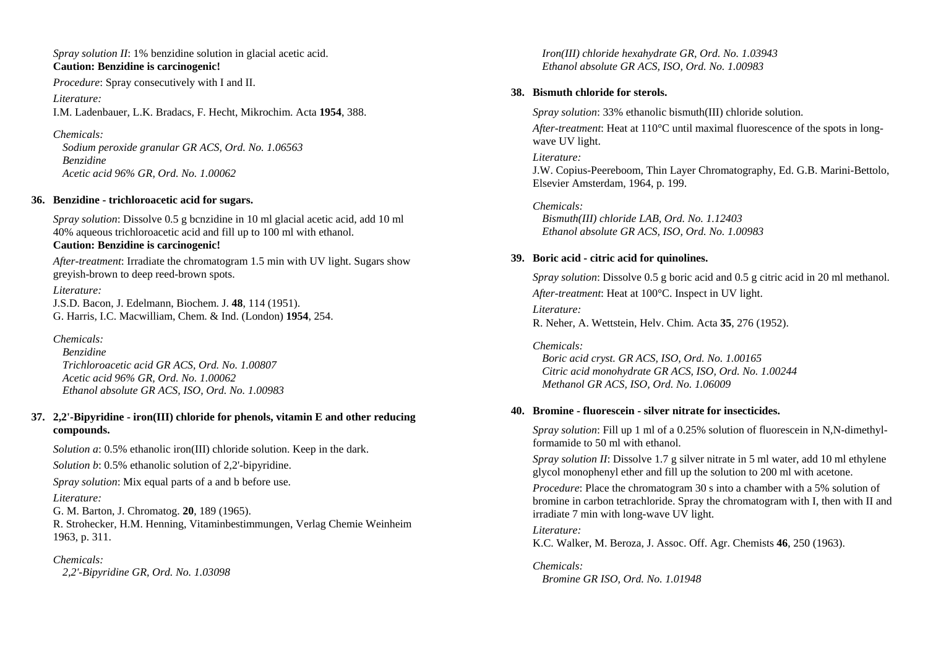*Spray solution II*: 1% benzidine solution in glacial acetic acid. **Caution: Benzidine is carcinogenic!**

*Procedure*: Spray consecutively with I and II.

*Literature:* I.M. Ladenbauer, L.K. Bradacs, F. Hecht, Mikrochim. Acta **1954**, 388.

*Chemicals: Sodium peroxide granular GR ACS, Ord. No. 1.06563 Benzidine Acetic acid 96% GR, Ord. No. 1.00062* 

### **36. Benzidine - trichloroacetic acid for sugars.**

*Spray solution*: Dissolve 0.5 g bcnzidine in 10 ml glacial acetic acid, add 10 ml 40% aqueous trichloroacetic acid and fill up to 100 ml with ethanol. **Caution: Benzidine is carcinogenic!**

*After-treatment*: Irradiate the chromatogram 1.5 min with UV light. Sugars show greyish-brown to deep reed-brown spots.

*Literature:* J.S.D. Bacon, J. Edelmann, Biochem. J. **48**, 114 (1951). G. Harris, I.C. Macwilliam, Chem. & Ind. (London) **1954**, 254.

*Chemicals: Benzidine Trichloroacetic acid GR ACS, Ord. No. 1.00807 Acetic acid 96% GR, Ord. No. 1.00062 Ethanol absolute GR ACS, ISO, Ord. No. 1.00983* 

### **37. 2,2'-Bipyridine - iron(III) chloride for phenols, vitamin E and other reducing compounds.**

*Solution a*: 0.5% ethanolic iron(III) chloride solution. Keep in the dark. *Solution b*: 0.5% ethanolic solution of 2,2'-bipyridine. *Spray solution*: Mix equal parts of a and b before use. *Literature:* G. M. Barton, J. Chromatog. **20**, 189 (1965). R. Strohecker, H.M. Henning, Vitaminbestimmungen, Verlag Chemie Weinheim

*Chemicals:* 

 *2,2'-Bipyridine GR, Ord. No. 1.03098* 

1963, p. 311.

 *Iron(III) chloride hexahydrate GR, Ord. No. 1.03943 Ethanol absolute GR ACS, ISO, Ord. No. 1.00983* 

### **38. Bismuth chloride for sterols.**

*Spray solution*: 33% ethanolic bismuth(III) chloride solution.

*After-treatment*: Heat at 110°C until maximal fluorescence of the spots in longwave UV light.

#### *Literature:*

J.W. Copius-Peereboom, Thin Layer Chromatography, Ed. G.B. Marini-Bettolo, Elsevier Amsterdam, 1964, p. 199.

*Chemicals:* 

 *Bismuth(III) chloride LAB, Ord. No. 1.12403 Ethanol absolute GR ACS, ISO, Ord. No. 1.00983* 

### **39. Boric acid - citric acid for quinolines.**

*Spray solution*: Dissolve 0.5 g boric acid and 0.5 g citric acid in 20 ml methanol. *After-treatment*: Heat at 100°C. Inspect in UV light.

*Literature:* R. Neher, A. Wettstein, Helv. Chim. Acta **35**, 276 (1952).

#### *Chemicals:*

 *Boric acid cryst. GR ACS, ISO, Ord. No. 1.00165 Citric acid monohydrate GR ACS, ISO, Ord. No. 1.00244 Methanol GR ACS, ISO, Ord. No. 1.06009* 

#### **40. Bromine - fluorescein - silver nitrate for insecticides.**

*Spray solution*: Fill up 1 ml of a 0.25% solution of fluorescein in N,N-dimethylformamide to 50 ml with ethanol.

*Spray solution II*: Dissolve 1.7 g silver nitrate in 5 ml water, add 10 ml ethylene glycol monophenyl ether and fill up the solution to 200 ml with acetone.

*Procedure*: Place the chromatogram 30 s into a chamber with a 5% solution of bromine in carbon tetrachloride. Spray the chromatogram with I, then with II and irradiate 7 min with long-wave UV light.

#### *Literature:*

K.C. Walker, M. Beroza, J. Assoc. Off. Agr. Chemists **46**, 250 (1963).

*Chemicals: Bromine GR ISO, Ord. No. 1.01948*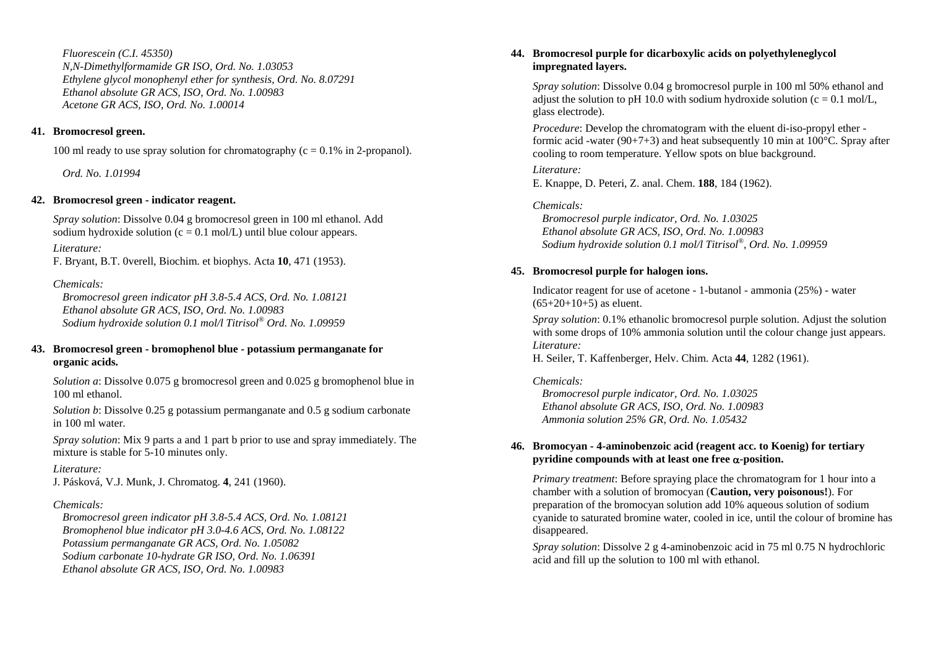*Fluorescein (C.I. 45350) N,N-Dimethylformamide GR ISO, Ord. No. 1.03053 Ethylene glycol monophenyl ether for synthesis, Ord. No. 8.07291 Ethanol absolute GR ACS, ISO, Ord. No. 1.00983 Acetone GR ACS, ISO, Ord. No. 1.00014* 

### **41. Bromocresol green.**

100 ml ready to use spray solution for chromatography  $(c = 0.1\%$  in 2-propanol).

 *Ord. No. 1.01994* 

## **42. Bromocresol green - indicator reagent.**

*Spray solution*: Dissolve 0.04 g bromocresol green in 100 ml ethanol. Add sodium hydroxide solution ( $c = 0.1$  mol/L) until blue colour appears.

*Literature:* 

F. Bryant, B.T. 0verell, Biochim. et biophys. Acta **10**, 471 (1953).

## *Chemicals:*

 *Bromocresol green indicator pH 3.8-5.4 ACS, Ord. No. 1.08121 Ethanol absolute GR ACS, ISO, Ord. No. 1.00983 Sodium hydroxide solution 0.1 mol/l Titrisol® Ord. No. 1.09959* 

## **43. Bromocresol green - bromophenol blue - potassium permanganate for organic acids.**

*Solution a*: Dissolve 0.075 g bromocresol green and 0.025 g bromophenol blue in 100 ml ethanol.

*Solution b*: Dissolve 0.25 g potassium permanganate and 0.5 g sodium carbonate in 100 ml water.

*Spray solution*: Mix 9 parts a and 1 part b prior to use and spray immediately. The mixture is stable for 5-10 minutes only.

## *Literature:*

J. Pásková, V.J. Munk, J. Chromatog. **4**, 241 (1960).

## *Chemicals:*

 *Bromocresol green indicator pH 3.8-5.4 ACS, Ord. No. 1.08121 Bromophenol blue indicator pH 3.0-4.6 ACS, Ord. No. 1.08122 Potassium permanganate GR ACS, Ord. No. 1.05082 Sodium carbonate 10-hydrate GR ISO, Ord. No. 1.06391 Ethanol absolute GR ACS, ISO, Ord. No. 1.00983* 

## **44. Bromocresol purple for dicarboxylic acids on polyethyleneglycol impregnated layers.**

*Spray solution*: Dissolve 0.04 g bromocresol purple in 100 ml 50% ethanol and adjust the solution to pH 10.0 with sodium hydroxide solution ( $c = 0.1$  mol/L, glass electrode).

*Procedure*: Develop the chromatogram with the eluent di-iso-propyl ether formic acid -water (90+7+3) and heat subsequently 10 min at  $100^{\circ}$ C. Spray after cooling to room temperature. Yellow spots on blue background.

*Literature:* 

E. Knappe, D. Peteri, Z. anal. Chem. **188**, 184 (1962).

## *Chemicals:*

 *Bromocresol purple indicator, Ord. No. 1.03025 Ethanol absolute GR ACS, ISO, Ord. No. 1.00983 Sodium hydroxide solution 0.1 mol/l Titrisol®, Ord. No. 1.09959* 

## **45. Bromocresol purple for halogen ions.**

Indicator reagent for use of acetone - 1-butanol - ammonia (25%) - water  $(65+20+10+5)$  as eluent.

*Spray solution*: 0.1% ethanolic bromocresol purple solution. Adjust the solution with some drops of 10% ammonia solution until the colour change just appears. *Literature:* 

H. Seiler, T. Kaffenberger, Helv. Chim. Acta **44**, 1282 (1961).

## *Chemicals:*

 *Bromocresol purple indicator, Ord. No. 1.03025 Ethanol absolute GR ACS, ISO, Ord. No. 1.00983 Ammonia solution 25% GR, Ord. No. 1.05432* 

## **46. Bromocyan - 4-aminobenzoic acid (reagent acc. to Koenig) for tertiary pyridine compounds with at least one free**  <sup>α</sup>**-position.**

*Primary treatment*: Before spraying place the chromatogram for 1 hour into a chamber with a solution of bromocyan (**Caution, very poisonous!**). For preparation of the bromocyan solution add 10% aqueous solution of sodium cyanide to saturated bromine water, cooled in ice, until the colour of bromine has disappeared.

*Spray solution*: Dissolve 2 g 4-aminobenzoic acid in 75 ml 0.75 N hydrochloric acid and fill up the solution to 100 ml with ethanol.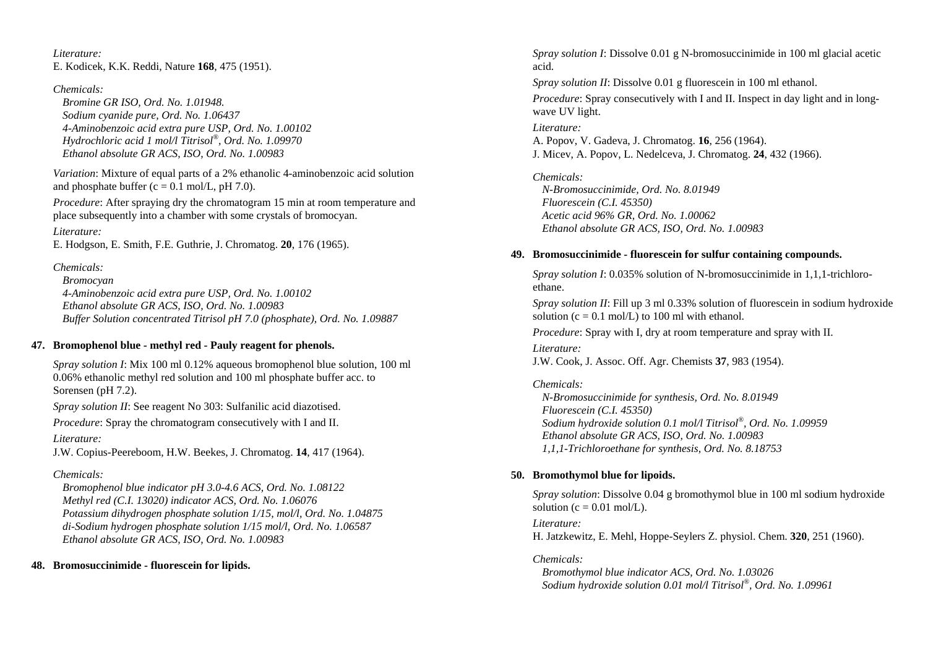*Literature:* E. Kodicek, K.K. Reddi, Nature **168**, 475 (1951).

*Chemicals:* 

 *Bromine GR ISO, Ord. No. 1.01948. Sodium cyanide pure, Ord. No. 1.06437 4-Aminobenzoic acid extra pure USP, Ord. No. 1.00102 Hydrochloric acid 1 mol/l Titrisol®, Ord. No. 1.09970 Ethanol absolute GR ACS, ISO, Ord. No. 1.00983* 

*Variation*: Mixture of equal parts of a 2% ethanolic 4-aminobenzoic acid solution and phosphate buffer  $(c = 0.1 \text{ mol/L}, pH 7.0)$ .

*Procedure*: After spraying dry the chromatogram 15 min at room temperature and place subsequently into a chamber with some crystals of bromocyan.

*Literature:* 

E. Hodgson, E. Smith, F.E. Guthrie, J. Chromatog. **20**, 176 (1965).

*Chemicals:* 

 *Bromocyan 4-Aminobenzoic acid extra pure USP, Ord. No. 1.00102 Ethanol absolute GR ACS, ISO, Ord. No. 1.00983 Buffer Solution concentrated Titrisol pH 7.0 (phosphate), Ord. No. 1.09887* 

### **47. Bromophenol blue - methyl red - Pauly reagent for phenols.**

*Spray solution I*: Mix 100 ml 0.12% aqueous bromophenol blue solution, 100 ml 0.06% ethanolic methyl red solution and 100 ml phosphate buffer acc. to Sorensen (pH 7.2).

*Spray solution II*: See reagent No 303: Sulfanilic acid diazotised.

*Procedure*: Spray the chromatogram consecutively with I and II.

*Literature:* 

J.W. Copius-Peereboom, H.W. Beekes, J. Chromatog. **14**, 417 (1964).

## *Chemicals:*

 *Bromophenol blue indicator pH 3.0-4.6 ACS, Ord. No. 1.08122 Methyl red (C.I. 13020) indicator ACS, Ord. No. 1.06076 Potassium dihydrogen phosphate solution 1/15, mol/l, Ord. No. 1.04875 di-Sodium hydrogen phosphate solution 1/15 mol/l, Ord. No. 1.06587 Ethanol absolute GR ACS, ISO, Ord. No. 1.00983* 

## **48. Bromosuccinimide - fluorescein for lipids.**

*Spray solution I*: Dissolve 0.01 g N-bromosuccinimide in 100 ml glacial acetic acid.

*Spray solution II*: Dissolve 0.01 g fluorescein in 100 ml ethanol. *Procedure*: Spray consecutively with I and II. Inspect in day light and in longwave UV light.

*Literature:* A. Popov, V. Gadeva, J. Chromatog. **16**, 256 (1964). J. Micev, A. Popov, L. Nedelceva, J. Chromatog. **24**, 432 (1966).

*Chemicals: N-Bromosuccinimide, Ord. No. 8.01949 Fluorescein (C.I. 45350) Acetic acid 96% GR, Ord. No. 1.00062 Ethanol absolute GR ACS, ISO, Ord. No. 1.00983* 

## **49. Bromosuccinimide - fluorescein for sulfur containing compounds.**

*Spray solution I*: 0.035% solution of N-bromosuccinimide in 1,1,1-trichloroethane.

*Spray solution II*: Fill up 3 ml 0.33% solution of fluorescein in sodium hydroxide solution  $(c = 0.1 \text{ mol/L})$  to 100 ml with ethanol.

*Procedure*: Spray with I, dry at room temperature and spray with II.

*Literature:* 

J.W. Cook, J. Assoc. Off. Agr. Chemists **37**, 983 (1954).

*Chemicals:* 

 *N-Bromosuccinimide for synthesis, Ord. No. 8.01949 Fluorescein (C.I. 45350) Sodium hydroxide solution 0.1 mol/l Titrisol®, Ord. No. 1.09959 Ethanol absolute GR ACS, ISO, Ord. No. 1.00983 1,1,1-Trichloroethane for synthesis, Ord. No. 8.18753* 

## **50. Bromothymol blue for lipoids.**

*Spray solution*: Dissolve 0.04 g bromothymol blue in 100 ml sodium hydroxide solution ( $c = 0.01$  mol/L).

*Literature:* 

H. Jatzkewitz, E. Mehl, Hoppe-Seylers Z. physiol. Chem. **320**, 251 (1960).

*Chemicals:* 

 *Bromothymol blue indicator ACS, Ord. No. 1.03026 Sodium hydroxide solution 0.01 mol/l Titrisol®, Ord. No. 1.09961*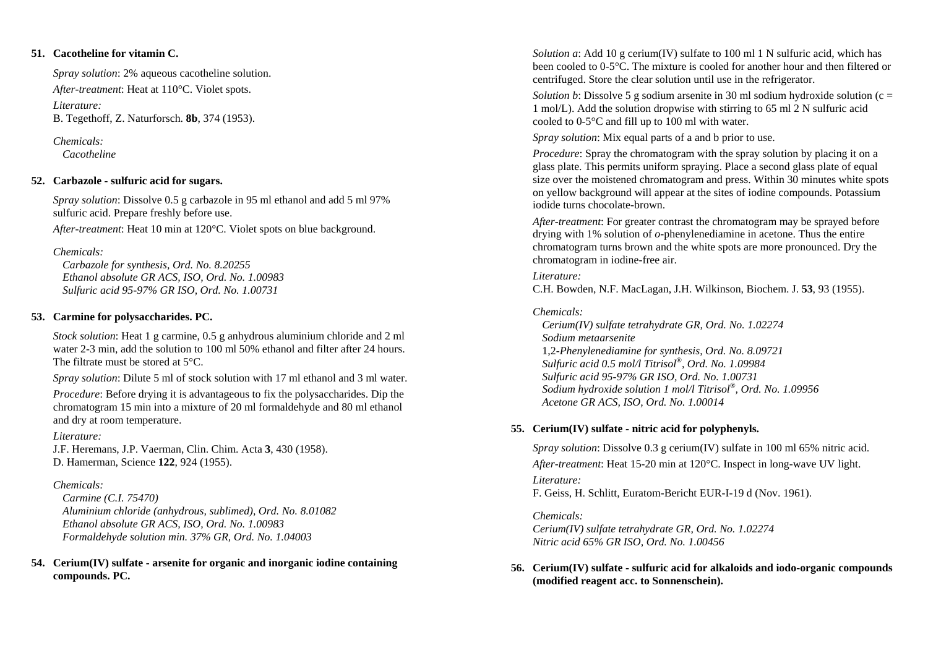### **51. Cacotheline for vitamin C.**

*Spray solution*: 2% aqueous cacotheline solution. *After-treatment*: Heat at 110°C. Violet spots. *Literature:* B. Tegethoff, Z. Naturforsch. **8b**, 374 (1953).

*Chemicals: Cacotheline* 

### **52. Carbazole - sulfuric acid for sugars.**

*Spray solution*: Dissolve 0.5 g carbazole in 95 ml ethanol and add 5 ml 97% sulfuric acid. Prepare freshly before use.

*After-treatment*: Heat 10 min at 120°C. Violet spots on blue background.

## *Chemicals:*

 *Carbazole for synthesis, Ord. No. 8.20255 Ethanol absolute GR ACS, ISO, Ord. No. 1.00983 Sulfuric acid 95-97% GR ISO, Ord. No. 1.00731* 

## **53. Carmine for polysaccharides. PC.**

*Stock solution*: Heat 1 g carmine, 0.5 g anhydrous aluminium chloride and 2 ml water 2-3 min, add the solution to 100 ml 50% ethanol and filter after 24 hours. The filtrate must be stored at 5°C.

*Spray solution*: Dilute 5 ml of stock solution with 17 ml ethanol and 3 ml water.

*Procedure*: Before drying it is advantageous to fix the polysaccharides. Dip the chromatogram 15 min into a mixture of 20 ml formaldehyde and 80 ml ethanol and dry at room temperature.

### *Literature:*

J.F. Heremans, J.P. Vaerman, Clin. Chim. Acta **3**, 430 (1958). D. Hamerman, Science **122**, 924 (1955).

## *Chemicals:*

 *Carmine (C.I. 75470) Aluminium chloride (anhydrous, sublimed), Ord. No. 8.01082 Ethanol absolute GR ACS, ISO, Ord. No. 1.00983 Formaldehyde solution min. 37% GR, Ord. No. 1.04003* 

## **54. Cerium(IV) sulfate - arsenite for organic and inorganic iodine containing compounds. PC.**

*Solution a*: Add 10 g cerium(IV) sulfate to 100 ml 1 N sulfuric acid, which has been cooled to 0-5°C. The mixture is cooled for another hour and then filtered or centrifuged. Store the clear solution until use in the refrigerator.

*Solution b*: Dissolve 5 g sodium arsenite in 30 ml sodium hydroxide solution (c = 1 mol/L). Add the solution dropwise with stirring to 65 ml 2 N sulfuric acid cooled to 0-5°C and fill up to 100 ml with water.

*Spray solution*: Mix equal parts of a and b prior to use.

*Procedure*: Spray the chromatogram with the spray solution by placing it on a glass plate. This permits uniform spraying. Place a second glass plate of equal size over the moistened chromatogram and press. Within 30 minutes white spots on yellow background will appear at the sites of iodine compounds. Potassium iodide turns chocolate-brown.

*After-treatment*: For greater contrast the chromatogram may be sprayed before drying with 1% solution of *o*-phenylenediamine in acetone. Thus the entire chromatogram turns brown and the white spots are more pronounced. Dry the chromatogram in iodine-free air.

## *Literature:*

C.H. Bowden, N.F. MacLagan, J.H. Wilkinson, Biochem. J. **53**, 93 (1955).

## *Chemicals:*

 *Cerium(IV) sulfate tetrahydrate GR, Ord. No. 1.02274 Sodium metaarsenite*  1,2*-Phenylenediamine for synthesis, Ord. No. 8.09721 Sulfuric acid 0.5 mol/l Titrisol®, Ord. No. 1.09984 Sulfuric acid 95-97% GR ISO, Ord. No. 1.00731 Sodium hydroxide solution 1 mol/l Titrisol®, Ord. No. 1.09956 Acetone GR ACS, ISO, Ord. No. 1.00014* 

## **55. Cerium(IV) sulfate - nitric acid for polyphenyls.**

*Spray solution*: Dissolve 0.3 g cerium(IV) sulfate in 100 ml 65% nitric acid. *After-treatment*: Heat 15-20 min at 120°C. Inspect in long-wave UV light. *Literature:* F. Geiss, H. Schlitt, Euratom-Bericht EUR-I-19 d (Nov. 1961).

*Chemicals: Cerium(IV) sulfate tetrahydrate GR, Ord. No. 1.02274 Nitric acid 65% GR ISO, Ord. No. 1.00456* 

## **56. Cerium(IV) sulfate - sulfuric acid for alkaloids and iodo-organic compounds (modified reagent acc. to Sonnenschein).**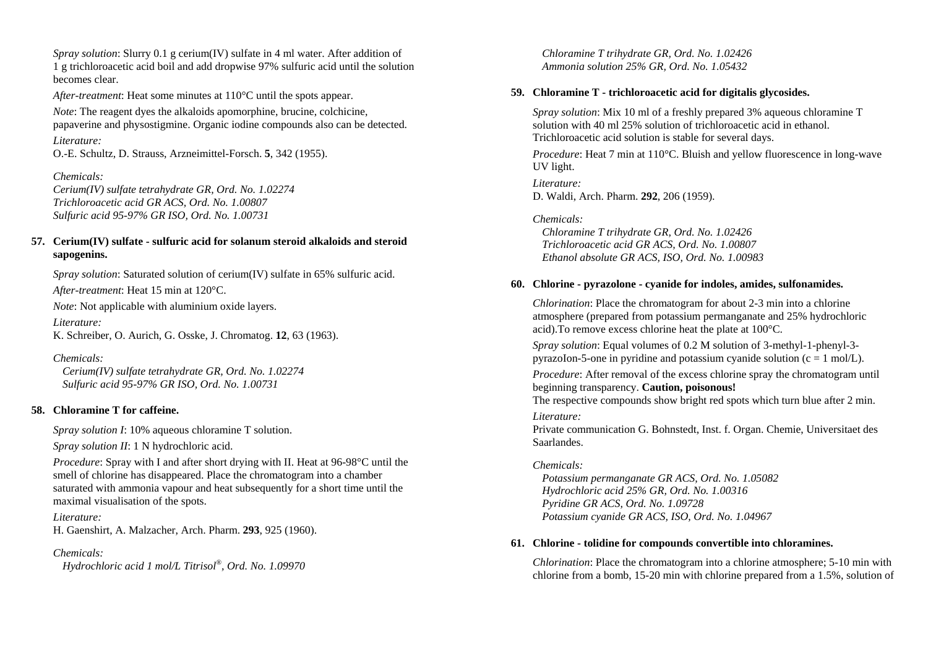*Spray solution*: Slurry 0.1 g cerium(IV) sulfate in 4 ml water. After addition of 1 g trichloroacetic acid boil and add dropwise 97% sulfuric acid until the solution becomes clear.

*After-treatment*: Heat some minutes at 110°C until the spots appear.

*Note*: The reagent dyes the alkaloids apomorphine, brucine, colchicine, papaverine and physostigmine. Organic iodine compounds also can be detected.

### *Literature:*

O.-E. Schultz, D. Strauss, Arzneimittel-Forsch. **5**, 342 (1955).

### *Chemicals:*

*Cerium(IV) sulfate tetrahydrate GR, Ord. No. 1.02274 Trichloroacetic acid GR ACS, Ord. No. 1.00807 Sulfuric acid 95-97% GR ISO, Ord. No. 1.00731* 

### **57. Cerium(IV) sulfate - sulfuric acid for solanum steroid alkaloids and steroid sapogenins.**

*Spray solution*: Saturated solution of cerium(IV) sulfate in 65% sulfuric acid.

*After-treatment*: Heat 15 min at 120°C.

*Note*: Not applicable with aluminium oxide layers.

*Literature:* 

K. Schreiber, O. Aurich, G. Osske, J. Chromatog. **12**, 63 (1963).

### *Chemicals:*

 *Cerium(IV) sulfate tetrahydrate GR, Ord. No. 1.02274 Sulfuric acid 95-97% GR ISO, Ord. No. 1.00731* 

### **58. Chloramine T for caffeine.**

*Spray solution I*: 10% aqueous chloramine T solution.

*Spray solution II*: 1 N hydrochloric acid.

*Procedure*: Spray with I and after short drying with II. Heat at 96-98°C until the smell of chlorine has disappeared. Place the chromatogram into a chamber saturated with ammonia vapour and heat subsequently for a short time until the maximal visualisation of the spots.

*Literature:* H. Gaenshirt, A. Malzacher, Arch. Pharm. **293**, 925 (1960).

## *Chemicals:*

 *Hydrochloric acid 1 mol/L Titrisol®, Ord. No. 1.09970* 

 *Chloramine T trihydrate GR, Ord. No. 1.02426 Ammonia solution 25% GR, Ord. No. 1.05432* 

### **59. Chloramine T - trichloroacetic acid for digitalis glycosides.**

*Spray solution*: Mix 10 ml of a freshly prepared 3% aqueous chloramine T solution with 40 ml 25% solution of trichloroacetic acid in ethanol. Trichloroacetic acid solution is stable for several days.

*Procedure*: Heat 7 min at 110°C. Bluish and yellow fluorescence in long-wave UV light.

*Literature:* D. Waldi, Arch. Pharm. **292**, 206 (1959).

## *Chemicals:*

 *Chloramine T trihydrate GR, Ord. No. 1.02426 Trichloroacetic acid GR ACS, Ord. No. 1.00807 Ethanol absolute GR ACS, ISO, Ord. No. 1.00983* 

## **60. Chlorine - pyrazolone - cyanide for indoles, amides, sulfonamides.**

*Chlorination*: Place the chromatogram for about 2-3 min into a chlorine atmosphere (prepared from potassium permanganate and 25% hydrochloric acid).To remove excess chlorine heat the plate at 100°C.

*Spray solution*: Equal volumes of 0.2 M solution of 3-methyl-1-phenyl-3 pyrazoIon-5-one in pyridine and potassium cyanide solution  $(c = 1 \text{ mol/L})$ .

*Procedure*: After removal of the excess chlorine spray the chromatogram until beginning transparency. **Caution, poisonous!**

The respective compounds show bright red spots which turn blue after 2 min.

### *Literature:*

Private communication G. Bohnstedt, Inst. f. Organ. Chemie, Universitaet des Saarlandes.

### *Chemicals:*

 *Potassium permanganate GR ACS, Ord. No. 1.05082 Hydrochloric acid 25% GR, Ord. No. 1.00316 Pyridine GR ACS, Ord. No. 1.09728 Potassium cyanide GR ACS, ISO, Ord. No. 1.04967* 

### **61. Chlorine - tolidine for compounds convertible into chloramines.**

*Chlorination*: Place the chromatogram into a chlorine atmosphere; 5-10 min with chlorine from a bomb, 15-20 min with chlorine prepared from a 1.5%, solution of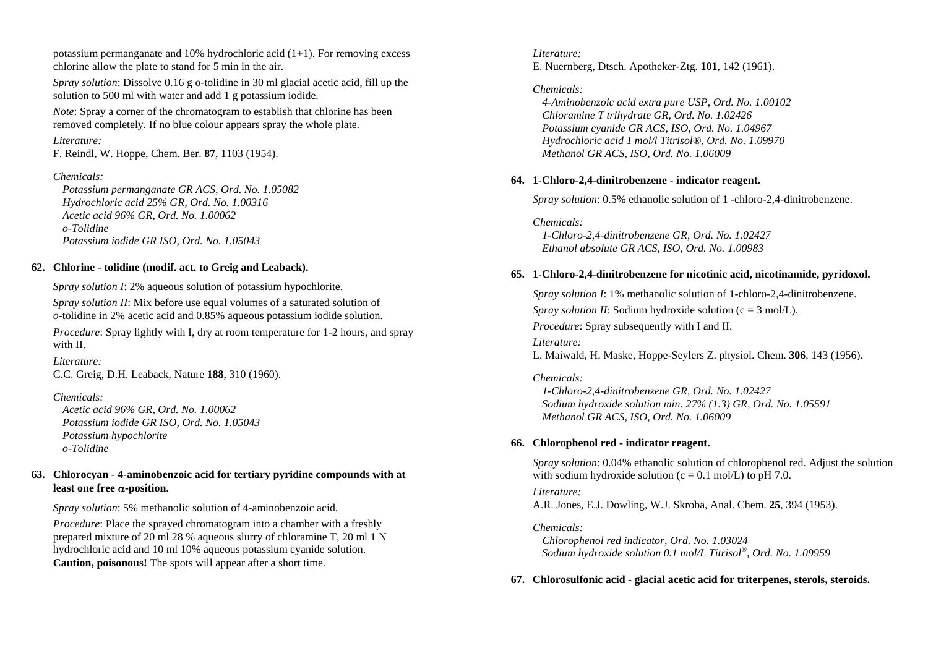potassium permanganate and 10% hydrochloric acid  $(1+1)$ . For removing excess chlorine allow the plate to stand for 5 min in the air.

*Spray solution*: Dissolve 0.16 g o-tolidine in 30 ml glacial acetic acid, fill up the solution to 500 ml with water and add 1 g potassium iodide.

*Note*: Spray a corner of the chromatogram to establish that chlorine has been removed completely. If no blue colour appears spray the whole plate.

### *Literature:*

F. Reindl, W. Hoppe, Chem. Ber. **87**, 1103 (1954).

## *Chemicals:*

 *Potassium permanganate GR ACS, Ord. No. 1.05082 Hydrochloric acid 25% GR, Ord. No. 1.00316 Acetic acid 96% GR, Ord. No. 1.00062 o-Tolidine Potassium iodide GR ISO, Ord. No. 1.05043* 

## **62. Chlorine - tolidine (modif. act. to Greig and Leaback).**

*Spray solution I*: 2% aqueous solution of potassium hypochlorite.

*Spray solution II:* Mix before use equal volumes of a saturated solution of *<sup>o</sup>*-tolidine in 2% acetic acid and 0.85% aqueous potassium iodide solution.

*Procedure*: Spray lightly with I, dry at room temperature for 1-2 hours, and spray with II.

*Literature:* C.C. Greig, D.H. Leaback, Nature **188**, 310 (1960).

## *Chemicals:*

 *Acetic acid 96% GR, Ord. No. 1.00062 Potassium iodide GR ISO, Ord. No. 1.05043 Potassium hypochlorite o-Tolidine* 

## **63. Chlorocyan - 4-aminobenzoic acid for tertiary pyridine compounds with at least one free**  <sup>α</sup>**-position.**

*Spray solution*: 5% methanolic solution of 4-aminobenzoic acid.

*Procedure*: Place the sprayed chromatogram into a chamber with a freshly prepared mixture of 20 ml 28 % aqueous slurry of chloramine T, 20 ml 1 N hydrochloric acid and 10 ml 10% aqueous potassium cyanide solution. **Caution, poisonous!** The spots will appear after a short time.

## *Literature:* E. Nuernberg, Dtsch. Apotheker-Ztg. **101**, 142 (1961).

## *Chemicals:*

 *4-Aminobenzoic acid extra pure USP, Ord. No. 1.00102 Chloramine T trihydrate GR, Ord. No. 1.02426 Potassium cyanide GR ACS, ISO, Ord. No. 1.04967 Hydrochloric acid 1 mol/l Titrisol®, Ord. No. 1.09970 Methanol GR ACS, ISO, Ord. No. 1.06009* 

## **64. 1-Chloro-2,4-dinitrobenzene - indicator reagent.**

*Spray solution*: 0.5% ethanolic solution of 1 -chloro-2,4-dinitrobenzene.

*Chemicals: 1-Chloro-2,4-dinitrobenzene GR, Ord. No. 1.02427 Ethanol absolute GR ACS, ISO, Ord. No. 1.00983* 

## **65. 1-Chloro-2,4-dinitrobenzene for nicotinic acid, nicotinamide, pyridoxol.**

*Spray solution I*: 1% methanolic solution of 1-chloro-2,4-dinitrobenzene. *Spray solution II:* Sodium hydroxide solution (c = 3 mol/L). *Procedure:* Spray subsequently with I and II.

*Literature:* L. Maiwald, H. Maske, Hoppe-Seylers Z. physiol. Chem. **306**, 143 (1956).

## *Chemicals:*

 *1-Chloro-2,4-dinitrobenzene GR, Ord. No. 1.02427 Sodium hydroxide solution min. 27% (1.3) GR, Ord. No. 1.05591 Methanol GR ACS, ISO, Ord. No. 1.06009* 

## **66. Chlorophenol red - indicator reagent.**

*Spray solution*: 0.04% ethanolic solution of chlorophenol red. Adjust the solution with sodium hydroxide solution ( $c = 0.1$  mol/L) to pH 7.0.

#### *Literature:*

A.R. Jones, E.J. Dowling, W.J. Skroba, Anal. Chem. **25**, 394 (1953).

### *Chemicals:*

 *Chlorophenol red indicator, Ord. No. 1.03024 Sodium hydroxide solution 0.1 mol/L Titrisol®, Ord. No. 1.09959* 

## **67. Chlorosulfonic acid - glacial acetic acid for triterpenes, sterols, steroids.**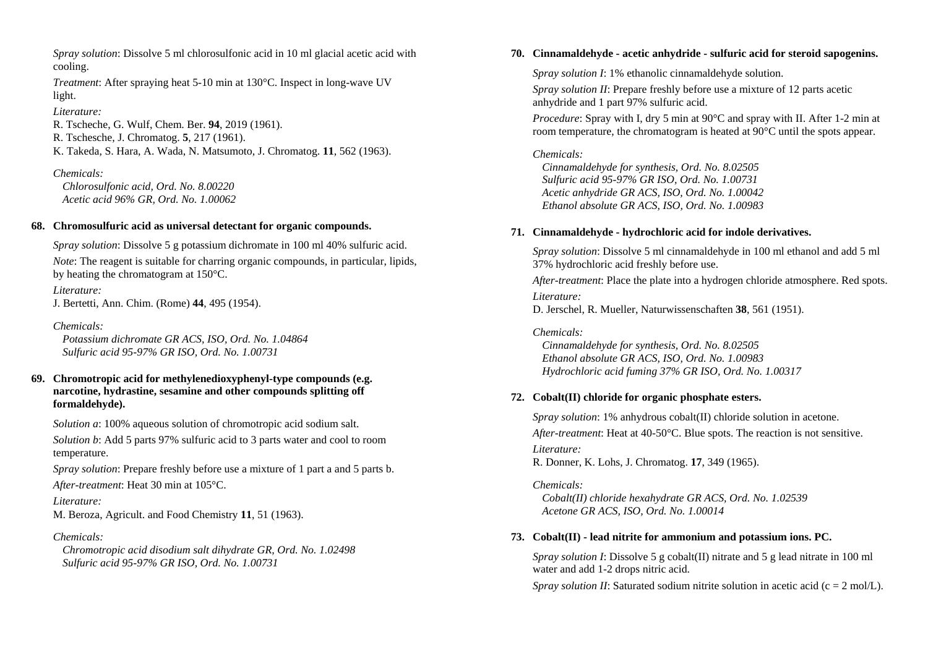*Spray solution*: Dissolve 5 ml chlorosulfonic acid in 10 ml glacial acetic acid with cooling.

*Treatment*: After spraying heat 5-10 min at 130°C. Inspect in long-wave UV light.

*Literature:* 

R. Tscheche, G. Wulf, Chem. Ber. **94**, 2019 (1961). R. Tschesche, J. Chromatog. **5**, 217 (1961). K. Takeda, S. Hara, A. Wada, N. Matsumoto, J. Chromatog. **11**, 562 (1963).

## *Chemicals:*

 *Chlorosulfonic acid, Ord. No. 8.00220 Acetic acid 96% GR, Ord. No. 1.00062* 

## **68. Chromosulfuric acid as universal detectant for organic compounds.**

*Spray solution*: Dissolve 5 g potassium dichromate in 100 ml 40% sulfuric acid.

*Note*: The reagent is suitable for charring organic compounds, in particular, lipids, by heating the chromatogram at 150°C.

*Literature:* J. Bertetti, Ann. Chim. (Rome) **44**, 495 (1954).

*Chemicals: Potassium dichromate GR ACS, ISO, Ord. No. 1.04864 Sulfuric acid 95-97% GR ISO, Ord. No. 1.00731* 

### **69. Chromotropic acid for methylenedioxyphenyl-type compounds (e.g. narcotine, hydrastine, sesamine and other compounds splitting off formaldehyde).**

*Solution a*: 100% aqueous solution of chromotropic acid sodium salt.

*Solution b*: Add 5 parts 97% sulfuric acid to 3 parts water and cool to room temperature.

*Spray solution*: Prepare freshly before use a mixture of 1 part a and 5 parts b. *After-treatment*: Heat 30 min at 105°C.

*Literature:*  M. Beroza, Agricult. and Food Chemistry **11**, 51 (1963).

### *Chemicals:*

 *Chromotropic acid disodium salt dihydrate GR, Ord. No. 1.02498 Sulfuric acid 95-97% GR ISO, Ord. No. 1.00731* 

## **70. Cinnamaldehyde - acetic anhydride - sulfuric acid for steroid sapogenins.**

*Spray solution I*: 1% ethanolic cinnamaldehyde solution.

*Spray solution II*: Prepare freshly before use a mixture of 12 parts acetic anhydride and 1 part 97% sulfuric acid.

*Procedure*: Spray with I, dry 5 min at 90°C and spray with II. After 1-2 min at room temperature, the chromatogram is heated at 90°C until the spots appear.

### *Chemicals:*

 *Cinnamaldehyde for synthesis, Ord. No. 8.02505 Sulfuric acid 95-97% GR ISO, Ord. No. 1.00731 Acetic anhydride GR ACS, ISO, Ord. No. 1.00042 Ethanol absolute GR ACS, ISO, Ord. No. 1.00983* 

## **71. Cinnamaldehyde - hydrochloric acid for indole derivatives.**

*Spray solution*: Dissolve 5 ml cinnamaldehyde in 100 ml ethanol and add 5 ml 37% hydrochloric acid freshly before use.

*After-treatment*: Place the plate into a hydrogen chloride atmosphere. Red spots.

*Literature:* 

D. Jerschel, R. Mueller, Naturwissenschaften **38**, 561 (1951).

### *Chemicals:*

 *Cinnamaldehyde for synthesis, Ord. No. 8.02505 Ethanol absolute GR ACS, ISO, Ord. No. 1.00983 Hydrochloric acid fuming 37% GR ISO, Ord. No. 1.00317* 

## **72. Cobalt(II) chloride for organic phosphate esters.**

*Spray solution*: 1% anhydrous cobalt(II) chloride solution in acetone. *After-treatment*: Heat at 40-50°C. Blue spots. The reaction is not sensitive. *Literature:* R. Donner, K. Lohs, J. Chromatog. **17**, 349 (1965).

## *Chemicals:*

 *Cobalt(II) chloride hexahydrate GR ACS, Ord. No. 1.02539 Acetone GR ACS, ISO, Ord. No. 1.00014* 

## **73. Cobalt(II) - lead nitrite for ammonium and potassium ions. PC.**

*Spray solution I*: Dissolve 5 g cobalt(II) nitrate and 5 g lead nitrate in 100 ml water and add 1-2 drops nitric acid.

*Spray solution II:* Saturated sodium nitrite solution in acetic acid ( $c = 2$  mol/L).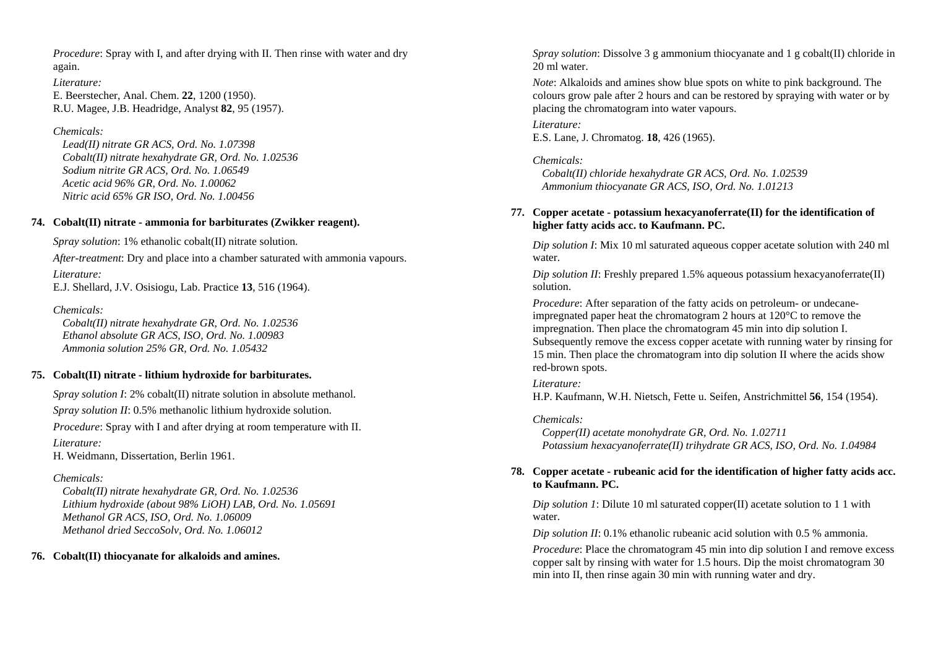*Procedure*: Spray with I, and after drying with II. Then rinse with water and dry again.

*Literature:*  E. Beerstecher, Anal. Chem. **22**, 1200 (1950). R.U. Magee, J.B. Headridge, Analyst **82**, 95 (1957).

## *Chemicals:*

 *Lead(II) nitrate GR ACS, Ord. No. 1.07398 Cobalt(II) nitrate hexahydrate GR, Ord. No. 1.02536 Sodium nitrite GR ACS, Ord. No. 1.06549 Acetic acid 96% GR, Ord. No. 1.00062 Nitric acid 65% GR ISO, Ord. No. 1.00456* 

## **74. Cobalt(II) nitrate - ammonia for barbiturates (Zwikker reagent).**

*Spray solution*: 1% ethanolic cobalt(II) nitrate solution.

*After-treatment*: Dry and place into a chamber saturated with ammonia vapours. *Literature:* 

E.J. Shellard, J.V. Osisiogu, Lab. Practice **13**, 516 (1964).

## *Chemicals:*

 *Cobalt(II) nitrate hexahydrate GR, Ord. No. 1.02536 Ethanol absolute GR ACS, ISO, Ord. No. 1.00983 Ammonia solution 25% GR, Ord. No. 1.05432* 

## **75. Cobalt(II) nitrate - lithium hydroxide for barbiturates.**

*Spray solution I*: 2% cobalt(II) nitrate solution in absolute methanol.

*Spray solution II*: 0.5% methanolic lithium hydroxide solution.

*Procedure*: Spray with I and after drying at room temperature with II.

*Literature:* 

H. Weidmann, Dissertation, Berlin 1961.

## *Chemicals:*

 *Cobalt(II) nitrate hexahydrate GR, Ord. No. 1.02536 Lithium hydroxide (about 98% LiOH) LAB, Ord. No. 1.05691 Methanol GR ACS, ISO, Ord. No. 1.06009 Methanol dried SeccoSolv, Ord. No. 1.06012* 

## **76. Cobalt(II) thiocyanate for alkaloids and amines.**

*Spray solution*: Dissolve 3 g ammonium thiocyanate and 1 g cobalt(II) chloride in 20 ml water.

*Note*: Alkaloids and amines show blue spots on white to pink background. The colours grow pale after 2 hours and can be restored by spraying with water or by placing the chromatogram into water vapours.

## *Literature:*

E.S. Lane, J. Chromatog. **18**, 426 (1965).

## *Chemicals:*

 *Cobalt(II) chloride hexahydrate GR ACS, Ord. No. 1.02539 Ammonium thiocyanate GR ACS, ISO, Ord. No. 1.01213* 

## **77. Copper acetate - potassium hexacyanoferrate(II) for the identification of higher fatty acids acc. to Kaufmann. PC.**

*Dip solution I*: Mix 10 ml saturated aqueous copper acetate solution with 240 ml water.

*Dip solution II*: Freshly prepared 1.5% aqueous potassium hexacyanoferrate(II) solution.

*Procedure*: After separation of the fatty acids on petroleum- or undecaneimpregnated paper heat the chromatogram 2 hours at 120°C to remove the impregnation. Then place the chromatogram 45 min into dip solution I. Subsequently remove the excess copper acetate with running water by rinsing for 15 min. Then place the chromatogram into dip solution II where the acids show red-brown spots.

## *Literature:*

H.P. Kaufmann, W.H. Nietsch, Fette u. Seifen, Anstrichmittel **56**, 154 (1954).

## *Chemicals:*

 *Copper(II) acetate monohydrate GR, Ord. No. 1.02711 Potassium hexacyanoferrate(II) trihydrate GR ACS, ISO, Ord. No. 1.04984* 

## **78. Copper acetate - rubeanic acid for the identification of higher fatty acids acc. to Kaufmann. PC.**

*Dip solution 1*: Dilute 10 ml saturated copper(II) acetate solution to 1 1 with water.

*Dip solution II*: 0.1% ethanolic rubeanic acid solution with 0.5 % ammonia.

*Procedure*: Place the chromatogram 45 min into dip solution I and remove excess copper salt by rinsing with water for 1.5 hours. Dip the moist chromatogram 30 min into II, then rinse again 30 min with running water and dry.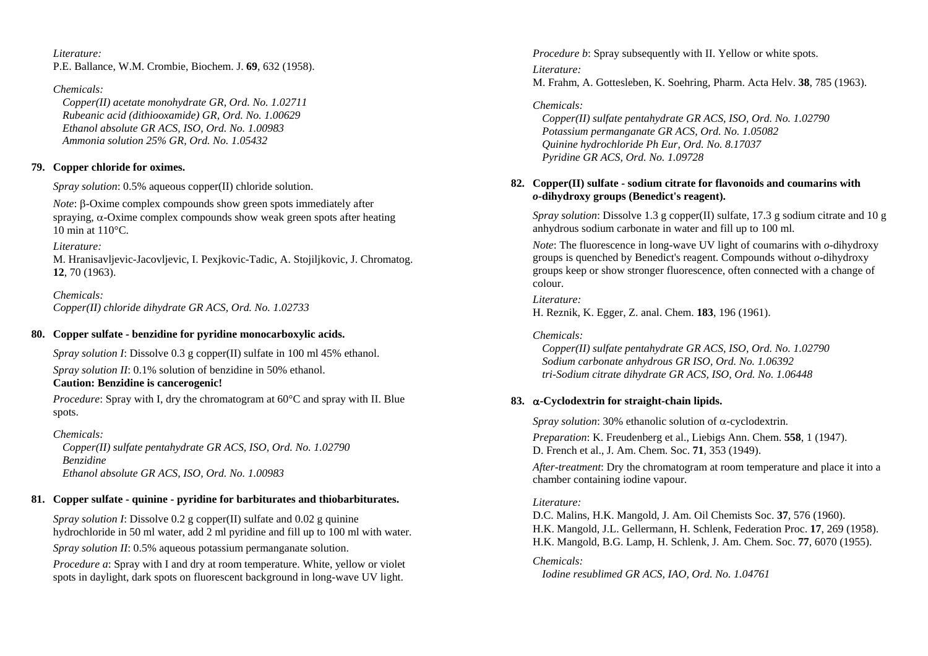*Literature:* P.E. Ballance, W.M. Crombie, Biochem. J. **69**, 632 (1958).

*Chemicals:* 

 *Copper(II) acetate monohydrate GR, Ord. No. 1.02711 Rubeanic acid (dithiooxamide) GR, Ord. No. 1.00629 Ethanol absolute GR ACS, ISO, Ord. No. 1.00983 Ammonia solution 25% GR, Ord. No. 1.05432* 

## **79. Copper chloride for oximes.**

*Spray solution*: 0.5% aqueous copper(II) chloride solution.

*Note*: β-Oxime complex compounds show green spots immediately after spraying,  $\alpha$ -Oxime complex compounds show weak green spots after heating 10 min at 110°C.

*Literature:* 

M. Hranisavljevic-Jacovljevic, I. Pexjkovic-Tadic, A. Stojiljkovic, J. Chromatog. **12**, 70 (1963).

*Chemicals: Copper(II) chloride dihydrate GR ACS, Ord. No. 1.02733* 

## **80. Copper sulfate - benzidine for pyridine monocarboxylic acids.**

*Spray solution I*: Dissolve 0.3 g copper(II) sulfate in 100 ml 45% ethanol. *Spray solution II*: 0.1% solution of benzidine in 50% ethanol. **Caution: Benzidine is cancerogenic!**

*Procedure*: Spray with I, dry the chromatogram at 60°C and spray with II. Blue spots.

*Chemicals: Copper(II) sulfate pentahydrate GR ACS, ISO, Ord. No. 1.02790 Benzidine Ethanol absolute GR ACS, ISO, Ord. No. 1.00983* 

## **81. Copper sulfate - quinine - pyridine for barbiturates and thiobarbiturates.**

*Spray solution I*: Dissolve 0.2 g copper(II) sulfate and 0.02 g quinine hydrochloride in 50 ml water, add 2 ml pyridine and fill up to 100 ml with water. *Spray solution II*: 0.5% aqueous potassium permanganate solution.

*Procedure a*: Spray with I and dry at room temperature. White, yellow or violet spots in daylight, dark spots on fluorescent background in long-wave UV light.

*Procedure b*: Spray subsequently with II. Yellow or white spots.

*Literature:* M. Frahm, A. Gottesleben, K. Soehring, Pharm. Acta Helv. **38**, 785 (1963).

## *Chemicals:*

 *Copper(II) sulfate pentahydrate GR ACS, ISO, Ord. No. 1.02790 Potassium permanganate GR ACS, Ord. No. 1.05082 Quinine hydrochloride Ph Eur, Ord. No. 8.17037 Pyridine GR ACS, Ord. No. 1.09728* 

## **82. Copper(II) sulfate - sodium citrate for flavonoids and coumarins with**  *<sup>o</sup>***-dihydroxy groups (Benedict's reagent).**

*Spray solution*: Dissolve 1.3 g copper(II) sulfate, 17.3 g sodium citrate and 10 g anhydrous sodium carbonate in water and fill up to 100 ml.

*Note*: The fluorescence in long-wave UV light of coumarins with *o*-dihydroxy groups is quenched by Benedict's reagent. Compounds without *o*-dihydroxy groups keep or show stronger fluorescence, often connected with a change of colour.

*Literature:* H. Reznik, K. Egger, Z. anal. Chem. **183**, 196 (1961).

## *Chemicals:*

 *Copper(II) sulfate pentahydrate GR ACS, ISO, Ord. No. 1.02790 Sodium carbonate anhydrous GR ISO, Ord. No. 1.06392 tri-Sodium citrate dihydrate GR ACS, ISO, Ord. No. 1.06448* 

## **83.** <sup>α</sup>**-Cyclodextrin for straight-chain lipids.**

*Spray solution*: 30% ethanolic solution of <sup>α</sup>-cyclodextrin. *Preparation*: K. Freudenberg et al., Liebigs Ann. Chem. **558**, 1 (1947). D. French et al., J. Am. Chem. Soc. **71**, 353 (1949).

*After-treatment*: Dry the chromatogram at room temperature and place it into a chamber containing iodine vapour.

## *Literature:*

D.C. Malins, H.K. Mangold, J. Am. Oil Chemists Soc. **37**, 576 (1960). H.K. Mangold, J.L. Gellermann, H. Schlenk, Federation Proc. **17**, 269 (1958). H.K. Mangold, B.G. Lamp, H. Schlenk, J. Am. Chem. Soc. **77**, 6070 (1955).

*Chemicals: Iodine resublimed GR ACS, IAO, Ord. No. 1.04761*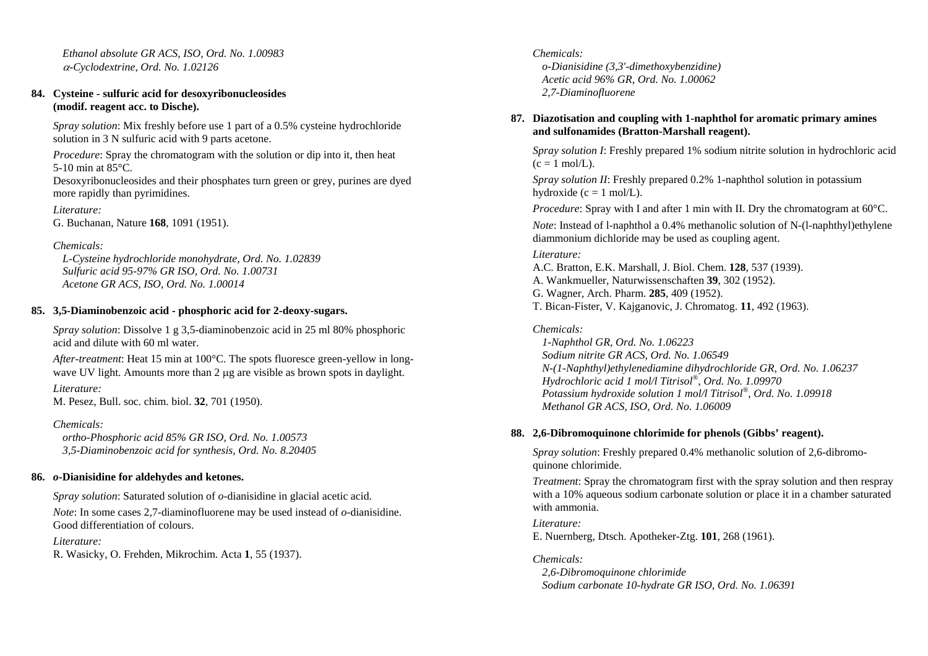*Ethanol absolute GR ACS, ISO, Ord. No. 1.00983*  <sup>α</sup>*-Cyclodextrine, Ord. No. 1.02126* 

### **84. Cysteine - sulfuric acid for desoxyribonucleosides (modif. reagent acc. to Dische).**

*Spray solution*: Mix freshly before use 1 part of a 0.5% cysteine hydrochloride solution in 3 N sulfuric acid with 9 parts acetone.

*Procedure*: Spray the chromatogram with the solution or dip into it, then heat 5-10 min at 85°C.

Desoxyribonucleosides and their phosphates turn green or grey, purines are dyed more rapidly than pyrimidines.

*Literature:* G. Buchanan, Nature **168**, 1091 (1951).

## *Chemicals:*

 *L-Cysteine hydrochloride monohydrate, Ord. No. 1.02839 Sulfuric acid 95-97% GR ISO, Ord. No. 1.00731 Acetone GR ACS, ISO, Ord. No. 1.00014* 

## **85. 3,5-Diaminobenzoic acid - phosphoric acid for 2-deoxy-sugars.**

*Spray solution*: Dissolve 1 g 3,5-diaminobenzoic acid in 25 ml 80% phosphoric acid and dilute with 60 ml water.

*After-treatment*: Heat 15 min at 100°C. The spots fluoresce green-yellow in longwave UV light. Amounts more than 2 μg are visible as brown spots in daylight. *Literature:* 

M. Pesez, Bull. soc. chim. biol. **32**, 701 (1950).

### *Chemicals:*

 *ortho-Phosphoric acid 85% GR ISO, Ord. No. 1.00573 3,5-Diaminobenzoic acid for synthesis, Ord. No. 8.20405* 

### **86.** *o***-Dianisidine for aldehydes and ketones.**

*Spray solution*: Saturated solution of *o*-dianisidine in glacial acetic acid.

*Note*: In some cases 2,7-diaminofluorene may be used instead of *o*-dianisidine. Good differentiation of colours.

*Literature:* 

R. Wasicky, O. Frehden, Mikrochim. Acta **1**, 55 (1937).

## *Chemicals:*

 *o-Dianisidine (3,3'-dimethoxybenzidine) Acetic acid 96% GR, Ord. No. 1.00062 2,7-Diaminofluorene* 

## **87. Diazotisation and coupling with 1-naphthol for aromatic primary amines and sulfonamides (Bratton-Marshall reagent).**

*Spray solution I*: Freshly prepared 1% sodium nitrite solution in hydrochloric acid  $(c = 1 \text{ mol/L}).$ 

*Spray solution II*: Freshly prepared 0.2% 1-naphthol solution in potassium hydroxide ( $c = 1$  mol/L).

*Procedure*: Spray with I and after 1 min with II. Dry the chromatogram at 60<sup>o</sup>C. *Note*: Instead of l-naphthol a 0.4% methanolic solution of N-(l-naphthyl)ethylene diammonium dichloride may be used as coupling agent.

## *Literature:*

A.C. Bratton, E.K. Marshall, J. Biol. Chem. **128**, 537 (1939). A. Wankmueller, Naturwissenschaften **39**, 302 (1952). G. Wagner, Arch. Pharm. **285**, 409 (1952). T. Bican-Fister, V. Kajganovic, J. Chromatog. **11**, 492 (1963).

## *Chemicals:*

 *1-Naphthol GR, Ord. No. 1.06223 Sodium nitrite GR ACS, Ord. No. 1.06549 N-(1-Naphthyl)ethylenediamine dihydrochloride GR, Ord. No. 1.06237 Hydrochloric acid 1 mol/l Titrisol®, Ord. No. 1.09970 Potassium hydroxide solution 1 mol/l Titrisol®, Ord. No. 1.09918 Methanol GR ACS, ISO, Ord. No. 1.06009* 

## **88. 2,6-Dibromoquinone chlorimide for phenols (Gibbs' reagent).**

*Spray solution*: Freshly prepared 0.4% methanolic solution of 2,6-dibromoquinone chlorimide.

*Treatment*: Spray the chromatogram first with the spray solution and then respray with a 10% aqueous sodium carbonate solution or place it in a chamber saturated with ammonia.

### *Literature:*

E. Nuernberg, Dtsch. Apotheker-Ztg. **101**, 268 (1961).

### *Chemicals:*

 *2,6-Dibromoquinone chlorimide Sodium carbonate 10-hydrate GR ISO, Ord. No. 1.06391*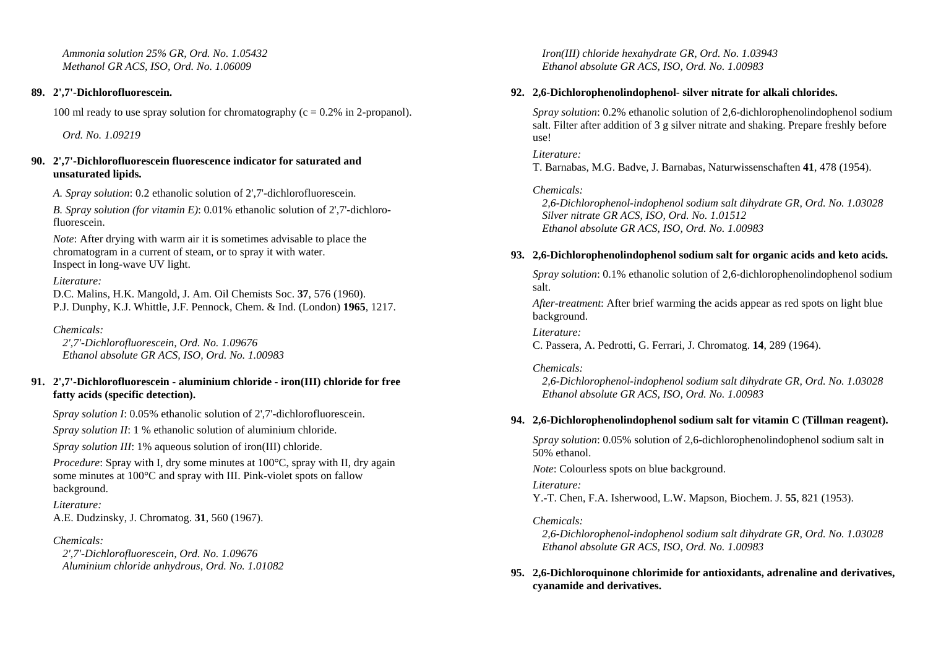*Ammonia solution 25% GR, Ord. No. 1.05432 Methanol GR ACS, ISO, Ord. No. 1.06009* 

### **89. 2',7'-Dichlorofluorescein.**

100 ml ready to use spray solution for chromatography  $(c = 0.2\%$  in 2-propanol).

 *Ord. No. 1.09219* 

### **90. 2',7'-Dichlorofluorescein fluorescence indicator for saturated and unsaturated lipids.**

*A. Spray solution*: 0.2 ethanolic solution of 2',7'-dichlorofluorescein.

*B. Spray solution (for vitamin E)*: 0.01% ethanolic solution of 2',7'-dichlorofluorescein.

*Note*: After drying with warm air it is sometimes advisable to place the chromatogram in a current of steam, or to spray it with water. Inspect in long-wave UV light.

*Literature:* 

D.C. Malins, H.K. Mangold, J. Am. Oil Chemists Soc. **37**, 576 (1960). P.J. Dunphy, K.J. Whittle, J.F. Pennock, Chem. & Ind. (London) **1965**, 1217.

*Chemicals: 2',7'-Dichlorofluorescein, Ord. No. 1.09676 Ethanol absolute GR ACS, ISO, Ord. No. 1.00983* 

## **91. 2',7'-Dichlorofluorescein - aluminium chloride - iron(III) chloride for free fatty acids (specific detection).**

*Spray solution I*: 0.05% ethanolic solution of 2',7'-dichlorofluorescein.

*Spray solution II*: 1 % ethanolic solution of aluminium chloride.

*Spray solution III*: 1% aqueous solution of iron(III) chloride.

*Procedure*: Spray with I, dry some minutes at 100<sup>o</sup>C, spray with II, dry again some minutes at 100°C and spray with III. Pink-violet spots on fallow background.

*Literature:*  A.E. Dudzinsky, J. Chromatog. **31**, 560 (1967).

*Chemicals:* 

 *2',7'-Dichlorofluorescein, Ord. No. 1.09676 Aluminium chloride anhydrous, Ord. No. 1.01082*   *Iron(III) chloride hexahydrate GR, Ord. No. 1.03943 Ethanol absolute GR ACS, ISO, Ord. No. 1.00983* 

## **92. 2,6-Dichlorophenolindophenol- silver nitrate for alkali chlorides.**

*Spray solution*: 0.2% ethanolic solution of 2,6-dichlorophenolindophenol sodium salt. Filter after addition of 3 g silver nitrate and shaking. Prepare freshly before use!

*Literature:* T. Barnabas, M.G. Badve, J. Barnabas, Naturwissenschaften **41**, 478 (1954).

*Chemicals: 2,6-Dichlorophenol-indophenol sodium salt dihydrate GR, Ord. No. 1.03028 Silver nitrate GR ACS, ISO, Ord. No. 1.01512 Ethanol absolute GR ACS, ISO, Ord. No. 1.00983* 

## **93. 2,6-Dichlorophenolindophenol sodium salt for organic acids and keto acids.**

*Spray solution*: 0.1% ethanolic solution of 2,6-dichlorophenolindophenol sodium salt.

*After-treatment*: After brief warming the acids appear as red spots on light blue background.

*Literature:* C. Passera, A. Pedrotti, G. Ferrari, J. Chromatog. **14**, 289 (1964).

### *Chemicals:*

 *2,6-Dichlorophenol-indophenol sodium salt dihydrate GR, Ord. No. 1.03028 Ethanol absolute GR ACS, ISO, Ord. No. 1.00983* 

### **94. 2,6-Dichlorophenolindophenol sodium salt for vitamin C (Tillman reagent).**

*Spray solution*: 0.05% solution of 2,6-dichlorophenolindophenol sodium salt in 50% ethanol.

*Note*: Colourless spots on blue background.

*Literature:* 

Y.-T. Chen, F.A. Isherwood, L.W. Mapson, Biochem. J. **55**, 821 (1953).

## *Chemicals:*

 *2,6-Dichlorophenol-indophenol sodium salt dihydrate GR, Ord. No. 1.03028 Ethanol absolute GR ACS, ISO, Ord. No. 1.00983* 

## **95. 2,6-Dichloroquinone chlorimide for antioxidants, adrenaline and derivatives, cyanamide and derivatives.**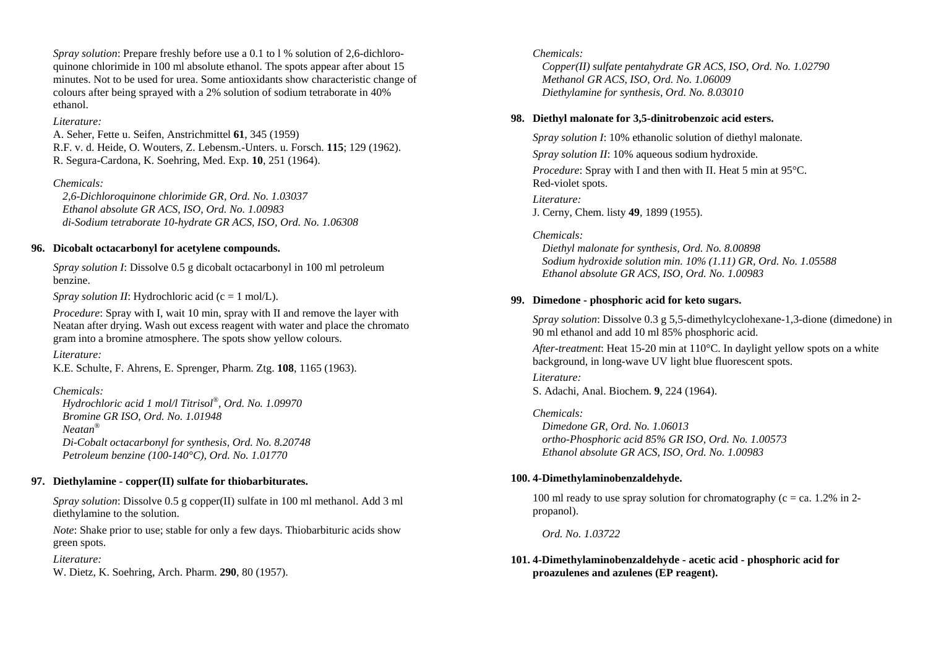*Spray solution:* Prepare freshly before use a 0.1 to 1 % solution of 2.6-dichloroquinone chlorimide in 100 ml absolute ethanol. The spots appear after about 15 minutes. Not to be used for urea. Some antioxidants show characteristic change of colours after being sprayed with a 2% solution of sodium tetraborate in 40% ethanol.

### *Literature:*

A. Seher, Fette u. Seifen, Anstrichmittel **61**, 345 (1959) R.F. v. d. Heide, O. Wouters, Z. Lebensm.-Unters. u. Forsch. **115**; 129 (1962). R. Segura-Cardona, K. Soehring, Med. Exp. **10**, 251 (1964).

### *Chemicals:*

 *2,6-Dichloroquinone chlorimide GR, Ord. No. 1.03037 Ethanol absolute GR ACS, ISO, Ord. No. 1.00983 di-Sodium tetraborate 10-hydrate GR ACS, ISO, Ord. No. 1.06308* 

## **96. Dicobalt octacarbonyl for acetylene compounds.**

*Spray solution I*: Dissolve 0.5 g dicobalt octacarbonyl in 100 ml petroleum benzine.

*Spray solution II*: Hydrochloric acid (c = 1 mol/L).

*Procedure*: Spray with I, wait 10 min, spray with II and remove the layer with Neatan after drying. Wash out excess reagent with water and place the chromato gram into a bromine atmosphere. The spots show yellow colours.

*Literature:* 

K.E. Schulte, F. Ahrens, E. Sprenger, Pharm. Ztg. **108**, 1165 (1963).

## *Chemicals:*

 *Hydrochloric acid 1 mol/l Titrisol®, Ord. No. 1.09970 Bromine GR ISO, Ord. No. 1.01948 Neatan® Di-Cobalt octacarbonyl for synthesis, Ord. No. 8.20748 Petroleum benzine (100-140°C), Ord. No. 1.01770* 

## **97. Diethylamine - copper(II) sulfate for thiobarbiturates.**

*Spray solution*: Dissolve 0.5 g copper(II) sulfate in 100 ml methanol. Add 3 ml diethylamine to the solution.

*Note*: Shake prior to use; stable for only a few days. Thiobarbituric acids show green spots.

## *Literature:*

W. Dietz, K. Soehring, Arch. Pharm. **290**, 80 (1957).

## *Chemicals:*

 *Copper(II) sulfate pentahydrate GR ACS, ISO, Ord. No. 1.02790 Methanol GR ACS, ISO, Ord. No. 1.06009 Diethylamine for synthesis, Ord. No. 8.03010* 

## **98. Diethyl malonate for 3,5-dinitrobenzoic acid esters.**

*Spray solution I*: 10% ethanolic solution of diethyl malonate.

*Spray solution II*: 10% aqueous sodium hydroxide.

*Procedure*: Spray with I and then with II. Heat 5 min at 95°C. Red-violet spots.

*Literature:* J. Cerny, Chem. listy **49**, 1899 (1955).

## *Chemicals:*

 *Diethyl malonate for synthesis, Ord. No. 8.00898 Sodium hydroxide solution min. 10% (1.11) GR, Ord. No. 1.05588 Ethanol absolute GR ACS, ISO, Ord. No. 1.00983* 

## **99. Dimedone - phosphoric acid for keto sugars.**

*Spray solution*: Dissolve 0.3 g 5,5-dimethylcyclohexane-1,3-dione (dimedone) in 90 ml ethanol and add 10 ml 85% phosphoric acid.

*After-treatment*: Heat 15-20 min at 110°C. In daylight yellow spots on a white background, in long-wave UV light blue fluorescent spots.

## *Literature:*

S. Adachi, Anal. Biochem. **9**, 224 (1964).

## *Chemicals:*

 *Dimedone GR, Ord. No. 1.06013 ortho-Phosphoric acid 85% GR ISO, Ord. No. 1.00573 Ethanol absolute GR ACS, ISO, Ord. No. 1.00983* 

## **100. 4-Dimethylaminobenzaldehyde.**

100 ml ready to use spray solution for chromatography ( $c = ca$ . 1.2% in 2propanol).

 *Ord. No. 1.03722* 

**101. 4-Dimethylaminobenzaldehyde - acetic acid - phosphoric acid for proazulenes and azulenes (EP reagent).**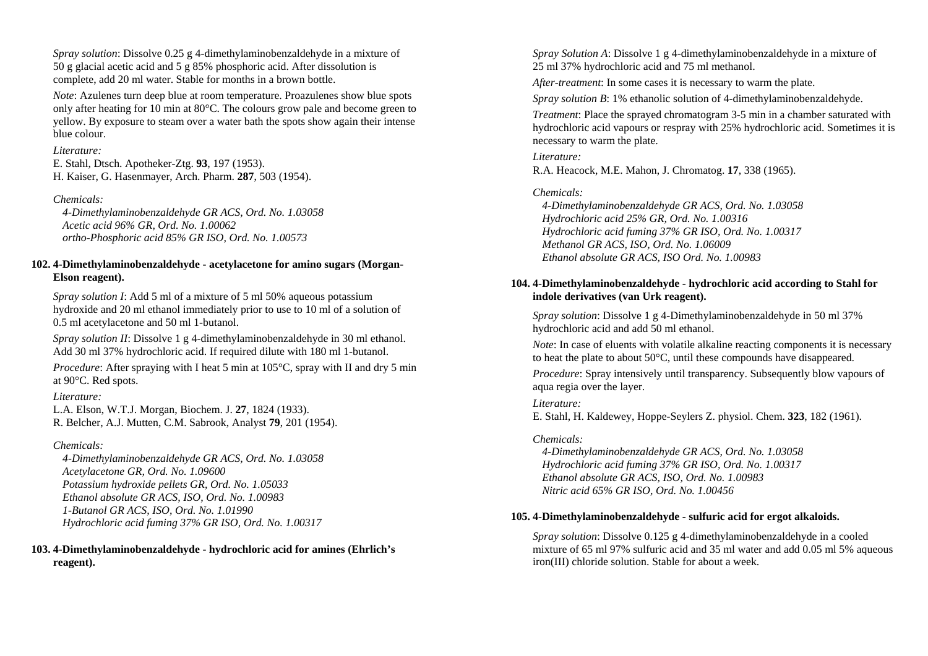*Spray solution*: Dissolve 0.25 g 4-dimethylaminobenzaldehyde in a mixture of 50 g glacial acetic acid and 5 g 85% phosphoric acid. After dissolution is complete, add 20 ml water. Stable for months in a brown bottle.

*Note*: Azulenes turn deep blue at room temperature. Proazulenes show blue spots only after heating for 10 min at 80°C. The colours grow pale and become green to yellow. By exposure to steam over a water bath the spots show again their intense blue colour.

#### *Literature:*

E. Stahl, Dtsch. Apotheker-Ztg. **93**, 197 (1953). H. Kaiser, G. Hasenmayer, Arch. Pharm. **287**, 503 (1954).

## *Chemicals:*

 *4-Dimethylaminobenzaldehyde GR ACS, Ord. No. 1.03058 Acetic acid 96% GR, Ord. No. 1.00062 ortho-Phosphoric acid 85% GR ISO, Ord. No. 1.00573* 

## **102. 4-Dimethylaminobenzaldehyde - acetylacetone for amino sugars (Morgan-Elson reagent).**

*Spray solution I*: Add 5 ml of a mixture of 5 ml 50% aqueous potassium hydroxide and 20 ml ethanol immediately prior to use to 10 ml of a solution of 0.5 ml acetylacetone and 50 ml 1-butanol.

*Spray solution II*: Dissolve 1 g 4-dimethylaminobenzaldehyde in 30 ml ethanol. Add 30 ml 37% hydrochloric acid. If required dilute with 180 ml 1-butanol.

*Procedure*: After spraying with I heat 5 min at 105<sup>o</sup>C, spray with II and dry 5 min at 90°C. Red spots.

### *Literature:*

L.A. Elson, W.T.J. Morgan, Biochem. J. **27**, 1824 (1933). R. Belcher, A.J. Mutten, C.M. Sabrook, Analyst **79**, 201 (1954).

## *Chemicals:*

 *4-Dimethylaminobenzaldehyde GR ACS, Ord. No. 1.03058 Acetylacetone GR, Ord. No. 1.09600 Potassium hydroxide pellets GR, Ord. No. 1.05033 Ethanol absolute GR ACS, ISO, Ord. No. 1.00983 1-Butanol GR ACS, ISO, Ord. No. 1.01990 Hydrochloric acid fuming 37% GR ISO, Ord. No. 1.00317* 

**103. 4-Dimethylaminobenzaldehyde - hydrochloric acid for amines (Ehrlich's reagent).** 

*Spray Solution A*: Dissolve 1 g 4-dimethylaminobenzaldehyde in a mixture of 25 ml 37% hydrochloric acid and 75 ml methanol.

*After-treatment*: In some cases it is necessary to warm the plate.

*Spray solution B*: 1% ethanolic solution of 4-dimethylaminobenzaldehyde.

*Treatment*: Place the sprayed chromatogram 3-5 min in a chamber saturated with hydrochloric acid vapours or respray with 25% hydrochloric acid. Sometimes it is necessary to warm the plate.

### *Literature:*

R.A. Heacock, M.E. Mahon, J. Chromatog. **17**, 338 (1965).

## *Chemicals:*

 *4-Dimethylaminobenzaldehyde GR ACS, Ord. No. 1.03058 Hydrochloric acid 25% GR, Ord. No. 1.00316 Hydrochloric acid fuming 37% GR ISO, Ord. No. 1.00317 Methanol GR ACS, ISO, Ord. No. 1.06009 Ethanol absolute GR ACS, ISO Ord. No. 1.00983* 

## **104. 4-Dimethylaminobenzaldehyde - hydrochloric acid according to Stahl for indole derivatives (van Urk reagent).**

*Spray solution*: Dissolve 1 g 4-Dimethylaminobenzaldehyde in 50 ml 37% hydrochloric acid and add 50 ml ethanol.

*Note*: In case of eluents with volatile alkaline reacting components it is necessary to heat the plate to about 50°C, until these compounds have disappeared.

*Procedure*: Spray intensively until transparency. Subsequently blow vapours of aqua regia over the layer.

### *Literature:*

E. Stahl, H. Kaldewey, Hoppe-Seylers Z. physiol. Chem. **323**, 182 (1961).

### *Chemicals:*

 *4-Dimethylaminobenzaldehyde GR ACS, Ord. No. 1.03058 Hydrochloric acid fuming 37% GR ISO, Ord. No. 1.00317 Ethanol absolute GR ACS, ISO, Ord. No. 1.00983 Nitric acid 65% GR ISO, Ord. No. 1.00456* 

### **105. 4-Dimethylaminobenzaldehyde - sulfuric acid for ergot alkaloids.**

*Spray solution*: Dissolve 0.125 g 4-dimethylaminobenzaldehyde in a cooled mixture of 65 ml 97% sulfuric acid and 35 ml water and add 0.05 ml 5% aqueous iron(III) chloride solution. Stable for about a week.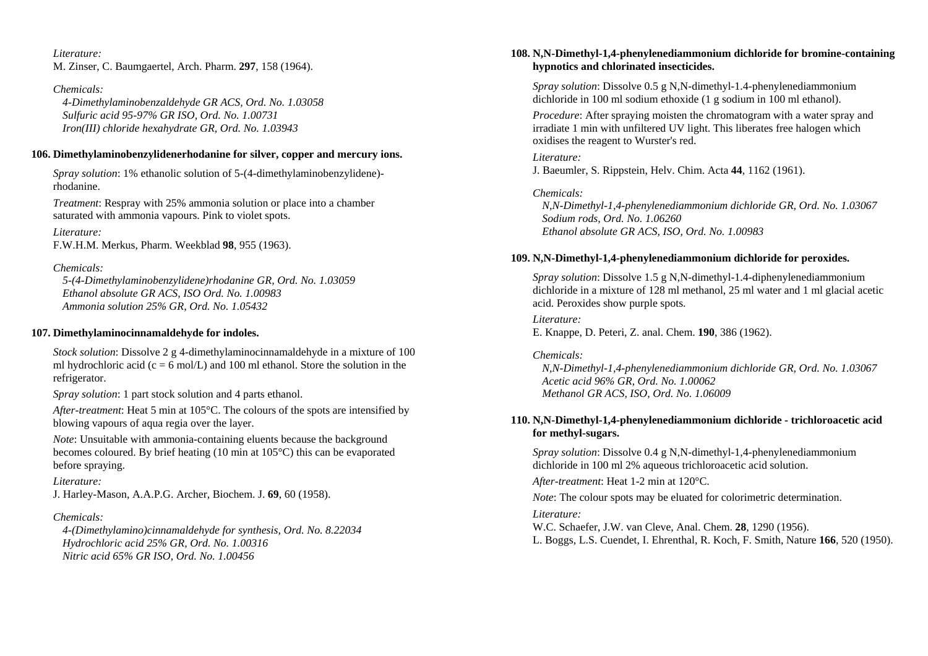*Literature:* M. Zinser, C. Baumgaertel, Arch. Pharm. **297**, 158 (1964).

*Chemicals: 4-Dimethylaminobenzaldehyde GR ACS, Ord. No. 1.03058 Sulfuric acid 95-97% GR ISO, Ord. No. 1.00731 Iron(III) chloride hexahydrate GR, Ord. No. 1.03943* 

### **106. Dimethylaminobenzylidenerhodanine for silver, copper and mercury ions.**

*Spray solution*: 1% ethanolic solution of 5-(4-dimethylaminobenzylidene) rhodanine.

*Treatment*: Respray with 25% ammonia solution or place into a chamber saturated with ammonia vapours. Pink to violet spots.

*Literature:* F.W.H.M. Merkus, Pharm. Weekblad **98**, 955 (1963).

### *Chemicals:*

 *5-(4-Dimethylaminobenzylidene)rhodanine GR, Ord. No. 1.03059 Ethanol absolute GR ACS, ISO Ord. No. 1.00983 Ammonia solution 25% GR, Ord. No. 1.05432* 

### **107. Dimethylaminocinnamaldehyde for indoles.**

*Stock solution*: Dissolve 2 g 4-dimethylaminocinnamaldehyde in a mixture of 100 ml hydrochloric acid (c = 6 mol/L) and 100 ml ethanol. Store the solution in the refrigerator.

*Spray solution*: 1 part stock solution and 4 parts ethanol.

*After-treatment*: Heat 5 min at 105°C. The colours of the spots are intensified by blowing vapours of aqua regia over the layer.

*Note*: Unsuitable with ammonia-containing eluents because the background becomes coloured. By brief heating (10 min at 105°C) this can be evaporated before spraying.

### *Literature:*

J. Harley-Mason, A.A.P.G. Archer, Biochem. J. **69**, 60 (1958).

## *Chemicals:*

 *4-(Dimethylamino)cinnamaldehyde for synthesis, Ord. No. 8.22034 Hydrochloric acid 25% GR, Ord. No. 1.00316 Nitric acid 65% GR ISO, Ord. No. 1.00456* 

### **108. N,N-Dimethyl-1,4-phenylenediammonium dichloride for bromine-containing hypnotics and chlorinated insecticides.**

*Spray solution*: Dissolve 0.5 g N,N-dimethyl-1.4-phenylenediammonium dichloride in 100 ml sodium ethoxide (1 g sodium in 100 ml ethanol).

*Procedure*: After spraying moisten the chromatogram with a water spray and irradiate 1 min with unfiltered UV light. This liberates free halogen which oxidises the reagent to Wurster's red.

### *Literature:*

J. Baeumler, S. Rippstein, Helv. Chim. Acta **44**, 1162 (1961).

*Chemicals:* 

 *N,N-Dimethyl-1,4-phenylenediammonium dichloride GR, Ord. No. 1.03067 Sodium rods, Ord. No. 1.06260 Ethanol absolute GR ACS, ISO, Ord. No. 1.00983* 

### **109. N,N-Dimethyl-1,4-phenylenediammonium dichloride for peroxides.**

*Spray solution*: Dissolve 1.5 g N,N-dimethyl-1.4-diphenylenediammonium dichloride in a mixture of 128 ml methanol, 25 ml water and 1 ml glacial acetic acid. Peroxides show purple spots.

*Literature:* E. Knappe, D. Peteri, Z. anal. Chem. **190**, 386 (1962).

### *Chemicals:*

 *N,N-Dimethyl-1,4-phenylenediammonium dichloride GR, Ord. No. 1.03067 Acetic acid 96% GR, Ord. No. 1.00062 Methanol GR ACS, ISO, Ord. No. 1.06009* 

## **110. N,N-Dimethyl-1,4-phenylenediammonium dichloride - trichloroacetic acid for methyl-sugars.**

*Spray solution*: Dissolve 0.4 g N,N-dimethyl-1,4-phenylenediammonium dichloride in 100 ml 2% aqueous trichloroacetic acid solution.

*After-treatment*: Heat 1-2 min at 120°C.

*Note*: The colour spots may be eluated for colorimetric determination.

### *Literature:*

W.C. Schaefer, J.W. van Cleve, Anal. Chem. **28**, 1290 (1956). L. Boggs, L.S. Cuendet, I. Ehrenthal, R. Koch, F. Smith, Nature **166**, 520 (1950).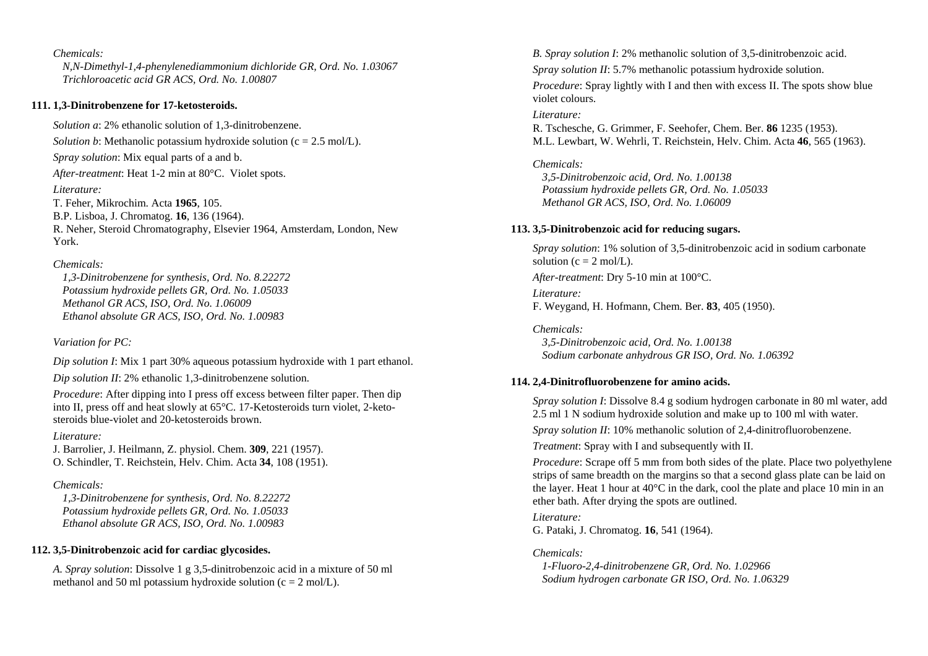*Chemicals: N,N-Dimethyl-1,4-phenylenediammonium dichloride GR, Ord. No. 1.03067 Trichloroacetic acid GR ACS, Ord. No. 1.00807* 

### **111. 1,3-Dinitrobenzene for 17-ketosteroids.**

*Solution a*: 2% ethanolic solution of 1,3-dinitrobenzene. *Solution b*: Methanolic potassium hydroxide solution ( $c = 2.5$  mol/L). *Spray solution*: Mix equal parts of a and b. *After-treatment*: Heat 1-2 min at 80°C. Violet spots. *Literature:* T. Feher, Mikrochim. Acta **1965**, 105. B.P. Lisboa, J. Chromatog. **16**, 136 (1964). R. Neher, Steroid Chromatography, Elsevier 1964, Amsterdam, London, New York.

#### *Chemicals:*

 *1,3-Dinitrobenzene for synthesis, Ord. No. 8.22272 Potassium hydroxide pellets GR, Ord. No. 1.05033 Methanol GR ACS, ISO, Ord. No. 1.06009 Ethanol absolute GR ACS, ISO, Ord. No. 1.00983* 

### *Variation for PC:*

*Dip solution I*: Mix 1 part 30% aqueous potassium hydroxide with 1 part ethanol.

*Dip solution II*: 2% ethanolic 1,3-dinitrobenzene solution.

*Procedure*: After dipping into I press off excess between filter paper. Then dip into II, press off and heat slowly at 65°C. 17-Ketosteroids turn violet, 2-ketosteroids blue-violet and 20-ketosteroids brown.

*Literature:* 

J. Barrolier, J. Heilmann, Z. physiol. Chem. **309**, 221 (1957). O. Schindler, T. Reichstein, Helv. Chim. Acta **34**, 108 (1951).

### *Chemicals:*

 *1,3-Dinitrobenzene for synthesis, Ord. No. 8.22272 Potassium hydroxide pellets GR, Ord. No. 1.05033 Ethanol absolute GR ACS, ISO, Ord. No. 1.00983* 

### **112. 3,5-Dinitrobenzoic acid for cardiac glycosides.**

*A. Spray solution*: Dissolve 1 g 3,5-dinitrobenzoic acid in a mixture of 50 ml methanol and 50 ml potassium hydroxide solution ( $c = 2$  mol/L).

*B. Spray solution I*: 2% methanolic solution of 3,5-dinitrobenzoic acid.

*Spray solution II*: 5.7% methanolic potassium hydroxide solution.

*Procedure*: Spray lightly with I and then with excess II. The spots show blue violet colours.

#### *Literature:*

R. Tschesche, G. Grimmer, F. Seehofer, Chem. Ber. **86** 1235 (1953). M.L. Lewbart, W. Wehrli, T. Reichstein, Helv. Chim. Acta **46**, 565 (1963).

### *Chemicals:*

 *3,5-Dinitrobenzoic acid, Ord. No. 1.00138 Potassium hydroxide pellets GR, Ord. No. 1.05033 Methanol GR ACS, ISO, Ord. No. 1.06009* 

#### **113. 3,5-Dinitrobenzoic acid for reducing sugars.**

*Spray solution*: 1% solution of 3,5-dinitrobenzoic acid in sodium carbonate solution ( $c = 2$  mol/L).

*After-treatment*: Dry 5-10 min at 100°C.

#### *Literature:*

F. Weygand, H. Hofmann, Chem. Ber. **83**, 405 (1950).

#### *Chemicals:*

 *3,5-Dinitrobenzoic acid, Ord. No. 1.00138 Sodium carbonate anhydrous GR ISO, Ord. No. 1.06392* 

### **114. 2,4-Dinitrofluorobenzene for amino acids.**

*Spray solution I*: Dissolve 8.4 g sodium hydrogen carbonate in 80 ml water, add 2.5 ml 1 N sodium hydroxide solution and make up to 100 ml with water.

*Spray solution II*: 10% methanolic solution of 2,4-dinitrofluorobenzene.

*Treatment*: Spray with I and subsequently with II.

*Procedure*: Scrape off 5 mm from both sides of the plate. Place two polyethylene strips of same breadth on the margins so that a second glass plate can be laid on the layer. Heat 1 hour at 40°C in the dark, cool the plate and place 10 min in an ether bath. After drying the spots are outlined.

# *Literature:*

G. Pataki, J. Chromatog. **16**, 541 (1964).

#### *Chemicals:*

 *1-Fluoro-2,4-dinitrobenzene GR, Ord. No. 1.02966 Sodium hydrogen carbonate GR ISO, Ord. No. 1.06329*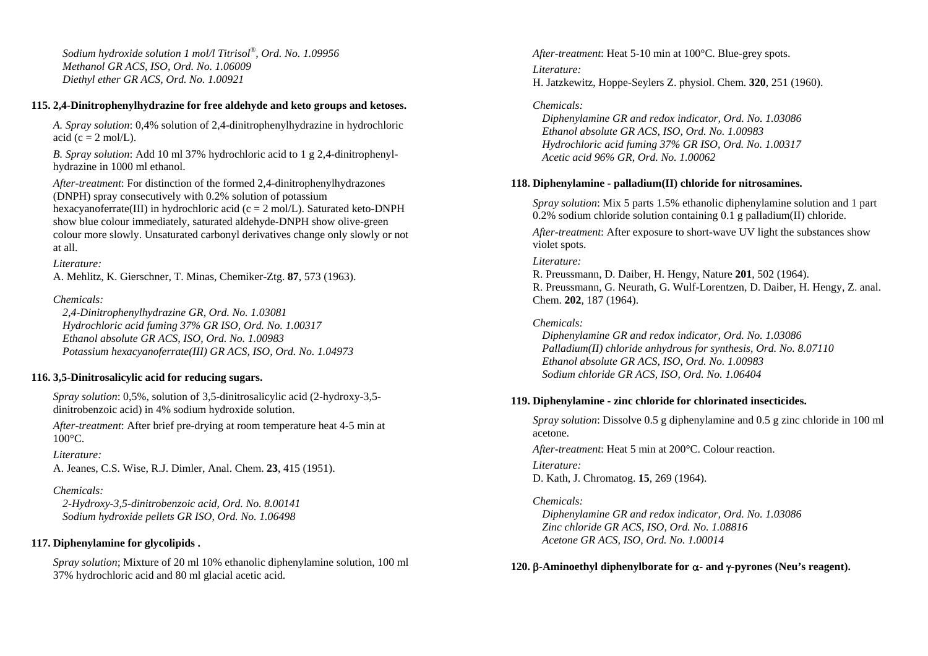*Sodium hydroxide solution 1 mol/l Titrisol®, Ord. No. 1.09956 Methanol GR ACS, ISO, Ord. No. 1.06009 Diethyl ether GR ACS, Ord. No. 1.00921* 

### **115. 2,4-Dinitrophenylhydrazine for free aldehyde and keto groups and ketoses.**

*A. Spray solution*: 0,4% solution of 2,4-dinitrophenylhydrazine in hydrochloric acid (c =  $2 \text{ mol/L}$ ).

*B. Spray solution*: Add 10 ml 37% hydrochloric acid to 1 g 2,4-dinitrophenylhydrazine in 1000 ml ethanol.

*After-treatment*: For distinction of the formed 2,4-dinitrophenylhydrazones (DNPH) spray consecutively with 0.2% solution of potassium hexacyanoferrate(III) in hydrochloric acid ( $c = 2$  mol/L). Saturated keto-DNPH show blue colour immediately, saturated aldehyde-DNPH show olive-green colour more slowly. Unsaturated carbonyl derivatives change only slowly or not at all.

### *Literature:*

A. Mehlitz, K. Gierschner, T. Minas, Chemiker-Ztg. **87**, 573 (1963).

### *Chemicals:*

 *2,4-Dinitrophenylhydrazine GR, Ord. No. 1.03081 Hydrochloric acid fuming 37% GR ISO, Ord. No. 1.00317 Ethanol absolute GR ACS, ISO, Ord. No. 1.00983 Potassium hexacyanoferrate(III) GR ACS, ISO, Ord. No. 1.04973* 

### **116. 3,5-Dinitrosalicylic acid for reducing sugars.**

*Spray solution*: 0,5%, solution of 3,5-dinitrosalicylic acid (2-hydroxy-3,5 dinitrobenzoic acid) in 4% sodium hydroxide solution.

*After-treatment*: After brief pre-drying at room temperature heat 4-5 min at 100°C.

#### *Literature:*

A. Jeanes, C.S. Wise, R.J. Dimler, Anal. Chem. **23**, 415 (1951).

*Chemicals:* 

 *2-Hydroxy-3,5-dinitrobenzoic acid, Ord. No. 8.00141 Sodium hydroxide pellets GR ISO, Ord. No. 1.06498* 

### **117. Diphenylamine for glycolipids .**

*Spray solution*; Mixture of 20 ml 10% ethanolic diphenylamine solution, 100 ml 37% hydrochloric acid and 80 ml glacial acetic acid.

*After-treatment*: Heat 5-10 min at 100°C. Blue-grey spots. *Literature:* H. Jatzkewitz, Hoppe-Seylers Z. physiol. Chem. **320**, 251 (1960).

### *Chemicals:*

 *Diphenylamine GR and redox indicator, Ord. No. 1.03086 Ethanol absolute GR ACS, ISO, Ord. No. 1.00983 Hydrochloric acid fuming 37% GR ISO, Ord. No. 1.00317 Acetic acid 96% GR, Ord. No. 1.00062* 

### **118. Diphenylamine - palladium(II) chloride for nitrosamines.**

*Spray solution*: Mix 5 parts 1.5% ethanolic diphenylamine solution and 1 part 0.2% sodium chloride solution containing 0.1 g palladium(II) chloride.

*After-treatment*: After exposure to short-wave UV light the substances show violet spots.

#### *Literature:*

R. Preussmann, D. Daiber, H. Hengy, Nature **201**, 502 (1964). R. Preussmann, G. Neurath, G. Wulf-Lorentzen, D. Daiber, H. Hengy, Z. anal. Chem. **202**, 187 (1964).

### *Chemicals:*

 *Diphenylamine GR and redox indicator, Ord. No. 1.03086 Palladium(II) chloride anhydrous for synthesis, Ord. No. 8.07110 Ethanol absolute GR ACS, ISO, Ord. No. 1.00983 Sodium chloride GR ACS, ISO, Ord. No. 1.06404* 

#### **119. Diphenylamine - zinc chloride for chlorinated insecticides.**

*Spray solution*: Dissolve 0.5 g diphenylamine and 0.5 g zinc chloride in 100 ml acetone.

*After-treatment*: Heat 5 min at 200°C. Colour reaction.

*Literature:*  D. Kath, J. Chromatog. **15**, 269 (1964).

#### *Chemicals:*

 *Diphenylamine GR and redox indicator, Ord. No. 1.03086 Zinc chloride GR ACS, ISO, Ord. No. 1.08816 Acetone GR ACS, ISO, Ord. No. 1.00014* 

#### **120.**  β**-Aminoethyl diphenylborate for**  α**- and** γ**-pyrones (Neu's reagent).**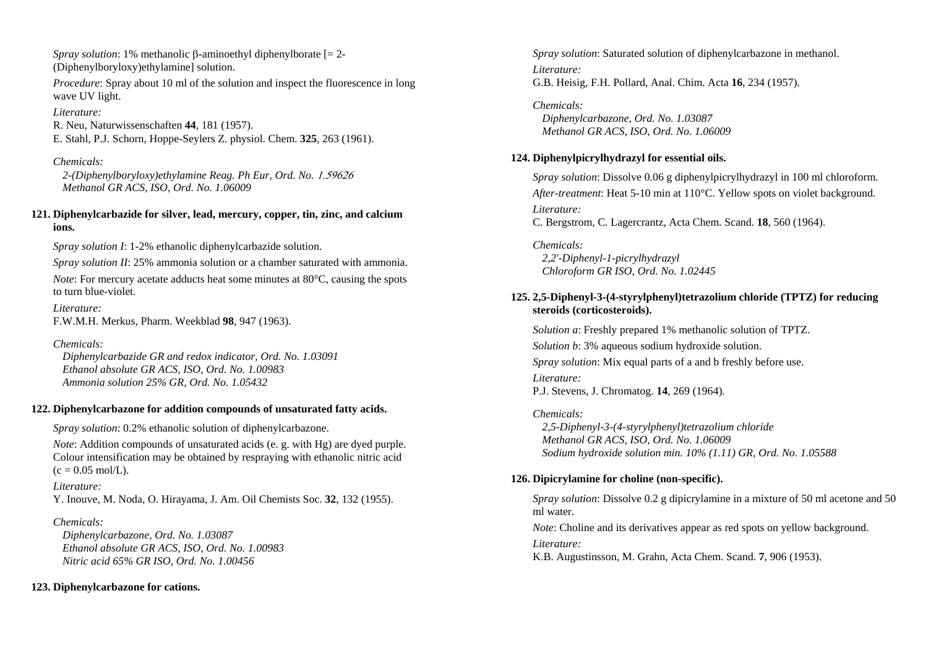*Spray solution*: 1% methanolic β-aminoethyl diphenylborate [= 2- (Diphenylboryloxy)ethylamine] solution.

*Procedure:* Spray about 10 ml of the solution and inspect the fluorescence in long wave UV light.

## *Literature:*

R. Neu, Naturwissenschaften **44**, 181 (1957). E. Stahl, P.J. Schorn, Hoppe-Seylers Z. physiol. Chem. **325**, 263 (1961).

## *Chemicals:*

 *2-(Diphenylboryloxy)ethylamine Reag. Ph Eur, Ord. No.* 1.59626  *Methanol GR ACS, ISO, Ord. No. 1.06009* 

## **121. Diphenylcarbazide for silver, lead, mercury, copper, tin, zinc, and calcium ions.**

*Spray solution I*: 1-2% ethanolic diphenylcarbazide solution.

*Spray solution II*: 25% ammonia solution or a chamber saturated with ammonia. *Note*: For mercury acetate adducts heat some minutes at 80<sup>o</sup>C, causing the spots to turn blue-violet.

*Literature:* 

F.W.M.H. Merkus, Pharm. Weekblad **98**, 947 (1963).

## *Chemicals:*

 *Diphenylcarbazide GR and redox indicator, Ord. No. 1.03091 Ethanol absolute GR ACS, ISO, Ord. No. 1.00983 Ammonia solution 25% GR, Ord. No. 1.05432* 

## **122. Diphenylcarbazone for addition compounds of unsaturated fatty acids.**

*Spray solution*: 0.2% ethanolic solution of diphenylcarbazone.

*Note*: Addition compounds of unsaturated acids (e. g. with Hg) are dyed purple. Colour intensification may be obtained by respraying with ethanolic nitric acid  $(c = 0.05 \text{ mol/L}).$ 

### *Literature:*

Y. Inouve, M. Noda, O. Hirayama, J. Am. Oil Chemists Soc. **32**, 132 (1955).

## *Chemicals:*

 *Diphenylcarbazone, Ord. No. 1.03087 Ethanol absolute GR ACS, ISO, Ord. No. 1.00983 Nitric acid 65% GR ISO, Ord. No. 1.00456* 

## **123. Diphenylcarbazone for cations.**

*Spray solution*: Saturated solution of diphenylcarbazone in methanol. *Literature:* G.B. Heisig, F.H. Pollard, Anal. Chim. Acta **16**, 234 (1957).

*Chemicals: Diphenylcarbazone, Ord. No. 1.03087 Methanol GR ACS, ISO, Ord. No. 1.06009* 

## **124. Diphenylpicrylhydrazyl for essential oils.**

*Spray solution*: Dissolve 0.06 g diphenylpicrylhydrazyl in 100 ml chloroform. *After-treatment*: Heat 5-10 min at 110°C. Yellow spots on violet background. *Literature:* C. Bergstrom, C. Lagercrantz, Acta Chem. Scand. **18**, 560 (1964).

*Chemicals: 2,2'-Diphenyl-1-picrylhydrazyl Chloroform GR ISO, Ord. No. 1.02445* 

## **125. 2,5-Diphenyl-3-(4-styrylphenyl)tetrazolium chloride (TPTZ) for reducing steroids (corticosteroids).**

*Solution a*: Freshly prepared 1% methanolic solution of TPTZ.

*Solution b*: 3% aqueous sodium hydroxide solution.

*Spray solution*: Mix equal parts of a and b freshly before use.

*Literature:* 

P.J. Stevens, J. Chromatog. **14**, 269 (1964).

## *Chemicals:*

 *2,5-Diphenyl-3-(4-styrylphenyl)tetrazolium chloride Methanol GR ACS, ISO, Ord. No. 1.06009 Sodium hydroxide solution min. 10% (1.11) GR, Ord. No. 1.05588* 

## **126. Dipicrylamine for choline (non-specific).**

*Spray solution*: Dissolve 0.2 g dipicrylamine in a mixture of 50 ml acetone and 50 ml water.

*Note*: Choline and its derivatives appear as red spots on yellow background. *Literature:* 

K.B. Augustinsson, M. Grahn, Acta Chem. Scand. **7**, 906 (1953).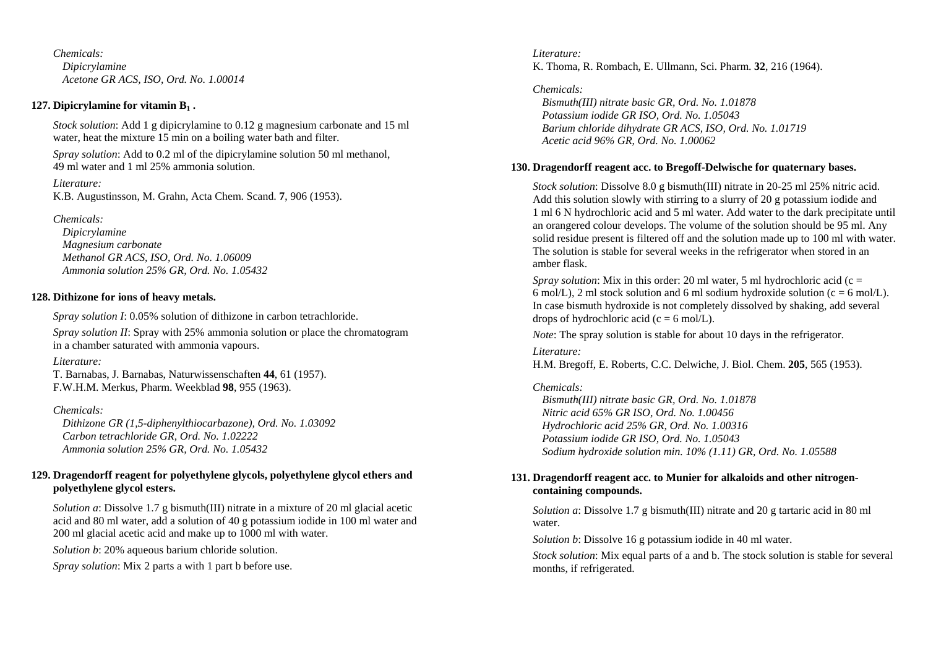*Chemicals: Dipicrylamine Acetone GR ACS, ISO, Ord. No. 1.00014* 

### **127. Dipicrylamine for vitamin B1 .**

*Stock solution*: Add 1 g dipicrylamine to 0.12 g magnesium carbonate and 15 ml water, heat the mixture 15 min on a boiling water bath and filter.

*Spray solution*: Add to 0.2 ml of the dipicrylamine solution 50 ml methanol, 49 ml water and 1 ml 25% ammonia solution.

*Literature:* K.B. Augustinsson, M. Grahn, Acta Chem. Scand. **7**, 906 (1953).

*Chemicals:* 

 *Dipicrylamine Magnesium carbonate Methanol GR ACS, ISO, Ord. No. 1.06009 Ammonia solution 25% GR, Ord. No. 1.05432* 

## **128. Dithizone for ions of heavy metals.**

*Spray solution I*: 0.05% solution of dithizone in carbon tetrachloride.

*Spray solution II*: Spray with 25% ammonia solution or place the chromatogram in a chamber saturated with ammonia vapours.

*Literature:* 

T. Barnabas, J. Barnabas, Naturwissenschaften **44**, 61 (1957). F.W.H.M. Merkus, Pharm. Weekblad **98**, 955 (1963).

## *Chemicals:*

 *Dithizone GR (1,5-diphenylthiocarbazone), Ord. No. 1.03092 Carbon tetrachloride GR, Ord. No. 1.02222 Ammonia solution 25% GR, Ord. No. 1.05432* 

## **129. Dragendorff reagent for polyethylene glycols, polyethylene glycol ethers and polyethylene glycol esters.**

*Solution a*: Dissolve 1.7 g bismuth(III) nitrate in a mixture of 20 ml glacial acetic acid and 80 ml water, add a solution of 40 g potassium iodide in 100 ml water and 200 ml glacial acetic acid and make up to 1000 ml with water.

*Solution b*: 20% aqueous barium chloride solution.

*Spray solution*: Mix 2 parts a with 1 part b before use.

*Literature:* K. Thoma, R. Rombach, E. Ullmann, Sci. Pharm. **32**, 216 (1964).

*Chemicals: Bismuth(III) nitrate basic GR, Ord. No. 1.01878 Potassium iodide GR ISO, Ord. No. 1.05043 Barium chloride dihydrate GR ACS, ISO, Ord. No. 1.01719 Acetic acid 96% GR, Ord. No. 1.00062* 

## **130. Dragendorff reagent acc. to Bregoff-Delwische for quaternary bases.**

*Stock solution*: Dissolve 8.0 g bismuth(III) nitrate in 20-25 ml 25% nitric acid. Add this solution slowly with stirring to a slurry of 20 g potassium iodide and 1 ml 6 N hydrochloric acid and 5 ml water. Add water to the dark precipitate until an orangered colour develops. The volume of the solution should be 95 ml. Any solid residue present is filtered off and the solution made up to 100 ml with water. The solution is stable for several weeks in the refrigerator when stored in an amber flask.

*Spray solution*: Mix in this order: 20 ml water, 5 ml hydrochloric acid (c = 6 mol/L), 2 ml stock solution and 6 ml sodium hydroxide solution ( $c = 6$  mol/L). In case bismuth hydroxide is not completely dissolved by shaking, add several drops of hydrochloric acid ( $c = 6$  mol/L).

*Note*: The spray solution is stable for about 10 days in the refrigerator.

*Literature:* 

H.M. Bregoff, E. Roberts, C.C. Delwiche, J. Biol. Chem. **205**, 565 (1953).

## *Chemicals:*

 *Bismuth(III) nitrate basic GR, Ord. No. 1.01878 Nitric acid 65% GR ISO, Ord. No. 1.00456 Hydrochloric acid 25% GR, Ord. No. 1.00316 Potassium iodide GR ISO, Ord. No. 1.05043 Sodium hydroxide solution min. 10% (1.11) GR, Ord. No. 1.05588* 

## **131. Dragendorff reagent acc. to Munier for alkaloids and other nitrogencontaining compounds.**

*Solution a*: Dissolve 1.7 g bismuth(III) nitrate and 20 g tartaric acid in 80 ml water.

*Solution b*: Dissolve 16 g potassium iodide in 40 ml water.

*Stock solution*: Mix equal parts of a and b. The stock solution is stable for several months, if refrigerated.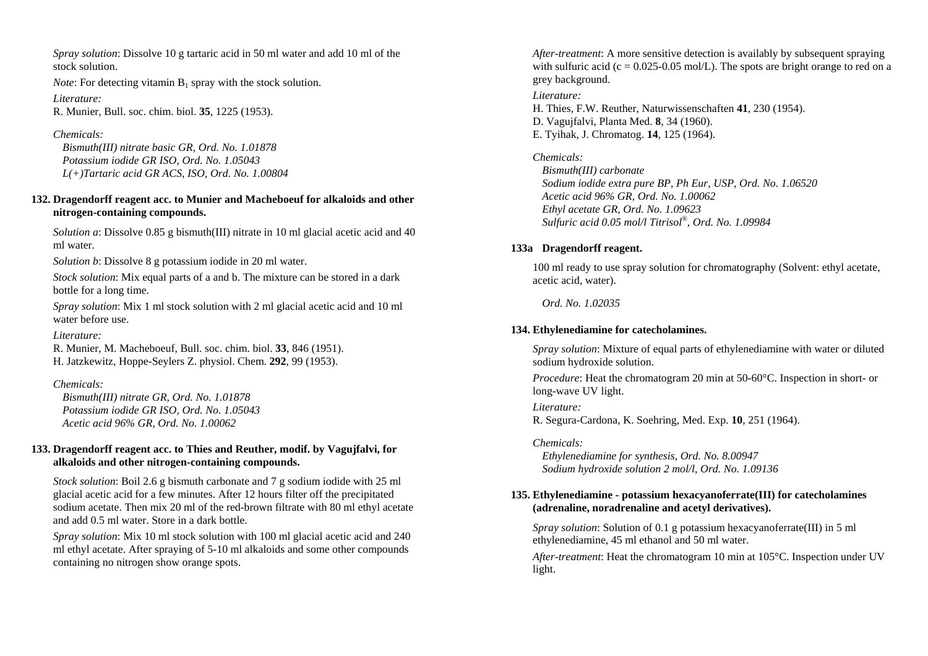*Spray solution*: Dissolve 10 g tartaric acid in 50 ml water and add 10 ml of the stock solution.

*Note*: For detecting vitamin  $B_1$  spray with the stock solution.

*Literature:* R. Munier, Bull. soc. chim. biol. **35**, 1225 (1953).

*Chemicals: Bismuth(III) nitrate basic GR, Ord. No. 1.01878 Potassium iodide GR ISO, Ord. No. 1.05043 L(+)Tartaric acid GR ACS, ISO, Ord. No. 1.00804* 

## **132. Dragendorff reagent acc. to Munier and Macheboeuf for alkaloids and other nitrogen-containing compounds.**

*Solution a*: Dissolve 0.85 g bismuth(III) nitrate in 10 ml glacial acetic acid and 40 ml water.

*Solution b*: Dissolve 8 g potassium iodide in 20 ml water.

*Stock solution*: Mix equal parts of a and b. The mixture can be stored in a dark bottle for a long time.

*Spray solution*: Mix 1 ml stock solution with 2 ml glacial acetic acid and 10 ml water before use.

*Literature:* 

R. Munier, M. Macheboeuf, Bull. soc. chim. biol. **33**, 846 (1951). H. Jatzkewitz, Hoppe-Seylers Z. physiol. Chem. **292**, 99 (1953).

*Chemicals:* 

 *Bismuth(III) nitrate GR, Ord. No. 1.01878 Potassium iodide GR ISO, Ord. No. 1.05043 Acetic acid 96% GR, Ord. No. 1.00062* 

## **133. Dragendorff reagent acc. to Thies and Reuther, modif. by Vagujfalvi, for alkaloids and other nitrogen-containing compounds.**

*Stock solution*: Boil 2.6 g bismuth carbonate and 7 g sodium iodide with 25 ml glacial acetic acid for a few minutes. After 12 hours filter off the precipitated sodium acetate. Then mix 20 ml of the red-brown filtrate with 80 ml ethyl acetate and add 0.5 ml water. Store in a dark bottle.

*Spray solution*: Mix 10 ml stock solution with 100 ml glacial acetic acid and 240 ml ethyl acetate. After spraying of 5-10 ml alkaloids and some other compounds containing no nitrogen show orange spots.

*After-treatment*: A more sensitive detection is availably by subsequent spraying with sulfuric acid (c =  $0.025$ -0.05 mol/L). The spots are bright orange to red on a grey background. *Literature:* H. Thies, F.W. Reuther, Naturwissenschaften **41**, 230 (1954). D. Vagujfalvi, Planta Med. **8**, 34 (1960).

E. Tyihak, J. Chromatog. **14**, 125 (1964).

*Chemicals:* 

 *Bismuth(III) carbonate Sodium iodide extra pure BP, Ph Eur, USP, Ord. No. 1.06520 Acetic acid 96% GR, Ord. No. 1.00062 Ethyl acetate GR, Ord. No. 1.09623 Sulfuric acid 0.05 mol/l Titrisol®, Ord. No. 1.09984* 

## **133a Dragendorff reagent.**

100 ml ready to use spray solution for chromatography (Solvent: ethyl acetate, acetic acid, water).

 *Ord. No. 1.02035* 

## **134. Ethylenediamine for catecholamines.**

*Spray solution*: Mixture of equal parts of ethylenediamine with water or diluted sodium hydroxide solution.

*Procedure*: Heat the chromatogram 20 min at 50-60 °C. Inspection in short- or long-wave UV light.

*Literature:*  R. Segura-Cardona, K. Soehring, Med. Exp. **10**, 251 (1964).

## *Chemicals:*

 *Ethylenediamine for synthesis, Ord. No. 8.00947 Sodium hydroxide solution 2 mol/l, Ord. No. 1.09136* 

## **135. Ethylenediamine - potassium hexacyanoferrate(III) for catecholamines (adrenaline, noradrenaline and acetyl derivatives).**

*Spray solution*: Solution of 0.1 g potassium hexacyanoferrate(III) in 5 ml ethylenediamine, 45 ml ethanol and 50 ml water.

*After-treatment*: Heat the chromatogram 10 min at 105°C. Inspection under UV light.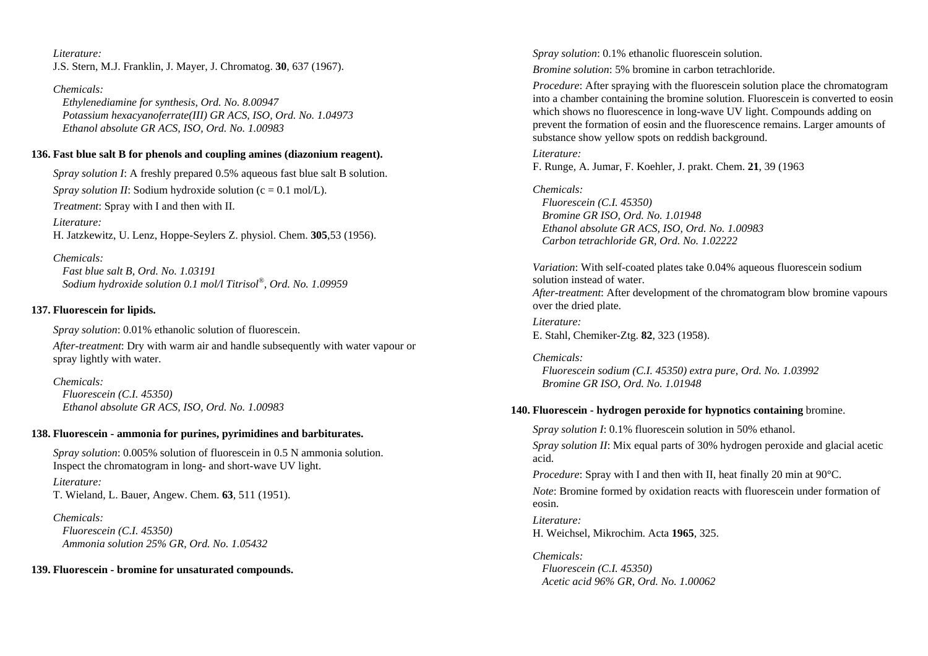*Literature:* J.S. Stern, M.J. Franklin, J. Mayer, J. Chromatog. **30**, 637 (1967).

*Chemicals: Ethylenediamine for synthesis, Ord. No. 8.00947 Potassium hexacyanoferrate(III) GR ACS, ISO, Ord. No. 1.04973 Ethanol absolute GR ACS, ISO, Ord. No. 1.00983* 

### **136. Fast blue salt B for phenols and coupling amines (diazonium reagent).**

*Spray solution I*: A freshly prepared 0.5% aqueous fast blue salt B solution. *Spray solution II:* Sodium hydroxide solution (c = 0.1 mol/L). *Treatment*: Spray with I and then with II.

*Literature:* H. Jatzkewitz, U. Lenz, Hoppe-Seylers Z. physiol. Chem. **305**,53 (1956).

*Chemicals:* 

 *Fast blue salt B, Ord. No. 1.03191 Sodium hydroxide solution 0.1 mol/l Titrisol®, Ord. No. 1.09959* 

## **137. Fluorescein for lipids.**

*Spray solution*: 0.01% ethanolic solution of fluorescein.

*After-treatment*: Dry with warm air and handle subsequently with water vapour or spray lightly with water.

*Chemicals: Fluorescein (C.I. 45350) Ethanol absolute GR ACS, ISO, Ord. No. 1.00983* 

### **138. Fluorescein - ammonia for purines, pyrimidines and barbiturates.**

*Spray solution*: 0.005% solution of fluorescein in 0.5 N ammonia solution. Inspect the chromatogram in long- and short-wave UV light.

*Literature:* T. Wieland, L. Bauer, Angew. Chem. **63**, 511 (1951).

*Chemicals: Fluorescein (C.I. 45350) Ammonia solution 25% GR, Ord. No. 1.05432* 

**139. Fluorescein - bromine for unsaturated compounds.** 

*Spray solution*: 0.1% ethanolic fluorescein solution.

*Bromine solution*: 5% bromine in carbon tetrachloride.

*Procedure*: After spraying with the fluorescein solution place the chromatogram into a chamber containing the bromine solution. Fluorescein is converted to eosin which shows no fluorescence in long-wave UV light. Compounds adding on prevent the formation of eosin and the fluorescence remains. Larger amounts of substance show yellow spots on reddish background.

### *Literature:*

F. Runge, A. Jumar, F. Koehler, J. prakt. Chem. **21**, 39 (1963

*Chemicals:* 

 *Fluorescein (C.I. 45350) Bromine GR ISO, Ord. No. 1.01948 Ethanol absolute GR ACS, ISO, Ord. No. 1.00983 Carbon tetrachloride GR, Ord. No. 1.02222* 

*Variation*: With self-coated plates take 0.04% aqueous fluorescein sodium solution instead of water. *After-treatment*: After development of the chromatogram blow bromine vapours over the dried plate.

*Literature:*  E. Stahl, Chemiker-Ztg. **82**, 323 (1958).

*Chemicals: Fluorescein sodium (C.I. 45350) extra pure, Ord. No. 1.03992 Bromine GR ISO, Ord. No. 1.01948* 

### **140. Fluorescein - hydrogen peroxide for hypnotics containing** bromine.

*Spray solution I*: 0.1% fluorescein solution in 50% ethanol. *Spray solution II*: Mix equal parts of 30% hydrogen peroxide and glacial acetic acid.

*Procedure:* Spray with I and then with II, heat finally 20 min at 90 °C.

*Note*: Bromine formed by oxidation reacts with fluorescein under formation of eosin.

*Literature:* H. Weichsel, Mikrochim. Acta **1965**, 325.

*Chemicals: Fluorescein (C.I. 45350) Acetic acid 96% GR, Ord. No. 1.00062*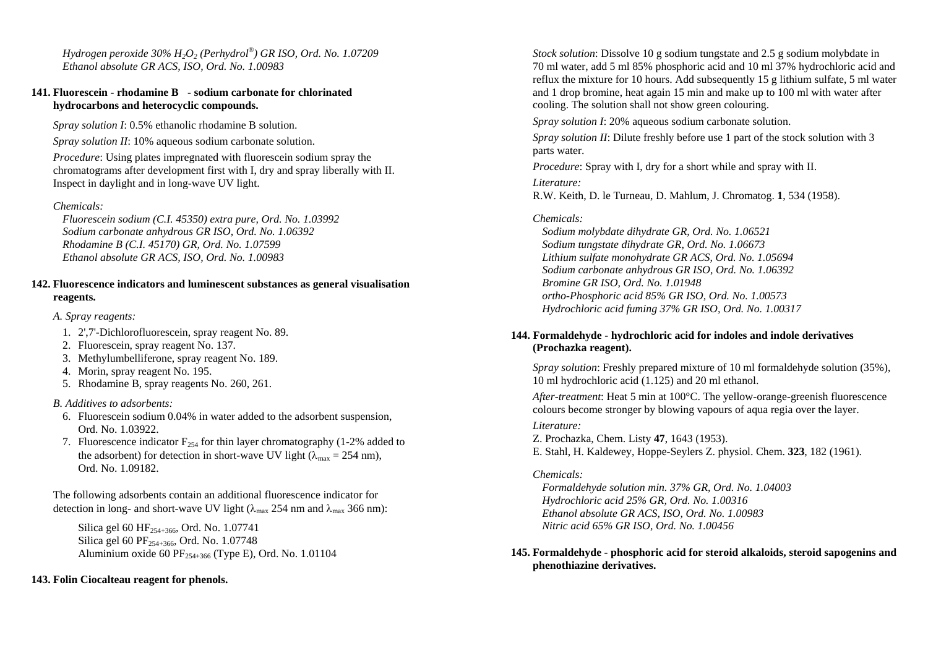*Hydrogen peroxide 30% H2O2 (Perhydrol®) GR ISO, Ord. No. 1.07209 Ethanol absolute GR ACS, ISO, Ord. No. 1.00983* 

### **141. Fluorescein - rhodamine B - sodium carbonate for chlorinated hydrocarbons and heterocyclic compounds.**

*Spray solution I*: 0.5% ethanolic rhodamine B solution.

*Spray solution II*: 10% aqueous sodium carbonate solution.

*Procedure*: Using plates impregnated with fluorescein sodium spray the chromatograms after development first with I, dry and spray liberally with II. Inspect in daylight and in long-wave UV light.

## *Chemicals:*

 *Fluorescein sodium (C.I. 45350) extra pure, Ord. No. 1.03992 Sodium carbonate anhydrous GR ISO, Ord. No. 1.06392 Rhodamine B (C.I. 45170) GR, Ord. No. 1.07599 Ethanol absolute GR ACS, ISO, Ord. No. 1.00983* 

### **142. Fluorescence indicators and luminescent substances as general visualisation reagents.**

*A. Spray reagents:* 

- 1. 2',7'-Dichlorofluorescein, spray reagent No. 89.
- 2. Fluorescein, spray reagent No. 137.
- 3. Methylumbelliferone, spray reagent No. 189.
- 4. Morin, spray reagent No. 195.
- 5. Rhodamine B, spray reagents No. 260, 261.

## *B. Additives to adsorbents:*

- 6. Fluorescein sodium 0.04% in water added to the adsorbent suspension, Ord. No. 1.03922.
- 7. Fluorescence indicator  $F_{254}$  for thin layer chromatography (1-2% added to the adsorbent) for detection in short-wave UV light ( $\lambda_{\text{max}} = 254 \text{ nm}$ ), Ord. No. 1.09182.

The following adsorbents contain an additional fluorescence indicator for detection in long- and short-wave UV light ( $\lambda_{\text{max}}$  254 nm and  $\lambda_{\text{max}}$  366 nm):

Silica gel 60 HF254+366, Ord. No. 1.07741 Silica gel 60 PF<sub>254+366</sub>, Ord. No. 1.07748 Aluminium oxide 60 PF $_{254+366}$  (Type E), Ord. No. 1.01104

## **143. Folin Ciocalteau reagent for phenols.**

*Stock solution*: Dissolve 10 g sodium tungstate and 2.5 g sodium molybdate in 70 ml water, add 5 ml 85% phosphoric acid and 10 ml 37% hydrochloric acid and reflux the mixture for 10 hours. Add subsequently 15 g lithium sulfate, 5 ml water and 1 drop bromine, heat again 15 min and make up to 100 ml with water after cooling. The solution shall not show green colouring.

*Spray solution I*: 20% aqueous sodium carbonate solution.

*Spray solution II: Dilute freshly before use 1 part of the stock solution with 3* parts water.

*Procedure*: Spray with I, dry for a short while and spray with II.

*Literature:* 

R.W. Keith, D. le Turneau, D. Mahlum, J. Chromatog. **1**, 534 (1958).

## *Chemicals:*

 *Sodium molybdate dihydrate GR, Ord. No. 1.06521 Sodium tungstate dihydrate GR, Ord. No. 1.06673 Lithium sulfate monohydrate GR ACS, Ord. No. 1.05694 Sodium carbonate anhydrous GR ISO, Ord. No. 1.06392 Bromine GR ISO, Ord. No. 1.01948 ortho-Phosphoric acid 85% GR ISO, Ord. No. 1.00573 Hydrochloric acid fuming 37% GR ISO, Ord. No. 1.00317* 

## **144. Formaldehyde - hydrochloric acid for indoles and indole derivatives (Prochazka reagent).**

*Spray solution*: Freshly prepared mixture of 10 ml formaldehyde solution (35%), 10 ml hydrochloric acid (1.125) and 20 ml ethanol.

*After-treatment*: Heat 5 min at 100°C. The yellow-orange-greenish fluorescence colours become stronger by blowing vapours of aqua regia over the layer.

## *Literature:*

Z. Prochazka, Chem. Listy **47**, 1643 (1953). E. Stahl, H. Kaldewey, Hoppe-Seylers Z. physiol. Chem. **323**, 182 (1961).

## *Chemicals:*

 *Formaldehyde solution min. 37% GR, Ord. No. 1.04003 Hydrochloric acid 25% GR, Ord. No. 1.00316 Ethanol absolute GR ACS, ISO, Ord. No. 1.00983 Nitric acid 65% GR ISO, Ord. No. 1.00456* 

## **145. Formaldehyde - phosphoric acid for steroid alkaloids, steroid sapogenins and phenothiazine derivatives.**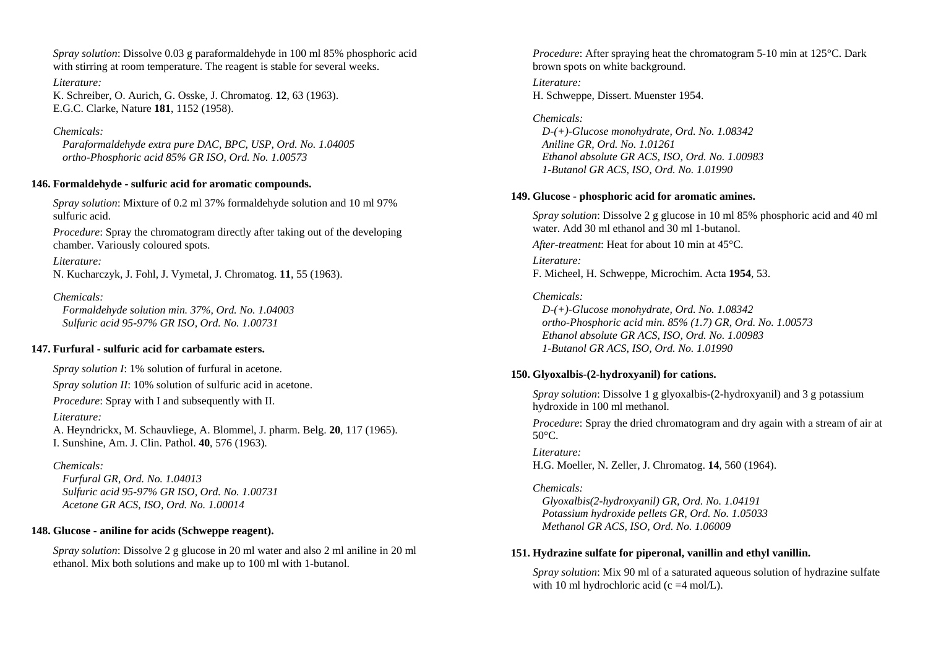*Spray solution*: Dissolve 0.03 g paraformaldehyde in 100 ml 85% phosphoric acid with stirring at room temperature. The reagent is stable for several weeks.

*Literature:*  K. Schreiber, O. Aurich, G. Osske, J. Chromatog. **12**, 63 (1963). E.G.C. Clarke, Nature **181**, 1152 (1958).

#### *Chemicals:*

 *Paraformaldehyde extra pure DAC, BPC, USP, Ord. No. 1.04005 ortho-Phosphoric acid 85% GR ISO, Ord. No. 1.00573* 

#### **146. Formaldehyde - sulfuric acid for aromatic compounds.**

*Spray solution*: Mixture of 0.2 ml 37% formaldehyde solution and 10 ml 97% sulfuric acid.

*Procedure*: Spray the chromatogram directly after taking out of the developing chamber. Variously coloured spots.

### *Literature:*

N. Kucharczyk, J. Fohl, J. Vymetal, J. Chromatog. **11**, 55 (1963).

### *Chemicals:*

 *Formaldehyde solution min. 37%, Ord. No. 1.04003 Sulfuric acid 95-97% GR ISO, Ord. No. 1.00731* 

### **147. Furfural - sulfuric acid for carbamate esters.**

*Spray solution I*: 1% solution of furfural in acetone.

*Spray solution II*: 10% solution of sulfuric acid in acetone.

*Procedure*: Spray with I and subsequently with II.

#### *Literature:*

A. Heyndrickx, M. Schauvliege, A. Blommel, J. pharm. Belg. **20**, 117 (1965). I. Sunshine, Am. J. Clin. Pathol. **40**, 576 (1963).

## *Chemicals:*

 *Furfural GR, Ord. No. 1.04013 Sulfuric acid 95-97% GR ISO, Ord. No. 1.00731 Acetone GR ACS, ISO, Ord. No. 1.00014* 

### **148. Glucose - aniline for acids (Schweppe reagent).**

*Spray solution*: Dissolve 2 g glucose in 20 ml water and also 2 ml aniline in 20 ml ethanol. Mix both solutions and make up to 100 ml with 1-butanol.

*Procedure*: After spraying heat the chromatogram 5-10 min at 125<sup>o</sup>C. Dark brown spots on white background.

*Literature:*  H. Schweppe, Dissert. Muenster 1954.

### *Chemicals: D-(+)-Glucose monohydrate, Ord. No. 1.08342 Aniline GR, Ord. No. 1.01261 Ethanol absolute GR ACS, ISO, Ord. No. 1.00983 1-Butanol GR ACS, ISO, Ord. No. 1.01990*

### **149. Glucose - phosphoric acid for aromatic amines.**

*Spray solution*: Dissolve 2 g glucose in 10 ml 85% phosphoric acid and 40 ml water. Add 30 ml ethanol and 30 ml 1-butanol.

*After-treatment*: Heat for about 10 min at 45°C.

*Literature:* F. Micheel, H. Schweppe, Microchim. Acta **1954**, 53.

## *Chemicals:*

 *D-(+)-Glucose monohydrate, Ord. No. 1.08342 ortho-Phosphoric acid min. 85% (1.7) GR, Ord. No. 1.00573 Ethanol absolute GR ACS, ISO, Ord. No. 1.00983 1-Butanol GR ACS, ISO, Ord. No. 1.01990* 

## **150. Glyoxalbis-(2-hydroxyanil) for cations.**

*Spray solution*: Dissolve 1 g glyoxalbis-(2-hydroxyanil) and 3 g potassium hydroxide in 100 ml methanol.

*Procedure*: Spray the dried chromatogram and dry again with a stream of air at  $50^{\circ}$ C.

*Literature:* H.G. Moeller, N. Zeller, J. Chromatog. **14**, 560 (1964).

### *Chemicals:*

 *Glyoxalbis(2-hydroxyanil) GR, Ord. No. 1.04191 Potassium hydroxide pellets GR, Ord. No. 1.05033 Methanol GR ACS, ISO, Ord. No. 1.06009* 

### **151. Hydrazine sulfate for piperonal, vanillin and ethyl vanillin.**

*Spray solution*: Mix 90 ml of a saturated aqueous solution of hydrazine sulfate with 10 ml hydrochloric acid (c  $=4$  mol/L).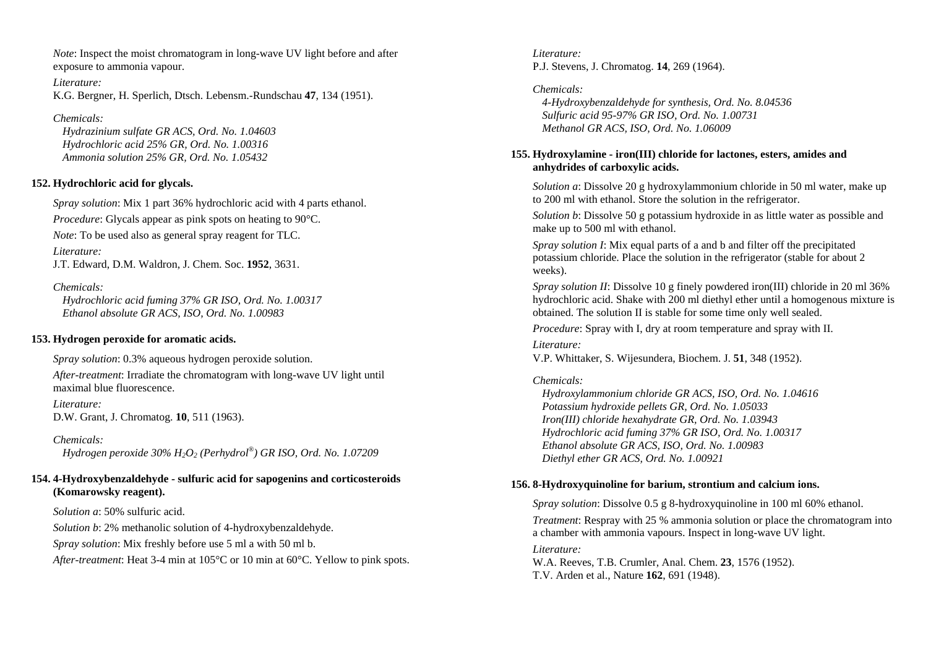*Note*: Inspect the moist chromatogram in long-wave UV light before and after exposure to ammonia vapour.

*Literature:*  K.G. Bergner, H. Sperlich, Dtsch. Lebensm.-Rundschau **47**, 134 (1951).

### *Chemicals:*

 *Hydrazinium sulfate GR ACS, Ord. No. 1.04603 Hydrochloric acid 25% GR, Ord. No. 1.00316 Ammonia solution 25% GR, Ord. No. 1.05432* 

## **152. Hydrochloric acid for glycals.**

*Spray solution*: Mix 1 part 36% hydrochloric acid with 4 parts ethanol.

*Procedure:* Glycals appear as pink spots on heating to 90<sup>o</sup>C.

*Note*: To be used also as general spray reagent for TLC.

*Literature:* J.T. Edward, D.M. Waldron, J. Chem. Soc. **1952**, 3631.

### *Chemicals:*

 *Hydrochloric acid fuming 37% GR ISO, Ord. No. 1.00317 Ethanol absolute GR ACS, ISO, Ord. No. 1.00983* 

## **153. Hydrogen peroxide for aromatic acids.**

*Spray solution*: 0.3% aqueous hydrogen peroxide solution.

*After-treatment*: Irradiate the chromatogram with long-wave UV light until maximal blue fluorescence.

*Literature:*  D.W. Grant, J. Chromatog. **10**, 511 (1963).

*Chemicals: Hydrogen peroxide 30% H2O2 (Perhydrol®) GR ISO, Ord. No. 1.07209* 

## **154. 4-Hydroxybenzaldehyde - sulfuric acid for sapogenins and corticosteroids (Komarowsky reagent).**

*Solution a*: 50% sulfuric acid.

*Solution b*: 2% methanolic solution of 4-hydroxybenzaldehyde.

*Spray solution*: Mix freshly before use 5 ml a with 50 ml b.

*After-treatment*: Heat 3-4 min at 105°C or 10 min at 60°C. Yellow to pink spots.

*Literature:* P.J. Stevens, J. Chromatog. **14**, 269 (1964).

*Chemicals: 4-Hydroxybenzaldehyde for synthesis, Ord. No. 8.04536 Sulfuric acid 95-97% GR ISO, Ord. No. 1.00731 Methanol GR ACS, ISO, Ord. No. 1.06009* 

## **155. Hydroxylamine - iron(III) chloride for lactones, esters, amides and anhydrides of carboxylic acids.**

*Solution a*: Dissolve 20 g hydroxylammonium chloride in 50 ml water, make up to 200 ml with ethanol. Store the solution in the refrigerator.

*Solution b*: Dissolve 50 g potassium hydroxide in as little water as possible and make up to 500 ml with ethanol.

*Spray solution I*: Mix equal parts of a and b and filter off the precipitated potassium chloride. Place the solution in the refrigerator (stable for about 2 weeks).

*Spray solution II*: Dissolve 10 g finely powdered iron(III) chloride in 20 ml 36% hydrochloric acid. Shake with 200 ml diethyl ether until a homogenous mixture is obtained. The solution II is stable for some time only well sealed.

*Procedure*: Spray with I, dry at room temperature and spray with II.

*Literature:* V.P. Whittaker, S. Wijesundera, Biochem. J. **51**, 348 (1952).

## *Chemicals:*

 *Hydroxylammonium chloride GR ACS, ISO, Ord. No. 1.04616 Potassium hydroxide pellets GR, Ord. No. 1.05033 Iron(III) chloride hexahydrate GR, Ord. No. 1.03943 Hydrochloric acid fuming 37% GR ISO, Ord. No. 1.00317 Ethanol absolute GR ACS, ISO, Ord. No. 1.00983 Diethyl ether GR ACS, Ord. No. 1.00921* 

## **156. 8-Hydroxyquinoline for barium, strontium and calcium ions.**

*Spray solution*: Dissolve 0.5 g 8-hydroxyquinoline in 100 ml 60% ethanol. *Treatment*: Respray with 25 % ammonia solution or place the chromatogram into a chamber with ammonia vapours. Inspect in long-wave UV light.

### *Literature:*

W.A. Reeves, T.B. Crumler, Anal. Chem. **23**, 1576 (1952). T.V. Arden et al., Nature **162**, 691 (1948).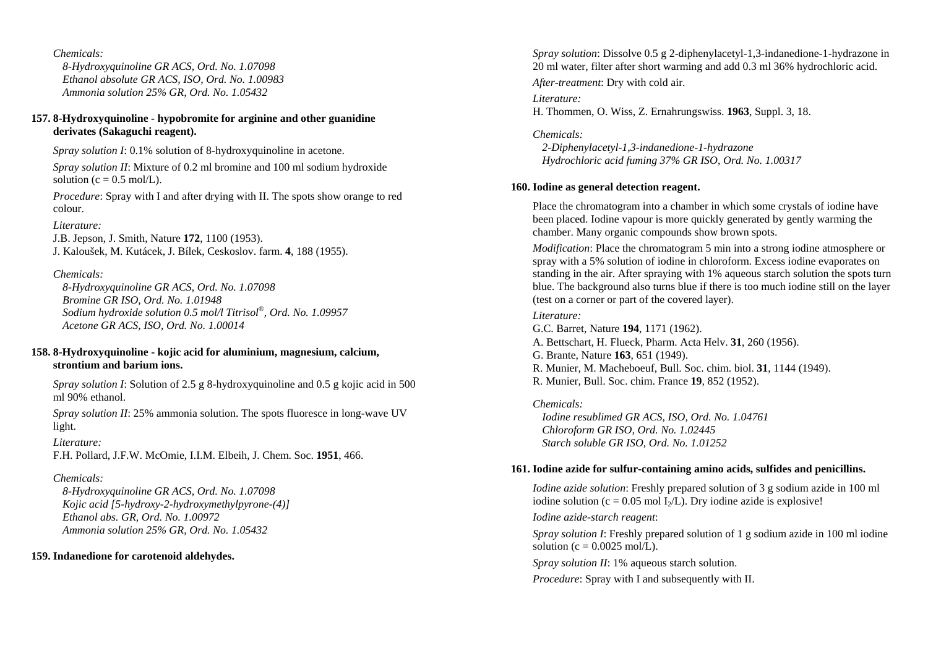*8-Hydroxyquinoline GR ACS, Ord. No. 1.07098 Ethanol absolute GR ACS, ISO, Ord. No. 1.00983 Ammonia solution 25% GR, Ord. No. 1.05432* 

### **157. 8-Hydroxyquinoline - hypobromite for arginine and other guanidine derivates (Sakaguchi reagent).**

*Spray solution I*: 0.1% solution of 8-hydroxyquinoline in acetone.

*Spray solution II*: Mixture of 0.2 ml bromine and 100 ml sodium hydroxide solution ( $c = 0.5$  mol/L).

*Procedure*: Spray with I and after drying with II. The spots show orange to red colour.

### *Literature:*

J.B. Jepson, J. Smith, Nature **172**, 1100 (1953). J. Kaloušek, M. Kutácek, J. Bílek, Ceskoslov. farm. **4**, 188 (1955).

### *Chemicals:*

 *8-Hydroxyquinoline GR ACS, Ord. No. 1.07098 Bromine GR ISO, Ord. No. 1.01948 Sodium hydroxide solution 0.5 mol/l Titrisol®, Ord. No. 1.09957 Acetone GR ACS, ISO, Ord. No. 1.00014* 

### **158. 8-Hydroxyquinoline - kojic acid for aluminium, magnesium, calcium, strontium and barium ions.**

*Spray solution I*: Solution of 2.5 g 8-hydroxyquinoline and 0.5 g kojic acid in 500 ml 90% ethanol.

*Spray solution II*: 25% ammonia solution. The spots fluoresce in long-wave UV light.

#### *Literature:*

F.H. Pollard, J.F.W. McOmie, I.I.M. Elbeih, J. Chem. Soc. **1951**, 466.

### *Chemicals:*

 *8-Hydroxyquinoline GR ACS, Ord. No. 1.07098 Kojic acid [5-hydroxy-2-hydroxymethylpyrone-(4)] Ethanol abs. GR, Ord. No. 1.00972 Ammonia solution 25% GR, Ord. No. 1.05432* 

### **159. Indanedione for carotenoid aldehydes.**

*Spray solution*: Dissolve 0.5 g 2-diphenylacetyl-1,3-indanedione-1-hydrazone in 20 ml water, filter after short warming and add 0.3 ml 36% hydrochloric acid.

*After-treatment*: Dry with cold air.

*Literature:* H. Thommen, O. Wiss, Z. Ernahrungswiss. **1963**, Suppl. 3, 18.

*Chemicals: 2-Diphenylacetyl-1,3-indanedione-1-hydrazone Hydrochloric acid fuming 37% GR ISO, Ord. No. 1.00317* 

### **160. Iodine as general detection reagent.**

Place the chromatogram into a chamber in which some crystals of iodine have been placed. Iodine vapour is more quickly generated by gently warming the chamber. Many organic compounds show brown spots.

*Modification*: Place the chromatogram 5 min into a strong iodine atmosphere or spray with a 5% solution of iodine in chloroform. Excess iodine evaporates on standing in the air. After spraying with 1% aqueous starch solution the spots turn blue. The background also turns blue if there is too much iodine still on the layer (test on a corner or part of the covered layer).

### *Literature:*

G.C. Barret, Nature **194**, 1171 (1962). A. Bettschart, H. Flueck, Pharm. Acta Helv. **31**, 260 (1956). G. Brante, Nature **163**, 651 (1949). R. Munier, M. Macheboeuf, Bull. Soc. chim. biol. **31**, 1144 (1949). R. Munier, Bull. Soc. chim. France **19**, 852 (1952).

*Chemicals: Iodine resublimed GR ACS, ISO, Ord. No. 1.04761 Chloroform GR ISO, Ord. No. 1.02445 Starch soluble GR ISO, Ord. No. 1.01252* 

### **161. Iodine azide for sulfur-containing amino acids, sulfides and penicillins.**

*Iodine azide solution*: Freshly prepared solution of 3 g sodium azide in 100 ml iodine solution (c = 0.05 mol  $I_2/L$ ). Dry iodine azide is explosive!

*Iodine azide-starch reagent*:

*Spray solution I*: Freshly prepared solution of 1 g sodium azide in 100 ml iodine solution ( $c = 0.0025$  mol/L).

*Spray solution II*: 1% aqueous starch solution.

*Procedure*: Spray with I and subsequently with II.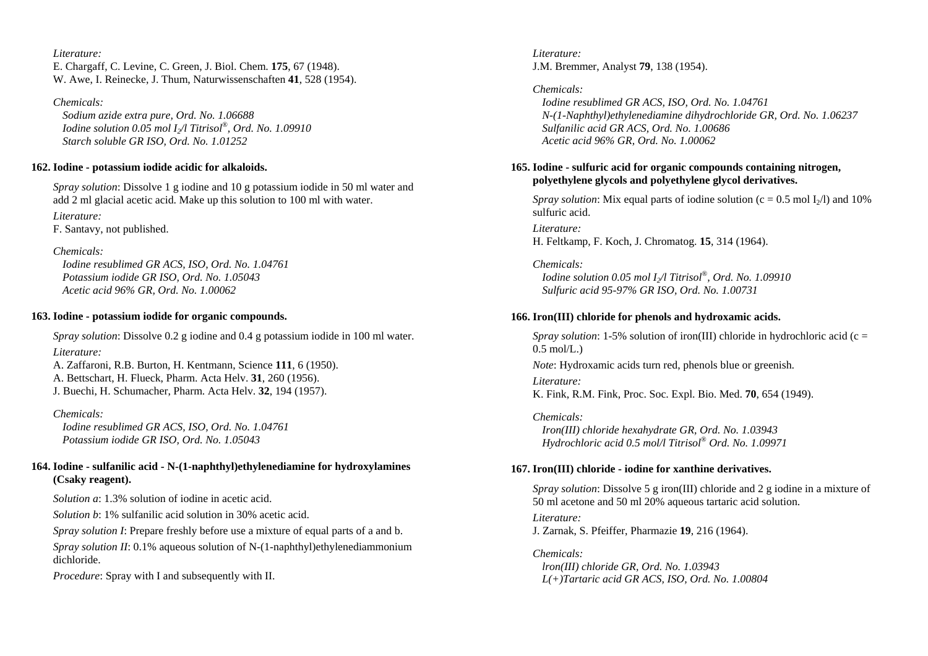*Literature:* E. Chargaff, C. Levine, C. Green, J. Biol. Chem. **175**, 67 (1948). W. Awe, I. Reinecke, J. Thum, Naturwissenschaften **41**, 528 (1954).

*Chemicals: Sodium azide extra pure, Ord. No. 1.06688 Iodine solution 0.05 mol I2/l Titrisol®, Ord. No. 1.09910 Starch soluble GR ISO, Ord. No. 1.01252* 

#### **162. Iodine - potassium iodide acidic for alkaloids.**

*Spray solution*: Dissolve 1 g iodine and 10 g potassium iodide in 50 ml water and add 2 ml glacial acetic acid. Make up this solution to 100 ml with water.

*Literature:* 

F. Santavy, not published.

#### *Chemicals:*

 *Iodine resublimed GR ACS, ISO, Ord. No. 1.04761 Potassium iodide GR ISO, Ord. No. 1.05043 Acetic acid 96% GR, Ord. No. 1.00062* 

#### **163. Iodine - potassium iodide for organic compounds.**

*Spray solution*: Dissolve 0.2 g iodine and 0.4 g potassium iodide in 100 ml water.

*Literature:* 

A. Zaffaroni, R.B. Burton, H. Kentmann, Science **111**, 6 (1950). A. Bettschart, H. Flueck, Pharm. Acta Helv. **31**, 260 (1956). J. Buechi, H. Schumacher, Pharm. Acta Helv. **32**, 194 (1957).

### *Chemicals:*

 *Iodine resublimed GR ACS, ISO, Ord. No. 1.04761 Potassium iodide GR ISO, Ord. No. 1.05043* 

## **164. Iodine - sulfanilic acid - N-(1-naphthyl)ethylenediamine for hydroxylamines (Csaky reagent).**

*Solution a*: 1.3% solution of iodine in acetic acid.

*Solution b*: 1% sulfanilic acid solution in 30% acetic acid.

*Spray solution I*: Prepare freshly before use a mixture of equal parts of a and b.

*Spray solution II*: 0.1% aqueous solution of N-(1-naphthyl)ethylenediammonium dichloride.

*Procedure*: Spray with I and subsequently with II.

*Literature:* J.M. Bremmer, Analyst **79**, 138 (1954).

*Chemicals: Iodine resublimed GR ACS, ISO, Ord. No. 1.04761 N-(1-Naphthyl)ethylenediamine dihydrochloride GR, Ord. No. 1.06237 Sulfanilic acid GR ACS, Ord. No. 1.00686 Acetic acid 96% GR, Ord. No. 1.00062* 

## **165. Iodine - sulfuric acid for organic compounds containing nitrogen, polyethylene glycols and polyethylene glycol derivatives.**

*Spray solution*: Mix equal parts of iodine solution ( $c = 0.5$  mol I<sub>2</sub>/l) and 10% sulfuric acid.

*Literature:* H. Feltkamp, F. Koch, J. Chromatog. **15**, 314 (1964).

*Chemicals: Iodine solution 0.05 mol I2/l Titrisol®, Ord. No. 1.09910 Sulfuric acid 95-97% GR ISO, Ord. No. 1.00731* 

## **166. Iron(III) chloride for phenols and hydroxamic acids.**

*Spray solution*: 1-5% solution of iron(III) chloride in hydrochloric acid (c =  $0.5 \text{ mol/L.}$ 

*Note*: Hydroxamic acids turn red, phenols blue or greenish.

*Literature:* 

K. Fink, R.M. Fink, Proc. Soc. Expl. Bio. Med. **70**, 654 (1949).

*Chemicals: Iron(III) chloride hexahydrate GR, Ord. No. 1.03943 Hydrochloric acid 0.5 mol/l Titrisol® Ord. No. 1.09971* 

## **167. Iron(III) chloride - iodine for xanthine derivatives.**

*Spray solution*: Dissolve 5 g iron(III) chloride and 2 g iodine in a mixture of 50 ml acetone and 50 ml 20% aqueous tartaric acid solution.

*Literature:* J. Zarnak, S. Pfeiffer, Pharmazie **19**, 216 (1964).

*Chemicals: lron(III) chloride GR, Ord. No. 1.03943 L(+)Tartaric acid GR ACS, ISO, Ord. No. 1.00804*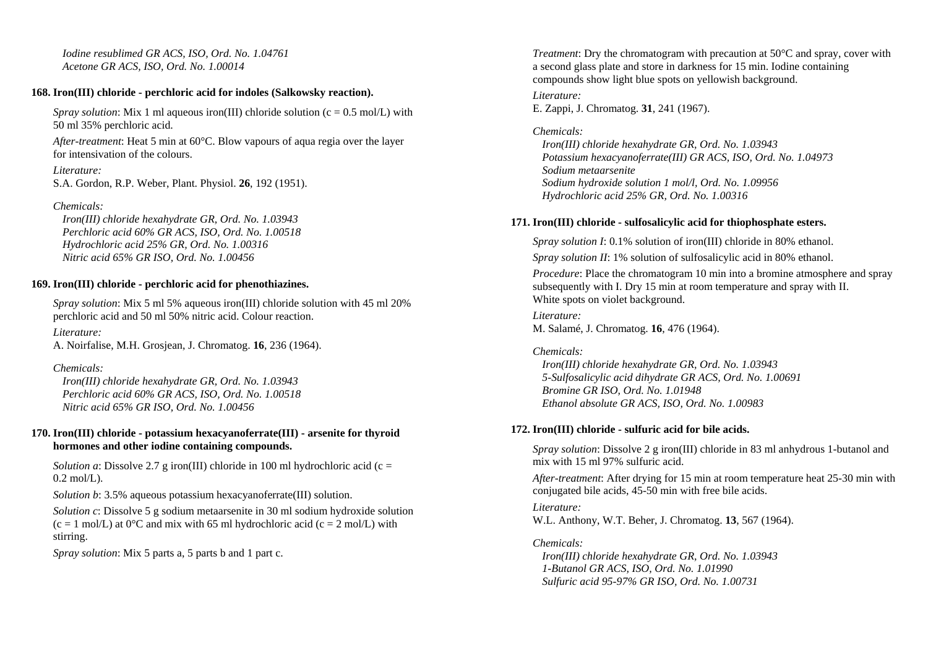*Iodine resublimed GR ACS, ISO, Ord. No. 1.04761 Acetone GR ACS, ISO, Ord. No. 1.00014* 

### **168. Iron(III) chloride - perchloric acid for indoles (Salkowsky reaction).**

*Spray solution*: Mix 1 ml aqueous iron(III) chloride solution ( $c = 0.5$  mol/L) with 50 ml 35% perchloric acid.

*After-treatment*: Heat 5 min at 60°C. Blow vapours of aqua regia over the layer for intensivation of the colours.

*Literature:* 

S.A. Gordon, R.P. Weber, Plant. Physiol. **26**, 192 (1951).

*Chemicals:* 

 *Iron(III) chloride hexahydrate GR, Ord. No. 1.03943 Perchloric acid 60% GR ACS, ISO, Ord. No. 1.00518 Hydrochloric acid 25% GR, Ord. No. 1.00316 Nitric acid 65% GR ISO, Ord. No. 1.00456* 

## **169. Iron(III) chloride - perchloric acid for phenothiazines.**

*Spray solution*: Mix 5 ml 5% aqueous iron(III) chloride solution with 45 ml 20% perchloric acid and 50 ml 50% nitric acid. Colour reaction.

*Literature:* 

A. Noirfalise, M.H. Grosjean, J. Chromatog. **16**, 236 (1964).

*Chemicals:* 

 *Iron(III) chloride hexahydrate GR, Ord. No. 1.03943 Perchloric acid 60% GR ACS, ISO, Ord. No. 1.00518 Nitric acid 65% GR ISO, Ord. No. 1.00456* 

## **170. Iron(III) chloride - potassium hexacyanoferrate(III) - arsenite for thyroid hormones and other iodine containing compounds.**

*Solution a*: Dissolve 2.7 g iron(III) chloride in 100 ml hydrochloric acid (c =  $0.2$  mol $(L)$ .

*Solution b*: 3.5% aqueous potassium hexacyanoferrate(III) solution.

*Solution c*: Dissolve 5 g sodium metaarsenite in 30 ml sodium hydroxide solution  $(c = 1 \text{ mol/L})$  at 0°C and mix with 65 ml hydrochloric acid  $(c = 2 \text{ mol/L})$  with stirring.

*Spray solution*: Mix 5 parts a, 5 parts b and 1 part c.

*Treatment*: Dry the chromatogram with precaution at 50°C and spray, cover with a second glass plate and store in darkness for 15 min. Iodine containing compounds show light blue spots on yellowish background.

*Literature:* 

E. Zappi, J. Chromatog. **31**, 241 (1967).

## *Chemicals:*

 *Iron(III) chloride hexahydrate GR, Ord. No. 1.03943 Potassium hexacyanoferrate(III) GR ACS, ISO, Ord. No. 1.04973 Sodium metaarsenite Sodium hydroxide solution 1 mol/l, Ord. No. 1.09956 Hydrochloric acid 25% GR, Ord. No. 1.00316* 

## **171. Iron(III) chloride - sulfosalicylic acid for thiophosphate esters.**

*Spray solution I*: 0.1% solution of iron(III) chloride in 80% ethanol. *Spray solution II*: 1% solution of sulfosalicylic acid in 80% ethanol. *Procedure*: Place the chromatogram 10 min into a bromine atmosphere and spray subsequently with I. Dry 15 min at room temperature and spray with II. White spots on violet background.

*Literature:* M. Salamé, J. Chromatog. **16**, 476 (1964).

## *Chemicals:*

 *Iron(III) chloride hexahydrate GR, Ord. No. 1.03943 5-Sulfosalicylic acid dihydrate GR ACS, Ord. No. 1.00691 Bromine GR ISO, Ord. No. 1.01948 Ethanol absolute GR ACS, ISO, Ord. No. 1.00983* 

## **172. Iron(III) chloride - sulfuric acid for bile acids.**

*Spray solution*: Dissolve 2 g iron(III) chloride in 83 ml anhydrous 1-butanol and mix with 15 ml 97% sulfuric acid.

*After-treatment*: After drying for 15 min at room temperature heat 25-30 min with conjugated bile acids, 45-50 min with free bile acids.

*Literature:*  W.L. Anthony, W.T. Beher, J. Chromatog. **13**, 567 (1964).

## *Chemicals:*

 *Iron(III) chloride hexahydrate GR, Ord. No. 1.03943 1-Butanol GR ACS, ISO, Ord. No. 1.01990 Sulfuric acid 95-97% GR ISO, Ord. No. 1.00731*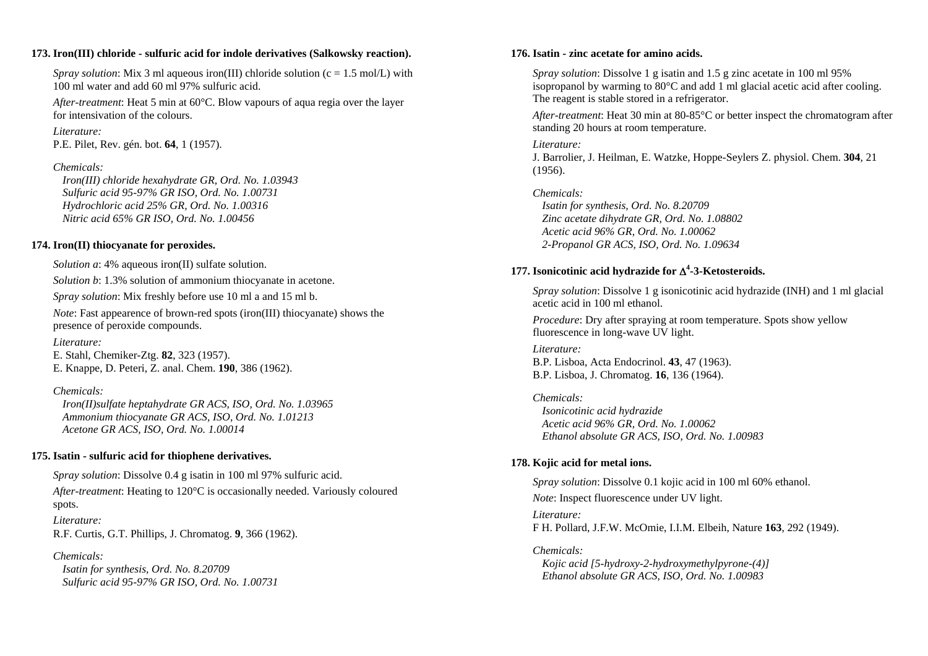#### **173. Iron(III) chloride - sulfuric acid for indole derivatives (Salkowsky reaction).**

*Spray solution*: Mix 3 ml aqueous iron(III) chloride solution ( $c = 1.5$  mol/L) with 100 ml water and add 60 ml 97% sulfuric acid.

*After-treatment*: Heat 5 min at 60°C. Blow vapours of aqua regia over the layer for intensivation of the colours.

*Literature:* 

P.E. Pilet, Rev. gén. bot. **64**, 1 (1957).

### *Chemicals:*

 *Iron(III) chloride hexahydrate GR, Ord. No. 1.03943 Sulfuric acid 95-97% GR ISO, Ord. No. 1.00731 Hydrochloric acid 25% GR, Ord. No. 1.00316 Nitric acid 65% GR ISO, Ord. No. 1.00456* 

### **174. Iron(II) thiocyanate for peroxides.**

*Solution a*: 4% aqueous iron(II) sulfate solution.

*Solution b*: 1.3% solution of ammonium thiocyanate in acetone.

*Spray solution*: Mix freshly before use 10 ml a and 15 ml b.

*Note*: Fast appearence of brown-red spots (iron(III) thiocyanate) shows the presence of peroxide compounds.

*Literature:* 

E. Stahl, Chemiker-Ztg. **82**, 323 (1957). E. Knappe, D. Peteri, Z. anal. Chem. **190**, 386 (1962).

## *Chemicals:*

 *Iron(II)sulfate heptahydrate GR ACS, ISO, Ord. No. 1.03965 Ammonium thiocyanate GR ACS, ISO, Ord. No. 1.01213 Acetone GR ACS, ISO, Ord. No. 1.00014* 

## **175. Isatin - sulfuric acid for thiophene derivatives.**

*Spray solution*: Dissolve 0.4 g isatin in 100 ml 97% sulfuric acid.

*After-treatment*: Heating to 120°C is occasionally needed. Variously coloured spots. *Literature:* 

R.F. Curtis, G.T. Phillips, J. Chromatog. **9**, 366 (1962).

*Chemicals: Isatin for synthesis, Ord. No. 8.20709 Sulfuric acid 95-97% GR ISO, Ord. No. 1.00731* 

### **176. Isatin - zinc acetate for amino acids.**

*Spray solution*: Dissolve 1 g isatin and 1.5 g zinc acetate in 100 ml 95% isopropanol by warming to 80°C and add 1 ml glacial acetic acid after cooling. The reagent is stable stored in a refrigerator.

*After-treatment*: Heat 30 min at 80-85°C or better inspect the chromatogram after standing 20 hours at room temperature.

### *Literature:*

J. Barrolier, J. Heilman, E. Watzke, Hoppe-Seylers Z. physiol. Chem. **304**, 21 (1956).

*Chemicals:* 

 *Isatin for synthesis, Ord. No. 8.20709 Zinc acetate dihydrate GR, Ord. No. 1.08802 Acetic acid 96% GR, Ord. No. 1.00062 2-Propanol GR ACS, ISO, Ord. No. 1.09634* 

## **177. Isonicotinic acid hydrazide for**  Δ**4-3-Ketosteroids.**

*Spray solution*: Dissolve 1 g isonicotinic acid hydrazide (INH) and 1 ml glacial acetic acid in 100 ml ethanol.

*Procedure*: Dry after spraying at room temperature. Spots show yellow fluorescence in long-wave UV light.

#### *Literature:*  B.P. Lisboa, Acta Endocrinol. **43**, 47 (1963). B.P. Lisboa, J. Chromatog. **16**, 136 (1964).

*Chemicals: Isonicotinic acid hydrazide Acetic acid 96% GR, Ord. No. 1.00062 Ethanol absolute GR ACS, ISO, Ord. No. 1.00983* 

## **178. Kojic acid for metal ions.**

*Spray solution*: Dissolve 0.1 kojic acid in 100 ml 60% ethanol. *Note*: Inspect fluorescence under UV light.

*Literature:*  F H. Pollard, J.F.W. McOmie, I.I.M. Elbeih, Nature **163**, 292 (1949).

*Chemicals:* 

 *Kojic acid [5-hydroxy-2-hydroxymethylpyrone-(4)] Ethanol absolute GR ACS, ISO, Ord. No. 1.00983*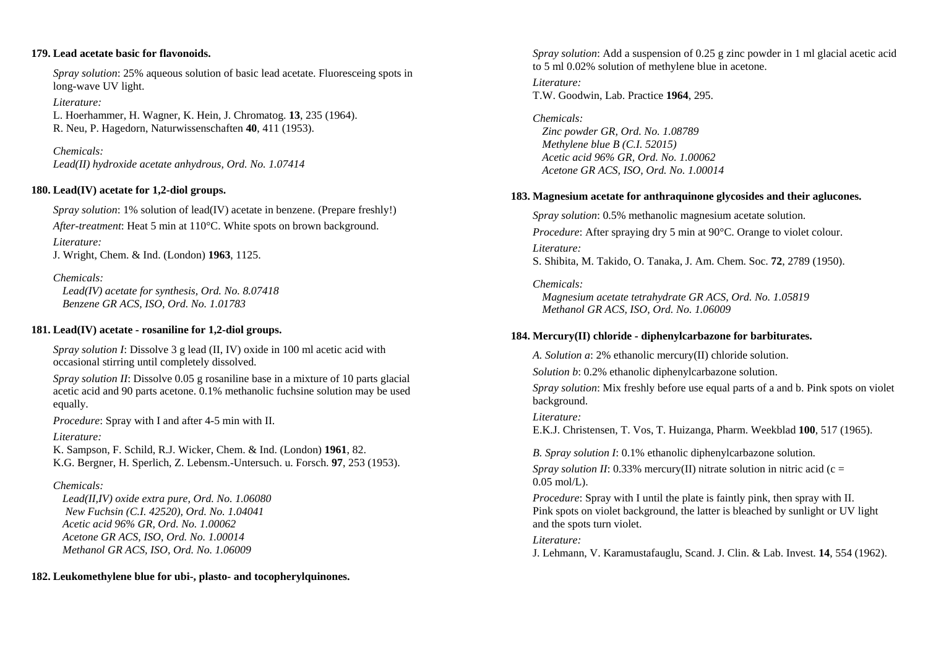### **179. Lead acetate basic for flavonoids.**

*Spray solution*: 25% aqueous solution of basic lead acetate. Fluoresceing spots in long-wave UV light.

*Literature:* 

L. Hoerhammer, H. Wagner, K. Hein, J. Chromatog. **13**, 235 (1964). R. Neu, P. Hagedorn, Naturwissenschaften **40**, 411 (1953).

*Chemicals: Lead(II) hydroxide acetate anhydrous, Ord. No. 1.07414* 

### **180. Lead(IV) acetate for 1,2-diol groups.**

*Spray solution*: 1% solution of lead(IV) acetate in benzene. (Prepare freshly!) *After-treatment*: Heat 5 min at 110°C. White spots on brown background.

*Literature:* 

J. Wright, Chem. & Ind. (London) **1963**, 1125.

*Chemicals:* 

 *Lead(IV) acetate for synthesis, Ord. No. 8.07418 Benzene GR ACS, ISO, Ord. No. 1.01783* 

### **181. Lead(IV) acetate - rosaniline for 1,2-diol groups.**

*Spray solution I*: Dissolve 3 g lead (II, IV) oxide in 100 ml acetic acid with occasional stirring until completely dissolved.

*Spray solution II*: Dissolve 0.05 g rosaniline base in a mixture of 10 parts glacial acetic acid and 90 parts acetone. 0.1% methanolic fuchsine solution may be used equally.

*Procedure*: Spray with I and after 4-5 min with II.

*Literature:* 

K. Sampson, F. Schild, R.J. Wicker, Chem. & Ind. (London) **1961**, 82. K.G. Bergner, H. Sperlich, Z. Lebensm.-Untersuch. u. Forsch. **97**, 253 (1953).

## *Chemicals:*

 *Lead(II,IV) oxide extra pure, Ord. No. 1.06080 New Fuchsin (C.I. 42520), Ord. No. 1.04041 Acetic acid 96% GR, Ord. No. 1.00062 Acetone GR ACS, ISO, Ord. No. 1.00014 Methanol GR ACS, ISO, Ord. No. 1.06009* 

**182. Leukomethylene blue for ubi-, plasto- and tocopherylquinones.** 

*Spray solution*: Add a suspension of 0.25 g zinc powder in 1 ml glacial acetic acid to 5 ml 0.02% solution of methylene blue in acetone.

*Literature:* T.W. Goodwin, Lab. Practice **1964**, 295.

*Chemicals: Zinc powder GR, Ord. No. 1.08789 Methylene blue B (C.I. 52015) Acetic acid 96% GR, Ord. No. 1.00062 Acetone GR ACS, ISO, Ord. No. 1.00014* 

## **183. Magnesium acetate for anthraquinone glycosides and their aglucones.**

*Spray solution*: 0.5% methanolic magnesium acetate solution. *Procedure*: After spraying dry 5 min at 90<sup>o</sup>C. Orange to violet colour. *Literature:*  S. Shibita, M. Takido, O. Tanaka, J. Am. Chem. Soc. **72**, 2789 (1950).

*Chemicals:* 

 *Magnesium acetate tetrahydrate GR ACS, Ord. No. 1.05819 Methanol GR ACS, ISO, Ord. No. 1.06009* 

### **184. Mercury(II) chloride - diphenylcarbazone for barbiturates.**

*A. Solution a*: 2% ethanolic mercury(II) chloride solution.

*Solution b*: 0.2% ethanolic diphenylcarbazone solution.

*Spray solution*: Mix freshly before use equal parts of a and b. Pink spots on violet background.

*Literature:* 

E.K.J. Christensen, T. Vos, T. Huizanga, Pharm. Weekblad **100**, 517 (1965).

*B. Spray solution I*: 0.1% ethanolic diphenylcarbazone solution.

*Spray solution II*: 0.33% mercury(II) nitrate solution in nitric acid (c = 0.05 mol/L).

*Procedure:* Spray with I until the plate is faintly pink, then spray with II. Pink spots on violet background, the latter is bleached by sunlight or UV light and the spots turn violet.

*Literature:* 

J. Lehmann, V. Karamustafauglu, Scand. J. Clin. & Lab. Invest. **14**, 554 (1962).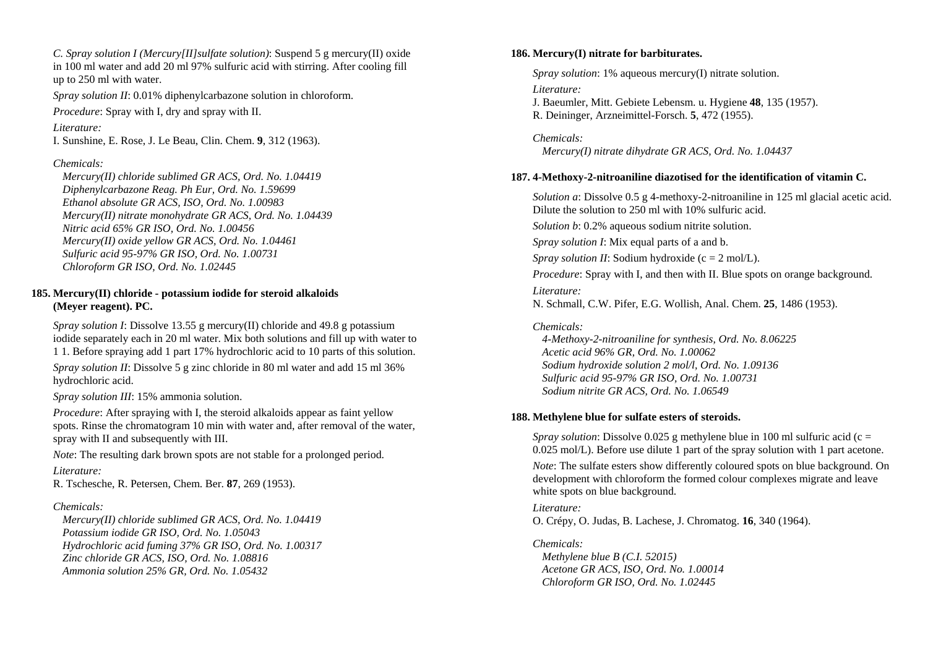*C. Spray solution I (Mercury[II]sulfate solution)*: Suspend 5 g mercury(II) oxide in 100 ml water and add 20 ml 97% sulfuric acid with stirring. After cooling fill up to 250 ml with water.

*Spray solution II*: 0.01% diphenylcarbazone solution in chloroform.

*Procedure*: Spray with I, dry and spray with II.

*Literature:* 

I. Sunshine, E. Rose, J. Le Beau, Clin. Chem. **9**, 312 (1963).

#### *Chemicals:*

 *Mercury(II) chloride sublimed GR ACS, Ord. No. 1.04419 Diphenylcarbazone Reag. Ph Eur, Ord. No. 1.59699 Ethanol absolute GR ACS, ISO, Ord. No. 1.00983 Mercury(II) nitrate monohydrate GR ACS, Ord. No. 1.04439 Nitric acid 65% GR ISO, Ord. No. 1.00456 Mercury(II) oxide yellow GR ACS, Ord. No. 1.04461 Sulfuric acid 95-97% GR ISO, Ord. No. 1.00731 Chloroform GR ISO, Ord. No. 1.02445* 

### **185. Mercury(II) chloride - potassium iodide for steroid alkaloids (Meyer reagent). PC.**

*Spray solution I*: Dissolve 13.55 g mercury(II) chloride and 49.8 g potassium iodide separately each in 20 ml water. Mix both solutions and fill up with water to 1 1. Before spraying add 1 part 17% hydrochloric acid to 10 parts of this solution.

*Spray solution II*: Dissolve 5 g zinc chloride in 80 ml water and add 15 ml 36% hydrochloric acid.

*Spray solution III*: 15% ammonia solution.

*Procedure*: After spraying with I, the steroid alkaloids appear as faint yellow spots. Rinse the chromatogram 10 min with water and, after removal of the water, spray with II and subsequently with III.

*Note*: The resulting dark brown spots are not stable for a prolonged period.

#### *Literature:*

R. Tschesche, R. Petersen, Chem. Ber. **87**, 269 (1953).

#### *Chemicals:*

 *Mercury(II) chloride sublimed GR ACS, Ord. No. 1.04419 Potassium iodide GR ISO, Ord. No. 1.05043 Hydrochloric acid fuming 37% GR ISO, Ord. No. 1.00317 Zinc chloride GR ACS, ISO, Ord. No. 1.08816 Ammonia solution 25% GR, Ord. No. 1.05432* 

#### **186. Mercury(I) nitrate for barbiturates.**

*Spray solution*: 1% aqueous mercury(I) nitrate solution.

#### *Literature:*

J. Baeumler, Mitt. Gebiete Lebensm. u. Hygiene **48**, 135 (1957). R. Deininger, Arzneimittel-Forsch. **5**, 472 (1955).

*Chemicals: Mercury(I) nitrate dihydrate GR ACS, Ord. No. 1.04437* 

#### **187. 4-Methoxy-2-nitroaniline diazotised for the identification of vitamin C.**

*Solution a*: Dissolve 0.5 g 4-methoxy-2-nitroaniline in 125 ml glacial acetic acid. Dilute the solution to 250 ml with 10% sulfuric acid.

*Solution b*: 0.2% aqueous sodium nitrite solution.

*Spray solution I*: Mix equal parts of a and b.

*Spray solution II:* Sodium hydroxide ( $c = 2$  mol/L).

*Procedure*: Spray with I, and then with II. Blue spots on orange background.

*Literature:* 

N. Schmall, C.W. Pifer, E.G. Wollish, Anal. Chem. **25**, 1486 (1953).

#### *Chemicals:*

 *4-Methoxy-2-nitroaniline for synthesis, Ord. No. 8.06225 Acetic acid 96% GR, Ord. No. 1.00062 Sodium hydroxide solution 2 mol/l, Ord. No. 1.09136 Sulfuric acid 95-97% GR ISO, Ord. No. 1.00731 Sodium nitrite GR ACS, Ord. No. 1.06549* 

#### **188. Methylene blue for sulfate esters of steroids.**

*Spray solution*: Dissolve 0.025 g methylene blue in 100 ml sulfuric acid (c = 0.025 mol/L). Before use dilute 1 part of the spray solution with 1 part acetone.

*Note*: The sulfate esters show differently coloured spots on blue background. On development with chloroform the formed colour complexes migrate and leave white spots on blue background.

#### *Literature:*

O. Crépy, O. Judas, B. Lachese, J. Chromatog. **16**, 340 (1964).

#### *Chemicals:*

 *Methylene blue B (C.I. 52015) Acetone GR ACS, ISO, Ord. No. 1.00014 Chloroform GR ISO, Ord. No. 1.02445*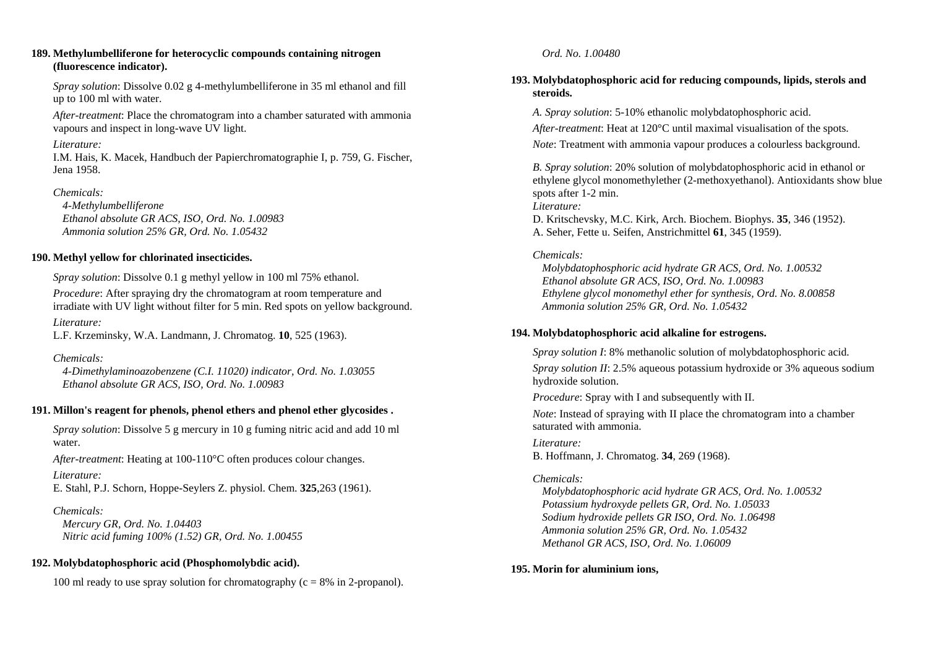#### **189. Methylumbelliferone for heterocyclic compounds containing nitrogen (fluorescence indicator).**

*Spray solution*: Dissolve 0.02 g 4-methylumbelliferone in 35 ml ethanol and fill up to 100 ml with water.

*After-treatment*: Place the chromatogram into a chamber saturated with ammonia vapours and inspect in long-wave UV light.

### *Literature:*

I.M. Hais, K. Macek, Handbuch der Papierchromatographie I, p. 759, G. Fischer, Jena 1958.

## *Chemicals:*

 *4-Methylumbelliferone Ethanol absolute GR ACS, ISO, Ord. No. 1.00983 Ammonia solution 25% GR, Ord. No. 1.05432* 

## **190. Methyl yellow for chlorinated insecticides.**

*Spray solution*: Dissolve 0.1 g methyl yellow in 100 ml 75% ethanol.

*Procedure*: After spraying dry the chromatogram at room temperature and irradiate with UV light without filter for 5 min. Red spots on yellow background.

*Literature:* 

L.F. Krzeminsky, W.A. Landmann, J. Chromatog. **10**, 525 (1963).

## *Chemicals:*

 *4-Dimethylaminoazobenzene (C.I. 11020) indicator, Ord. No. 1.03055 Ethanol absolute GR ACS, ISO, Ord. No. 1.00983* 

## **191. Millon's reagent for phenols, phenol ethers and phenol ether glycosides .**

*Spray solution*: Dissolve 5 g mercury in 10 g fuming nitric acid and add 10 ml water.

*After-treatment*: Heating at 100-110°C often produces colour changes.

## *Literature:*

E. Stahl, P.J. Schorn, Hoppe-Seylers Z. physiol. Chem. **325**,263 (1961).

## *Chemicals:*

 *Mercury GR, Ord. No. 1.04403 Nitric acid fuming 100% (1.52) GR, Ord. No. 1.00455* 

## **192. Molybdatophosphoric acid (Phosphomolybdic acid).**

100 ml ready to use spray solution for chromatography ( $c = 8\%$  in 2-propanol).

## *Ord. No. 1.00480*

## **193. Molybdatophosphoric acid for reducing compounds, lipids, sterols and steroids.**

*A. Spray solution*: 5-10% ethanolic molybdatophosphoric acid.

*After-treatment*: Heat at 120°C until maximal visualisation of the spots.

*Note*: Treatment with ammonia vapour produces a colourless background.

*B. Spray solution*: 20% solution of molybdatophosphoric acid in ethanol or ethylene glycol monomethylether (2-methoxyethanol). Antioxidants show blue spots after 1-2 min.

*Literature:* 

D. Kritschevsky, M.C. Kirk, Arch. Biochem. Biophys. **35**, 346 (1952). A. Seher, Fette u. Seifen, Anstrichmittel **61**, 345 (1959).

## *Chemicals:*

 *Molybdatophosphoric acid hydrate GR ACS, Ord. No. 1.00532 Ethanol absolute GR ACS, ISO, Ord. No. 1.00983 Ethylene glycol monomethyl ether for synthesis, Ord. No. 8.00858 Ammonia solution 25% GR, Ord. No. 1.05432* 

## **194. Molybdatophosphoric acid alkaline for estrogens.**

*Spray solution I*: 8% methanolic solution of molybdatophosphoric acid.

*Spray solution II*: 2.5% aqueous potassium hydroxide or 3% aqueous sodium hydroxide solution.

*Procedure*: Spray with I and subsequently with II.

*Note*: Instead of spraying with II place the chromatogram into a chamber saturated with ammonia.

## *Literature:*

B. Hoffmann, J. Chromatog. **34**, 269 (1968).

## *Chemicals:*

 *Molybdatophosphoric acid hydrate GR ACS, Ord. No. 1.00532 Potassium hydroxyde pellets GR, Ord. No. 1.05033 Sodium hydroxide pellets GR ISO, Ord. No. 1.06498 Ammonia solution 25% GR, Ord. No. 1.05432 Methanol GR ACS, ISO, Ord. No. 1.06009* 

## **195. Morin for aluminium ions,**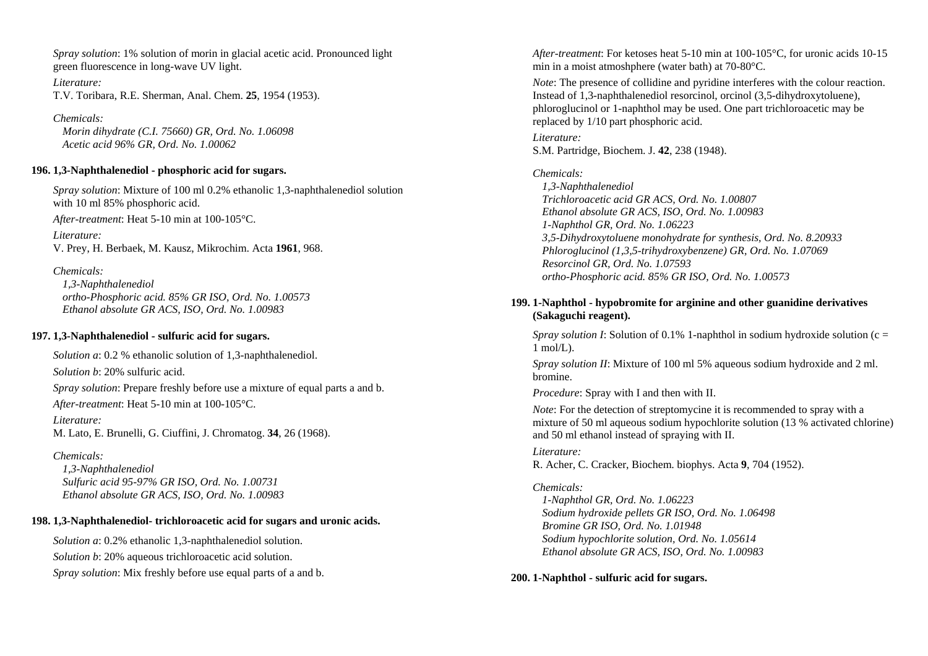*Spray solution*: 1% solution of morin in glacial acetic acid. Pronounced light green fluorescence in long-wave UV light.

*Literature:*  T.V. Toribara, R.E. Sherman, Anal. Chem. **25**, 1954 (1953).

*Chemicals: Morin dihydrate (C.I. 75660) GR, Ord. No. 1.06098 Acetic acid 96% GR, Ord. No. 1.00062* 

#### **196. 1,3-Naphthalenediol - phosphoric acid for sugars.**

*Spray solution*: Mixture of 100 ml 0.2% ethanolic 1,3-naphthalenediol solution with 10 ml 85% phosphoric acid.

*After-treatment*: Heat 5-10 min at 100-105°C.

*Literature:* V. Prey, H. Berbaek, M. Kausz, Mikrochim. Acta **1961**, 968.

*Chemicals: 1,3-Naphthalenediol ortho-Phosphoric acid. 85% GR ISO, Ord. No. 1.00573 Ethanol absolute GR ACS, ISO, Ord. No. 1.00983* 

#### **197. 1,3-Naphthalenediol - sulfuric acid for sugars.**

*Solution a*: 0.2 % ethanolic solution of 1,3-naphthalenediol. *Solution b*: 20% sulfuric acid.

*Spray solution*: Prepare freshly before use a mixture of equal parts a and b.

*After-treatment*: Heat 5-10 min at 100-105°C.

*Literature:*  M. Lato, E. Brunelli, G. Ciuffini, J. Chromatog. **34**, 26 (1968).

#### *Chemicals:*

 *1,3-Naphthalenediol Sulfuric acid 95-97% GR ISO, Ord. No. 1.00731 Ethanol absolute GR ACS, ISO, Ord. No. 1.00983* 

#### **198. 1,3-Naphthalenediol- trichloroacetic acid for sugars and uronic acids.**

*Solution a*: 0.2% ethanolic 1,3-naphthalenediol solution. *Solution b*: 20% aqueous trichloroacetic acid solution. *Spray solution*: Mix freshly before use equal parts of a and b. *After-treatment*: For ketoses heat 5-10 min at 100-105°C, for uronic acids 10-15 min in a moist atmoshphere (water bath) at 70-80°C.

*Note*: The presence of collidine and pyridine interferes with the colour reaction. Instead of 1,3-naphthalenediol resorcinol, orcinol (3,5-dihydroxytoluene), phloroglucinol or 1-naphthol may be used. One part trichloroacetic may be replaced by 1/10 part phosphoric acid.

*Literature:* S.M. Partridge, Biochem. J. **42**, 238 (1948).

#### *Chemicals:*

 *1,3-Naphthalenediol Trichloroacetic acid GR ACS, Ord. No. 1.00807 Ethanol absolute GR ACS, ISO, Ord. No. 1.00983 1-Naphthol GR, Ord. No. 1.06223 3,5-Dihydroxytoluene monohydrate for synthesis, Ord. No. 8.20933 Phloroglucinol (1,3,5-trihydroxybenzene) GR, Ord. No. 1.07069 Resorcinol GR, Ord. No. 1.07593 ortho-Phosphoric acid. 85% GR ISO, Ord. No. 1.00573* 

### **199. 1-Naphthol - hypobromite for arginine and other guanidine derivatives (Sakaguchi reagent).**

*Spray solution I*: Solution of 0.1% 1-naphthol in sodium hydroxide solution ( $c =$  $1 \text{ mol/L}$ .

*Spray solution II*: Mixture of 100 ml 5% aqueous sodium hydroxide and 2 ml. bromine.

*Procedure*: Spray with I and then with II.

*Note*: For the detection of streptomycine it is recommended to spray with a mixture of 50 ml aqueous sodium hypochlorite solution (13 % activated chlorine) and 50 ml ethanol instead of spraying with II.

#### *Literature:*

R. Acher, C. Cracker, Biochem. biophys. Acta **9**, 704 (1952).

### *Chemicals:*

 *1-Naphthol GR, Ord. No. 1.06223 Sodium hydroxide pellets GR ISO, Ord. No. 1.06498 Bromine GR ISO, Ord. No. 1.01948 Sodium hypochlorite solution, Ord. No. 1.05614 Ethanol absolute GR ACS, ISO, Ord. No. 1.00983* 

#### **200. 1-Naphthol - sulfuric acid for sugars.**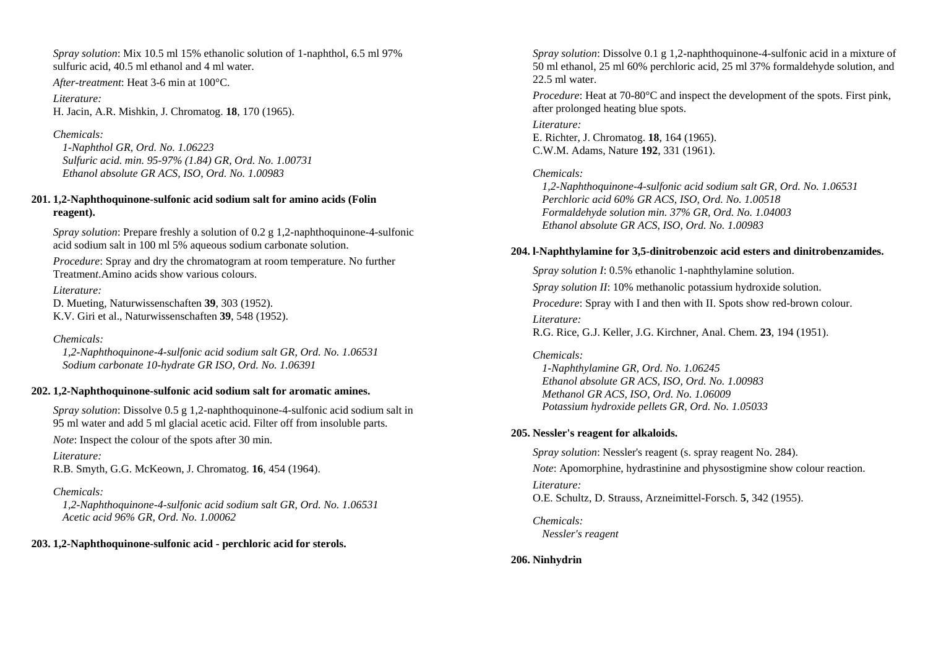*Spray solution*: Mix 10.5 ml 15% ethanolic solution of 1-naphthol, 6.5 ml 97% sulfuric acid, 40.5 ml ethanol and 4 ml water.

*After-treatment*: Heat 3-6 min at 100°C.

*Literature:* H. Jacin, A.R. Mishkin, J. Chromatog. **18**, 170 (1965).

*Chemicals:* 

 *1-Naphthol GR, Ord. No. 1.06223 Sulfuric acid. min. 95-97% (1.84) GR, Ord. No. 1.00731 Ethanol absolute GR ACS, ISO, Ord. No. 1.00983* 

## **201. 1,2-Naphthoquinone-sulfonic acid sodium salt for amino acids (Folin reagent).**

*Spray solution*: Prepare freshly a solution of 0.2 g 1.2-naphthoquinone-4-sulfonic acid sodium salt in 100 ml 5% aqueous sodium carbonate solution.

*Procedure*: Spray and dry the chromatogram at room temperature. No further Treatmen*t*.Amino acids show various colours.

## *Literature:*

D. Mueting, Naturwissenschaften **39**, 303 (1952). K.V. Giri et al., Naturwissenschaften **39**, 548 (1952).

## *Chemicals:*

 *1,2-Naphthoquinone-4-sulfonic acid sodium salt GR, Ord. No. 1.06531 Sodium carbonate 10-hydrate GR ISO, Ord. No. 1.06391* 

## **202. 1,2-Naphthoquinone-sulfonic acid sodium salt for aromatic amines.**

*Spray solution*: Dissolve 0.5 g 1,2-naphthoquinone-4-sulfonic acid sodium salt in 95 ml water and add 5 ml glacial acetic acid. Filter off from insoluble parts.

*Note*: Inspect the colour of the spots after 30 min.

*Literature:*  R.B. Smyth, G.G. McKeown, J. Chromatog. **16**, 454 (1964).

## *Chemicals:*

 *1,2-Naphthoquinone-4-sulfonic acid sodium salt GR, Ord. No. 1.06531 Acetic acid 96% GR, Ord. No. 1.00062* 

## **203. 1,2-Naphthoquinone-sulfonic acid - perchloric acid for sterols.**

*Spray solution*: Dissolve 0.1 g 1,2-naphthoquinone-4-sulfonic acid in a mixture of 50 ml ethanol, 25 ml 60% perchloric acid, 25 ml 37% formaldehyde solution, and 22.5 ml water.

*Procedure*: Heat at 70-80°C and inspect the development of the spots. First pink, after prolonged heating blue spots.

### *Literature:*

E. Richter, J. Chromatog. **18**, 164 (1965). C.W.M. Adams, Nature **192**, 331 (1961).

*Chemicals:* 

 *1,2-Naphthoquinone-4-sulfonic acid sodium salt GR, Ord. No. 1.06531 Perchloric acid 60% GR ACS, ISO, Ord. No. 1.00518 Formaldehyde solution min. 37% GR, Ord. No. 1.04003 Ethanol absolute GR ACS, ISO, Ord. No. 1.00983* 

## **204. l-Naphthylamine for 3,5-dinitrobenzoic acid esters and dinitrobenzamides.**

*Spray solution I*: 0.5% ethanolic 1-naphthylamine solution. *Spray solution II*: 10% methanolic potassium hydroxide solution. *Procedure*: Spray with I and then with II. Spots show red-brown colour. *Literature:* R.G. Rice, G.J. Keller, J.G. Kirchner, Anal. Chem. **23**, 194 (1951).

## *Chemicals:*

 *1-Naphthylamine GR, Ord. No. 1.06245 Ethanol absolute GR ACS, ISO, Ord. No. 1.00983 Methanol GR ACS, ISO, Ord. No. 1.06009 Potassium hydroxide pellets GR, Ord. No. 1.05033* 

## **205. Nessler's reagent for alkaloids.**

*Spray solution*: Nessler's reagent (s. spray reagent No. 284). *Note*: Apomorphine, hydrastinine and physostigmine show colour reaction. *Literature:* 

O.E. Schultz, D. Strauss, Arzneimittel-Forsch. **5**, 342 (1955).

*Chemicals: Nessler's reagent* 

## **206. Ninhydrin**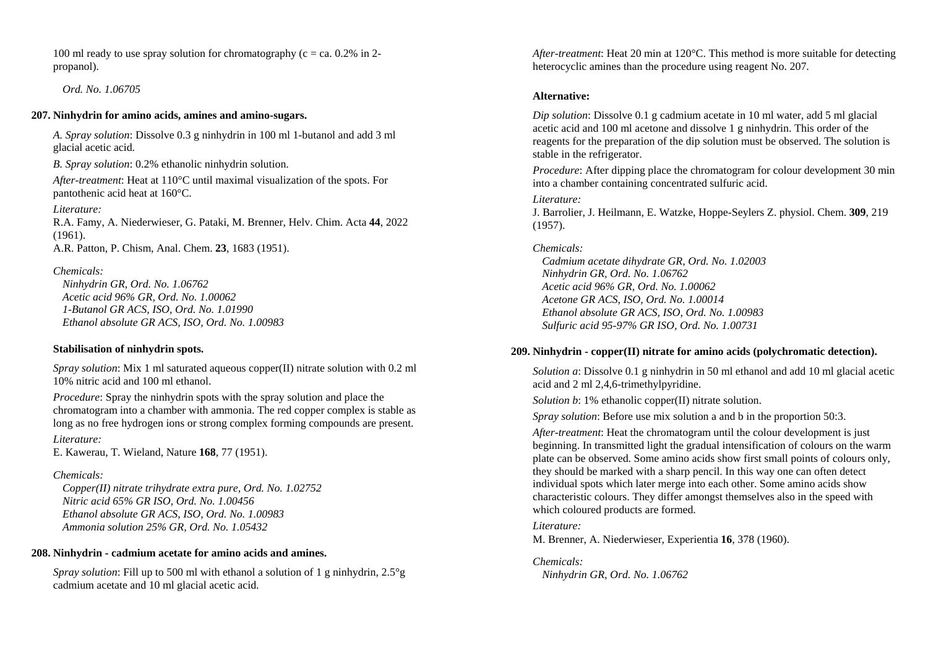100 ml ready to use spray solution for chromatography ( $c = ca$ , 0.2% in 2propanol).

 *Ord. No. 1.06705* 

### **207. Ninhydrin for amino acids, amines and amino-sugars.**

*A. Spray solution*: Dissolve 0.3 g ninhydrin in 100 ml 1-butanol and add 3 ml glacial acetic acid.

*B. Spray solution*: 0.2% ethanolic ninhydrin solution.

*After-treatment*: Heat at 110°C until maximal visualization of the spots. For pantothenic acid heat at 160°C.

*Literature:* R.A. Famy, A. Niederwieser, G. Pataki, M. Brenner, Helv. Chim. Acta **44**, 2022 (1961).

A.R. Patton, P. Chism, Anal. Chem. **23**, 1683 (1951).

*Chemicals:* 

 *Ninhydrin GR, Ord. No. 1.06762 Acetic acid 96% GR, Ord. No. 1.00062 1-Butanol GR ACS, ISO, Ord. No. 1.01990 Ethanol absolute GR ACS, ISO, Ord. No. 1.00983* 

### **Stabilisation of ninhydrin spots.**

*Spray solution*: Mix 1 ml saturated aqueous copper(II) nitrate solution with 0.2 ml 10% nitric acid and 100 ml ethanol.

*Procedure*: Spray the ninhydrin spots with the spray solution and place the chromatogram into a chamber with ammonia. The red copper complex is stable as long as no free hydrogen ions or strong complex forming compounds are present.

*Literature:* E. Kawerau, T. Wieland, Nature **168**, 77 (1951).

## *Chemicals:*

 *Copper(II) nitrate trihydrate extra pure, Ord. No. 1.02752 Nitric acid 65% GR ISO, Ord. No. 1.00456 Ethanol absolute GR ACS, ISO, Ord. No. 1.00983 Ammonia solution 25% GR, Ord. No. 1.05432* 

## **208. Ninhydrin - cadmium acetate for amino acids and amines.**

*Spray solution*: Fill up to 500 ml with ethanol a solution of 1 g ninhydrin, 2.5°g cadmium acetate and 10 ml glacial acetic acid.

*After-treatment*: Heat 20 min at 120°C. This method is more suitable for detecting heterocyclic amines than the procedure using reagent No. 207.

### **Alternative:**

*Dip solution*: Dissolve 0.1 g cadmium acetate in 10 ml water, add 5 ml glacial acetic acid and 100 ml acetone and dissolve 1 g ninhydrin. This order of the reagents for the preparation of the dip solution must be observed. The solution is stable in the refrigerator.

*Procedure*: After dipping place the chromatogram for colour development 30 min into a chamber containing concentrated sulfuric acid.

## *Literature:*

J. Barrolier, J. Heilmann, E. Watzke, Hoppe-Seylers Z. physiol. Chem. **309**, 219 (1957).

## *Chemicals:*

 *Cadmium acetate dihydrate GR, Ord. No. 1.02003 Ninhydrin GR, Ord. No. 1.06762 Acetic acid 96% GR, Ord. No. 1.00062 Acetone GR ACS, ISO, Ord. No. 1.00014 Ethanol absolute GR ACS, ISO, Ord. No. 1.00983 Sulfuric acid 95-97% GR ISO, Ord. No. 1.00731* 

## **209. Ninhydrin - copper(II) nitrate for amino acids (polychromatic detection).**

*Solution a*: Dissolve 0.1 g ninhydrin in 50 ml ethanol and add 10 ml glacial acetic acid and 2 ml 2,4,6-trimethylpyridine.

*Solution b*: 1% ethanolic copper(II) nitrate solution.

*Spray solution*: Before use mix solution a and b in the proportion 50:3.

*After-treatment*: Heat the chromatogram until the colour development is just beginning. In transmitted light the gradual intensification of colours on the warm plate can be observed. Some amino acids show first small points of colours only, they should be marked with a sharp pencil. In this way one can often detect individual spots which later merge into each other. Some amino acids show characteristic colours. They differ amongst themselves also in the speed with which coloured products are formed.

## *Literature:*

M. Brenner, A. Niederwieser, Experientia **16**, 378 (1960).

*Chemicals: Ninhydrin GR, Ord. No. 1.06762*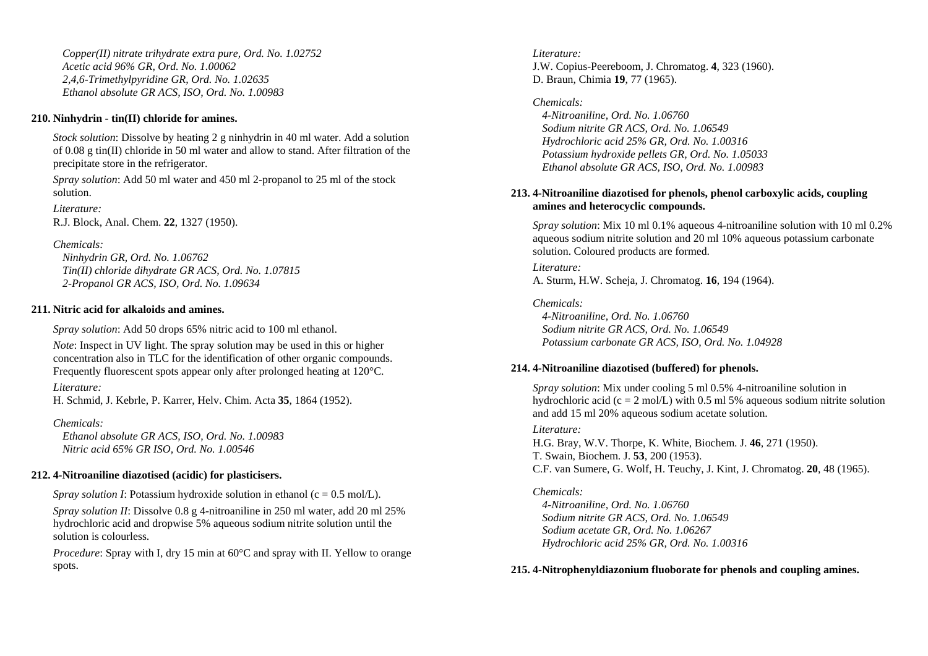*Copper(II) nitrate trihydrate extra pure, Ord. No. 1.02752 Acetic acid 96% GR, Ord. No. 1.00062 2,4,6-Trimethylpyridine GR, Ord. No. 1.02635 Ethanol absolute GR ACS, ISO, Ord. No. 1.00983* 

### **210. Ninhydrin - tin(II) chloride for amines.**

*Stock solution*: Dissolve by heating 2 g ninhydrin in 40 ml water. Add a solution of 0.08 g tin(II) chloride in 50 ml water and allow to stand. After filtration of the precipitate store in the refrigerator.

*Spray solution*: Add 50 ml water and 450 ml 2-propanol to 25 ml of the stock solution.

*Literature:* 

R.J. Block, Anal. Chem. **22**, 1327 (1950).

### *Chemicals:*

 *Ninhydrin GR, Ord. No. 1.06762 Tin(II) chloride dihydrate GR ACS, Ord. No. 1.07815 2-Propanol GR ACS, ISO, Ord. No. 1.09634* 

### **211. Nitric acid for alkaloids and amines.**

*Spray solution*: Add 50 drops 65% nitric acid to 100 ml ethanol.

*Note*: Inspect in UV light. The spray solution may be used in this or higher concentration also in TLC for the identification of other organic compounds. Frequently fluorescent spots appear only after prolonged heating at 120°C.

### *Literature:*

H. Schmid, J. Kebrle, P. Karrer, Helv. Chim. Acta **35**, 1864 (1952).

### *Chemicals:*

 *Ethanol absolute GR ACS, ISO, Ord. No. 1.00983 Nitric acid 65% GR ISO, Ord. No. 1.00546* 

## **212. 4-Nitroaniline diazotised (acidic) for plasticisers.**

*Spray solution I*: Potassium hydroxide solution in ethanol ( $c = 0.5$  mol/L).

*Spray solution II*: Dissolve 0.8 g 4-nitroaniline in 250 ml water, add 20 ml 25% hydrochloric acid and dropwise 5% aqueous sodium nitrite solution until the solution is colourless.

*Procedure*: Spray with I, dry 15 min at 60<sup>o</sup>C and spray with II. Yellow to orange spots.

## *Literature:* J.W. Copius-Peereboom, J. Chromatog. **4**, 323 (1960). D. Braun, Chimia **19**, 77 (1965).

## *Chemicals:*

 *4-Nitroaniline, Ord. No. 1.06760 Sodium nitrite GR ACS, Ord. No. 1.06549 Hydrochloric acid 25% GR, Ord. No. 1.00316 Potassium hydroxide pellets GR, Ord. No. 1.05033 Ethanol absolute GR ACS, ISO, Ord. No. 1.00983* 

### **213. 4-Nitroaniline diazotised for phenols, phenol carboxylic acids, coupling amines and heterocyclic compounds.**

*Spray solution*: Mix 10 ml 0.1% aqueous 4-nitroaniline solution with 10 ml 0.2% aqueous sodium nitrite solution and 20 ml 10% aqueous potassium carbonate solution. Coloured products are formed.

### *Literature:*

A. Sturm, H.W. Scheja, J. Chromatog. **16**, 194 (1964).

## *Chemicals:*

 *4-Nitroaniline, Ord. No. 1.06760 Sodium nitrite GR ACS, Ord. No. 1.06549 Potassium carbonate GR ACS, ISO, Ord. No. 1.04928* 

### **214. 4-Nitroaniline diazotised (buffered) for phenols.**

*Spray solution*: Mix under cooling 5 ml 0.5% 4-nitroaniline solution in hydrochloric acid (c = 2 mol/L) with 0.5 ml 5% aqueous sodium nitrite solution and add 15 ml 20% aqueous sodium acetate solution.

### *Literature:*

H.G. Bray, W.V. Thorpe, K. White, Biochem. J. **46**, 271 (1950). T. Swain, Biochem. J. **53**, 200 (1953). C.F. van Sumere, G. Wolf, H. Teuchy, J. Kint, J. Chromatog. **20**, 48 (1965).

## *Chemicals:*

 *4-Nitroaniline, Ord. No. 1.06760 Sodium nitrite GR ACS, Ord. No. 1.06549 Sodium acetate GR, Ord. No. 1.06267 Hydrochloric acid 25% GR, Ord. No. 1.00316* 

## **215. 4-Nitrophenyldiazonium fluoborate for phenols and coupling amines.**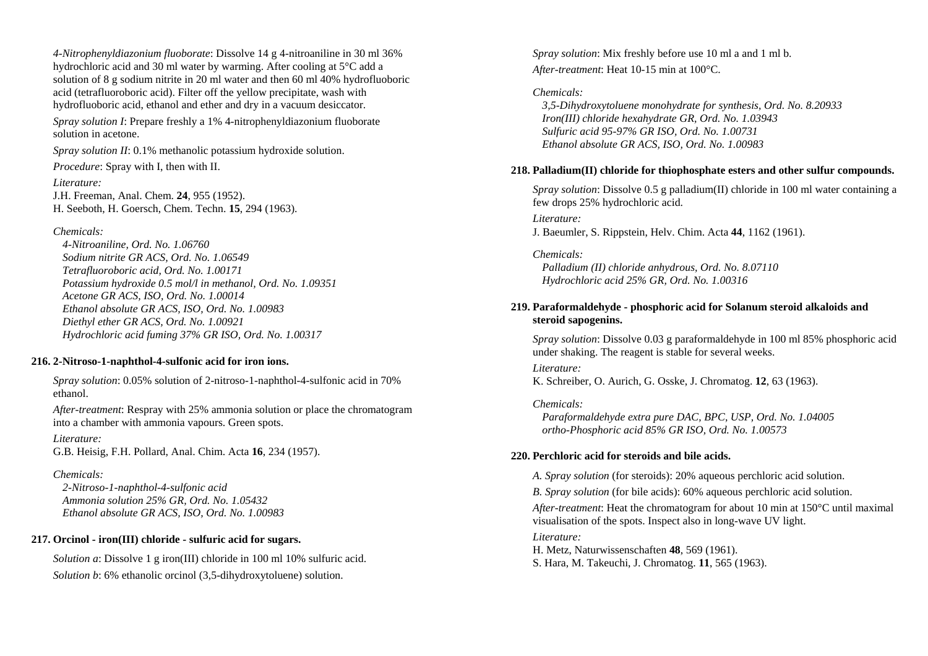*4-Nitrophenyldiazonium fluoborate*: Dissolve 14 g 4-nitroaniline in 30 ml 36% hydrochloric acid and 30 ml water by warming. After cooling at 5°C add a solution of 8 g sodium nitrite in 20 ml water and then 60 ml 40% hydrofluoboric acid (tetrafluoroboric acid). Filter off the yellow precipitate, wash with hydrofluoboric acid, ethanol and ether and dry in a vacuum desiccator.

*Spray solution I*: Prepare freshly a 1% 4-nitrophenyldiazonium fluoborate solution in acetone.

*Spray solution II*: 0.1% methanolic potassium hydroxide solution.

*Procedure*: Spray with I, then with II.

*Literature:*  J.H. Freeman, Anal. Chem. **24**, 955 (1952). H. Seeboth, H. Goersch, Chem. Techn. **15**, 294 (1963).

### *Chemicals:*

 *4-Nitroaniline, Ord. No. 1.06760 Sodium nitrite GR ACS, Ord. No. 1.06549 Tetrafluoroboric acid, Ord. No. 1.00171 Potassium hydroxide 0.5 mol/l in methanol, Ord. No. 1.09351 Acetone GR ACS, ISO, Ord. No. 1.00014 Ethanol absolute GR ACS, ISO, Ord. No. 1.00983 Diethyl ether GR ACS, Ord. No. 1.00921 Hydrochloric acid fuming 37% GR ISO, Ord. No. 1.00317* 

### **216. 2-Nitroso-1-naphthol-4-sulfonic acid for iron ions.**

*Spray solution*: 0.05% solution of 2-nitroso-1-naphthol-4-sulfonic acid in 70% ethanol.

*After-treatment*: Respray with 25% ammonia solution or place the chromatogram into a chamber with ammonia vapours. Green spots.

*Literature:* G.B. Heisig, F.H. Pollard, Anal. Chim. Acta **16**, 234 (1957).

## *Chemicals:*

 *2-Nitroso-1-naphthol-4-sulfonic acid Ammonia solution 25% GR, Ord. No. 1.05432 Ethanol absolute GR ACS, ISO, Ord. No. 1.00983* 

## **217. Orcinol - iron(III) chloride - sulfuric acid for sugars.**

*Solution a*: Dissolve 1 g iron(III) chloride in 100 ml 10% sulfuric acid. *Solution b*: 6% ethanolic orcinol (3,5-dihydroxytoluene) solution.

*Spray solution*: Mix freshly before use 10 ml a and 1 ml b. *After-treatment*: Heat 10-15 min at 100°C.

## *Chemicals:*

 *3,5-Dihydroxytoluene monohydrate for synthesis, Ord. No. 8.20933 Iron(III) chloride hexahydrate GR, Ord. No. 1.03943 Sulfuric acid 95-97% GR ISO, Ord. No. 1.00731 Ethanol absolute GR ACS, ISO, Ord. No. 1.00983* 

## **218. Palladium(II) chloride for thiophosphate esters and other sulfur compounds.**

*Spray solution*: Dissolve 0.5 g palladium(II) chloride in 100 ml water containing a few drops 25% hydrochloric acid.

*Literature:* J. Baeumler, S. Rippstein, Helv. Chim. Acta **44**, 1162 (1961).

*Chemicals: Palladium (II) chloride anhydrous, Ord. No. 8.07110 Hydrochloric acid 25% GR, Ord. No. 1.00316* 

## **219. Paraformaldehyde - phosphoric acid for Solanum steroid alkaloids and steroid sapogenins.**

*Spray solution*: Dissolve 0.03 g paraformaldehyde in 100 ml 85% phosphoric acid under shaking. The reagent is stable for several weeks.

*Literature:* 

K. Schreiber, O. Aurich, G. Osske, J. Chromatog. **12**, 63 (1963).

*Chemicals: Paraformaldehyde extra pure DAC, BPC, USP, Ord. No. 1.04005 ortho-Phosphoric acid 85% GR ISO, Ord. No. 1.00573* 

## **220. Perchloric acid for steroids and bile acids.**

*A. Spray solution* (for steroids): 20% aqueous perchloric acid solution.

*B. Spray solution* (for bile acids): 60% aqueous perchloric acid solution.

*After-treatment*: Heat the chromatogram for about 10 min at 150°C until maximal visualisation of the spots. Inspect also in long-wave UV light.

### *Literature:*

H. Metz, Naturwissenschaften **48**, 569 (1961). S. Hara, M. Takeuchi, J. Chromatog. **11**, 565 (1963).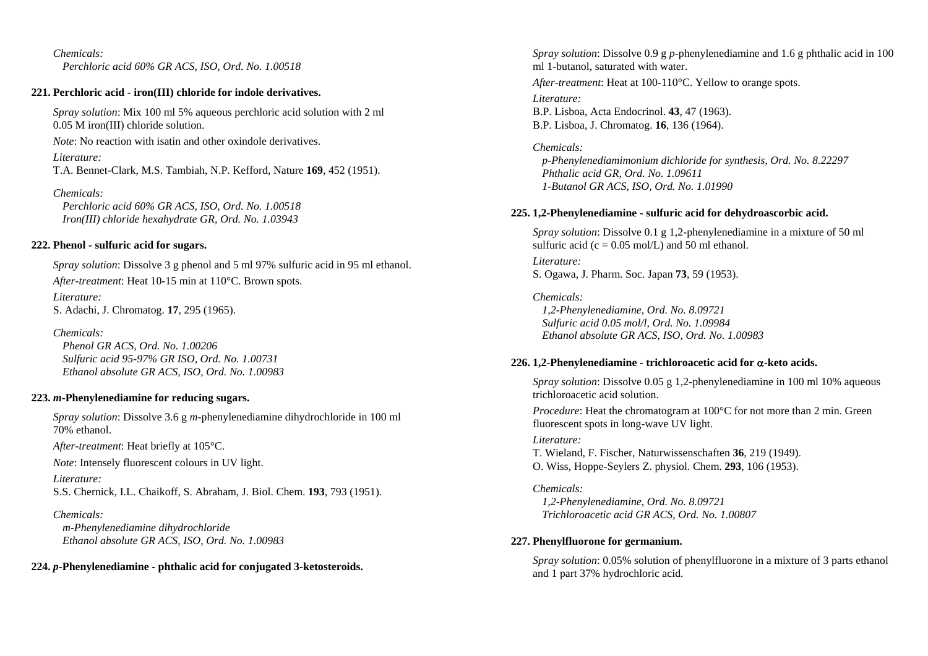*Chemicals: Perchloric acid 60% GR ACS, ISO, Ord. No. 1.00518* 

## **221. Perchloric acid - iron(III) chloride for indole derivatives.**

*Spray solution*: Mix 100 ml 5% aqueous perchloric acid solution with 2 ml 0.05 M iron(III) chloride solution.

*Note*: No reaction with isatin and other oxindole derivatives.

*Literature:* T.A. Bennet-Clark, M.S. Tambiah, N.P. Kefford, Nature **169**, 452 (1951).

*Chemicals:* 

 *Perchloric acid 60% GR ACS, ISO, Ord. No. 1.00518 Iron(III) chloride hexahydrate GR, Ord. No. 1.03943* 

## **222. Phenol - sulfuric acid for sugars.**

*Spray solution*: Dissolve 3 g phenol and 5 ml 97% sulfuric acid in 95 ml ethanol. *After-treatment*: Heat 10-15 min at 110°C. Brown spots. *Literature:* S. Adachi, J. Chromatog. **17**, 295 (1965).

*Chemicals: Phenol GR ACS, Ord. No. 1.00206 Sulfuric acid 95-97% GR ISO, Ord. No. 1.00731 Ethanol absolute GR ACS, ISO, Ord. No. 1.00983* 

## **223.**  *<sup>m</sup>***-Phenylenediamine for reducing sugars.**

*Spray solution*: Dissolve 3.6 g *<sup>m</sup>*-phenylenediamine dihydrochloride in 100 ml 70% ethanol.

*After-treatment*: Heat briefly at 105°C.

*Note*: Intensely fluorescent colours in UV light.

*Literature:* 

S.S. Chernick, I.L. Chaikoff, S. Abraham, J. Biol. Chem. **193**, 793 (1951).

## *Chemicals:*

 *m-Phenylenediamine dihydrochloride Ethanol absolute GR ACS, ISO, Ord. No. 1.00983* 

**224.**  *p***-Phenylenediamine - phthalic acid for conjugated 3-ketosteroids.** 

*Spray solution*: Dissolve 0.9 g *p*-phenylenediamine and 1.6 g phthalic acid in 100 ml 1-butanol, saturated with water. *After-treatment*: Heat at 100-110°C. Yellow to orange spots.

*Literature:* B.P. Lisboa, Acta Endocrinol. **43**, 47 (1963). B.P. Lisboa, J. Chromatog. **16**, 136 (1964).

## *Chemicals:*

 *p-Phenylenediamimonium dichloride for synthesis, Ord. No. 8.22297 Phthalic acid GR, Ord. No. 1.09611 1-Butanol GR ACS, ISO, Ord. No. 1.01990* 

## **225. 1,2-Phenylenediamine - sulfuric acid for dehydroascorbic acid.**

*Spray solution*: Dissolve 0.1 g 1,2-phenylenediamine in a mixture of 50 ml sulfuric acid ( $c = 0.05$  mol/L) and 50 ml ethanol.

*Literature:* S. Ogawa, J. Pharm. Soc. Japan **73**, 59 (1953).

*Chemicals: 1,2-Phenylenediamine, Ord. No. 8.09721 Sulfuric acid 0.05 mol/l, Ord. No. 1.09984 Ethanol absolute GR ACS, ISO, Ord. No. 1.00983* 

## **226. 1,2-Phenylenediamine - trichloroacetic acid for**  α**-keto acids.**

*Spray solution*: Dissolve 0.05 g 1,2-phenylenediamine in 100 ml 10% aqueous trichloroacetic acid solution.

*Procedure*: Heat the chromatogram at 100°C for not more than 2 min. Green fluorescent spots in long-wave UV light.

*Literature:* 

T. Wieland, F. Fischer, Naturwissenschaften **36**, 219 (1949). O. Wiss, Hoppe-Seylers Z. physiol. Chem. **293**, 106 (1953).

*Chemicals:* 

 *1,2-Phenylenediamine, Ord. No. 8.09721 Trichloroacetic acid GR ACS, Ord. No. 1.00807* 

## **227. Phenylfluorone for germanium.**

*Spray solution*: 0.05% solution of phenylfluorone in a mixture of 3 parts ethanol and 1 part 37% hydrochloric acid.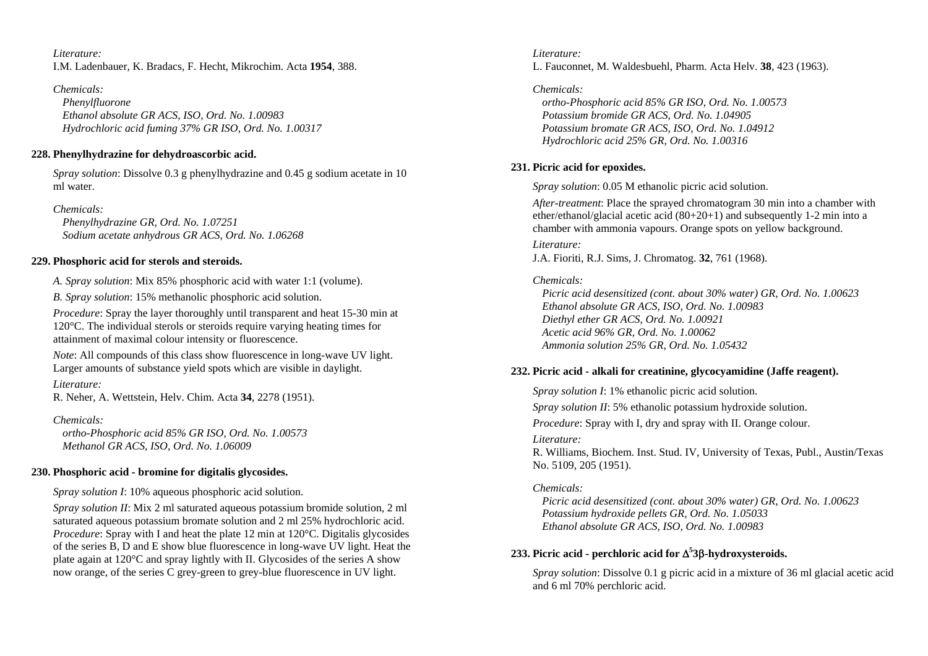*Literature:* I.M. Ladenbauer, K. Bradacs, F. Hecht, Mikrochim. Acta **1954**, 388.

*Chemicals: Phenylfluorone Ethanol absolute GR ACS, ISO, Ord. No. 1.00983 Hydrochloric acid fuming 37% GR ISO, Ord. No. 1.00317* 

## **228. Phenylhydrazine for dehydroascorbic acid.**

*Spray solution*: Dissolve 0.3 g phenylhydrazine and 0.45 g sodium acetate in 10 ml water.

*Chemicals:* 

 *Phenylhydrazine GR, Ord. No. 1.07251 Sodium acetate anhydrous GR ACS, Ord. No. 1.06268* 

## **229. Phosphoric acid for sterols and steroids.**

*A. Spray solution*: Mix 85% phosphoric acid with water 1:1 (volume).

*B. Spray solution*: 15% methanolic phosphoric acid solution.

*Procedure*: Spray the layer thoroughly until transparent and heat 15-30 min at 120°C. The individual sterols or steroids require varying heating times for attainment of maximal colour intensity or fluorescence.

*Note*: All compounds of this class show fluorescence in long-wave UV light. Larger amounts of substance yield spots which are visible in daylight.

*Literature:* 

R. Neher, A. Wettstein, Helv. Chim. Acta **34**, 2278 (1951).

## *Chemicals:*

 *ortho-Phosphoric acid 85% GR ISO, Ord. No. 1.00573 Methanol GR ACS, ISO, Ord. No. 1.06009* 

## **230. Phosphoric acid - bromine for digitalis glycosides.**

*Spray solution I*: 10% aqueous phosphoric acid solution.

*Spray solution II*: Mix 2 ml saturated aqueous potassium bromide solution, 2 ml saturated aqueous potassium bromate solution and 2 ml 25% hydrochloric acid. *Procedure*: Spray with I and heat the plate 12 min at 120<sup>o</sup>C. Digitalis glycosides of the series B, D and E show blue fluorescence in long-wave UV light. Heat the plate again at 120°C and spray lightly with II. Glycosides of the series A show now orange, of the series C grey-green to grey-blue fluorescence in UV light.

*Literature:* L. Fauconnet, M. Waldesbuehl, Pharm. Acta Helv. **38**, 423 (1963).

*Chemicals: ortho-Phosphoric acid 85% GR ISO, Ord. No. 1.00573 Potassium bromide GR ACS, Ord. No. 1.04905 Potassium bromate GR ACS, ISO, Ord. No. 1.04912 Hydrochloric acid 25% GR, Ord. No. 1.00316* 

## **231. Picric acid for epoxides.**

*Spray solution*: 0.05 M ethanolic picric acid solution.

*After-treatment*: Place the sprayed chromatogram 30 min into a chamber with ether/ethanol/glacial acetic acid (80+20+1) and subsequently 1-2 min into a chamber with ammonia vapours. Orange spots on yellow background.

*Literature:* J.A. Fioriti, R.J. Sims, J. Chromatog. **32**, 761 (1968).

## *Chemicals:*

 *Picric acid desensitized (cont. about 30% water) GR, Ord. No. 1.00623 Ethanol absolute GR ACS, ISO, Ord. No. 1.00983 Diethyl ether GR ACS, Ord. No. 1.00921 Acetic acid 96% GR, Ord. No. 1.00062 Ammonia solution 25% GR, Ord. No. 1.05432* 

## **232. Picric acid - alkali for creatinine, glycocyamidine (Jaffe reagent).**

*Spray solution I*: 1% ethanolic picric acid solution.

*Spray solution II*: 5% ethanolic potassium hydroxide solution.

*Procedure*: Spray with I, dry and spray with II. Orange colour.

## *Literature:*

R. Williams, Biochem. Inst. Stud. IV, University of Texas, Publ., Austin/Texas No. 5109, 205 (1951).

## *Chemicals:*

 *Picric acid desensitized (cont. about 30% water) GR, Ord. No. 1.00623 Potassium hydroxide pellets GR, Ord. No. 1.05033 Ethanol absolute GR ACS, ISO, Ord. No. 1.00983* 

## **233. Picric acid - perchloric acid for**  Δ**<sup>5</sup> 3** β**-hydroxysteroids.**

*Spray solution*: Dissolve 0.1 g picric acid in a mixture of 36 ml glacial acetic acid and 6 ml 70% perchloric acid.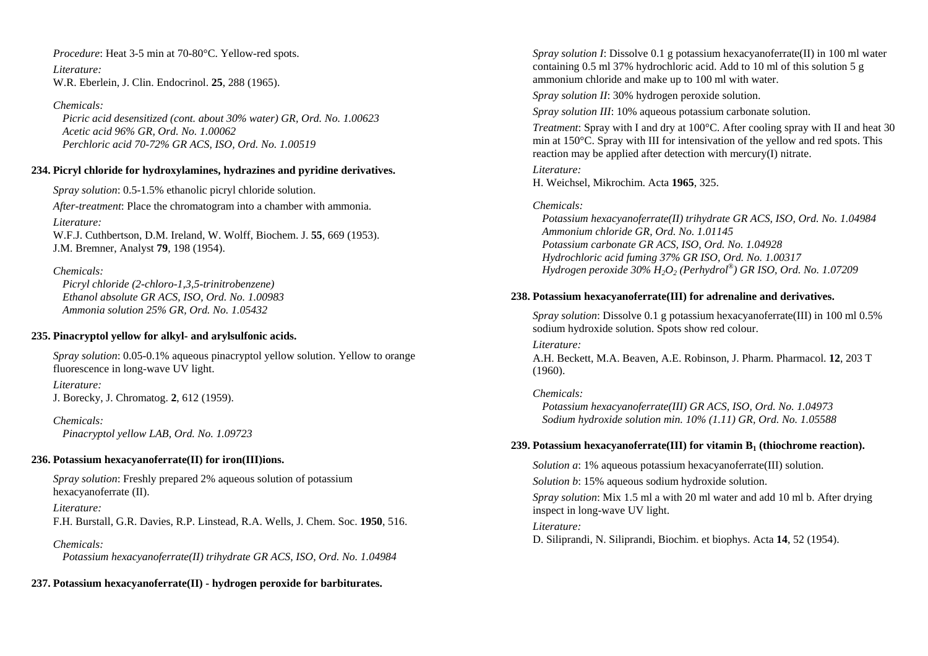*Procedure*: Heat 3-5 min at 70-80°C. Yellow-red spots.

*Literature:* W.R. Eberlein, J. Clin. Endocrinol. **25**, 288 (1965).

*Chemicals: Picric acid desensitized (cont. about 30% water) GR, Ord. No. 1.00623 Acetic acid 96% GR, Ord. No. 1.00062 Perchloric acid 70-72% GR ACS, ISO, Ord. No. 1.00519* 

### **234. Picryl chloride for hydroxylamines, hydrazines and pyridine derivatives.**

*Spray solution*: 0.5-1.5% ethanolic picryl chloride solution. *After-treatment*: Place the chromatogram into a chamber with ammonia. *Literature:* W.F.J. Cuthbertson, D.M. Ireland, W. Wolff, Biochem. J. **55**, 669 (1953). J.M. Bremner, Analyst **79**, 198 (1954).

*Chemicals:* 

 *Picryl chloride (2-chloro-1,3,5-trinitrobenzene) Ethanol absolute GR ACS, ISO, Ord. No. 1.00983 Ammonia solution 25% GR, Ord. No. 1.05432* 

## **235. Pinacryptol yellow for alkyl- and arylsulfonic acids.**

*Spray solution*: 0.05-0.1% aqueous pinacryptol yellow solution. Yellow to orange fluorescence in long-wave UV light.

*Literature:* J. Borecky, J. Chromatog. **2**, 612 (1959).

*Chemicals: Pinacryptol yellow LAB, Ord. No. 1.09723* 

## **236. Potassium hexacyanoferrate(II) for iron(III)ions.**

*Spray solution*: Freshly prepared 2% aqueous solution of potassium hexacyanoferrate (II).

*Literature:*  F.H. Burstall, G.R. Davies, R.P. Linstead, R.A. Wells, J. Chem. Soc. **1950**, 516.

*Chemicals: Potassium hexacyanoferrate(II) trihydrate GR ACS, ISO, Ord. No. 1.04984* 

## **237. Potassium hexacyanoferrate(II) - hydrogen peroxide for barbiturates.**

*Spray solution I*: Dissolve 0.1 g potassium hexacyanoferrate(II) in 100 ml water containing 0.5 ml 37% hydrochloric acid. Add to 10 ml of this solution 5 g ammonium chloride and make up to 100 ml with water.

*Spray solution II*: 30% hydrogen peroxide solution.

*Spray solution III*: 10% aqueous potassium carbonate solution.

*Treatment*: Spray with I and dry at 100<sup>°</sup>C. After cooling spray with II and heat 30 min at 150°C. Spray with III for intensivation of the yellow and red spots. This reaction may be applied after detection with mercury(I) nitrate.

*Literature:* H. Weichsel, Mikrochim. Acta **1965**, 325.

## *Chemicals:*

 *Potassium hexacyanoferrate(II) trihydrate GR ACS, ISO, Ord. No. 1.04984 Ammonium chloride GR, Ord. No. 1.01145 Potassium carbonate GR ACS, ISO, Ord. No. 1.04928 Hydrochloric acid fuming 37% GR ISO, Ord. No. 1.00317 Hydrogen peroxide 30% H2O2 (Perhydrol®) GR ISO, Ord. No. 1.07209* 

## **238. Potassium hexacyanoferrate(III) for adrenaline and derivatives.**

*Spray solution*: Dissolve 0.1 g potassium hexacyanoferrate(III) in 100 ml 0.5% sodium hydroxide solution. Spots show red colour.

*Literature:* 

A.H. Beckett, M.A. Beaven, A.E. Robinson, J. Pharm. Pharmacol. **12**, 203 T (1960).

## *Chemicals:*

 *Potassium hexacyanoferrate(III) GR ACS, ISO, Ord. No. 1.04973 Sodium hydroxide solution min. 10% (1.11) GR, Ord. No. 1.05588* 

### **239. Potassium hexacyanoferrate(III) for vitamin B1 (thiochrome reaction).**

*Solution a*: 1% aqueous potassium hexacyanoferrate(III) solution.

*Solution b*: 15% aqueous sodium hydroxide solution.

*Spray solution*: Mix 1.5 ml a with 20 ml water and add 10 ml b. After drying inspect in long-wave UV light.

### *Literature:*

D. Siliprandi, N. Siliprandi, Biochim. et biophys. Acta **14**, 52 (1954).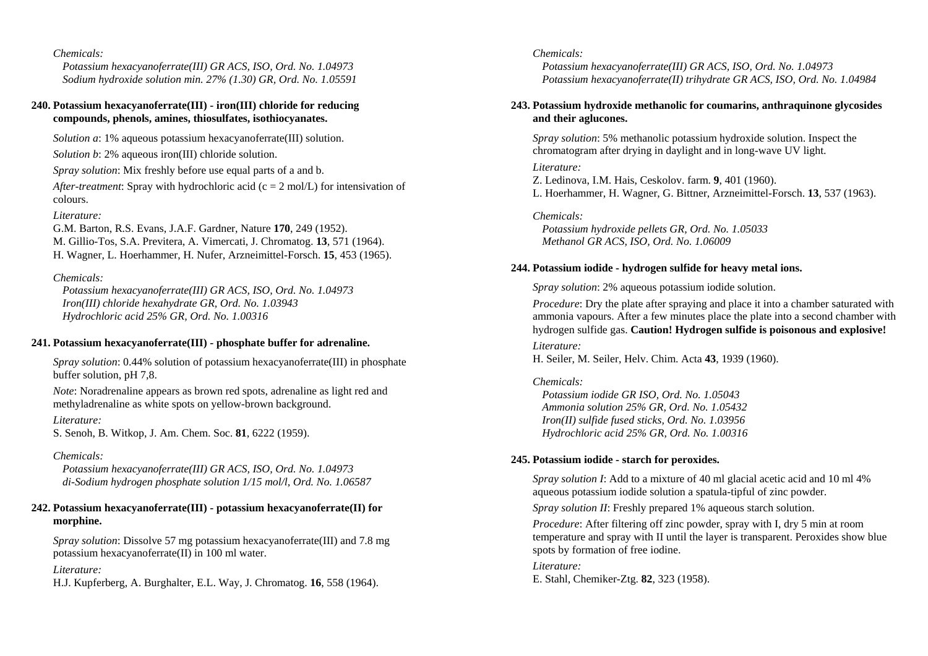*Potassium hexacyanoferrate(III) GR ACS, ISO, Ord. No. 1.04973 Sodium hydroxide solution min. 27% (1.30) GR, Ord. No. 1.05591* 

#### **240. Potassium hexacyanoferrate(III) - iron(III) chloride for reducing compounds, phenols, amines, thiosulfates, isothiocyanates.**

*Solution a*: 1% aqueous potassium hexacyanoferrate(III) solution.

*Solution b*: 2% aqueous iron(III) chloride solution.

*Spray solution*: Mix freshly before use equal parts of a and b.

*After-treatment*: Spray with hydrochloric acid ( $c = 2$  mol/L) for intensivation of colours.

#### *Literature:*

G.M. Barton, R.S. Evans, J.A.F. Gardner, Nature **170**, 249 (1952). M. Gillio-Tos, S.A. Previtera, A. Vimercati, J. Chromatog. **13**, 571 (1964). H. Wagner, L. Hoerhammer, H. Nufer, Arzneimittel-Forsch. **15**, 453 (1965).

### *Chemicals:*

 *Potassium hexacyanoferrate(III) GR ACS, ISO, Ord. No. 1.04973 Iron(III) chloride hexahydrate GR, Ord. No. 1.03943 Hydrochloric acid 25% GR, Ord. No. 1.00316* 

#### **241. Potassium hexacyanoferrate(III) - phosphate buffer for adrenaline.**

*Spray solution*: 0.44% solution of potassium hexacyanoferrate(III) in phosphate buffer solution, pH 7,8.

*Note*: Noradrenaline appears as brown red spots, adrenaline as light red and methyladrenaline as white spots on yellow-brown background.

#### *Literature:*

S. Senoh, B. Witkop, J. Am. Chem. Soc. **81**, 6222 (1959).

#### *Chemicals:*

 *Potassium hexacyanoferrate(III) GR ACS, ISO, Ord. No. 1.04973 di-Sodium hydrogen phosphate solution 1/15 mol/l, Ord. No. 1.06587* 

### **242. Potassium hexacyanoferrate(III) - potassium hexacyanoferrate(II) for morphine.**

*Spray solution*: Dissolve 57 mg potassium hexacyanoferrate(III) and 7.8 mg potassium hexacyanoferrate(II) in 100 ml water.

#### *Literature:*

H.J. Kupferberg, A. Burghalter, E.L. Way, J. Chromatog. **16**, 558 (1964).

#### *Chemicals:*

 *Potassium hexacyanoferrate(III) GR ACS, ISO, Ord. No. 1.04973 Potassium hexacyanoferrate(II) trihydrate GR ACS, ISO, Ord. No. 1.04984* 

### **243. Potassium hydroxide methanolic for coumarins, anthraquinone glycosides and their aglucones.**

*Spray solution*: 5% methanolic potassium hydroxide solution. Inspect the chromatogram after drying in daylight and in long-wave UV light.

#### *Literature:*

Z. Ledinova, I.M. Hais, Ceskolov. farm. **9**, 401 (1960). L. Hoerhammer, H. Wagner, G. Bittner, Arzneimittel-Forsch. **13**, 537 (1963).

#### *Chemicals:*

 *Potassium hydroxide pellets GR, Ord. No. 1.05033 Methanol GR ACS, ISO, Ord. No. 1.06009* 

#### **244. Potassium iodide - hydrogen sulfide for heavy metal ions.**

*Spray solution*: 2% aqueous potassium iodide solution.

*Procedure*: Dry the plate after spraying and place it into a chamber saturated with ammonia vapours. After a few minutes place the plate into a second chamber with hydrogen sulfide gas. **Caution! Hydrogen sulfide is poisonous and explosive!**

*Literature:* 

H. Seiler, M. Seiler, Helv. Chim. Acta **43**, 1939 (1960).

#### *Chemicals:*

 *Potassium iodide GR ISO, Ord. No. 1.05043 Ammonia solution 25% GR, Ord. No. 1.05432 Iron(II) sulfide fused sticks, Ord. No. 1.03956 Hydrochloric acid 25% GR, Ord. No. 1.00316* 

#### **245. Potassium iodide - starch for peroxides.**

*Spray solution I*: Add to a mixture of 40 ml glacial acetic acid and 10 ml 4% aqueous potassium iodide solution a spatula-tipful of zinc powder.

*Spray solution II*: Freshly prepared 1% aqueous starch solution.

*Procedure*: After filtering off zinc powder, spray with I, dry 5 min at room temperature and spray with II until the layer is transparent. Peroxides show blue spots by formation of free iodine.

## *Literature:*

E. Stahl, Chemiker-Ztg. **82**, 323 (1958).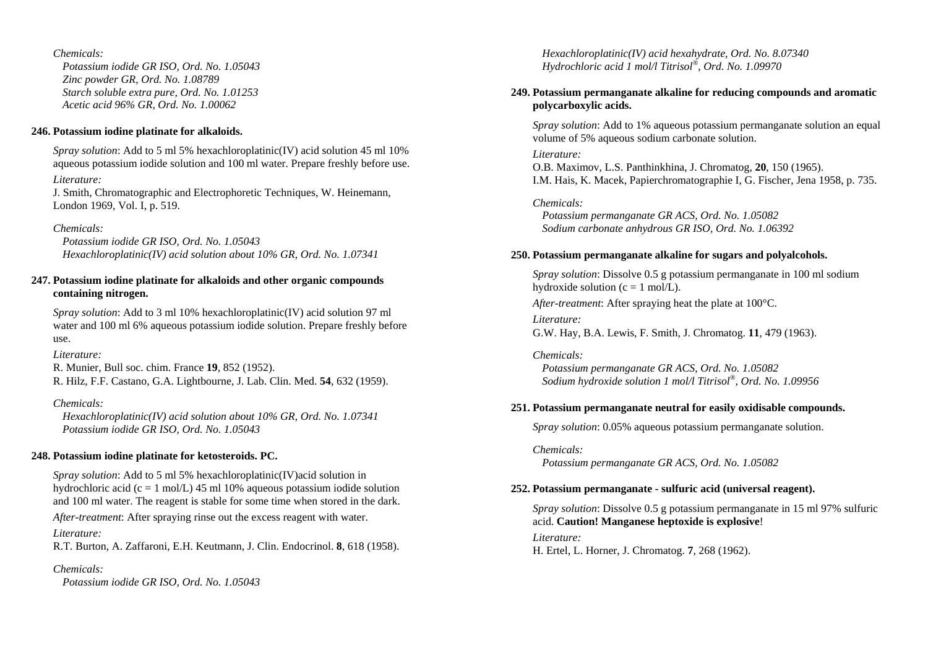*Potassium iodide GR ISO, Ord. No. 1.05043 Zinc powder GR, Ord. No. 1.08789 Starch soluble extra pure, Ord. No. 1.01253 Acetic acid 96% GR, Ord. No. 1.00062* 

### **246. Potassium iodine platinate for alkaloids.**

*Spray solution*: Add to 5 ml 5% hexachloroplatinic(IV) acid solution 45 ml 10% aqueous potassium iodide solution and 100 ml water. Prepare freshly before use. *Literature:* 

J. Smith, Chromatographic and Electrophoretic Techniques, W. Heinemann, London 1969, Vol. I, p. 519.

### *Chemicals:*

 *Potassium iodide GR ISO, Ord. No. 1.05043 Hexachloroplatinic(IV) acid solution about 10% GR, Ord. No. 1.07341* 

### **247. Potassium iodine platinate for alkaloids and other organic compounds containing nitrogen.**

*Spray solution*: Add to 3 ml 10% hexachloroplatinic(IV) acid solution 97 ml water and 100 ml 6% aqueous potassium iodide solution. Prepare freshly before use.

*Literature:* 

R. Munier, Bull soc. chim. France **19**, 852 (1952). R. Hilz, F.F. Castano, G.A. Lightbourne, J. Lab. Clin. Med. **54**, 632 (1959).

### *Chemicals:*

 *Hexachloroplatinic(IV) acid solution about 10% GR, Ord. No. 1.07341 Potassium iodide GR ISO, Ord. No. 1.05043* 

### **248. Potassium iodine platinate for ketosteroids. PC.**

*Spray solution*: Add to 5 ml 5% hexachloroplatinic(IV)acid solution in hydrochloric acid (c = 1 mol/L) 45 ml 10% aqueous potassium iodide solution and 100 ml water. The reagent is stable for some time when stored in the dark.

*After-treatment*: After spraying rinse out the excess reagent with water.

*Literature:* 

R.T. Burton, A. Zaffaroni, E.H. Keutmann, J. Clin. Endocrinol. **8**, 618 (1958).

### *Chemicals:*

 *Potassium iodide GR ISO, Ord. No. 1.05043* 

 *Hexachloroplatinic(IV) acid hexahydrate, Ord. No. 8.07340 Hydrochloric acid 1 mol/l Titrisol®, Ord. No. 1.09970* 

### **249. Potassium permanganate alkaline for reducing compounds and aromatic polycarboxylic acids.**

*Spray solution*: Add to 1% aqueous potassium permanganate solution an equal volume of 5% aqueous sodium carbonate solution.

### *Literature:*

O.B. Maximov, L.S. Panthinkhina, J. Chromatog, **20**, 150 (1965). I.M. Hais, K. Macek, Papierchromatographie I, G. Fischer, Jena 1958, p. 735.

*Chemicals:* 

 *Potassium permanganate GR ACS, Ord. No. 1.05082 Sodium carbonate anhydrous GR ISO, Ord. No. 1.06392* 

### **250. Potassium permanganate alkaline for sugars and polyalcohols.**

*Spray solution*: Dissolve 0.5 g potassium permanganate in 100 ml sodium hydroxide solution ( $c = 1$  mol/L).

*After-treatment*: After spraying heat the plate at 100°C.

*Literature:*  G.W. Hay, B.A. Lewis, F. Smith, J. Chromatog. **11**, 479 (1963).

*Chemicals: Potassium permanganate GR ACS, Ord. No. 1.05082 Sodium hydroxide solution 1 mol/l Titrisol®, Ord. No. 1.09956* 

#### **251. Potassium permanganate neutral for easily oxidisable compounds.**

*Spray solution*: 0.05% aqueous potassium permanganate solution.

*Chemicals:* 

 *Potassium permanganate GR ACS, Ord. No. 1.05082* 

### **252. Potassium permanganate - sulfuric acid (universal reagent).**

*Spray solution*: Dissolve 0.5 g potassium permanganate in 15 ml 97% sulfuric acid. **Caution! Manganese heptoxide is explosive**!

#### *Literature:*

H. Ertel, L. Horner, J. Chromatog. **7**, 268 (1962).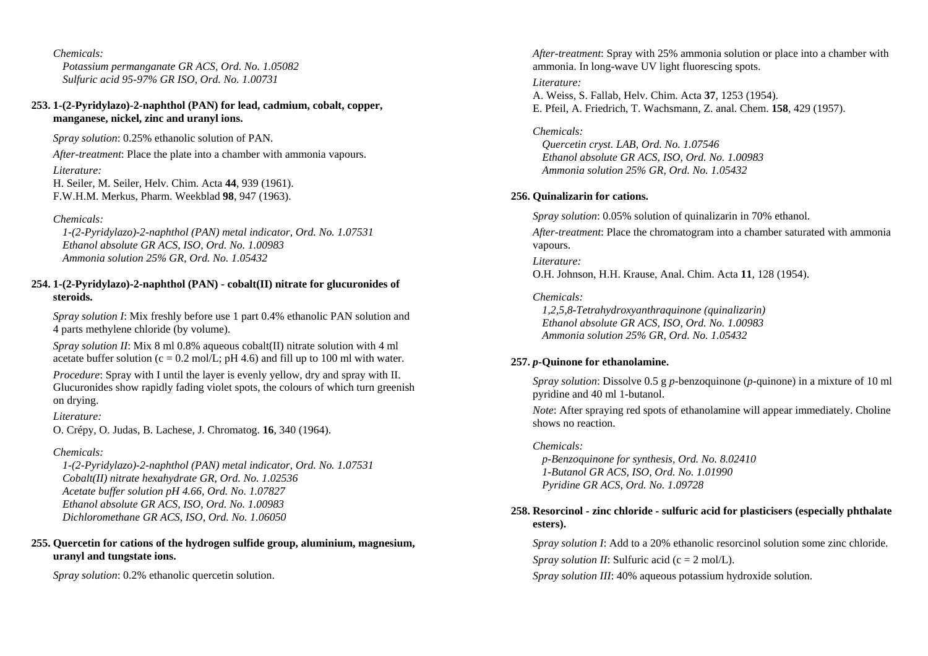*Potassium permanganate GR ACS, Ord. No. 1.05082 Sulfuric acid 95-97% GR ISO, Ord. No. 1.00731* 

### **253. 1-(2-Pyridylazo)-2-naphthol (PAN) for lead, cadmium, cobalt, copper, manganese, nickel, zinc and uranyl ions.**

*Spray solution*: 0.25% ethanolic solution of PAN.

*After-treatment*: Place the plate into a chamber with ammonia vapours.

*Literature:* 

H. Seiler, M. Seiler, Helv. Chim. Acta **44**, 939 (1961). F.W.H.M. Merkus, Pharm. Weekblad **98**, 947 (1963).

*Chemicals:* 

 *1-(2-Pyridylazo)-2-naphthol (PAN) metal indicator, Ord. No. 1.07531 Ethanol absolute GR ACS, ISO, Ord. No. 1.00983 Ammonia solution 25% GR, Ord. No. 1.05432* 

### **254. 1-(2-Pyridylazo)-2-naphthol (PAN) - cobalt(II) nitrate for glucuronides of steroids.**

*Spray solution I*: Mix freshly before use 1 part 0.4% ethanolic PAN solution and 4 parts methylene chloride (by volume).

*Spray solution II*: Mix 8 ml 0.8% aqueous cobalt(II) nitrate solution with 4 ml acetate buffer solution (c = 0.2 mol/L; pH 4.6) and fill up to 100 ml with water.

*Procedure*: Spray with I until the layer is evenly yellow, dry and spray with II. Glucuronides show rapidly fading violet spots, the colours of which turn greenish on drying.

#### *Literature:*

O. Crépy, O. Judas, B. Lachese, J. Chromatog. **16**, 340 (1964).

### *Chemicals:*

 *1-(2-Pyridylazo)-2-naphthol (PAN) metal indicator, Ord. No. 1.07531 Cobalt(II) nitrate hexahydrate GR, Ord. No. 1.02536 Acetate buffer solution pH 4.66, Ord. No. 1.07827 Ethanol absolute GR ACS, ISO, Ord. No. 1.00983 Dichloromethane GR ACS, ISO, Ord. No. 1.06050* 

## **255. Quercetin for cations of the hydrogen sulfide group, aluminium, magnesium, uranyl and tungstate ions.**

*Spray solution*: 0.2% ethanolic quercetin solution.

*After-treatment*: Spray with 25% ammonia solution or place into a chamber with ammonia. In long-wave UV light fluorescing spots.

*Literature:* A. Weiss, S. Fallab, Helv. Chim. Acta **37**, 1253 (1954). E. Pfeil, A. Friedrich, T. Wachsmann, Z. anal. Chem. **158**, 429 (1957).

### *Chemicals:*

 *Quercetin cryst. LAB, Ord. No. 1.07546 Ethanol absolute GR ACS, ISO, Ord. No. 1.00983 Ammonia solution 25% GR, Ord. No. 1.05432* 

## **256. Quinalizarin for cations.**

*Spray solution*: 0.05% solution of quinalizarin in 70% ethanol.

*After-treatment*: Place the chromatogram into a chamber saturated with ammonia vapours.

*Literature:* O.H. Johnson, H.H. Krause, Anal. Chim. Acta **11**, 128 (1954).

## *Chemicals:*

 *1,2,5,8-Tetrahydroxyanthraquinone (quinalizarin) Ethanol absolute GR ACS, ISO, Ord. No. 1.00983 Ammonia solution 25% GR, Ord. No. 1.05432* 

## **257.**  *p***-Quinone for ethanolamine.**

*Spray solution*: Dissolve 0.5 g *p*-benzoquinone (*p*-quinone) in a mixture of 10 ml pyridine and 40 ml 1-butanol.

*Note*: After spraying red spots of ethanolamine will appear immediately. Choline shows no reaction.

## *Chemicals:*

 *p-Benzoquinone for synthesis, Ord. No. 8.02410 1-Butanol GR ACS, ISO, Ord. No. 1.01990 Pyridine GR ACS, Ord. No. 1.09728* 

## **258. Resorcinol - zinc chloride - sulfuric acid for plasticisers (especially phthalate esters).**

*Spray solution I*: Add to a 20% ethanolic resorcinol solution some zinc chloride. *Spray solution II:* Sulfuric acid ( $c = 2$  mol/L).

*Spray solution III*: 40% aqueous potassium hydroxide solution.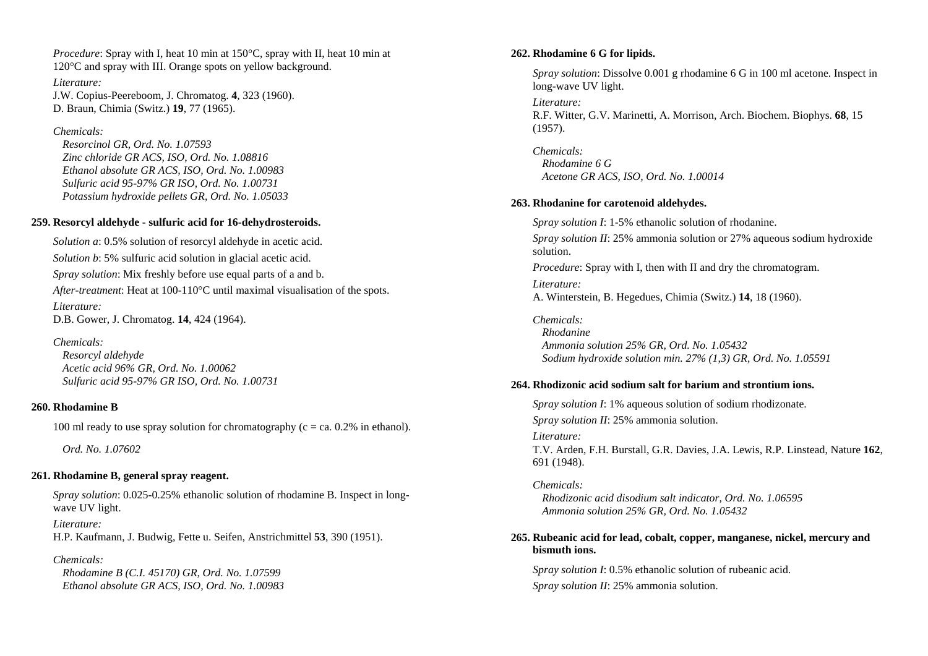*Procedure*: Spray with I, heat 10 min at 150°C, spray with II, heat 10 min at 120°C and spray with III. Orange spots on yellow background.

*Literature:*  J.W. Copius-Peereboom, J. Chromatog. **4**, 323 (1960). D. Braun, Chimia (Switz.) **19**, 77 (1965).

*Chemicals:* 

 *Resorcinol GR, Ord. No. 1.07593 Zinc chloride GR ACS, ISO, Ord. No. 1.08816 Ethanol absolute GR ACS, ISO, Ord. No. 1.00983 Sulfuric acid 95-97% GR ISO, Ord. No. 1.00731 Potassium hydroxide pellets GR, Ord. No. 1.05033* 

## **259. Resorcyl aldehyde - sulfuric acid for 16-dehydrosteroids.**

*Solution a*: 0.5% solution of resorcyl aldehyde in acetic acid. *Solution b*: 5% sulfuric acid solution in glacial acetic acid. *Spray solution*: Mix freshly before use equal parts of a and b. *After-treatment*: Heat at 100-110°C until maximal visualisation of the spots. *Literature:*  D.B. Gower, J. Chromatog. **14**, 424 (1964).

*Chemicals: Resorcyl aldehyde Acetic acid 96% GR, Ord. No. 1.00062 Sulfuric acid 95-97% GR ISO, Ord. No. 1.00731* 

### **260. Rhodamine B**

100 ml ready to use spray solution for chromatography ( $c = ca$ . 0.2% in ethanol).

 *Ord. No. 1.07602* 

## **261. Rhodamine B, general spray reagent.**

*Spray solution*: 0.025-0.25% ethanolic solution of rhodamine B. Inspect in longwave UV light.

*Literature:* 

H.P. Kaufmann, J. Budwig, Fette u. Seifen, Anstrichmittel **53**, 390 (1951).

### *Chemicals:*

 *Rhodamine B (C.I. 45170) GR, Ord. No. 1.07599 Ethanol absolute GR ACS, ISO, Ord. No. 1.00983* 

## **262. Rhodamine 6 G for lipids.**

*Spray solution*: Dissolve 0.001 g rhodamine 6 G in 100 ml acetone. Inspect in long-wave UV light.

*Literature:* 

R.F. Witter, G.V. Marinetti, A. Morrison, Arch. Biochem. Biophys. **68**, 15 (1957).

*Chemicals: Rhodamine 6 G Acetone GR ACS, ISO, Ord. No. 1.00014* 

### **263. Rhodanine for carotenoid aldehydes.**

*Spray solution I*: 1-5% ethanolic solution of rhodanine. *Spray solution II*: 25% ammonia solution or 27% aqueous sodium hydroxide solution. *Procedure*: Spray with I, then with II and dry the chromatogram. *Literature:* 

A. Winterstein, B. Hegedues, Chimia (Switz.) **14**, 18 (1960).

*Chemicals: Rhodanine Ammonia solution 25% GR, Ord. No. 1.05432 Sodium hydroxide solution min. 27% (1,3) GR, Ord. No. 1.05591* 

## **264. Rhodizonic acid sodium salt for barium and strontium ions.**

*Spray solution I*: 1% aqueous solution of sodium rhodizonate. *Spray solution II*: 25% ammonia solution. *Literature:* 

T.V. Arden, F.H. Burstall, G.R. Davies, J.A. Lewis, R.P. Linstead, Nature **162**, 691 (1948).

*Chemicals: Rhodizonic acid disodium salt indicator, Ord. No. 1.06595 Ammonia solution 25% GR, Ord. No. 1.05432* 

## **265. Rubeanic acid for lead, cobalt, copper, manganese, nickel, mercury and bismuth ions.**

*Spray solution I*: 0.5% ethanolic solution of rubeanic acid. *Spray solution II*: 25% ammonia solution.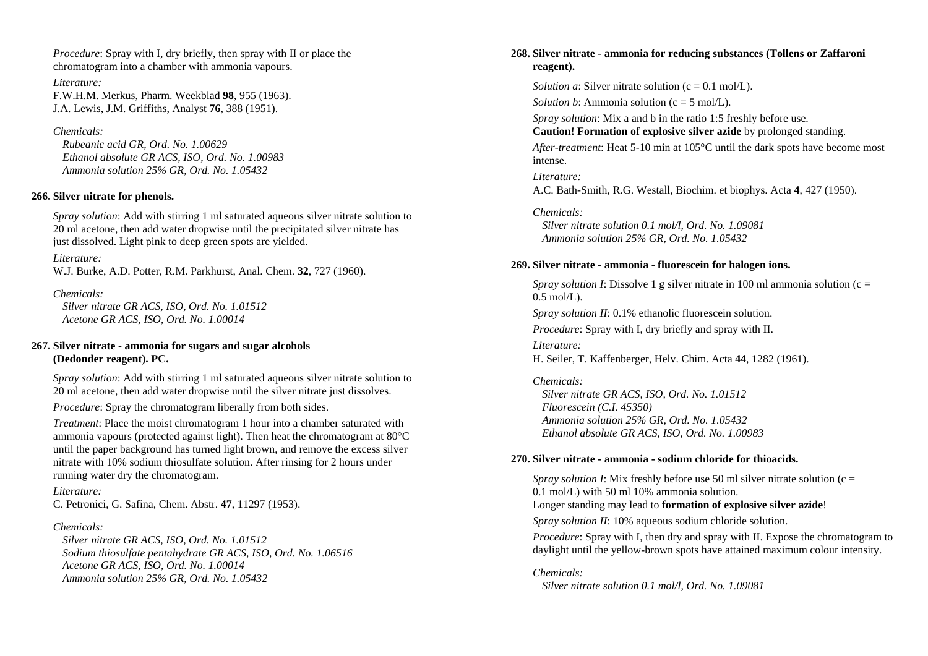*Procedure*: Spray with I, dry briefly, then spray with II or place the chromatogram into a chamber with ammonia vapours.

*Literature:*  F.W.H.M. Merkus, Pharm. Weekblad **98**, 955 (1963). J.A. Lewis, J.M. Griffiths, Analyst **76**, 388 (1951).

#### *Chemicals:*

 *Rubeanic acid GR, Ord. No. 1.00629 Ethanol absolute GR ACS, ISO, Ord. No. 1.00983 Ammonia solution 25% GR, Ord. No. 1.05432* 

#### **266. Silver nitrate for phenols.**

*Spray solution*: Add with stirring 1 ml saturated aqueous silver nitrate solution to 20 ml acetone, then add water dropwise until the precipitated silver nitrate has just dissolved. Light pink to deep green spots are yielded.

#### *Literature:*

W.J. Burke, A.D. Potter, R.M. Parkhurst, Anal. Chem. **32**, 727 (1960).

#### *Chemicals:*

 *Silver nitrate GR ACS, ISO, Ord. No. 1.01512 Acetone GR ACS, ISO, Ord. No. 1.00014* 

### **267. Silver nitrate - ammonia for sugars and sugar alcohols (Dedonder reagent). PC.**

*Spray solution*: Add with stirring 1 ml saturated aqueous silver nitrate solution to 20 ml acetone, then add water dropwise until the silver nitrate just dissolves.

*Procedure*: Spray the chromatogram liberally from both sides.

*Treatment*: Place the moist chromatogram 1 hour into a chamber saturated with ammonia vapours (protected against light). Then heat the chromatogram at 80°C until the paper background has turned light brown, and remove the excess silver nitrate with 10% sodium thiosulfate solution. After rinsing for 2 hours under running water dry the chromatogram.

*Literature:* C. Petronici, G. Safina, Chem. Abstr. **47**, 11297 (1953).

#### *Chemicals:*

 *Silver nitrate GR ACS, ISO, Ord. No. 1.01512 Sodium thiosulfate pentahydrate GR ACS, ISO, Ord. No. 1.06516 Acetone GR ACS, ISO, Ord. No. 1.00014 Ammonia solution 25% GR, Ord. No. 1.05432* 

### **268. Silver nitrate - ammonia for reducing substances (Tollens or Zaffaroni reagent).**

*Solution a*: Silver nitrate solution  $(c = 0.1 \text{ mol/L})$ .

*Solution b*: Ammonia solution ( $c = 5$  mol/L).

*Spray solution*: Mix a and b in the ratio 1:5 freshly before use.

**Caution! Formation of explosive silver azide** by prolonged standing.

*After-treatment*: Heat 5-10 min at 105°C until the dark spots have become most intense.

*Literature:* A.C. Bath-Smith, R.G. Westall, Biochim. et biophys. Acta **4**, 427 (1950).

*Chemicals: Silver nitrate solution 0.1 mol/l, Ord. No. 1.09081 Ammonia solution 25% GR, Ord. No. 1.05432* 

#### **269. Silver nitrate - ammonia - fluorescein for halogen ions.**

*Spray solution I*: Dissolve 1 g silver nitrate in 100 ml ammonia solution (c =  $0.5$  mol/L).

*Spray solution II*: 0.1% ethanolic fluorescein solution.

*Procedure*: Spray with I, dry briefly and spray with II.

*Literature:* H. Seiler, T. Kaffenberger, Helv. Chim. Acta **44**, 1282 (1961).

*Chemicals: Silver nitrate GR ACS, ISO, Ord. No. 1.01512 Fluorescein (C.I. 45350) Ammonia solution 25% GR, Ord. No. 1.05432 Ethanol absolute GR ACS, ISO, Ord. No. 1.00983* 

#### **270. Silver nitrate - ammonia - sodium chloride for thioacids.**

*Spray solution I*: Mix freshly before use 50 ml silver nitrate solution (c = 0.1 mol/L) with 50 ml 10% ammonia solution.

Longer standing may lead to **formation of explosive silver azide**!

*Spray solution II*: 10% aqueous sodium chloride solution.

*Procedure*: Spray with I, then dry and spray with II. Expose the chromatogram to daylight until the yellow-brown spots have attained maximum colour intensity.

*Chemicals: Silver nitrate solution 0.1 mol/l, Ord. No. 1.09081*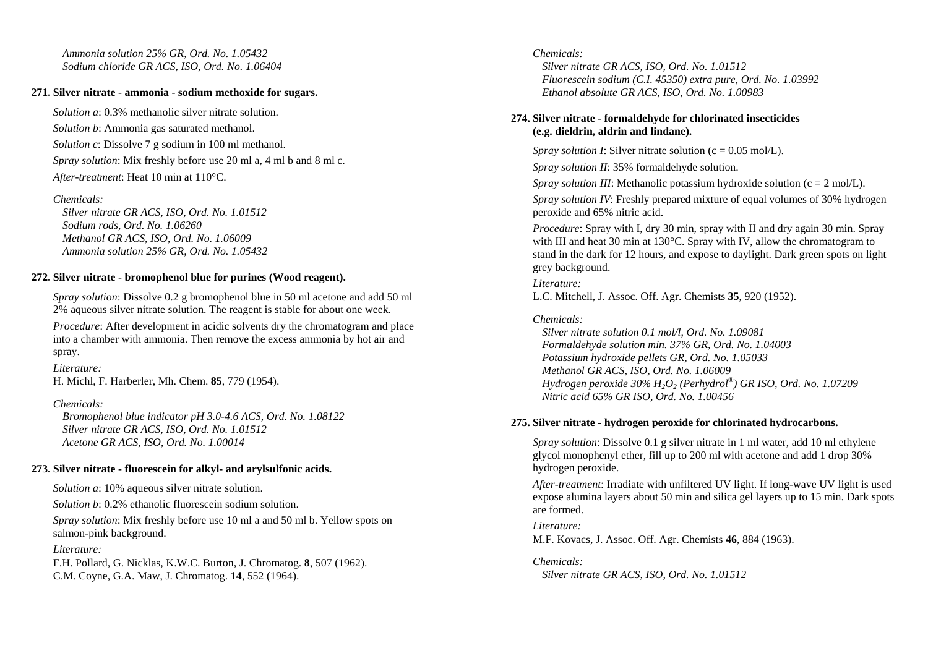*Ammonia solution 25% GR, Ord. No. 1.05432 Sodium chloride GR ACS, ISO, Ord. No. 1.06404* 

## **271. Silver nitrate - ammonia - sodium methoxide for sugars.**

*Solution a*: 0.3% methanolic silver nitrate solution. *Solution b*: Ammonia gas saturated methanol. *Solution c*: Dissolve 7 g sodium in 100 ml methanol. *Spray solution*: Mix freshly before use 20 ml a, 4 ml b and 8 ml c. *After-treatment*: Heat 10 min at 110°C.

## *Chemicals:*

 *Silver nitrate GR ACS, ISO, Ord. No. 1.01512 Sodium rods, Ord. No. 1.06260 Methanol GR ACS, ISO, Ord. No. 1.06009 Ammonia solution 25% GR, Ord. No. 1.05432* 

## **272. Silver nitrate - bromophenol blue for purines (Wood reagent).**

*Spray solution*: Dissolve 0.2 g bromophenol blue in 50 ml acetone and add 50 ml 2% aqueous silver nitrate solution. The reagent is stable for about one week.

*Procedure:* After development in acidic solvents dry the chromatogram and place into a chamber with ammonia. Then remove the excess ammonia by hot air and spray.

*Literature:* 

H. Michl, F. Harberler, Mh. Chem. **85**, 779 (1954).

## *Chemicals:*

 *Bromophenol blue indicator pH 3.0-4.6 ACS, Ord. No. 1.08122 Silver nitrate GR ACS, ISO, Ord. No. 1.01512 Acetone GR ACS, ISO, Ord. No. 1.00014* 

## **273. Silver nitrate - fluorescein for alkyl- and arylsulfonic acids.**

*Solution a*: 10% aqueous silver nitrate solution.

*Solution b*: 0.2% ethanolic fluorescein sodium solution.

*Spray solution*: Mix freshly before use 10 ml a and 50 ml b. Yellow spots on salmon-pink background.

## *Literature:*

F.H. Pollard, G. Nicklas, K.W.C. Burton, J. Chromatog. **8**, 507 (1962). C.M. Coyne, G.A. Maw, J. Chromatog. **14**, 552 (1964).

## *Chemicals:*

 *Silver nitrate GR ACS, ISO, Ord. No. 1.01512 Fluorescein sodium (C.I. 45350) extra pure, Ord. No. 1.03992 Ethanol absolute GR ACS, ISO, Ord. No. 1.00983* 

## **274. Silver nitrate - formaldehyde for chlorinated insecticides (e.g. dieldrin, aldrin and lindane).**

*Spray solution I*: Silver nitrate solution (c = 0.05 mol/L).

*Spray solution II*: 35% formaldehyde solution.

*Spray solution III*: Methanolic potassium hydroxide solution ( $c = 2$  mol/L).

*Spray solution IV*: Freshly prepared mixture of equal volumes of 30% hydrogen peroxide and 65% nitric acid.

*Procedure*: Spray with I, dry 30 min, spray with II and dry again 30 min. Spray with III and heat 30 min at 130 °C. Spray with IV, allow the chromatogram to stand in the dark for 12 hours, and expose to daylight. Dark green spots on light grey background.

*Literature:*  L.C. Mitchell, J. Assoc. Off. Agr. Chemists **35**, 920 (1952).

## *Chemicals:*

 *Silver nitrate solution 0.1 mol/l, Ord. No. 1.09081 Formaldehyde solution min. 37% GR, Ord. No. 1.04003 Potassium hydroxide pellets GR, Ord. No. 1.05033 Methanol GR ACS, ISO, Ord. No. 1.06009 Hydrogen peroxide 30% H2O2 (Perhydrol®) GR ISO, Ord. No. 1.07209 Nitric acid 65% GR ISO, Ord. No. 1.00456* 

## **275. Silver nitrate - hydrogen peroxide for chlorinated hydrocarbons.**

*Spray solution*: Dissolve 0.1 g silver nitrate in 1 ml water, add 10 ml ethylene glycol monophenyl ether, fill up to 200 ml with acetone and add 1 drop 30% hydrogen peroxide.

*After-treatment*: Irradiate with unfiltered UV light. If long-wave UV light is used expose alumina layers about 50 min and silica gel layers up to 15 min. Dark spots are formed.

## *Literature:*

M.F. Kovacs, J. Assoc. Off. Agr. Chemists **46**, 884 (1963).

*Chemicals: Silver nitrate GR ACS, ISO, Ord. No. 1.01512*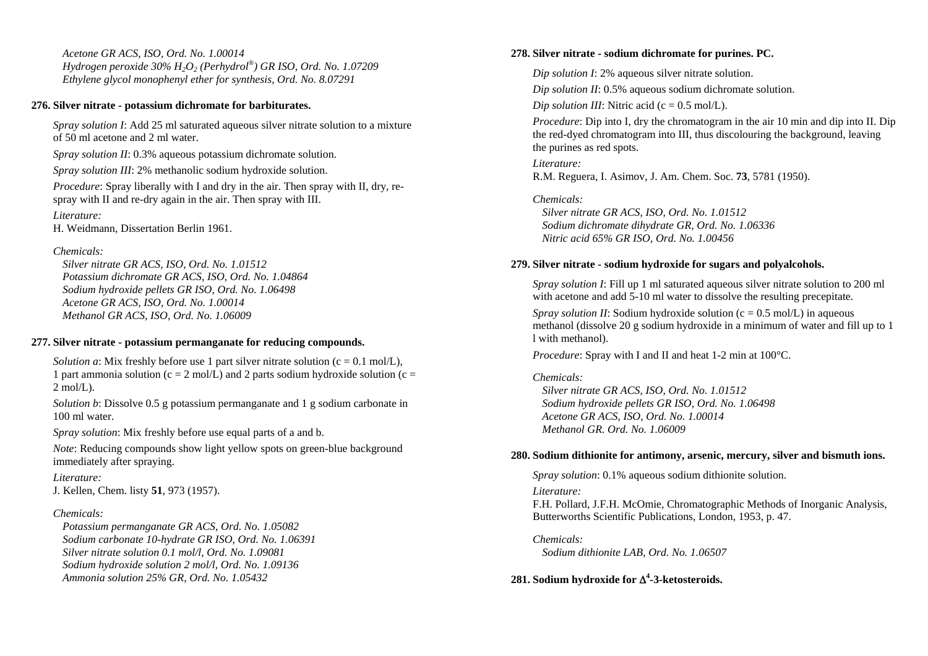*Acetone GR ACS, ISO, Ord. No. 1.00014 Hydrogen peroxide 30% H2O2 (Perhydrol®) GR ISO, Ord. No. 1.07209 Ethylene glycol monophenyl ether for synthesis, Ord. No. 8.07291* 

#### **276. Silver nitrate - potassium dichromate for barbiturates.**

*Spray solution I*: Add 25 ml saturated aqueous silver nitrate solution to a mixture of 50 ml acetone and 2 ml water.

*Spray solution II*: 0.3% aqueous potassium dichromate solution.

*Spray solution III*: 2% methanolic sodium hydroxide solution.

*Procedure*: Spray liberally with I and dry in the air. Then spray with II, dry, respray with II and re-dry again in the air. Then spray with III.

*Literature:* 

H. Weidmann, Dissertation Berlin 1961.

#### *Chemicals:*

 *Silver nitrate GR ACS, ISO, Ord. No. 1.01512 Potassium dichromate GR ACS, ISO, Ord. No. 1.04864 Sodium hydroxide pellets GR ISO, Ord. No. 1.06498 Acetone GR ACS, ISO, Ord. No. 1.00014 Methanol GR ACS, ISO, Ord. No. 1.06009* 

#### **277. Silver nitrate - potassium permanganate for reducing compounds.**

*Solution a*: Mix freshly before use 1 part silver nitrate solution  $(c = 0.1 \text{ mol/L})$ , 1 part ammonia solution (c = 2 mol/L) and 2 parts sodium hydroxide solution (c =  $2 \text{ mol/L}$ .

*Solution b*: Dissolve 0.5 g potassium permanganate and 1 g sodium carbonate in 100 ml water.

*Spray solution*: Mix freshly before use equal parts of a and b.

*Note*: Reducing compounds show light yellow spots on green-blue background immediately after spraying.

### *Literature:*

J. Kellen, Chem. listy **51**, 973 (1957).

### *Chemicals:*

 *Potassium permanganate GR ACS, Ord. No. 1.05082 Sodium carbonate 10-hydrate GR ISO, Ord. No. 1.06391 Silver nitrate solution 0.1 mol/l, Ord. No. 1.09081 Sodium hydroxide solution 2 mol/l, Ord. No. 1.09136 Ammonia solution 25% GR, Ord. No. 1.05432* 

### **278. Silver nitrate - sodium dichromate for purines. PC.**

*Dip solution I*: 2% aqueous silver nitrate solution.

*Dip solution II*: 0.5% aqueous sodium dichromate solution.

*Dip solution III*: Nitric acid ( $c = 0.5$  mol/L).

*Procedure*: Dip into I, dry the chromatogram in the air 10 min and dip into II. Dip the red-dyed chromatogram into III, thus discolouring the background, leaving the purines as red spots.

*Literature:* R.M. Reguera, I. Asimov, J. Am. Chem. Soc. **73**, 5781 (1950).

*Chemicals: Silver nitrate GR ACS, ISO, Ord. No. 1.01512 Sodium dichromate dihydrate GR, Ord. No. 1.06336 Nitric acid 65% GR ISO, Ord. No. 1.00456* 

### **279. Silver nitrate - sodium hydroxide for sugars and polyalcohols.**

*Spray solution I*: Fill up 1 ml saturated aqueous silver nitrate solution to 200 ml with acetone and add 5-10 ml water to dissolve the resulting precepitate.

*Spray solution II:* Sodium hydroxide solution ( $c = 0.5$  mol/L) in aqueous methanol (dissolve 20 g sodium hydroxide in a minimum of water and fill up to 1 l with methanol).

*Procedure*: Spray with I and II and heat 1-2 min at 100°C.

#### *Chemicals:*

 *Silver nitrate GR ACS, ISO, Ord. No. 1.01512 Sodium hydroxide pellets GR ISO, Ord. No. 1.06498 Acetone GR ACS, ISO, Ord. No. 1.00014 Methanol GR. Ord. No. 1.06009* 

### **280. Sodium dithionite for antimony, arsenic, mercury, silver and bismuth ions.**

*Spray solution*: 0.1% aqueous sodium dithionite solution.

*Literature:* 

F.H. Pollard, J.F.H. McOmie, Chromatographic Methods of Inorganic Analysis, Butterworths Scientific Publications, London, 1953, p. 47.

#### *Chemicals:*

 *Sodium dithionite LAB, Ord. No. 1.06507* 

## **281. Sodium hydroxide for**  Δ**4-3-ketosteroids.**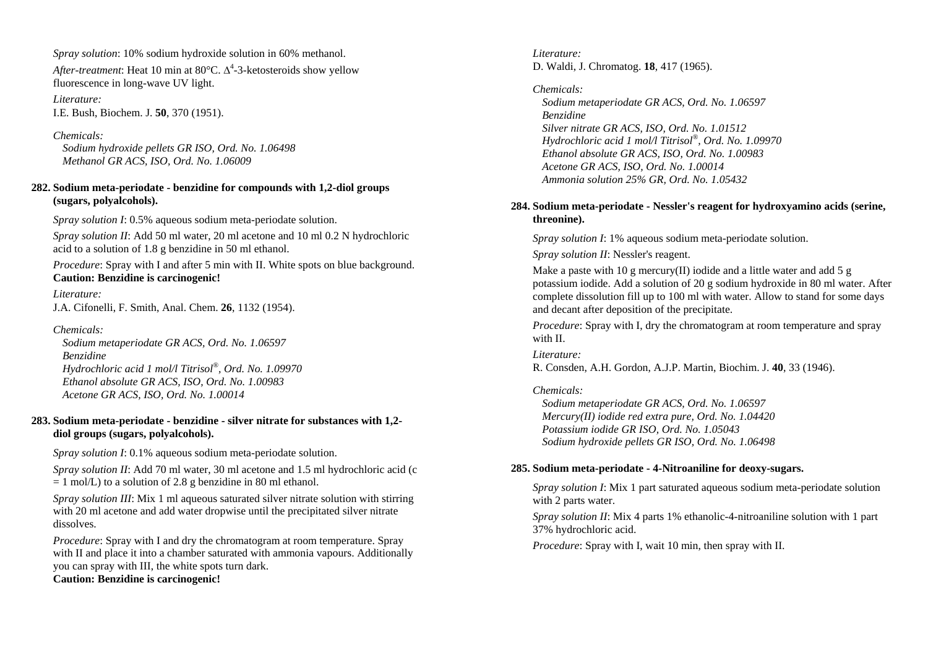*Spray solution*: 10% sodium hydroxide solution in 60% methanol.

*After-treatment*: Heat 10 min at 80 $^{\circ}$ C.  $\Delta^{4}$ -3-ketosteroids show yellow fluorescence in long-wave UV light.

*Literature:* I.E. Bush, Biochem. J. **50**, 370 (1951).

*Chemicals: Sodium hydroxide pellets GR ISO, Ord. No. 1.06498 Methanol GR ACS, ISO, Ord. No. 1.06009* 

## **282. Sodium meta-periodate - benzidine for compounds with 1,2-diol groups (sugars, polyalcohols).**

*Spray solution I*: 0.5% aqueous sodium meta-periodate solution.

*Spray solution II*: Add 50 ml water, 20 ml acetone and 10 ml 0.2 N hydrochloric acid to a solution of 1.8 g benzidine in 50 ml ethanol.

*Procedure*: Spray with I and after 5 min with II. White spots on blue background. **Caution: Benzidine is carcinogenic!**

*Literature:*  J.A. Cifonelli, F. Smith, Anal. Chem. **26**, 1132 (1954).

*Chemicals: Sodium metaperiodate GR ACS, Ord. No. 1.06597 Benzidine Hydrochloric acid 1 mol/l Titrisol®, Ord. No. 1.09970 Ethanol absolute GR ACS, ISO, Ord. No. 1.00983 Acetone GR ACS, ISO, Ord. No. 1.00014* 

## **283. Sodium meta-periodate - benzidine - silver nitrate for substances with 1,2 diol groups (sugars, polyalcohols).**

*Spray solution I*: 0.1% aqueous sodium meta-periodate solution.

*Spray solution II*: Add 70 ml water, 30 ml acetone and 1.5 ml hydrochloric acid (c)  $= 1$  mol/L) to a solution of 2.8 g benzidine in 80 ml ethanol.

*Spray solution III*: Mix 1 ml aqueous saturated silver nitrate solution with stirring with 20 ml acetone and add water dropwise until the precipitated silver nitrate dissolves.

*Procedure*: Spray with I and dry the chromatogram at room temperature. Spray with II and place it into a chamber saturated with ammonia vapours. Additionally you can spray with III, the white spots turn dark.

**Caution: Benzidine is carcinogenic!**

*Literature:* D. Waldi, J. Chromatog. **18**, 417 (1965).

*Chemicals: Sodium metaperiodate GR ACS, Ord. No. 1.06597 Benzidine Silver nitrate GR ACS, ISO, Ord. No. 1.01512 Hydrochloric acid 1 mol/l Titrisol®, Ord. No. 1.09970 Ethanol absolute GR ACS, ISO, Ord. No. 1.00983 Acetone GR ACS, ISO, Ord. No. 1.00014 Ammonia solution 25% GR, Ord. No. 1.05432* 

## **284. Sodium meta-periodate - Nessler's reagent for hydroxyamino acids (serine, threonine).**

*Spray solution I*: 1% aqueous sodium meta-periodate solution.

*Spray solution II*: Nessler's reagent.

Make a paste with 10 g mercury(II) iodide and a little water and add 5 g potassium iodide. Add a solution of 20 g sodium hydroxide in 80 ml water. After complete dissolution fill up to 100 ml with water. Allow to stand for some days and decant after deposition of the precipitate.

*Procedure*: Spray with I, dry the chromatogram at room temperature and spray with II.

*Literature:* 

R. Consden, A.H. Gordon, A.J.P. Martin, Biochim. J. **40**, 33 (1946).

## *Chemicals:*

 *Sodium metaperiodate GR ACS, Ord. No. 1.06597 Mercury(II) iodide red extra pure, Ord. No. 1.04420 Potassium iodide GR ISO, Ord. No. 1.05043 Sodium hydroxide pellets GR ISO, Ord. No. 1.06498* 

## **285. Sodium meta-periodate - 4-Nitroaniline for deoxy-sugars.**

*Spray solution I*: Mix 1 part saturated aqueous sodium meta-periodate solution with 2 parts water.

*Spray solution II:* Mix 4 parts 1% ethanolic-4-nitroaniline solution with 1 part 37% hydrochloric acid.

*Procedure*: Spray with I, wait 10 min, then spray with II.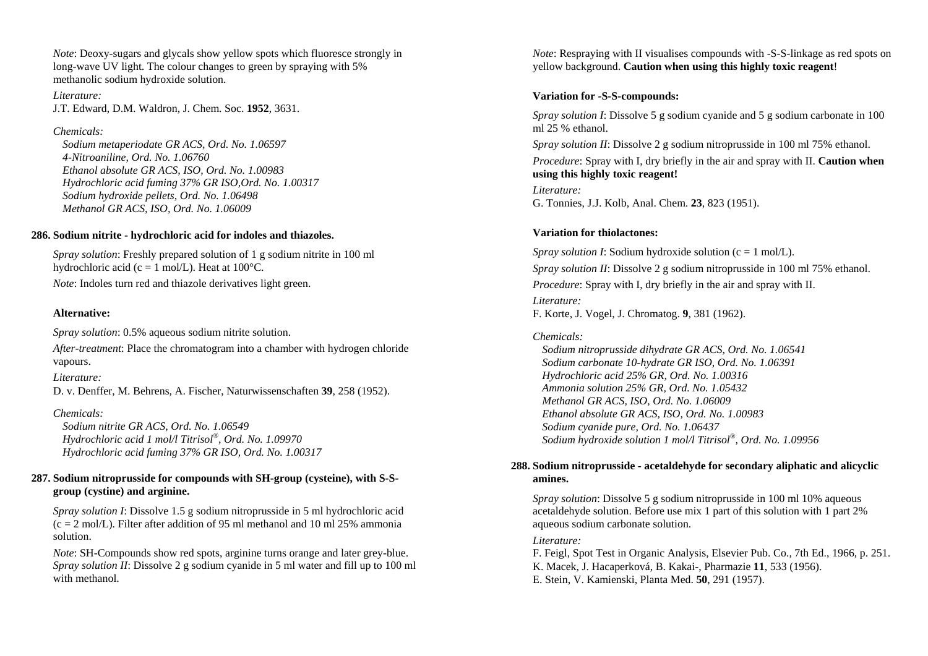*Note*: Deoxy-sugars and glycals show yellow spots which fluoresce strongly in long-wave UV light. The colour changes to green by spraying with 5% methanolic sodium hydroxide solution.

*Literature:* J.T. Edward, D.M. Waldron, J. Chem. Soc. **1952**, 3631.

### *Chemicals:*

 *Sodium metaperiodate GR ACS, Ord. No. 1.06597 4-Nitroaniline, Ord. No. 1.06760 Ethanol absolute GR ACS, ISO, Ord. No. 1.00983 Hydrochloric acid fuming 37% GR ISO,Ord. No. 1.00317 Sodium hydroxide pellets, Ord. No. 1.06498 Methanol GR ACS, ISO, Ord. No. 1.06009* 

## **286. Sodium nitrite - hydrochloric acid for indoles and thiazoles.**

*Spray solution*: Freshly prepared solution of 1 g sodium nitrite in 100 ml hydrochloric acid (c = 1 mol/L). Heat at  $100^{\circ}$ C.

*Note*: Indoles turn red and thiazole derivatives light green.

## **Alternative:**

*Spray solution*: 0.5% aqueous sodium nitrite solution.

*After-treatment*: Place the chromatogram into a chamber with hydrogen chloride vapours.

*Literature:* 

D. v. Denffer, M. Behrens, A. Fischer, Naturwissenschaften **39**, 258 (1952).

## *Chemicals:*

 *Sodium nitrite GR ACS, Ord. No. 1.06549 Hydrochloric acid 1 mol/l Titrisol®, Ord. No. 1.09970 Hydrochloric acid fuming 37% GR ISO, Ord. No. 1.00317* 

## **287. Sodium nitroprusside for compounds with SH-group (cysteine), with S-Sgroup (cystine) and arginine.**

*Spray solution I*: Dissolve 1.5 g sodium nitroprusside in 5 ml hydrochloric acid  $(c = 2 \text{ mol/L})$ . Filter after addition of 95 ml methanol and 10 ml 25% ammonia solution.

*Note*: SH-Compounds show red spots, arginine turns orange and later grey-blue. *Spray solution II*: Dissolve 2 g sodium cyanide in 5 ml water and fill up to 100 ml with methanol.

*Note*: Respraying with II visualises compounds with -S-S-linkage as red spots on yellow background. **Caution when using this highly toxic reagent**!

## **Variation for -S-S-compounds:**

*Spray solution I*: Dissolve 5 g sodium cyanide and 5 g sodium carbonate in 100 ml 25 % ethanol.

*Spray solution II*: Dissolve 2 g sodium nitroprusside in 100 ml 75% ethanol.

*Procedure*: Spray with I, dry briefly in the air and spray with II. **Caution when using this highly toxic reagent!**

*Literature:* G. Tonnies, J.J. Kolb, Anal. Chem. **23**, 823 (1951).

## **Variation for thiolactones:**

*Spray solution I*: Sodium hydroxide solution ( $c = 1$  mol/L). *Spray solution II*: Dissolve 2 g sodium nitroprusside in 100 ml 75% ethanol. *Procedure*: Spray with I, dry briefly in the air and spray with II.

*Literature:*  F. Korte, J. Vogel, J. Chromatog. **9**, 381 (1962).

## *Chemicals:*

 *Sodium nitroprusside dihydrate GR ACS, Ord. No. 1.06541 Sodium carbonate 10-hydrate GR ISO, Ord. No. 1.06391 Hydrochloric acid 25% GR, Ord. No. 1.00316 Ammonia solution 25% GR, Ord. No. 1.05432 Methanol GR ACS, ISO, Ord. No. 1.06009 Ethanol absolute GR ACS, ISO, Ord. No. 1.00983 Sodium cyanide pure, Ord. No. 1.06437 Sodium hydroxide solution 1 mol/l Titrisol®, Ord. No. 1.09956* 

## **288. Sodium nitroprusside - acetaldehyde for secondary aliphatic and alicyclic amines.**

*Spray solution*: Dissolve 5 g sodium nitroprusside in 100 ml 10% aqueous acetaldehyde solution. Before use mix 1 part of this solution with 1 part 2% aqueous sodium carbonate solution.

## *Literature:*

F. Feigl, Spot Test in Organic Analysis, Elsevier Pub. Co., 7th Ed., 1966, p. 251. K. Macek, J. Hacaperková, B. Kakai-, Pharmazie **11**, 533 (1956). E. Stein, V. Kamienski, Planta Med. **50**, 291 (1957).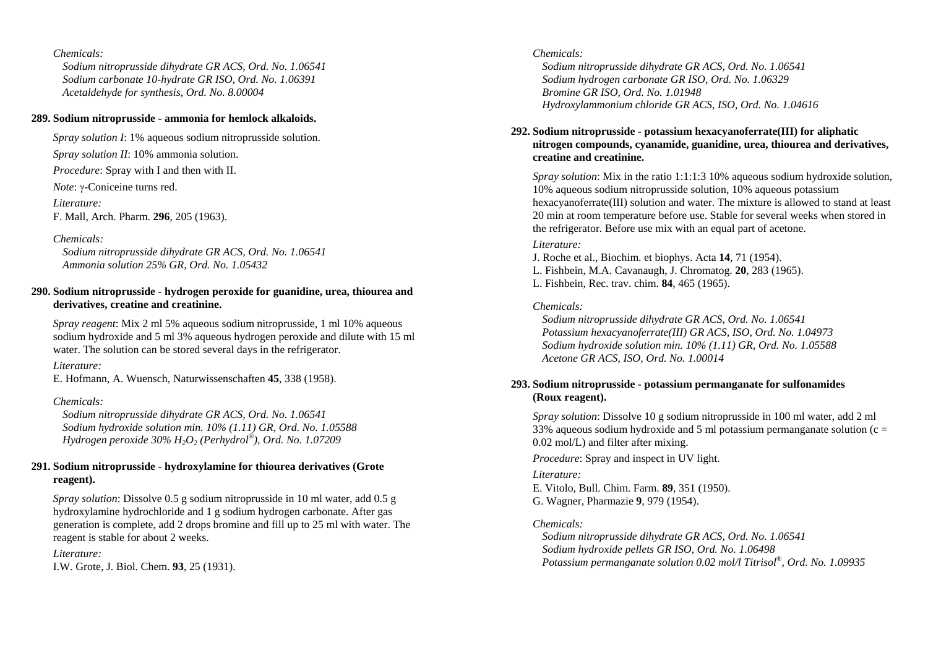*Sodium nitroprusside dihydrate GR ACS, Ord. No. 1.06541 Sodium carbonate 10-hydrate GR ISO, Ord. No. 1.06391 Acetaldehyde for synthesis, Ord. No. 8.00004* 

### **289. Sodium nitroprusside - ammonia for hemlock alkaloids.**

*Spray solution I*: 1% aqueous sodium nitroprusside solution.

*Spray solution II*: 10% ammonia solution.

*Procedure*: Spray with I and then with II.

*Note*: γ-Coniceine turns red.

*Literature:* 

F. Mall, Arch. Pharm. **296**, 205 (1963).

### *Chemicals:*

 *Sodium nitroprusside dihydrate GR ACS, Ord. No. 1.06541 Ammonia solution 25% GR, Ord. No. 1.05432* 

## **290. Sodium nitroprusside - hydrogen peroxide for guanidine, urea, thiourea and derivatives, creatine and creatinine.**

*Spray reagent*: Mix 2 ml 5% aqueous sodium nitroprusside, 1 ml 10% aqueous sodium hydroxide and 5 ml 3% aqueous hydrogen peroxide and dilute with 15 ml water. The solution can be stored several days in the refrigerator.

## *Literature:*

E. Hofmann, A. Wuensch, Naturwissenschaften **45**, 338 (1958).

## *Chemicals:*

 *Sodium nitroprusside dihydrate GR ACS, Ord. No. 1.06541 Sodium hydroxide solution min. 10% (1.11) GR, Ord. No. 1.05588 Hydrogen peroxide 30% H2O2 (Perhydrol®), Ord. No. 1.07209* 

## **291. Sodium nitroprusside - hydroxylamine for thiourea derivatives (Grote reagent).**

*Spray solution*: Dissolve 0.5 g sodium nitroprusside in 10 ml water, add 0.5 g hydroxylamine hydrochloride and 1 g sodium hydrogen carbonate. After gas generation is complete, add 2 drops bromine and fill up to 25 ml with water. The reagent is stable for about 2 weeks.

### *Literature:*

I.W. Grote, J. Biol. Chem. **93**, 25 (1931).

### *Chemicals:*

 *Sodium nitroprusside dihydrate GR ACS, Ord. No. 1.06541 Sodium hydrogen carbonate GR ISO, Ord. No. 1.06329 Bromine GR ISO, Ord. No. 1.01948 Hydroxylammonium chloride GR ACS, ISO, Ord. No. 1.04616* 

### **292. Sodium nitroprusside - potassium hexacyanoferrate(III) for aliphatic nitrogen compounds, cyanamide, guanidine, urea, thiourea and derivatives, creatine and creatinine.**

*Spray solution*: Mix in the ratio 1:1:1:3 10% aqueous sodium hydroxide solution, 10% aqueous sodium nitroprusside solution, 10% aqueous potassium hexacyanoferrate(III) solution and water. The mixture is allowed to stand at least 20 min at room temperature before use. Stable for several weeks when stored in the refrigerator. Before use mix with an equal part of acetone.

### *Literature:*

J. Roche et al., Biochim. et biophys. Acta **14**, 71 (1954). L. Fishbein, M.A. Cavanaugh, J. Chromatog. **20**, 283 (1965). L. Fishbein, Rec. trav. chim. **84**, 465 (1965).

## *Chemicals:*

 *Sodium nitroprusside dihydrate GR ACS, Ord. No. 1.06541 Potassium hexacyanoferrate(III) GR ACS, ISO, Ord. No. 1.04973 Sodium hydroxide solution min. 10% (1.11) GR, Ord. No. 1.05588 Acetone GR ACS, ISO, Ord. No. 1.00014* 

## **293. Sodium nitroprusside - potassium permanganate for sulfonamides (Roux reagent).**

*Spray solution*: Dissolve 10 g sodium nitroprusside in 100 ml water, add 2 ml 33% aqueous sodium hydroxide and 5 ml potassium permanganate solution ( $c =$ 0.02 mol/L) and filter after mixing.

*Procedure*: Spray and inspect in UV light.

## *Literature:*

E. Vitolo, Bull. Chim. Farm. **89**, 351 (1950). G. Wagner, Pharmazie **9**, 979 (1954).

## *Chemicals:*

 *Sodium nitroprusside dihydrate GR ACS, Ord. No. 1.06541 Sodium hydroxide pellets GR ISO, Ord. No. 1.06498 Potassium permanganate solution 0.02 mol/l Titrisol®, Ord. No. 1.09935*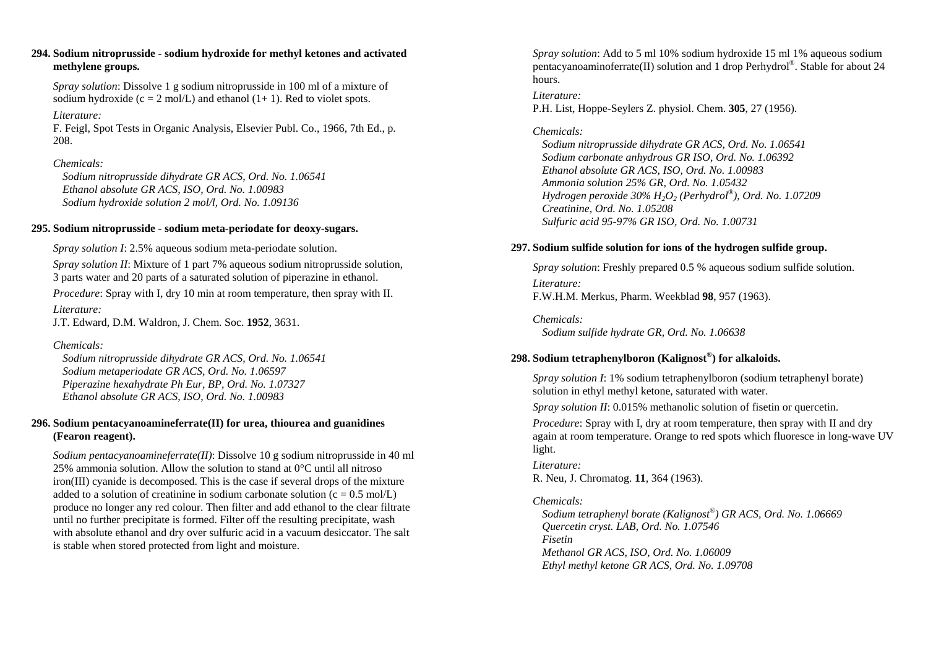### **294. Sodium nitroprusside - sodium hydroxide for methyl ketones and activated methylene groups.**

*Spray solution*: Dissolve 1 g sodium nitroprusside in 100 ml of a mixture of sodium hydroxide ( $c = 2$  mol/L) and ethanol (1+ 1). Red to violet spots.

### *Literature:*

F. Feigl, Spot Tests in Organic Analysis, Elsevier Publ. Co., 1966, 7th Ed., p. 208.

## *Chemicals:*

 *Sodium nitroprusside dihydrate GR ACS, Ord. No. 1.06541 Ethanol absolute GR ACS, ISO, Ord. No. 1.00983 Sodium hydroxide solution 2 mol/l, Ord. No. 1.09136* 

### **295. Sodium nitroprusside - sodium meta-periodate for deoxy-sugars.**

*Spray solution I*: 2.5% aqueous sodium meta-periodate solution.

*Spray solution II*: Mixture of 1 part 7% aqueous sodium nitroprusside solution, 3 parts water and 20 parts of a saturated solution of piperazine in ethanol.

*Procedure*: Spray with I, dry 10 min at room temperature, then spray with II. *Literature:* 

J.T. Edward, D.M. Waldron, J. Chem. Soc. **1952**, 3631.

## *Chemicals:*

 *Sodium nitroprusside dihydrate GR ACS, Ord. No. 1.06541 Sodium metaperiodate GR ACS, Ord. No. 1.06597 Piperazine hexahydrate Ph Eur, BP, Ord. No. 1.07327 Ethanol absolute GR ACS, ISO, Ord. No. 1.00983* 

## **296. Sodium pentacyanoamineferrate(II) for urea, thiourea and guanidines (Fearon reagent).**

*Sodium pentacyanoamineferrate(II)*: Dissolve 10 g sodium nitroprusside in 40 ml 25% ammonia solution. Allow the solution to stand at 0°C until all nitroso iron(III) cyanide is decomposed. This is the case if several drops of the mixture added to a solution of creatinine in sodium carbonate solution ( $c = 0.5$  mol/L) produce no longer any red colour. Then filter and add ethanol to the clear filtrate until no further precipitate is formed. Filter off the resulting precipitate, wash with absolute ethanol and dry over sulfuric acid in a vacuum desiccator. The salt is stable when stored protected from light and moisture.

*Spray solution*: Add to 5 ml 10% sodium hydroxide 15 ml 1% aqueous sodium pentacyanoaminoferrate(II) solution and 1 drop Perhydrol®. Stable for about 24 hours.

### *Literature:*

P.H. List, Hoppe-Seylers Z. physiol. Chem. **305**, 27 (1956).

## *Chemicals:*

 *Sodium nitroprusside dihydrate GR ACS, Ord. No. 1.06541 Sodium carbonate anhydrous GR ISO, Ord. No. 1.06392 Ethanol absolute GR ACS, ISO, Ord. No. 1.00983 Ammonia solution 25% GR, Ord. No. 1.05432 Hydrogen peroxide 30% H2O2 (Perhydrol®), Ord. No. 1.07209 Creatinine, Ord. No. 1.05208 Sulfuric acid 95-97% GR ISO, Ord. No. 1.00731* 

## **297. Sodium sulfide solution for ions of the hydrogen sulfide group.**

*Spray solution*: Freshly prepared 0.5 % aqueous sodium sulfide solution. *Literature:*  F.W.H.M. Merkus, Pharm. Weekblad **98**, 957 (1963).

*Chemicals: Sodium sulfide hydrate GR, Ord. No. 1.06638* 

## **298. Sodium tetraphenylboron (Kalignost ®) for alkaloids.**

*Spray solution I*: 1% sodium tetraphenylboron (sodium tetraphenyl borate) solution in ethyl methyl ketone, saturated with water.

*Spray solution II*: 0.015% methanolic solution of fisetin or quercetin.

*Procedure*: Spray with I, dry at room temperature, then spray with II and dry again at room temperature. Orange to red spots which fluoresce in long-wave UV light.

*Literature:*  R. Neu, J. Chromatog. **11**, 364 (1963).

## *Chemicals:*

 *Sodium tetraphenyl borate (Kalignost®) GR ACS, Ord. No. 1.06669 Quercetin cryst. LAB, Ord. No. 1.07546 Fisetin Methanol GR ACS, ISO, Ord. No. 1.06009 Ethyl methyl ketone GR ACS, Ord. No. 1.09708*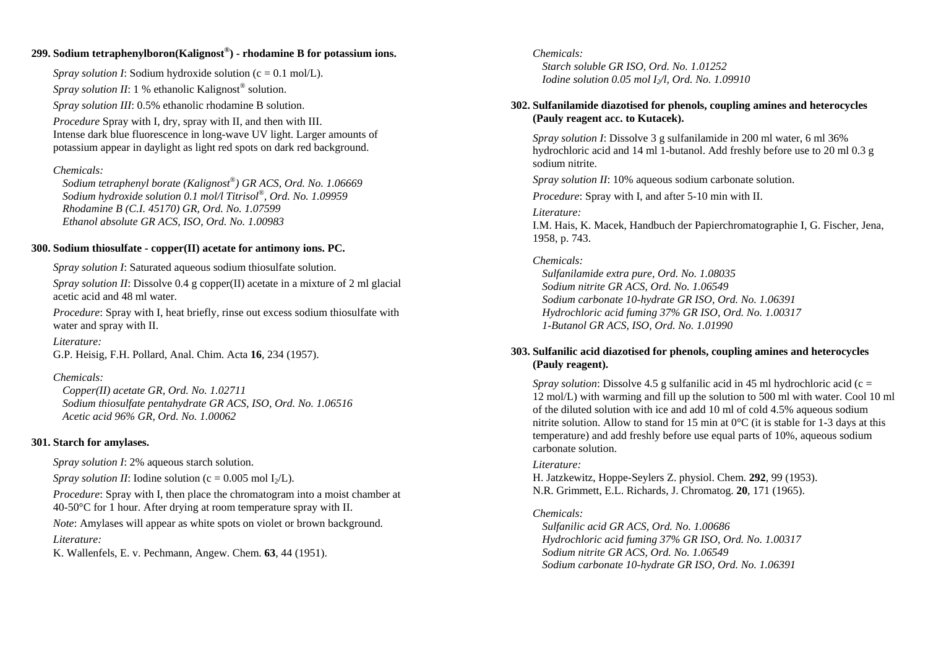## **299. Sodium tetraphenylboron(Kalignost ®) - rhodamine B for potassium ions.**

*Spray solution I*: Sodium hydroxide solution (c = 0.1 mol/L). *Spray solution II*: 1 % ethanolic Kalignost<sup>®</sup> solution. *Spray solution III*: 0.5% ethanolic rhodamine B solution.

*Procedure* Spray with I, dry, spray with II, and then with III. Intense dark blue fluorescence in long-wave UV light. Larger amounts of potassium appear in daylight as light red spots on dark red background.

### *Chemicals:*

 *Sodium tetraphenyl borate (Kalignost®) GR ACS, Ord. No. 1.06669 Sodium hydroxide solution 0.1 mol/l Titrisol®, Ord. No. 1.09959 Rhodamine B (C.I. 45170) GR, Ord. No. 1.07599 Ethanol absolute GR ACS, ISO, Ord. No. 1.00983* 

### **300. Sodium thiosulfate - copper(II) acetate for antimony ions. PC.**

*Spray solution I*: Saturated aqueous sodium thiosulfate solution.

*Spray solution II: Dissolve 0.4 g copper(II) acetate in a mixture of 2 ml glacial* acetic acid and 48 ml water.

*Procedure*: Spray with I, heat briefly, rinse out excess sodium thiosulfate with water and spray with II.

*Literature:* G.P. Heisig, F.H. Pollard, Anal. Chim. Acta **16**, 234 (1957).

### *Chemicals:*

 *Copper(II) acetate GR, Ord. No. 1.02711 Sodium thiosulfate pentahydrate GR ACS, ISO, Ord. No. 1.06516 Acetic acid 96% GR, Ord. No. 1.00062* 

### **301. Starch for amylases.**

*Spray solution I*: 2% aqueous starch solution.

*Spray solution II*: Iodine solution ( $c = 0.005$  mol I<sub>2</sub>/L).

*Procedure*: Spray with I, then place the chromatogram into a moist chamber at 40-50°C for 1 hour. After drying at room temperature spray with II.

*Note*: Amylases will appear as white spots on violet or brown background.

### *Literature:*

K. Wallenfels, E. v. Pechmann, Angew. Chem. **63**, 44 (1951).

### *Chemicals: Starch soluble GR ISO, Ord. No. 1.01252 Iodine solution 0.05 mol I2/l, Ord. No. 1.09910*

## **302. Sulfanilamide diazotised for phenols, coupling amines and heterocycles (Pauly reagent acc. to Kutacek).**

*Spray solution I*: Dissolve 3 g sulfanilamide in 200 ml water, 6 ml 36% hydrochloric acid and 14 ml 1-butanol. Add freshly before use to 20 ml 0.3 g sodium nitrite.

*Spray solution II*: 10% aqueous sodium carbonate solution.

*Procedure*: Spray with I, and after 5-10 min with II.

### *Literature:*

I.M. Hais, K. Macek, Handbuch der Papierchromatographie I, G. Fischer, Jena, 1958, p. 743.

### *Chemicals:*

 *Sulfanilamide extra pure, Ord. No. 1.08035 Sodium nitrite GR ACS, Ord. No. 1.06549 Sodium carbonate 10-hydrate GR ISO, Ord. No. 1.06391 Hydrochloric acid fuming 37% GR ISO, Ord. No. 1.00317 1-Butanol GR ACS, ISO, Ord. No. 1.01990* 

## **303. Sulfanilic acid diazotised for phenols, coupling amines and heterocycles (Pauly reagent).**

*Spray solution*: Dissolve 4.5 g sulfanilic acid in 45 ml hydrochloric acid (c = 12 mol/L) with warming and fill up the solution to 500 ml with water. Cool 10 ml of the diluted solution with ice and add 10 ml of cold 4.5% aqueous sodium nitrite solution. Allow to stand for 15 min at  $0^{\circ}$ C (it is stable for 1-3 days at this temperature) and add freshly before use equal parts of 10%, aqueous sodium carbonate solution.

### *Literature:*

H. Jatzkewitz, Hoppe-Seylers Z. physiol. Chem. **292**, 99 (1953). N.R. Grimmett, E.L. Richards, J. Chromatog. **20**, 171 (1965).

### *Chemicals:*

 *Sulfanilic acid GR ACS, Ord. No. 1.00686 Hydrochloric acid fuming 37% GR ISO, Ord. No. 1.00317 Sodium nitrite GR ACS, Ord. No. 1.06549 Sodium carbonate 10-hydrate GR ISO, Ord. No. 1.06391*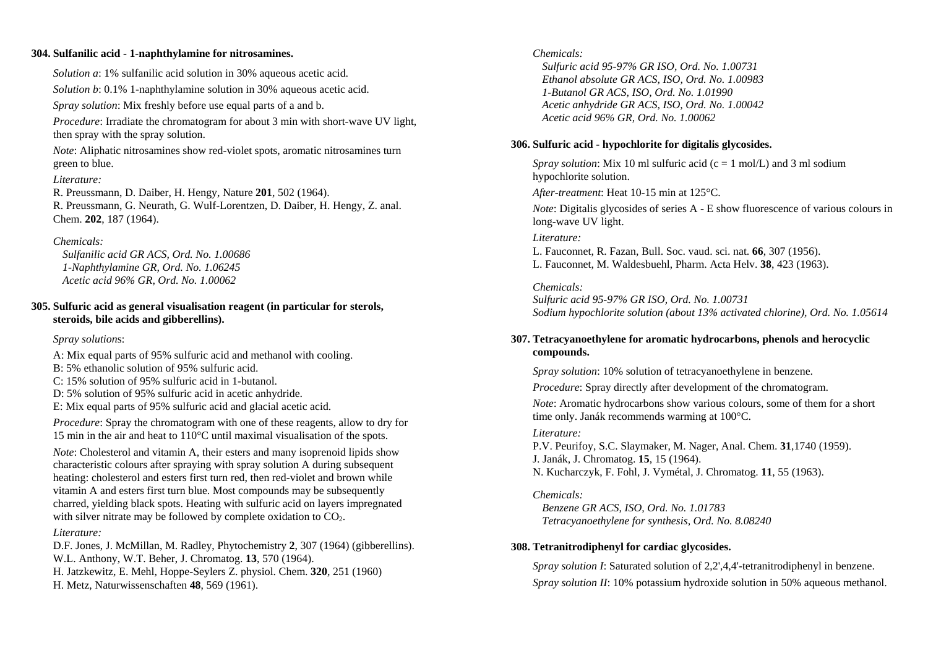### **304. Sulfanilic acid - 1-naphthylamine for nitrosamines.**

*Solution a*: 1% sulfanilic acid solution in 30% aqueous acetic acid.

*Solution b*: 0.1% 1-naphthylamine solution in 30% aqueous acetic acid.

*Spray solution*: Mix freshly before use equal parts of a and b.

*Procedure*: Irradiate the chromatogram for about 3 min with short-wave UV light, then spray with the spray solution.

*Note*: Aliphatic nitrosamines show red-violet spots, aromatic nitrosamines turn green to blue.

### *Literature:*

R. Preussmann, D. Daiber, H. Hengy, Nature **201**, 502 (1964). R. Preussmann, G. Neurath, G. Wulf-Lorentzen, D. Daiber, H. Hengy, Z. anal. Chem. **202**, 187 (1964).

## *Chemicals:*

 *Sulfanilic acid GR ACS, Ord. No. 1.00686 1-Naphthylamine GR, Ord. No. 1.06245 Acetic acid 96% GR, Ord. No. 1.00062* 

## **305. Sulfuric acid as general visualisation reagent (in particular for sterols, steroids, bile acids and gibberellins).**

### *Spray solution*s:

A: Mix equal parts of 95% sulfuric acid and methanol with cooling.

- B: 5% ethanolic solution of 95% sulfuric acid.
- C: 15% solution of 95% sulfuric acid in 1-butanol.
- D: 5% solution of 95% sulfuric acid in acetic anhydride.
- E: Mix equal parts of 95% sulfuric acid and glacial acetic acid.

*Procedure*: Spray the chromatogram with one of these reagents, allow to dry for 15 min in the air and heat to 110°C until maximal visualisation of the spots.

*Note*: Cholesterol and vitamin A, their esters and many isoprenoid lipids show characteristic colours after spraying with spray solution A during subsequent heating: cholesterol and esters first turn red, then red-violet and brown while vitamin A and esters first turn blue. Most compounds may be subsequently charred, yielding black spots. Heating with sulfuric acid on layers impregnated with silver nitrate may be followed by complete oxidation to  $CO<sub>2</sub>$ .

### *Literature:*

D.F. Jones, J. McMillan, M. Radley, Phytochemistry **2**, 307 (1964) (gibberellins).

W.L. Anthony, W.T. Beher, J. Chromatog. **13**, 570 (1964).

H. Jatzkewitz, E. Mehl, Hoppe-Seylers Z. physiol. Chem. **320**, 251 (1960)

H. Metz, Naturwissenschaften **48**, 569 (1961).

### *Chemicals:*

 *Sulfuric acid 95-97% GR ISO, Ord. No. 1.00731 Ethanol absolute GR ACS, ISO, Ord. No. 1.00983 1-Butanol GR ACS, ISO, Ord. No. 1.01990 Acetic anhydride GR ACS, ISO, Ord. No. 1.00042 Acetic acid 96% GR, Ord. No. 1.00062* 

## **306. Sulfuric acid - hypochlorite for digitalis glycosides.**

*Spray solution*: Mix 10 ml sulfuric acid ( $c = 1$  mol/L) and 3 ml sodium hypochlorite solution.

*After-treatment*: Heat 10-15 min at 125°C.

*Note*: Digitalis glycosides of series A - E show fluorescence of various colours in long-wave UV light.

### *Literature:*

L. Fauconnet, R. Fazan, Bull. Soc. vaud. sci. nat. **66**, 307 (1956). L. Fauconnet, M. Waldesbuehl, Pharm. Acta Helv. **38**, 423 (1963).

## *Chemicals:*

*Sulfuric acid 95-97% GR ISO, Ord. No. 1.00731 Sodium hypochlorite solution (about 13% activated chlorine), Ord. No. 1.05614* 

## **307. Tetracyanoethylene for aromatic hydrocarbons, phenols and herocyclic compounds.**

*Spray solution*: 10% solution of tetracyanoethylene in benzene.

*Procedure*: Spray directly after development of the chromatogram.

*Note*: Aromatic hydrocarbons show various colours, some of them for a short time only. Janák recommends warming at 100°C.

### *Literature:*

P.V. Peurifoy, S.C. Slaymaker, M. Nager, Anal. Chem. **31**,1740 (1959). J. Janák, J. Chromatog. **15**, 15 (1964). N. Kucharczyk, F. Fohl, J. Vymétal, J. Chromatog. **11**, 55 (1963).

## *Chemicals:*

 *Benzene GR ACS, ISO, Ord. No. 1.01783 Tetracyanoethylene for synthesis, Ord. No. 8.08240* 

## **308. Tetranitrodiphenyl for cardiac glycosides.**

*Spray solution I*: Saturated solution of 2.2', 4.4'-tetranitrodiphenyl in benzene. *Spray solution II*: 10% potassium hydroxide solution in 50% aqueous methanol.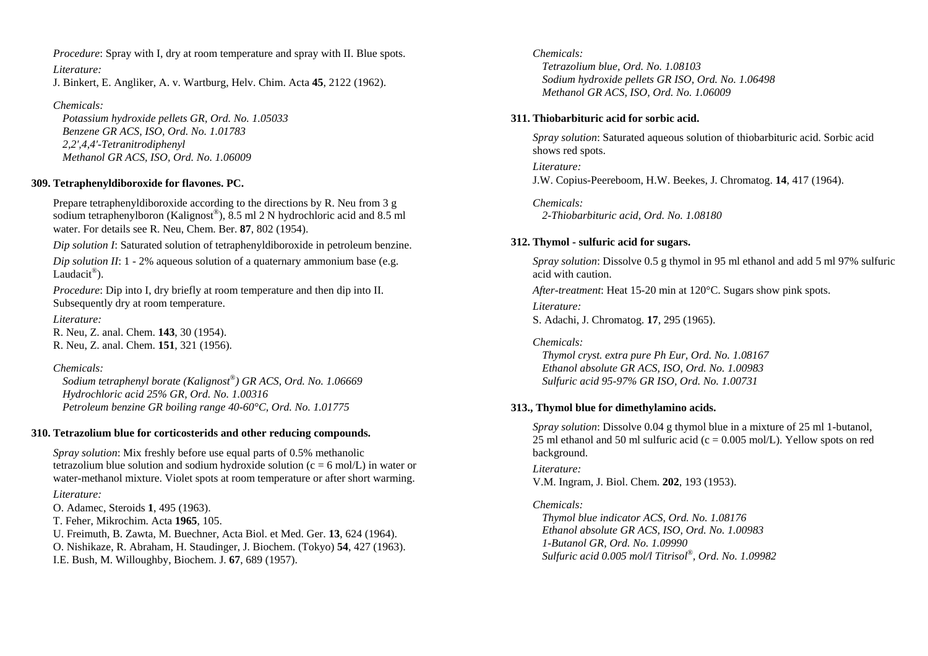*Procedure*: Spray with I, dry at room temperature and spray with II. Blue spots.

*Literature:* 

J. Binkert, E. Angliker, A. v. Wartburg, Helv. Chim. Acta **45**, 2122 (1962).

## *Chemicals:*

 *Potassium hydroxide pellets GR, Ord. No. 1.05033 Benzene GR ACS, ISO, Ord. No. 1.01783 2,2',4,4'-Tetranitrodiphenyl Methanol GR ACS, ISO, Ord. No. 1.06009* 

## **309. Tetraphenyldiboroxide for flavones. PC.**

Prepare tetraphenyldiboroxide according to the directions by R. Neu from 3 g sodium tetraphenylboron (Kalignost®), 8.5 ml 2 N hydrochloric acid and 8.5 ml water. For details see R. Neu, Chem. Ber. **87**, 802 (1954).

*Dip solution I*: Saturated solution of tetraphenyldiboroxide in petroleum benzine.

*Dip solution II*: 1 - 2% aqueous solution of a quaternary ammonium base (e.g. Laudacit<sup>®</sup>).

*Procedure*: Dip into I, dry briefly at room temperature and then dip into II. Subsequently dry at room temperature.

*Literature:* R. Neu, Z. anal. Chem. **143**, 30 (1954). R. Neu, Z. anal. Chem. **151**, 321 (1956).

## *Chemicals:*

 *Sodium tetraphenyl borate (Kalignost®) GR ACS, Ord. No. 1.06669 Hydrochloric acid 25% GR, Ord. No. 1.00316 Petroleum benzine GR boiling range 40-60°C, Ord. No. 1.01775* 

## **310. Tetrazolium blue for corticosterids and other reducing compounds.**

*Spray solution*: Mix freshly before use equal parts of 0.5% methanolic tetrazolium blue solution and sodium hydroxide solution ( $c = 6$  mol/L) in water or water-methanol mixture. Violet spots at room temperature or after short warming. *Literature:* 

O. Adamec, Steroids **1**, 495 (1963). T. Feher, Mikrochim. Acta **1965**, 105.

U. Freimuth, B. Zawta, M. Buechner, Acta Biol. et Med. Ger. **13**, 624 (1964).

O. Nishikaze, R. Abraham, H. Staudinger, J. Biochem. (Tokyo) **54**, 427 (1963). I.E. Bush, M. Willoughby, Biochem. J. **67**, 689 (1957).

## *Chemicals:*

 *Tetrazolium blue, Ord. No. 1.08103 Sodium hydroxide pellets GR ISO, Ord. No. 1.06498 Methanol GR ACS, ISO, Ord. No. 1.06009* 

## **311. Thiobarbituric acid for sorbic acid.**

*Spray solution*: Saturated aqueous solution of thiobarbituric acid. Sorbic acid shows red spots.

*Literature:*  J.W. Copius-Peereboom, H.W. Beekes, J. Chromatog. **14**, 417 (1964).

*Chemicals: 2-Thiobarbituric acid, Ord. No. 1.08180* 

## **312. Thymol - sulfuric acid for sugars.**

*Spray solution*: Dissolve 0.5 g thymol in 95 ml ethanol and add 5 ml 97% sulfuric acid with caution.

*After-treatment*: Heat 15-20 min at 120°C. Sugars show pink spots.

*Literature:* S. Adachi, J. Chromatog. **17**, 295 (1965).

## *Chemicals:*

 *Thymol cryst. extra pure Ph Eur, Ord. No. 1.08167 Ethanol absolute GR ACS, ISO, Ord. No. 1.00983 Sulfuric acid 95-97% GR ISO, Ord. No. 1.00731* 

## **313., Thymol blue for dimethylamino acids.**

*Spray solution*: Dissolve 0.04 g thymol blue in a mixture of 25 ml 1-butanol, 25 ml ethanol and 50 ml sulfuric acid ( $c = 0.005$  mol/L). Yellow spots on red background.

# *Literature:*

V.M. Ingram, J. Biol. Chem. **202**, 193 (1953).

## *Chemicals:*

 *Thymol blue indicator ACS, Ord. No. 1.08176 Ethanol absolute GR ACS, ISO, Ord. No. 1.00983 1-Butanol GR, Ord. No. 1.09990 Sulfuric acid 0.005 mol/l Titrisol®, Ord. No. 1.09982*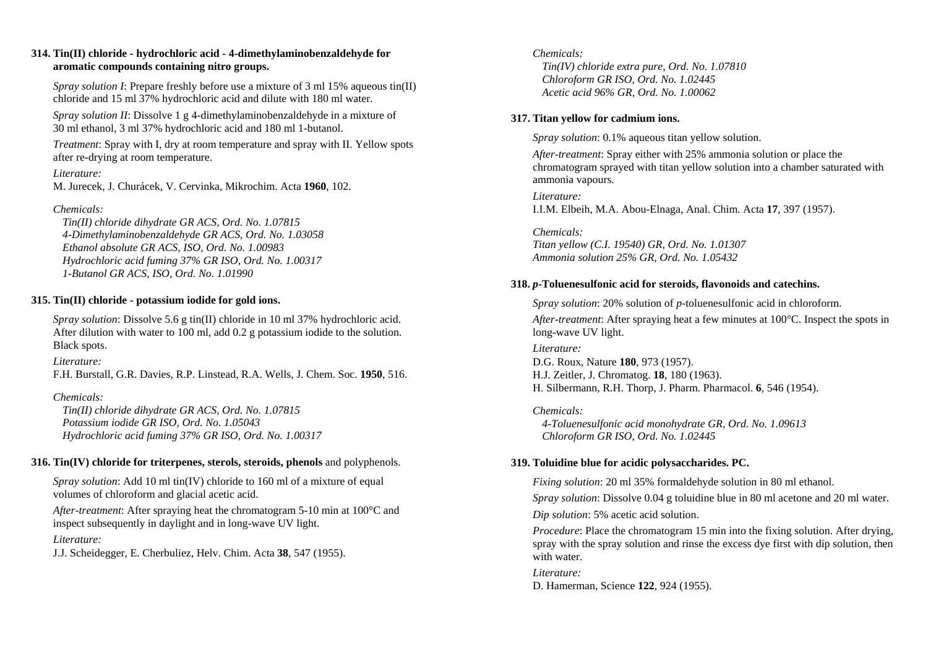### **314. Tin(II) chloride - hydrochloric acid - 4-dimethylaminobenzaldehyde for aromatic compounds containing nitro groups.**

*Spray solution I*: Prepare freshly before use a mixture of 3 ml 15% aqueous tin(II) chloride and 15 ml 37% hydrochloric acid and dilute with 180 ml water.

*Spray solution II*: Dissolve 1 g 4-dimethylaminobenzaldehyde in a mixture of 30 ml ethanol, 3 ml 37% hydrochloric acid and 180 ml 1-butanol.

*Treatment*: Spray with I, dry at room temperature and spray with II. Yellow spots after re-drying at room temperature.

*Literature:* 

M. Jurecek, J. Churácek, V. Cervinka, Mikrochim. Acta **1960**, 102.

## *Chemicals:*

 *Tin(II) chloride dihydrate GR ACS, Ord. No. 1.07815 4-Dimethylaminobenzaldehyde GR ACS, Ord. No. 1.03058 Ethanol absolute GR ACS, ISO, Ord. No. 1.00983 Hydrochloric acid fuming 37% GR ISO, Ord. No. 1.00317 1-Butanol GR ACS, ISO, Ord. No. 1.01990* 

## **315. Tin(II) chloride - potassium iodide for gold ions.**

*Spray solution*: Dissolve 5.6 g tin(II) chloride in 10 ml 37% hydrochloric acid. After dilution with water to 100 ml, add 0.2 g potassium iodide to the solution. Black spots.

### *Literature:*

F.H. Burstall, G.R. Davies, R.P. Linstead, R.A. Wells, J. Chem. Soc. **1950**, 516.

## *Chemicals:*

 *Tin(II) chloride dihydrate GR ACS, Ord. No. 1.07815 Potassium iodide GR ISO, Ord. No. 1.05043 Hydrochloric acid fuming 37% GR ISO, Ord. No. 1.00317* 

### **316. Tin(IV) chloride for triterpenes, sterols, steroids, phenols** and polyphenols.

*Spray solution*: Add 10 ml tin(IV) chloride to 160 ml of a mixture of equal volumes of chloroform and glacial acetic acid.

*After-treatment*: After spraying heat the chromatogram 5-10 min at 100°C and inspect subsequently in daylight and in long-wave UV light.

*Literature:* 

J.J. Scheidegger, E. Cherbuliez, Helv. Chim. Acta **38**, 547 (1955).

## *Chemicals:*

 *Tin(IV) chloride extra pure, Ord. No. 1.07810 Chloroform GR ISO, Ord. No. 1.02445 Acetic acid 96% GR, Ord. No. 1.00062* 

### **317. Titan yellow for cadmium ions.**

*Spray solution*: 0.1% aqueous titan yellow solution.

*After-treatment*: Spray either with 25% ammonia solution or place the chromatogram sprayed with titan yellow solution into a chamber saturated with ammonia vapours.

*Literature:* I.I.M. Elbeih, M.A. Abou-Elnaga, Anal. Chim. Acta **17**, 397 (1957).

*Chemicals: Titan yellow (C.I. 19540) GR, Ord. No. 1.01307 Ammonia solution 25% GR, Ord. No. 1.05432* 

## **318.**  *p***-Toluenesulfonic acid for steroids, flavonoids and catechins.**

*Spray solution*: 20% solution of *p*-toluenesulfonic acid in chloroform. *After-treatment*: After spraying heat a few minutes at 100°C. Inspect the spots in long-wave UV light.

*Literature:*  D.G. Roux, Nature **180**, 973 (1957). H.J. Zeitler, J. Chromatog. **18**, 180 (1963). H. Silbermann, R.H. Thorp, J. Pharm. Pharmacol. **6**, 546 (1954).

*Chemicals: 4-Toluenesulfonic acid monohydrate GR, Ord. No. 1.09613 Chloroform GR ISO, Ord. No. 1.02445* 

## **319. Toluidine blue for acidic polysaccharides. PC.**

*Fixing solution*: 20 ml 35% formaldehyde solution in 80 ml ethanol.

*Spray solution*: Dissolve 0.04 g toluidine blue in 80 ml acetone and 20 ml water.

*Dip solution*: 5% acetic acid solution.

*Procedure*: Place the chromatogram 15 min into the fixing solution. After drying, spray with the spray solution and rinse the excess dye first with dip solution, then with water.

*Literature:*  D. Hamerman, Science **122**, 924 (1955).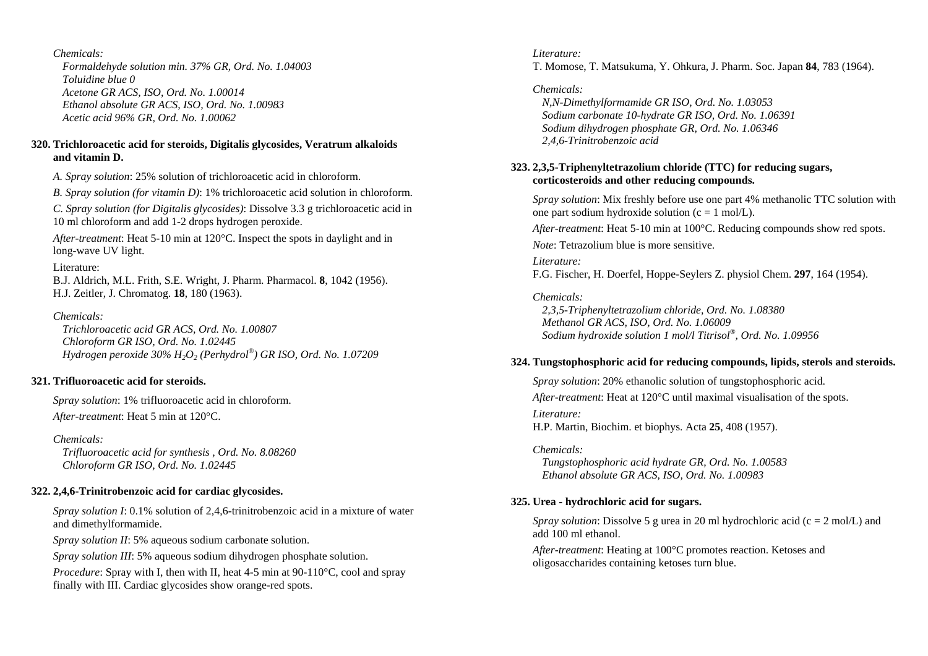*Formaldehyde solution min. 37% GR, Ord. No. 1.04003 Toluidine blue 0 Acetone GR ACS, ISO, Ord. No. 1.00014 Ethanol absolute GR ACS, ISO, Ord. No. 1.00983 Acetic acid 96% GR, Ord. No. 1.00062* 

### **320. Trichloroacetic acid for steroids, Digitalis glycosides, Veratrum alkaloids and vitamin D.**

*A. Spray solution*: 25% solution of trichloroacetic acid in chloroform.

*B. Spray solution (for vitamin D)*: 1% trichloroacetic acid solution in chloroform.

*C. Spray solution (for Digitalis glycosides)*: Dissolve 3.3 g trichloroacetic acid in 10 ml chloroform and add 1-2 drops hydrogen peroxide.

*After-treatment*: Heat 5-10 min at 120°C. Inspect the spots in daylight and in long-wave UV light.

### Literature:

B.J. Aldrich, M.L. Frith, S.E. Wright, J. Pharm. Pharmacol. **8**, 1042 (1956). H.J. Zeitler, J. Chromatog. **18**, 180 (1963).

### *Chemicals:*

 *Trichloroacetic acid GR ACS, Ord. No. 1.00807 Chloroform GR ISO, Ord. No. 1.02445 Hydrogen peroxide 30% H2O2 (Perhydrol®) GR ISO, Ord. No. 1.07209* 

## **321. Trifluoroacetic acid for steroids.**

*Spray solution*: 1% trifluoroacetic acid in chloroform. *After-treatment*: Heat 5 min at 120°C.

*Chemicals: Trifluoroacetic acid for synthesis , Ord. No. 8.08260 Chloroform GR ISO, Ord. No. 1.02445* 

## **322. 2,4,6-Trinitrobenzoic acid for cardiac glycosides.**

*Spray solution I*: 0.1% solution of 2,4,6-trinitrobenzoic acid in a mixture of water and dimethylformamide.

*Spray solution II*: 5% aqueous sodium carbonate solution.

*Spray solution III*: 5% aqueous sodium dihydrogen phosphate solution.

*Procedure*: Spray with I, then with II, heat 4-5 min at 90-110<sup>o</sup>C, cool and spray finally with III. Cardiac glycosides show orange-red spots.

### *Literature:*

T. Momose, T. Matsukuma, Y. Ohkura, J. Pharm. Soc. Japan **84**, 783 (1964).

## *Chemicals:*

 *N,N-Dimethylformamide GR ISO, Ord. No. 1.03053 Sodium carbonate 10-hydrate GR ISO, Ord. No. 1.06391 Sodium dihydrogen phosphate GR, Ord. No. 1.06346 2,4,6-Trinitrobenzoic acid* 

## **323. 2,3,5-Triphenyltetrazolium chloride (TTC) for reducing sugars, corticosteroids and other reducing compounds.**

*Spray solution*: Mix freshly before use one part 4% methanolic TTC solution with one part sodium hydroxide solution ( $c = 1$  mol/L).

*After-treatment*: Heat 5-10 min at 100°C. Reducing compounds show red spots.

*Note*: Tetrazolium blue is more sensitive.

*Literature:* F.G. Fischer, H. Doerfel, Hoppe-Seylers Z. physiol Chem. **297**, 164 (1954).

*Chemicals: 2,3,5-Triphenyltetrazolium chloride, Ord. No. 1.08380 Methanol GR ACS, ISO, Ord. No. 1.06009 Sodium hydroxide solution 1 mol/l Titrisol®, Ord. No. 1.09956* 

### **324. Tungstophosphoric acid for reducing compounds, lipids, sterols and steroids.**

*Spray solution*: 20% ethanolic solution of tungstophosphoric acid. *After-treatment*: Heat at 120°C until maximal visualisation of the spots. *Literature:* H.P. Martin, Biochim. et biophys. Acta **25**, 408 (1957).

*Chemicals: Tungstophosphoric acid hydrate GR, Ord. No. 1.00583 Ethanol absolute GR ACS, ISO, Ord. No. 1.00983* 

## **325. Urea - hydrochloric acid for sugars.**

*Spray solution*: Dissolve 5 g urea in 20 ml hydrochloric acid (c = 2 mol/L) and add 100 ml ethanol.

*After-treatment*: Heating at 100°C promotes reaction. Ketoses and oligosaccharides containing ketoses turn blue.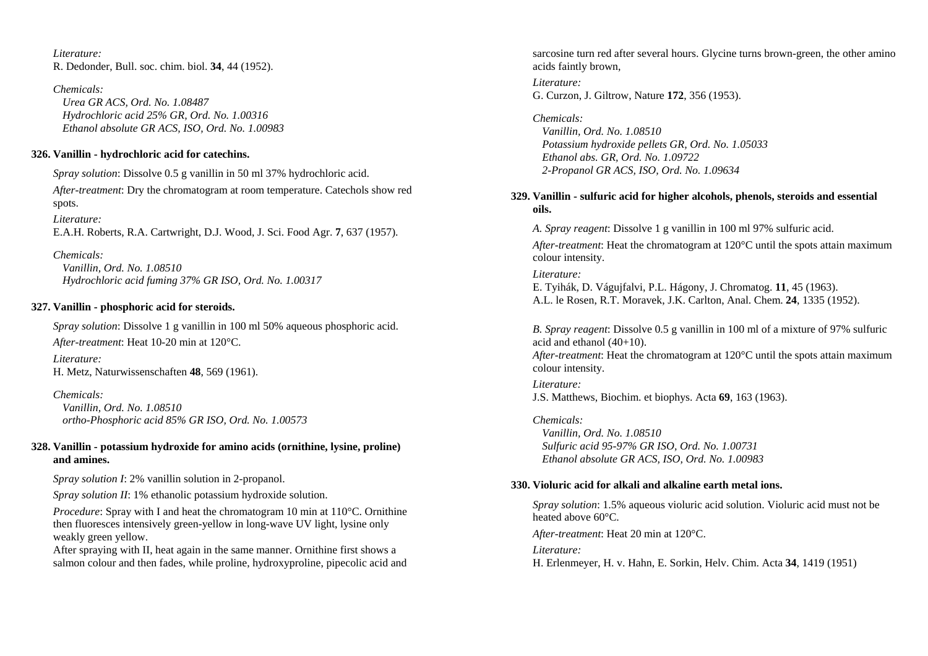*Literature:* R. Dedonder, Bull. soc. chim. biol. **34**, 44 (1952).

*Chemicals: Urea GR ACS, Ord. No. 1.08487 Hydrochloric acid 25% GR, Ord. No. 1.00316 Ethanol absolute GR ACS, ISO, Ord. No. 1.00983* 

### **326. Vanillin - hydrochloric acid for catechins.**

*Spray solution*: Dissolve 0.5 g vanillin in 50 ml 37% hydrochloric acid.

*After-treatment*: Dry the chromatogram at room temperature. Catechols show red spots.

*Literature:*  E.A.H. Roberts, R.A. Cartwright, D.J. Wood, J. Sci. Food Agr. **7**, 637 (1957).

*Chemicals: Vanillin, Ord. No. 1.08510 Hydrochloric acid fuming 37% GR ISO, Ord. No. 1.00317* 

## **327. Vanillin - phosphoric acid for steroids.**

*Spray solution*: Dissolve 1 g vanillin in 100 ml 50% aqueous phosphoric acid. *After-treatment*: Heat 10-20 min at 120°C.

*Literature:* H. Metz, Naturwissenschaften **48**, 569 (1961).

*Chemicals: Vanillin, Ord. No. 1.08510 ortho-Phosphoric acid 85% GR ISO, Ord. No. 1.00573* 

### **328. Vanillin - potassium hydroxide for amino acids (ornithine, lysine, proline) and amines.**

*Spray solution I*: 2% vanillin solution in 2-propanol.

*Spray solution II*: 1% ethanolic potassium hydroxide solution.

*Procedure*: Spray with I and heat the chromatogram 10 min at 110<sup>o</sup>C. Ornithine then fluoresces intensively green-yellow in long-wave UV light, lysine only weakly green yellow.

After spraying with II, heat again in the same manner. Ornithine first shows a salmon colour and then fades, while proline, hydroxyproline, pipecolic acid and sarcosine turn red after several hours. Glycine turns brown-green, the other amino acids faintly brown,

*Literature:*  G. Curzon, J. Giltrow, Nature **172**, 356 (1953).

*Chemicals: Vanillin, Ord. No. 1.08510 Potassium hydroxide pellets GR, Ord. No. 1.05033 Ethanol abs. GR, Ord. No. 1.09722 2-Propanol GR ACS, ISO, Ord. No. 1.09634* 

## **329. Vanillin - sulfuric acid for higher alcohols, phenols, steroids and essential oils.**

*A. Spray reagent*: Dissolve 1 g vanillin in 100 ml 97% sulfuric acid.

*After-treatment*: Heat the chromatogram at 120°C until the spots attain maximum colour intensity.

*Literature:* E. Tyihák, D. Vágujfalvi, P.L. Hágony, J. Chromatog. **11**, 45 (1963). A.L. le Rosen, R.T. Moravek, J.K. Carlton, Anal. Chem. **24**, 1335 (1952).

*B. Spray reagent*: Dissolve 0.5 g vanillin in 100 ml of a mixture of 97% sulfuric acid and ethanol (40+10). *After-treatment*: Heat the chromatogram at 120°C until the spots attain maximum

*Literature:* J.S. Matthews, Biochim. et biophys. Acta **69**, 163 (1963).

*Chemicals: Vanillin, Ord. No. 1.08510 Sulfuric acid 95-97% GR ISO, Ord. No. 1.00731 Ethanol absolute GR ACS, ISO, Ord. No. 1.00983* 

## **330. Violuric acid for alkali and alkaline earth metal ions.**

*Spray solution*: 1.5% aqueous violuric acid solution. Violuric acid must not be heated above 60°C.

*After-treatment*: Heat 20 min at 120°C.

*Literature:* 

colour intensity.

H. Erlenmeyer, H. v. Hahn, E. Sorkin, Helv. Chim. Acta **34**, 1419 (1951)